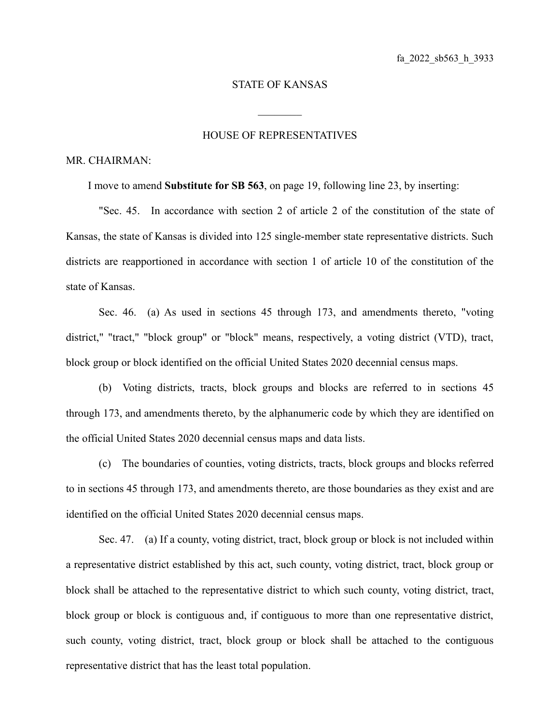## STATE OF KANSAS

 $\mathcal{L}_\text{max}$ 

## HOUSE OF REPRESENTATIVES

## MR. CHAIRMAN:

I move to amend **Substitute for SB 563**, on page 19, following line 23, by inserting:

"Sec. 45. In accordance with section 2 of article 2 of the constitution of the state of Kansas, the state of Kansas is divided into 125 single-member state representative districts. Such districts are reapportioned in accordance with section 1 of article 10 of the constitution of the state of Kansas.

Sec. 46. (a) As used in sections 45 through 173, and amendments thereto, "voting district," "tract," "block group" or "block" means, respectively, a voting district (VTD), tract, block group or block identified on the official United States 2020 decennial census maps.

(b) Voting districts, tracts, block groups and blocks are referred to in sections 45 through 173, and amendments thereto, by the alphanumeric code by which they are identified on the official United States 2020 decennial census maps and data lists.

(c) The boundaries of counties, voting districts, tracts, block groups and blocks referred to in sections 45 through 173, and amendments thereto, are those boundaries as they exist and are identified on the official United States 2020 decennial census maps.

Sec. 47. (a) If a county, voting district, tract, block group or block is not included within a representative district established by this act, such county, voting district, tract, block group or block shall be attached to the representative district to which such county, voting district, tract, block group or block is contiguous and, if contiguous to more than one representative district, such county, voting district, tract, block group or block shall be attached to the contiguous representative district that has the least total population.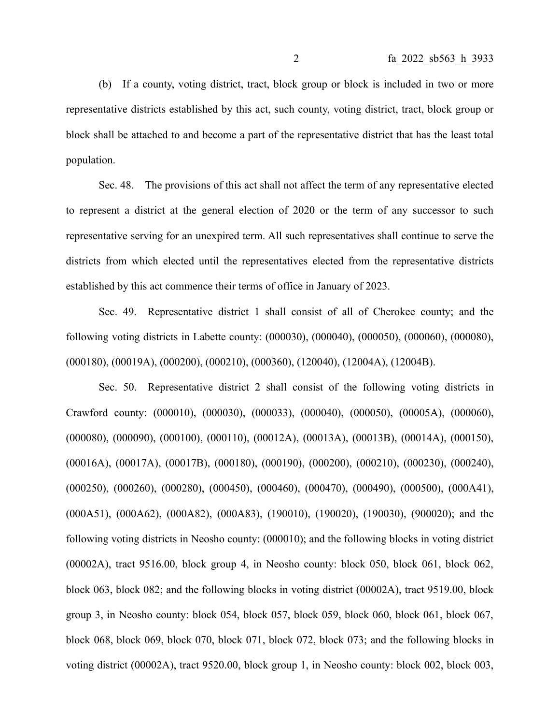(b) If a county, voting district, tract, block group or block is included in two or more representative districts established by this act, such county, voting district, tract, block group or block shall be attached to and become a part of the representative district that has the least total population.

Sec. 48. The provisions of this act shall not affect the term of any representative elected to represent a district at the general election of 2020 or the term of any successor to such representative serving for an unexpired term. All such representatives shall continue to serve the districts from which elected until the representatives elected from the representative districts established by this act commence their terms of office in January of 2023.

Sec. 49. Representative district 1 shall consist of all of Cherokee county; and the following voting districts in Labette county: (000030), (000040), (000050), (000060), (000080), (000180), (00019A), (000200), (000210), (000360), (120040), (12004A), (12004B).

Sec. 50. Representative district 2 shall consist of the following voting districts in Crawford county: (000010), (000030), (000033), (000040), (000050), (00005A), (000060), (000080), (000090), (000100), (000110), (00012A), (00013A), (00013B), (00014A), (000150), (00016A), (00017A), (00017B), (000180), (000190), (000200), (000210), (000230), (000240), (000250), (000260), (000280), (000450), (000460), (000470), (000490), (000500), (000A41), (000A51), (000A62), (000A82), (000A83), (190010), (190020), (190030), (900020); and the following voting districts in Neosho county: (000010); and the following blocks in voting district (00002A), tract 9516.00, block group 4, in Neosho county: block 050, block 061, block 062, block 063, block 082; and the following blocks in voting district (00002A), tract 9519.00, block group 3, in Neosho county: block 054, block 057, block 059, block 060, block 061, block 067, block 068, block 069, block 070, block 071, block 072, block 073; and the following blocks in voting district (00002A), tract 9520.00, block group 1, in Neosho county: block 002, block 003,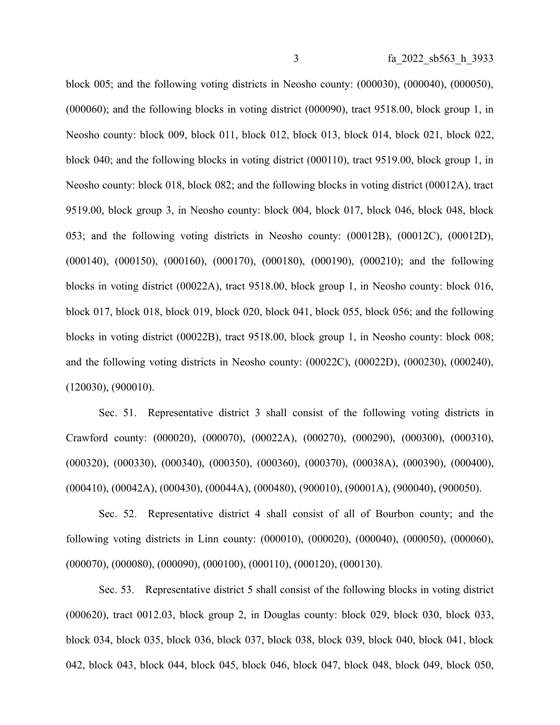block 005; and the following voting districts in Neosho county: (000030), (000040), (000050), (000060); and the following blocks in voting district (000090), tract 9518.00, block group 1, in Neosho county: block 009, block 011, block 012, block 013, block 014, block 021, block 022, block 040; and the following blocks in voting district (000110), tract 9519.00, block group 1, in Neosho county: block 018, block 082; and the following blocks in voting district (00012A), tract 9519.00, block group 3, in Neosho county: block 004, block 017, block 046, block 048, block 053; and the following voting districts in Neosho county: (00012B), (00012C), (00012D), (000140), (000150), (000160), (000170), (000180), (000190), (000210); and the following blocks in voting district (00022A), tract 9518.00, block group 1, in Neosho county: block 016, block 017, block 018, block 019, block 020, block 041, block 055, block 056; and the following blocks in voting district (00022B), tract 9518.00, block group 1, in Neosho county: block 008; and the following voting districts in Neosho county: (00022C), (00022D), (000230), (000240), (120030), (900010).

Sec. 51. Representative district 3 shall consist of the following voting districts in Crawford county: (000020), (000070), (00022A), (000270), (000290), (000300), (000310), (000320), (000330), (000340), (000350), (000360), (000370), (00038A), (000390), (000400), (000410), (00042A), (000430), (00044A), (000480), (900010), (90001A), (900040), (900050).

Sec. 52. Representative district 4 shall consist of all of Bourbon county; and the following voting districts in Linn county: (000010), (000020), (000040), (000050), (000060), (000070), (000080), (000090), (000100), (000110), (000120), (000130).

Sec. 53. Representative district 5 shall consist of the following blocks in voting district (000620), tract 0012.03, block group 2, in Douglas county: block 029, block 030, block 033, block 034, block 035, block 036, block 037, block 038, block 039, block 040, block 041, block 042, block 043, block 044, block 045, block 046, block 047, block 048, block 049, block 050,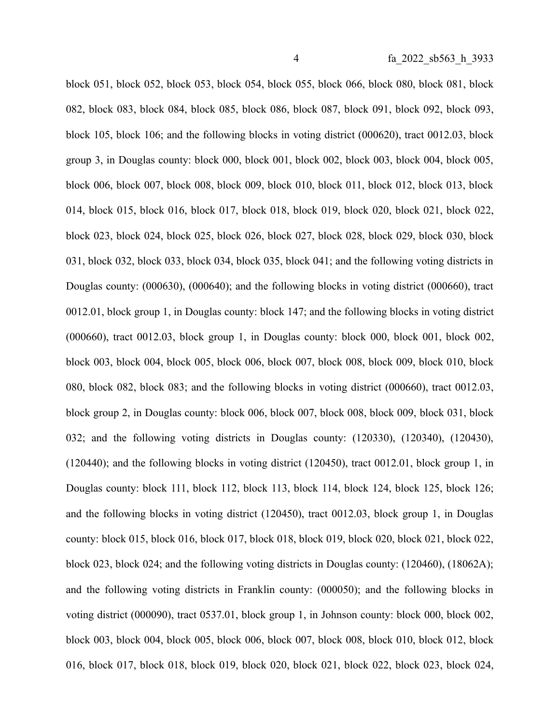block 051, block 052, block 053, block 054, block 055, block 066, block 080, block 081, block 082, block 083, block 084, block 085, block 086, block 087, block 091, block 092, block 093, block 105, block 106; and the following blocks in voting district (000620), tract 0012.03, block group 3, in Douglas county: block 000, block 001, block 002, block 003, block 004, block 005, block 006, block 007, block 008, block 009, block 010, block 011, block 012, block 013, block 014, block 015, block 016, block 017, block 018, block 019, block 020, block 021, block 022, block 023, block 024, block 025, block 026, block 027, block 028, block 029, block 030, block 031, block 032, block 033, block 034, block 035, block 041; and the following voting districts in Douglas county: (000630), (000640); and the following blocks in voting district (000660), tract 0012.01, block group 1, in Douglas county: block 147; and the following blocks in voting district (000660), tract 0012.03, block group 1, in Douglas county: block 000, block 001, block 002, block 003, block 004, block 005, block 006, block 007, block 008, block 009, block 010, block 080, block 082, block 083; and the following blocks in voting district (000660), tract 0012.03, block group 2, in Douglas county: block 006, block 007, block 008, block 009, block 031, block 032; and the following voting districts in Douglas county: (120330), (120340), (120430), (120440); and the following blocks in voting district (120450), tract 0012.01, block group 1, in Douglas county: block 111, block 112, block 113, block 114, block 124, block 125, block 126; and the following blocks in voting district (120450), tract 0012.03, block group 1, in Douglas county: block 015, block 016, block 017, block 018, block 019, block 020, block 021, block 022, block 023, block 024; and the following voting districts in Douglas county: (120460), (18062A); and the following voting districts in Franklin county: (000050); and the following blocks in voting district (000090), tract 0537.01, block group 1, in Johnson county: block 000, block 002, block 003, block 004, block 005, block 006, block 007, block 008, block 010, block 012, block 016, block 017, block 018, block 019, block 020, block 021, block 022, block 023, block 024,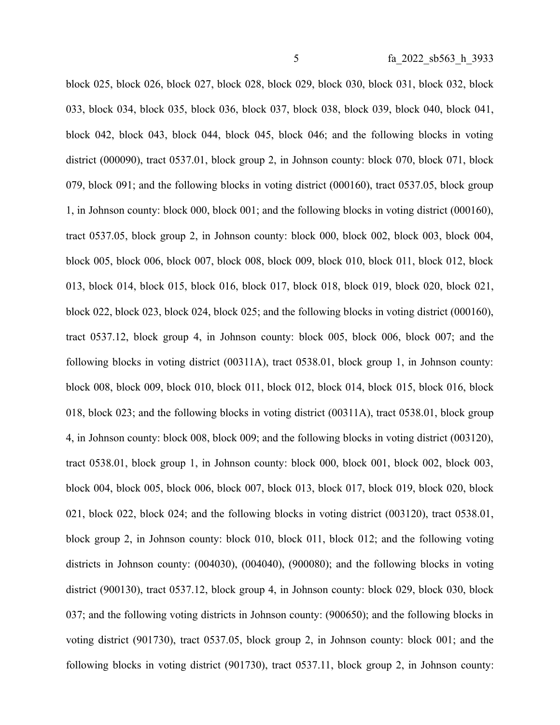block 025, block 026, block 027, block 028, block 029, block 030, block 031, block 032, block 033, block 034, block 035, block 036, block 037, block 038, block 039, block 040, block 041, block 042, block 043, block 044, block 045, block 046; and the following blocks in voting district (000090), tract 0537.01, block group 2, in Johnson county: block 070, block 071, block 079, block 091; and the following blocks in voting district (000160), tract 0537.05, block group 1, in Johnson county: block 000, block 001; and the following blocks in voting district (000160), tract 0537.05, block group 2, in Johnson county: block 000, block 002, block 003, block 004, block 005, block 006, block 007, block 008, block 009, block 010, block 011, block 012, block 013, block 014, block 015, block 016, block 017, block 018, block 019, block 020, block 021, block 022, block 023, block 024, block 025; and the following blocks in voting district (000160), tract 0537.12, block group 4, in Johnson county: block 005, block 006, block 007; and the following blocks in voting district (00311A), tract 0538.01, block group 1, in Johnson county: block 008, block 009, block 010, block 011, block 012, block 014, block 015, block 016, block 018, block 023; and the following blocks in voting district (00311A), tract 0538.01, block group 4, in Johnson county: block 008, block 009; and the following blocks in voting district (003120), tract 0538.01, block group 1, in Johnson county: block 000, block 001, block 002, block 003, block 004, block 005, block 006, block 007, block 013, block 017, block 019, block 020, block 021, block 022, block 024; and the following blocks in voting district (003120), tract 0538.01, block group 2, in Johnson county: block 010, block 011, block 012; and the following voting districts in Johnson county: (004030), (004040), (900080); and the following blocks in voting district (900130), tract 0537.12, block group 4, in Johnson county: block 029, block 030, block 037; and the following voting districts in Johnson county: (900650); and the following blocks in voting district (901730), tract 0537.05, block group 2, in Johnson county: block 001; and the following blocks in voting district (901730), tract 0537.11, block group 2, in Johnson county: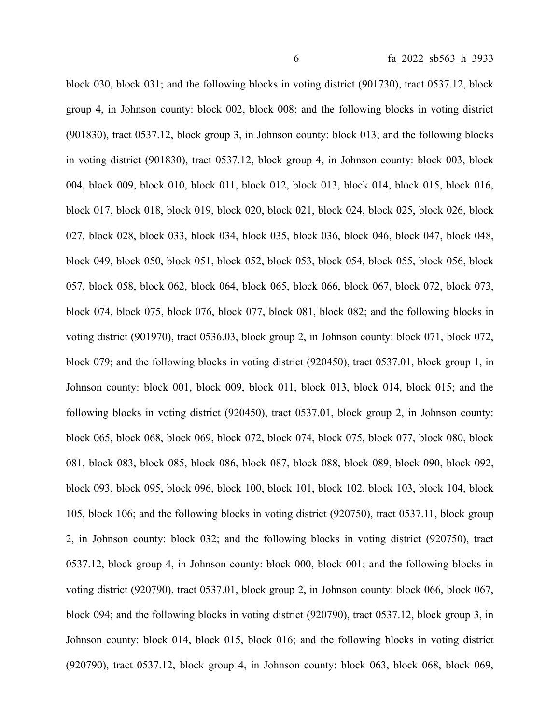block 030, block 031; and the following blocks in voting district (901730), tract 0537.12, block group 4, in Johnson county: block 002, block 008; and the following blocks in voting district (901830), tract 0537.12, block group 3, in Johnson county: block 013; and the following blocks in voting district (901830), tract 0537.12, block group 4, in Johnson county: block 003, block 004, block 009, block 010, block 011, block 012, block 013, block 014, block 015, block 016, block 017, block 018, block 019, block 020, block 021, block 024, block 025, block 026, block 027, block 028, block 033, block 034, block 035, block 036, block 046, block 047, block 048, block 049, block 050, block 051, block 052, block 053, block 054, block 055, block 056, block 057, block 058, block 062, block 064, block 065, block 066, block 067, block 072, block 073, block 074, block 075, block 076, block 077, block 081, block 082; and the following blocks in voting district (901970), tract 0536.03, block group 2, in Johnson county: block 071, block 072, block 079; and the following blocks in voting district (920450), tract 0537.01, block group 1, in Johnson county: block 001, block 009, block 011, block 013, block 014, block 015; and the following blocks in voting district (920450), tract 0537.01, block group 2, in Johnson county: block 065, block 068, block 069, block 072, block 074, block 075, block 077, block 080, block 081, block 083, block 085, block 086, block 087, block 088, block 089, block 090, block 092, block 093, block 095, block 096, block 100, block 101, block 102, block 103, block 104, block 105, block 106; and the following blocks in voting district (920750), tract 0537.11, block group 2, in Johnson county: block 032; and the following blocks in voting district (920750), tract 0537.12, block group 4, in Johnson county: block 000, block 001; and the following blocks in voting district (920790), tract 0537.01, block group 2, in Johnson county: block 066, block 067, block 094; and the following blocks in voting district (920790), tract 0537.12, block group 3, in Johnson county: block 014, block 015, block 016; and the following blocks in voting district (920790), tract 0537.12, block group 4, in Johnson county: block 063, block 068, block 069,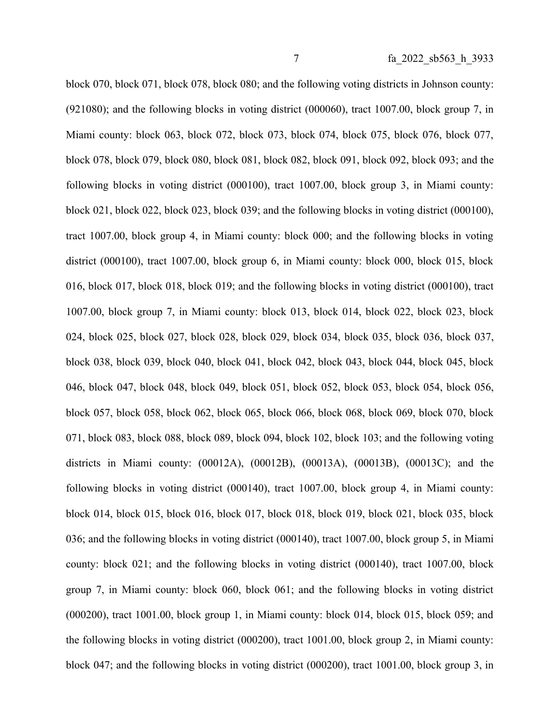block 070, block 071, block 078, block 080; and the following voting districts in Johnson county: (921080); and the following blocks in voting district (000060), tract 1007.00, block group 7, in Miami county: block 063, block 072, block 073, block 074, block 075, block 076, block 077, block 078, block 079, block 080, block 081, block 082, block 091, block 092, block 093; and the following blocks in voting district (000100), tract 1007.00, block group 3, in Miami county: block 021, block 022, block 023, block 039; and the following blocks in voting district (000100), tract 1007.00, block group 4, in Miami county: block 000; and the following blocks in voting district (000100), tract 1007.00, block group 6, in Miami county: block 000, block 015, block 016, block 017, block 018, block 019; and the following blocks in voting district (000100), tract 1007.00, block group 7, in Miami county: block 013, block 014, block 022, block 023, block 024, block 025, block 027, block 028, block 029, block 034, block 035, block 036, block 037, block 038, block 039, block 040, block 041, block 042, block 043, block 044, block 045, block 046, block 047, block 048, block 049, block 051, block 052, block 053, block 054, block 056, block 057, block 058, block 062, block 065, block 066, block 068, block 069, block 070, block 071, block 083, block 088, block 089, block 094, block 102, block 103; and the following voting districts in Miami county: (00012A), (00012B), (00013A), (00013B), (00013C); and the following blocks in voting district (000140), tract 1007.00, block group 4, in Miami county: block 014, block 015, block 016, block 017, block 018, block 019, block 021, block 035, block 036; and the following blocks in voting district (000140), tract 1007.00, block group 5, in Miami county: block 021; and the following blocks in voting district (000140), tract 1007.00, block group 7, in Miami county: block 060, block 061; and the following blocks in voting district (000200), tract 1001.00, block group 1, in Miami county: block 014, block 015, block 059; and the following blocks in voting district (000200), tract 1001.00, block group 2, in Miami county: block 047; and the following blocks in voting district (000200), tract 1001.00, block group 3, in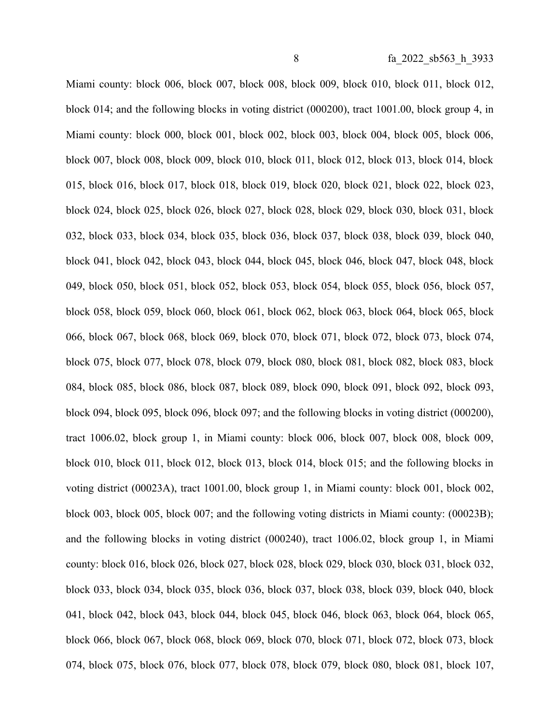Miami county: block 006, block 007, block 008, block 009, block 010, block 011, block 012, block 014; and the following blocks in voting district (000200), tract 1001.00, block group 4, in Miami county: block 000, block 001, block 002, block 003, block 004, block 005, block 006, block 007, block 008, block 009, block 010, block 011, block 012, block 013, block 014, block 015, block 016, block 017, block 018, block 019, block 020, block 021, block 022, block 023, block 024, block 025, block 026, block 027, block 028, block 029, block 030, block 031, block 032, block 033, block 034, block 035, block 036, block 037, block 038, block 039, block 040, block 041, block 042, block 043, block 044, block 045, block 046, block 047, block 048, block 049, block 050, block 051, block 052, block 053, block 054, block 055, block 056, block 057, block 058, block 059, block 060, block 061, block 062, block 063, block 064, block 065, block 066, block 067, block 068, block 069, block 070, block 071, block 072, block 073, block 074, block 075, block 077, block 078, block 079, block 080, block 081, block 082, block 083, block 084, block 085, block 086, block 087, block 089, block 090, block 091, block 092, block 093, block 094, block 095, block 096, block 097; and the following blocks in voting district (000200), tract 1006.02, block group 1, in Miami county: block 006, block 007, block 008, block 009, block 010, block 011, block 012, block 013, block 014, block 015; and the following blocks in voting district (00023A), tract 1001.00, block group 1, in Miami county: block 001, block 002, block 003, block 005, block 007; and the following voting districts in Miami county: (00023B); and the following blocks in voting district (000240), tract 1006.02, block group 1, in Miami county: block 016, block 026, block 027, block 028, block 029, block 030, block 031, block 032, block 033, block 034, block 035, block 036, block 037, block 038, block 039, block 040, block 041, block 042, block 043, block 044, block 045, block 046, block 063, block 064, block 065, block 066, block 067, block 068, block 069, block 070, block 071, block 072, block 073, block 074, block 075, block 076, block 077, block 078, block 079, block 080, block 081, block 107,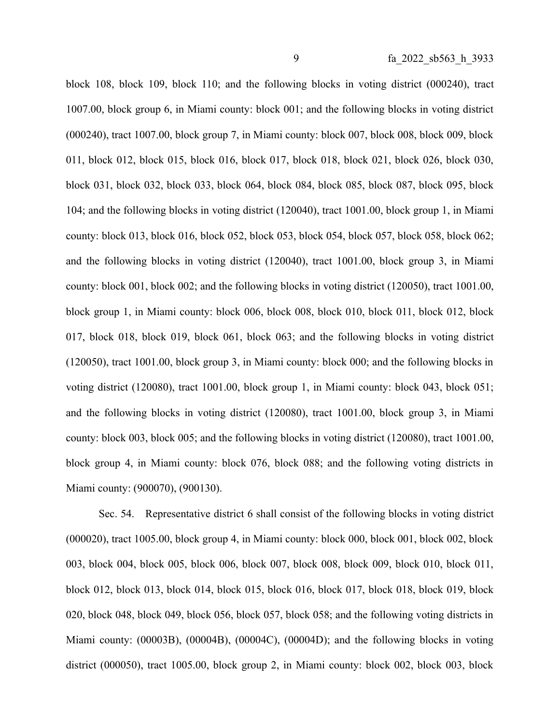block 108, block 109, block 110; and the following blocks in voting district (000240), tract 1007.00, block group 6, in Miami county: block 001; and the following blocks in voting district (000240), tract 1007.00, block group 7, in Miami county: block 007, block 008, block 009, block 011, block 012, block 015, block 016, block 017, block 018, block 021, block 026, block 030, block 031, block 032, block 033, block 064, block 084, block 085, block 087, block 095, block 104; and the following blocks in voting district (120040), tract 1001.00, block group 1, in Miami county: block 013, block 016, block 052, block 053, block 054, block 057, block 058, block 062; and the following blocks in voting district (120040), tract 1001.00, block group 3, in Miami county: block 001, block 002; and the following blocks in voting district (120050), tract 1001.00, block group 1, in Miami county: block 006, block 008, block 010, block 011, block 012, block 017, block 018, block 019, block 061, block 063; and the following blocks in voting district (120050), tract 1001.00, block group 3, in Miami county: block 000; and the following blocks in voting district (120080), tract 1001.00, block group 1, in Miami county: block 043, block 051; and the following blocks in voting district (120080), tract 1001.00, block group 3, in Miami county: block 003, block 005; and the following blocks in voting district (120080), tract 1001.00, block group 4, in Miami county: block 076, block 088; and the following voting districts in Miami county: (900070), (900130).

Sec. 54. Representative district 6 shall consist of the following blocks in voting district (000020), tract 1005.00, block group 4, in Miami county: block 000, block 001, block 002, block 003, block 004, block 005, block 006, block 007, block 008, block 009, block 010, block 011, block 012, block 013, block 014, block 015, block 016, block 017, block 018, block 019, block 020, block 048, block 049, block 056, block 057, block 058; and the following voting districts in Miami county: (00003B), (00004B), (00004C), (00004D); and the following blocks in voting district (000050), tract 1005.00, block group 2, in Miami county: block 002, block 003, block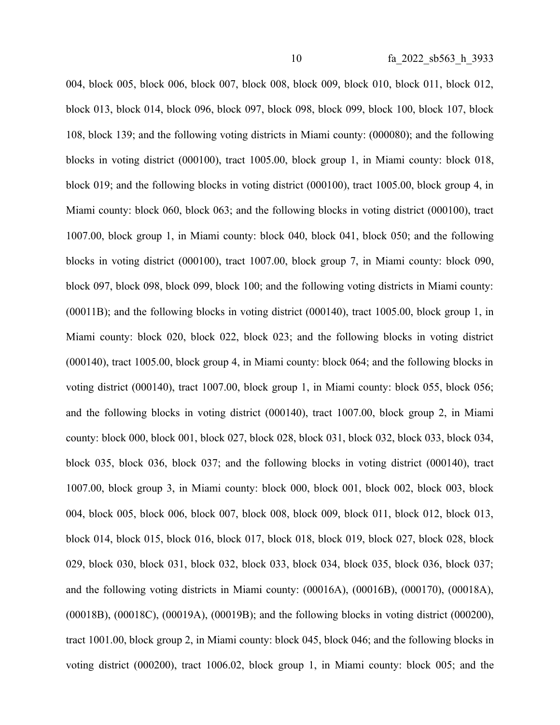004, block 005, block 006, block 007, block 008, block 009, block 010, block 011, block 012, block 013, block 014, block 096, block 097, block 098, block 099, block 100, block 107, block 108, block 139; and the following voting districts in Miami county: (000080); and the following blocks in voting district (000100), tract 1005.00, block group 1, in Miami county: block 018, block 019; and the following blocks in voting district (000100), tract 1005.00, block group 4, in Miami county: block 060, block 063; and the following blocks in voting district (000100), tract 1007.00, block group 1, in Miami county: block 040, block 041, block 050; and the following blocks in voting district (000100), tract 1007.00, block group 7, in Miami county: block 090, block 097, block 098, block 099, block 100; and the following voting districts in Miami county: (00011B); and the following blocks in voting district (000140), tract 1005.00, block group 1, in Miami county: block 020, block 022, block 023; and the following blocks in voting district (000140), tract 1005.00, block group 4, in Miami county: block 064; and the following blocks in voting district (000140), tract 1007.00, block group 1, in Miami county: block 055, block 056; and the following blocks in voting district (000140), tract 1007.00, block group 2, in Miami county: block 000, block 001, block 027, block 028, block 031, block 032, block 033, block 034, block 035, block 036, block 037; and the following blocks in voting district (000140), tract 1007.00, block group 3, in Miami county: block 000, block 001, block 002, block 003, block 004, block 005, block 006, block 007, block 008, block 009, block 011, block 012, block 013, block 014, block 015, block 016, block 017, block 018, block 019, block 027, block 028, block 029, block 030, block 031, block 032, block 033, block 034, block 035, block 036, block 037; and the following voting districts in Miami county: (00016A), (00016B), (000170), (00018A), (00018B), (00018C), (00019A), (00019B); and the following blocks in voting district (000200), tract 1001.00, block group 2, in Miami county: block 045, block 046; and the following blocks in voting district (000200), tract 1006.02, block group 1, in Miami county: block 005; and the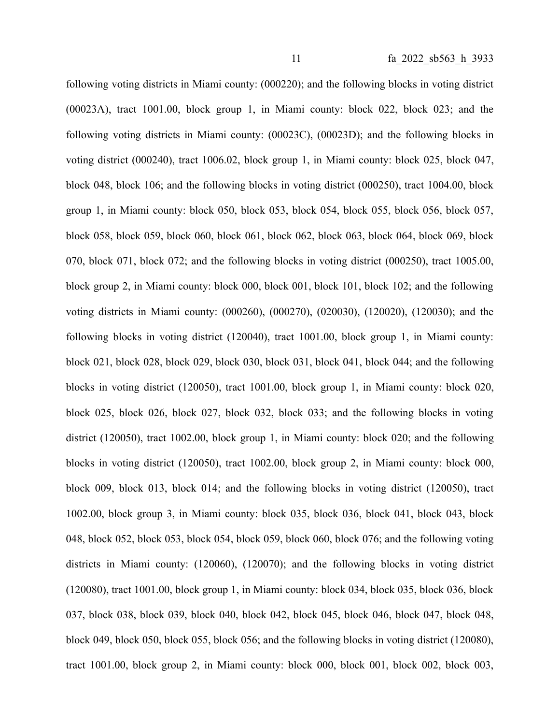following voting districts in Miami county: (000220); and the following blocks in voting district (00023A), tract 1001.00, block group 1, in Miami county: block 022, block 023; and the following voting districts in Miami county: (00023C), (00023D); and the following blocks in voting district (000240), tract 1006.02, block group 1, in Miami county: block 025, block 047, block 048, block 106; and the following blocks in voting district (000250), tract 1004.00, block group 1, in Miami county: block 050, block 053, block 054, block 055, block 056, block 057, block 058, block 059, block 060, block 061, block 062, block 063, block 064, block 069, block 070, block 071, block 072; and the following blocks in voting district (000250), tract 1005.00, block group 2, in Miami county: block 000, block 001, block 101, block 102; and the following voting districts in Miami county: (000260), (000270), (020030), (120020), (120030); and the following blocks in voting district (120040), tract 1001.00, block group 1, in Miami county: block 021, block 028, block 029, block 030, block 031, block 041, block 044; and the following blocks in voting district (120050), tract 1001.00, block group 1, in Miami county: block 020, block 025, block 026, block 027, block 032, block 033; and the following blocks in voting district (120050), tract 1002.00, block group 1, in Miami county: block 020; and the following blocks in voting district (120050), tract 1002.00, block group 2, in Miami county: block 000, block 009, block 013, block 014; and the following blocks in voting district (120050), tract 1002.00, block group 3, in Miami county: block 035, block 036, block 041, block 043, block 048, block 052, block 053, block 054, block 059, block 060, block 076; and the following voting districts in Miami county: (120060), (120070); and the following blocks in voting district (120080), tract 1001.00, block group 1, in Miami county: block 034, block 035, block 036, block 037, block 038, block 039, block 040, block 042, block 045, block 046, block 047, block 048, block 049, block 050, block 055, block 056; and the following blocks in voting district (120080), tract 1001.00, block group 2, in Miami county: block 000, block 001, block 002, block 003,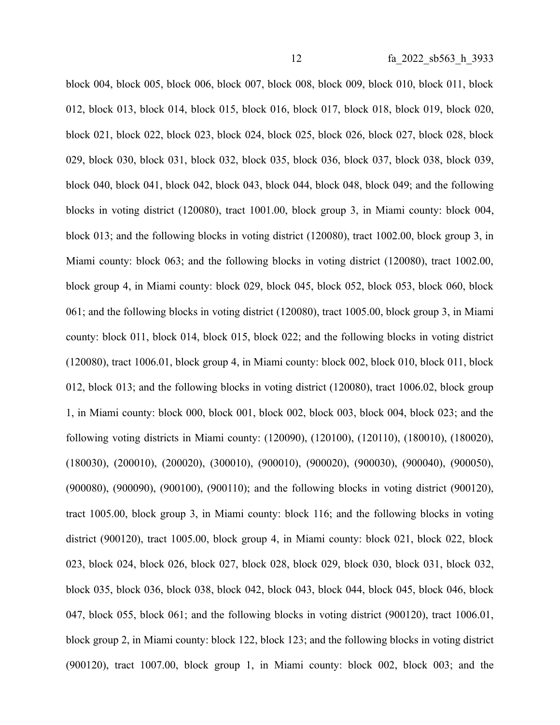block 004, block 005, block 006, block 007, block 008, block 009, block 010, block 011, block 012, block 013, block 014, block 015, block 016, block 017, block 018, block 019, block 020, block 021, block 022, block 023, block 024, block 025, block 026, block 027, block 028, block 029, block 030, block 031, block 032, block 035, block 036, block 037, block 038, block 039, block 040, block 041, block 042, block 043, block 044, block 048, block 049; and the following blocks in voting district (120080), tract 1001.00, block group 3, in Miami county: block 004, block 013; and the following blocks in voting district (120080), tract 1002.00, block group 3, in Miami county: block 063; and the following blocks in voting district (120080), tract 1002.00, block group 4, in Miami county: block 029, block 045, block 052, block 053, block 060, block 061; and the following blocks in voting district (120080), tract 1005.00, block group 3, in Miami county: block 011, block 014, block 015, block 022; and the following blocks in voting district (120080), tract 1006.01, block group 4, in Miami county: block 002, block 010, block 011, block 012, block 013; and the following blocks in voting district (120080), tract 1006.02, block group 1, in Miami county: block 000, block 001, block 002, block 003, block 004, block 023; and the following voting districts in Miami county: (120090), (120100), (120110), (180010), (180020), (180030), (200010), (200020), (300010), (900010), (900020), (900030), (900040), (900050), (900080), (900090), (900100), (900110); and the following blocks in voting district (900120), tract 1005.00, block group 3, in Miami county: block 116; and the following blocks in voting district (900120), tract 1005.00, block group 4, in Miami county: block 021, block 022, block 023, block 024, block 026, block 027, block 028, block 029, block 030, block 031, block 032, block 035, block 036, block 038, block 042, block 043, block 044, block 045, block 046, block 047, block 055, block 061; and the following blocks in voting district (900120), tract 1006.01, block group 2, in Miami county: block 122, block 123; and the following blocks in voting district (900120), tract 1007.00, block group 1, in Miami county: block 002, block 003; and the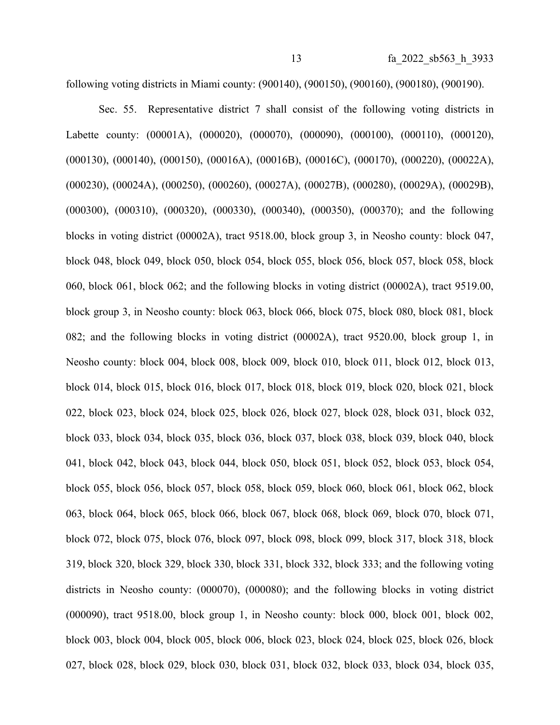following voting districts in Miami county: (900140), (900150), (900160), (900180), (900190).

Sec. 55. Representative district 7 shall consist of the following voting districts in Labette county: (00001A), (000020), (000070), (000090), (000100), (000110), (000120), (000130), (000140), (000150), (00016A), (00016B), (00016C), (000170), (000220), (00022A), (000230), (00024A), (000250), (000260), (00027A), (00027B), (000280), (00029A), (00029B), (000300), (000310), (000320), (000330), (000340), (000350), (000370); and the following blocks in voting district (00002A), tract 9518.00, block group 3, in Neosho county: block 047, block 048, block 049, block 050, block 054, block 055, block 056, block 057, block 058, block 060, block 061, block 062; and the following blocks in voting district (00002A), tract 9519.00, block group 3, in Neosho county: block 063, block 066, block 075, block 080, block 081, block 082; and the following blocks in voting district (00002A), tract 9520.00, block group 1, in Neosho county: block 004, block 008, block 009, block 010, block 011, block 012, block 013, block 014, block 015, block 016, block 017, block 018, block 019, block 020, block 021, block 022, block 023, block 024, block 025, block 026, block 027, block 028, block 031, block 032, block 033, block 034, block 035, block 036, block 037, block 038, block 039, block 040, block 041, block 042, block 043, block 044, block 050, block 051, block 052, block 053, block 054, block 055, block 056, block 057, block 058, block 059, block 060, block 061, block 062, block 063, block 064, block 065, block 066, block 067, block 068, block 069, block 070, block 071, block 072, block 075, block 076, block 097, block 098, block 099, block 317, block 318, block 319, block 320, block 329, block 330, block 331, block 332, block 333; and the following voting districts in Neosho county: (000070), (000080); and the following blocks in voting district (000090), tract 9518.00, block group 1, in Neosho county: block 000, block 001, block 002, block 003, block 004, block 005, block 006, block 023, block 024, block 025, block 026, block 027, block 028, block 029, block 030, block 031, block 032, block 033, block 034, block 035,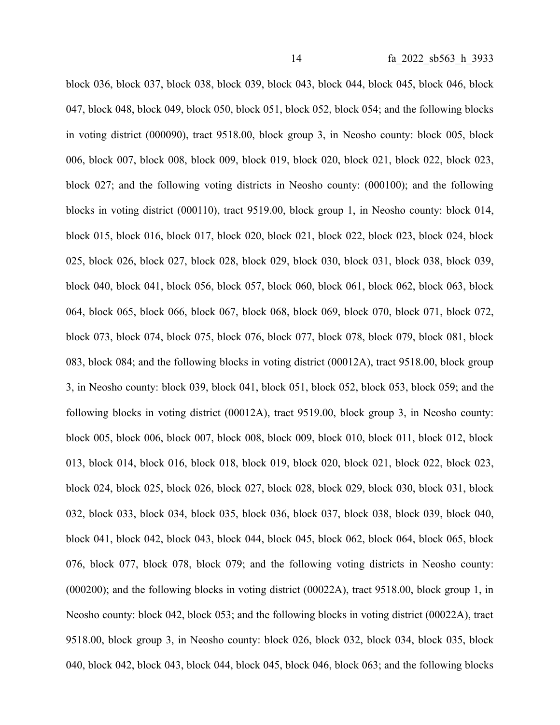block 036, block 037, block 038, block 039, block 043, block 044, block 045, block 046, block 047, block 048, block 049, block 050, block 051, block 052, block 054; and the following blocks in voting district (000090), tract 9518.00, block group 3, in Neosho county: block 005, block 006, block 007, block 008, block 009, block 019, block 020, block 021, block 022, block 023, block 027; and the following voting districts in Neosho county: (000100); and the following blocks in voting district (000110), tract 9519.00, block group 1, in Neosho county: block 014, block 015, block 016, block 017, block 020, block 021, block 022, block 023, block 024, block 025, block 026, block 027, block 028, block 029, block 030, block 031, block 038, block 039, block 040, block 041, block 056, block 057, block 060, block 061, block 062, block 063, block 064, block 065, block 066, block 067, block 068, block 069, block 070, block 071, block 072, block 073, block 074, block 075, block 076, block 077, block 078, block 079, block 081, block 083, block 084; and the following blocks in voting district (00012A), tract 9518.00, block group 3, in Neosho county: block 039, block 041, block 051, block 052, block 053, block 059; and the following blocks in voting district (00012A), tract 9519.00, block group 3, in Neosho county: block 005, block 006, block 007, block 008, block 009, block 010, block 011, block 012, block 013, block 014, block 016, block 018, block 019, block 020, block 021, block 022, block 023, block 024, block 025, block 026, block 027, block 028, block 029, block 030, block 031, block 032, block 033, block 034, block 035, block 036, block 037, block 038, block 039, block 040, block 041, block 042, block 043, block 044, block 045, block 062, block 064, block 065, block 076, block 077, block 078, block 079; and the following voting districts in Neosho county: (000200); and the following blocks in voting district (00022A), tract 9518.00, block group 1, in Neosho county: block 042, block 053; and the following blocks in voting district (00022A), tract 9518.00, block group 3, in Neosho county: block 026, block 032, block 034, block 035, block 040, block 042, block 043, block 044, block 045, block 046, block 063; and the following blocks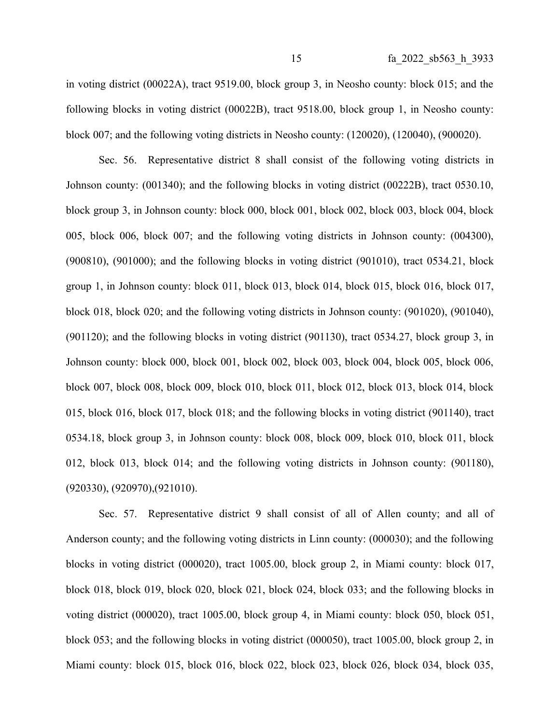in voting district (00022A), tract 9519.00, block group 3, in Neosho county: block 015; and the following blocks in voting district (00022B), tract 9518.00, block group 1, in Neosho county: block 007; and the following voting districts in Neosho county: (120020), (120040), (900020).

Sec. 56. Representative district 8 shall consist of the following voting districts in Johnson county: (001340); and the following blocks in voting district (00222B), tract 0530.10, block group 3, in Johnson county: block 000, block 001, block 002, block 003, block 004, block 005, block 006, block 007; and the following voting districts in Johnson county: (004300), (900810), (901000); and the following blocks in voting district (901010), tract 0534.21, block group 1, in Johnson county: block 011, block 013, block 014, block 015, block 016, block 017, block 018, block 020; and the following voting districts in Johnson county: (901020), (901040), (901120); and the following blocks in voting district (901130), tract 0534.27, block group 3, in Johnson county: block 000, block 001, block 002, block 003, block 004, block 005, block 006, block 007, block 008, block 009, block 010, block 011, block 012, block 013, block 014, block 015, block 016, block 017, block 018; and the following blocks in voting district (901140), tract 0534.18, block group 3, in Johnson county: block 008, block 009, block 010, block 011, block 012, block 013, block 014; and the following voting districts in Johnson county: (901180), (920330), (920970),(921010).

Sec. 57. Representative district 9 shall consist of all of Allen county; and all of Anderson county; and the following voting districts in Linn county: (000030); and the following blocks in voting district (000020), tract 1005.00, block group 2, in Miami county: block 017, block 018, block 019, block 020, block 021, block 024, block 033; and the following blocks in voting district (000020), tract 1005.00, block group 4, in Miami county: block 050, block 051, block 053; and the following blocks in voting district (000050), tract 1005.00, block group 2, in Miami county: block 015, block 016, block 022, block 023, block 026, block 034, block 035,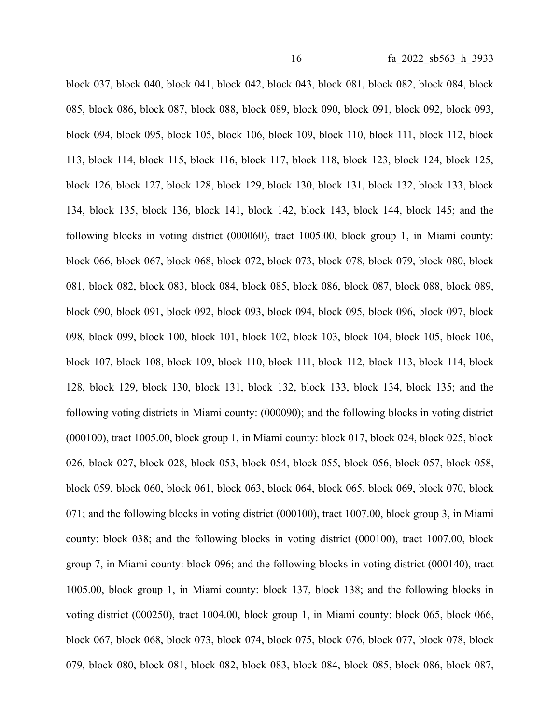block 037, block 040, block 041, block 042, block 043, block 081, block 082, block 084, block 085, block 086, block 087, block 088, block 089, block 090, block 091, block 092, block 093, block 094, block 095, block 105, block 106, block 109, block 110, block 111, block 112, block 113, block 114, block 115, block 116, block 117, block 118, block 123, block 124, block 125, block 126, block 127, block 128, block 129, block 130, block 131, block 132, block 133, block 134, block 135, block 136, block 141, block 142, block 143, block 144, block 145; and the following blocks in voting district (000060), tract 1005.00, block group 1, in Miami county: block 066, block 067, block 068, block 072, block 073, block 078, block 079, block 080, block 081, block 082, block 083, block 084, block 085, block 086, block 087, block 088, block 089, block 090, block 091, block 092, block 093, block 094, block 095, block 096, block 097, block 098, block 099, block 100, block 101, block 102, block 103, block 104, block 105, block 106, block 107, block 108, block 109, block 110, block 111, block 112, block 113, block 114, block 128, block 129, block 130, block 131, block 132, block 133, block 134, block 135; and the following voting districts in Miami county: (000090); and the following blocks in voting district (000100), tract 1005.00, block group 1, in Miami county: block 017, block 024, block 025, block 026, block 027, block 028, block 053, block 054, block 055, block 056, block 057, block 058, block 059, block 060, block 061, block 063, block 064, block 065, block 069, block 070, block 071; and the following blocks in voting district (000100), tract 1007.00, block group 3, in Miami county: block 038; and the following blocks in voting district (000100), tract 1007.00, block group 7, in Miami county: block 096; and the following blocks in voting district (000140), tract 1005.00, block group 1, in Miami county: block 137, block 138; and the following blocks in voting district (000250), tract 1004.00, block group 1, in Miami county: block 065, block 066, block 067, block 068, block 073, block 074, block 075, block 076, block 077, block 078, block 079, block 080, block 081, block 082, block 083, block 084, block 085, block 086, block 087,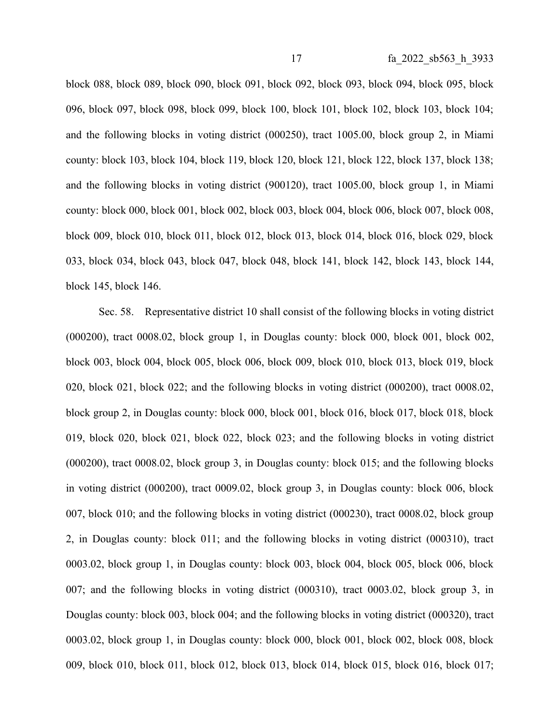block 088, block 089, block 090, block 091, block 092, block 093, block 094, block 095, block 096, block 097, block 098, block 099, block 100, block 101, block 102, block 103, block 104; and the following blocks in voting district (000250), tract 1005.00, block group 2, in Miami county: block 103, block 104, block 119, block 120, block 121, block 122, block 137, block 138; and the following blocks in voting district (900120), tract 1005.00, block group 1, in Miami county: block 000, block 001, block 002, block 003, block 004, block 006, block 007, block 008, block 009, block 010, block 011, block 012, block 013, block 014, block 016, block 029, block 033, block 034, block 043, block 047, block 048, block 141, block 142, block 143, block 144, block 145, block 146.

Sec. 58. Representative district 10 shall consist of the following blocks in voting district (000200), tract 0008.02, block group 1, in Douglas county: block 000, block 001, block 002, block 003, block 004, block 005, block 006, block 009, block 010, block 013, block 019, block 020, block 021, block 022; and the following blocks in voting district (000200), tract 0008.02, block group 2, in Douglas county: block 000, block 001, block 016, block 017, block 018, block 019, block 020, block 021, block 022, block 023; and the following blocks in voting district (000200), tract 0008.02, block group 3, in Douglas county: block 015; and the following blocks in voting district (000200), tract 0009.02, block group 3, in Douglas county: block 006, block 007, block 010; and the following blocks in voting district (000230), tract 0008.02, block group 2, in Douglas county: block 011; and the following blocks in voting district (000310), tract 0003.02, block group 1, in Douglas county: block 003, block 004, block 005, block 006, block 007; and the following blocks in voting district (000310), tract 0003.02, block group 3, in Douglas county: block 003, block 004; and the following blocks in voting district (000320), tract 0003.02, block group 1, in Douglas county: block 000, block 001, block 002, block 008, block 009, block 010, block 011, block 012, block 013, block 014, block 015, block 016, block 017;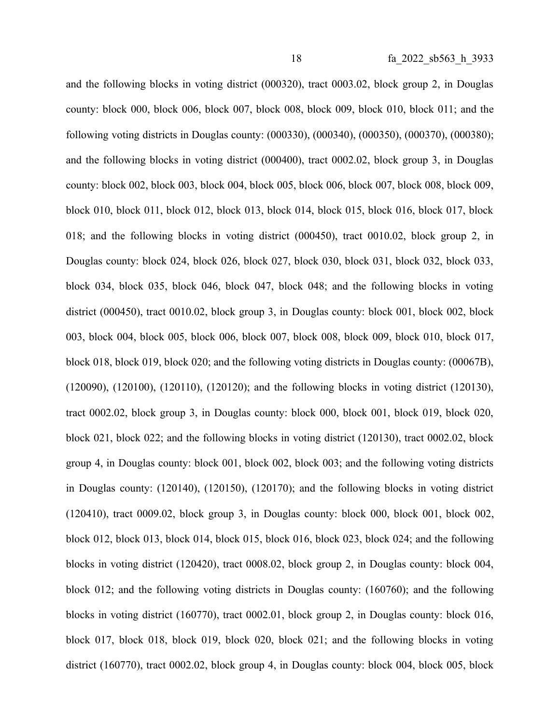and the following blocks in voting district (000320), tract 0003.02, block group 2, in Douglas county: block 000, block 006, block 007, block 008, block 009, block 010, block 011; and the following voting districts in Douglas county: (000330), (000340), (000350), (000370), (000380); and the following blocks in voting district (000400), tract 0002.02, block group 3, in Douglas county: block 002, block 003, block 004, block 005, block 006, block 007, block 008, block 009, block 010, block 011, block 012, block 013, block 014, block 015, block 016, block 017, block 018; and the following blocks in voting district (000450), tract 0010.02, block group 2, in Douglas county: block 024, block 026, block 027, block 030, block 031, block 032, block 033, block 034, block 035, block 046, block 047, block 048; and the following blocks in voting district (000450), tract 0010.02, block group 3, in Douglas county: block 001, block 002, block 003, block 004, block 005, block 006, block 007, block 008, block 009, block 010, block 017, block 018, block 019, block 020; and the following voting districts in Douglas county: (00067B), (120090), (120100), (120110), (120120); and the following blocks in voting district (120130), tract 0002.02, block group 3, in Douglas county: block 000, block 001, block 019, block 020, block 021, block 022; and the following blocks in voting district (120130), tract 0002.02, block group 4, in Douglas county: block 001, block 002, block 003; and the following voting districts in Douglas county: (120140), (120150), (120170); and the following blocks in voting district (120410), tract 0009.02, block group 3, in Douglas county: block 000, block 001, block 002, block 012, block 013, block 014, block 015, block 016, block 023, block 024; and the following blocks in voting district (120420), tract 0008.02, block group 2, in Douglas county: block 004, block 012; and the following voting districts in Douglas county: (160760); and the following blocks in voting district (160770), tract 0002.01, block group 2, in Douglas county: block 016, block 017, block 018, block 019, block 020, block 021; and the following blocks in voting district (160770), tract 0002.02, block group 4, in Douglas county: block 004, block 005, block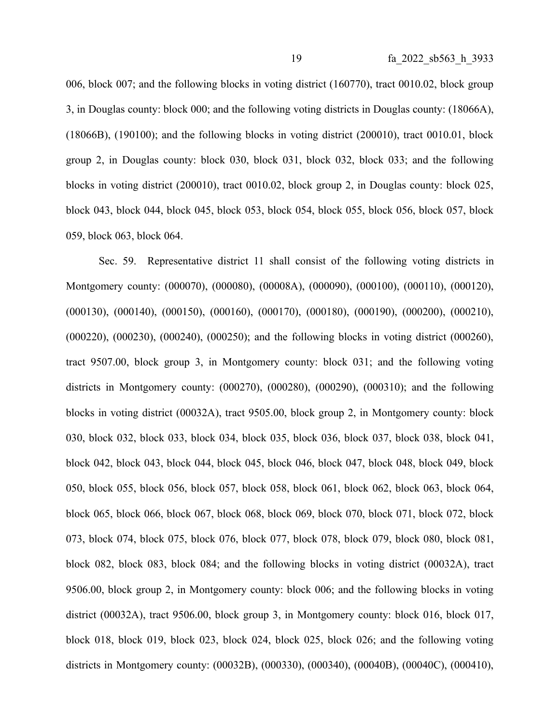006, block 007; and the following blocks in voting district (160770), tract 0010.02, block group 3, in Douglas county: block 000; and the following voting districts in Douglas county: (18066A), (18066B), (190100); and the following blocks in voting district (200010), tract 0010.01, block group 2, in Douglas county: block 030, block 031, block 032, block 033; and the following blocks in voting district (200010), tract 0010.02, block group 2, in Douglas county: block 025, block 043, block 044, block 045, block 053, block 054, block 055, block 056, block 057, block 059, block 063, block 064.

Sec. 59. Representative district 11 shall consist of the following voting districts in Montgomery county: (000070), (000080), (00008A), (000090), (000100), (000110), (000120), (000130), (000140), (000150), (000160), (000170), (000180), (000190), (000200), (000210), (000220), (000230), (000240), (000250); and the following blocks in voting district (000260), tract 9507.00, block group 3, in Montgomery county: block 031; and the following voting districts in Montgomery county: (000270), (000280), (000290), (000310); and the following blocks in voting district (00032A), tract 9505.00, block group 2, in Montgomery county: block 030, block 032, block 033, block 034, block 035, block 036, block 037, block 038, block 041, block 042, block 043, block 044, block 045, block 046, block 047, block 048, block 049, block 050, block 055, block 056, block 057, block 058, block 061, block 062, block 063, block 064, block 065, block 066, block 067, block 068, block 069, block 070, block 071, block 072, block 073, block 074, block 075, block 076, block 077, block 078, block 079, block 080, block 081, block 082, block 083, block 084; and the following blocks in voting district (00032A), tract 9506.00, block group 2, in Montgomery county: block 006; and the following blocks in voting district (00032A), tract 9506.00, block group 3, in Montgomery county: block 016, block 017, block 018, block 019, block 023, block 024, block 025, block 026; and the following voting districts in Montgomery county: (00032B), (000330), (000340), (00040B), (00040C), (000410),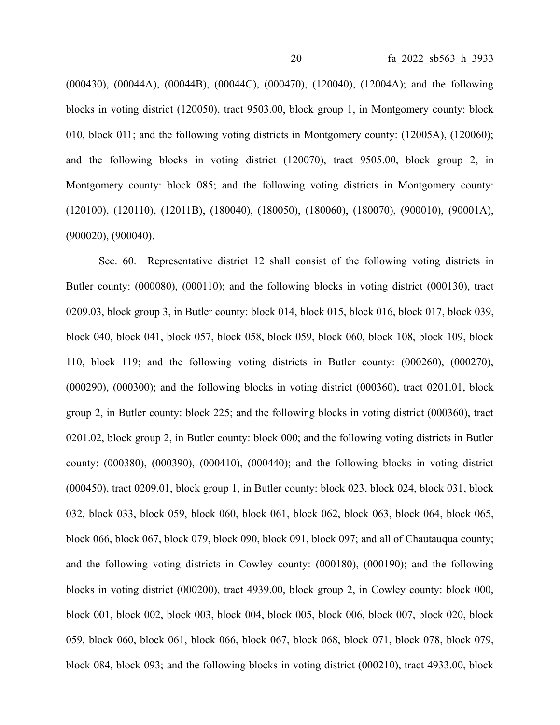(000430), (00044A), (00044B), (00044C), (000470), (120040), (12004A); and the following blocks in voting district (120050), tract 9503.00, block group 1, in Montgomery county: block 010, block 011; and the following voting districts in Montgomery county: (12005A), (120060); and the following blocks in voting district (120070), tract 9505.00, block group 2, in Montgomery county: block 085; and the following voting districts in Montgomery county: (120100), (120110), (12011B), (180040), (180050), (180060), (180070), (900010), (90001A), (900020), (900040).

Sec. 60. Representative district 12 shall consist of the following voting districts in Butler county: (000080), (000110); and the following blocks in voting district (000130), tract 0209.03, block group 3, in Butler county: block 014, block 015, block 016, block 017, block 039, block 040, block 041, block 057, block 058, block 059, block 060, block 108, block 109, block 110, block 119; and the following voting districts in Butler county: (000260), (000270), (000290), (000300); and the following blocks in voting district (000360), tract 0201.01, block group 2, in Butler county: block 225; and the following blocks in voting district (000360), tract 0201.02, block group 2, in Butler county: block 000; and the following voting districts in Butler county: (000380), (000390), (000410), (000440); and the following blocks in voting district (000450), tract 0209.01, block group 1, in Butler county: block 023, block 024, block 031, block 032, block 033, block 059, block 060, block 061, block 062, block 063, block 064, block 065, block 066, block 067, block 079, block 090, block 091, block 097; and all of Chautauqua county; and the following voting districts in Cowley county: (000180), (000190); and the following blocks in voting district (000200), tract 4939.00, block group 2, in Cowley county: block 000, block 001, block 002, block 003, block 004, block 005, block 006, block 007, block 020, block 059, block 060, block 061, block 066, block 067, block 068, block 071, block 078, block 079, block 084, block 093; and the following blocks in voting district (000210), tract 4933.00, block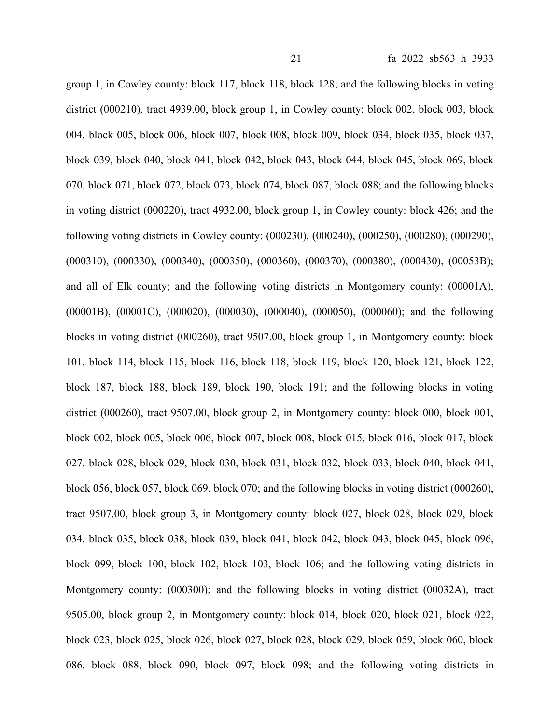group 1, in Cowley county: block 117, block 118, block 128; and the following blocks in voting district (000210), tract 4939.00, block group 1, in Cowley county: block 002, block 003, block 004, block 005, block 006, block 007, block 008, block 009, block 034, block 035, block 037, block 039, block 040, block 041, block 042, block 043, block 044, block 045, block 069, block 070, block 071, block 072, block 073, block 074, block 087, block 088; and the following blocks in voting district (000220), tract 4932.00, block group 1, in Cowley county: block 426; and the following voting districts in Cowley county: (000230), (000240), (000250), (000280), (000290), (000310), (000330), (000340), (000350), (000360), (000370), (000380), (000430), (00053B); and all of Elk county; and the following voting districts in Montgomery county: (00001A), (00001B), (00001C), (000020), (000030), (000040), (000050), (000060); and the following blocks in voting district (000260), tract 9507.00, block group 1, in Montgomery county: block 101, block 114, block 115, block 116, block 118, block 119, block 120, block 121, block 122, block 187, block 188, block 189, block 190, block 191; and the following blocks in voting district (000260), tract 9507.00, block group 2, in Montgomery county: block 000, block 001, block 002, block 005, block 006, block 007, block 008, block 015, block 016, block 017, block 027, block 028, block 029, block 030, block 031, block 032, block 033, block 040, block 041, block 056, block 057, block 069, block 070; and the following blocks in voting district (000260), tract 9507.00, block group 3, in Montgomery county: block 027, block 028, block 029, block 034, block 035, block 038, block 039, block 041, block 042, block 043, block 045, block 096, block 099, block 100, block 102, block 103, block 106; and the following voting districts in Montgomery county: (000300); and the following blocks in voting district (00032A), tract 9505.00, block group 2, in Montgomery county: block 014, block 020, block 021, block 022, block 023, block 025, block 026, block 027, block 028, block 029, block 059, block 060, block 086, block 088, block 090, block 097, block 098; and the following voting districts in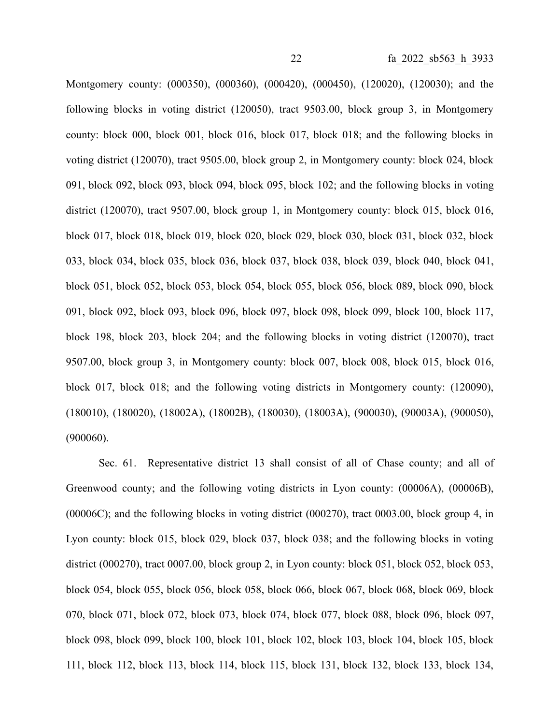Montgomery county: (000350), (000360), (000420), (000450), (120020), (120030); and the following blocks in voting district (120050), tract 9503.00, block group 3, in Montgomery county: block 000, block 001, block 016, block 017, block 018; and the following blocks in voting district (120070), tract 9505.00, block group 2, in Montgomery county: block 024, block 091, block 092, block 093, block 094, block 095, block 102; and the following blocks in voting district (120070), tract 9507.00, block group 1, in Montgomery county: block 015, block 016, block 017, block 018, block 019, block 020, block 029, block 030, block 031, block 032, block 033, block 034, block 035, block 036, block 037, block 038, block 039, block 040, block 041, block 051, block 052, block 053, block 054, block 055, block 056, block 089, block 090, block 091, block 092, block 093, block 096, block 097, block 098, block 099, block 100, block 117, block 198, block 203, block 204; and the following blocks in voting district (120070), tract 9507.00, block group 3, in Montgomery county: block 007, block 008, block 015, block 016, block 017, block 018; and the following voting districts in Montgomery county: (120090), (180010), (180020), (18002A), (18002B), (180030), (18003A), (900030), (90003A), (900050), (900060).

Sec. 61. Representative district 13 shall consist of all of Chase county; and all of Greenwood county; and the following voting districts in Lyon county: (00006A), (00006B), (00006C); and the following blocks in voting district (000270), tract 0003.00, block group 4, in Lyon county: block 015, block 029, block 037, block 038; and the following blocks in voting district (000270), tract 0007.00, block group 2, in Lyon county: block 051, block 052, block 053, block 054, block 055, block 056, block 058, block 066, block 067, block 068, block 069, block 070, block 071, block 072, block 073, block 074, block 077, block 088, block 096, block 097, block 098, block 099, block 100, block 101, block 102, block 103, block 104, block 105, block 111, block 112, block 113, block 114, block 115, block 131, block 132, block 133, block 134,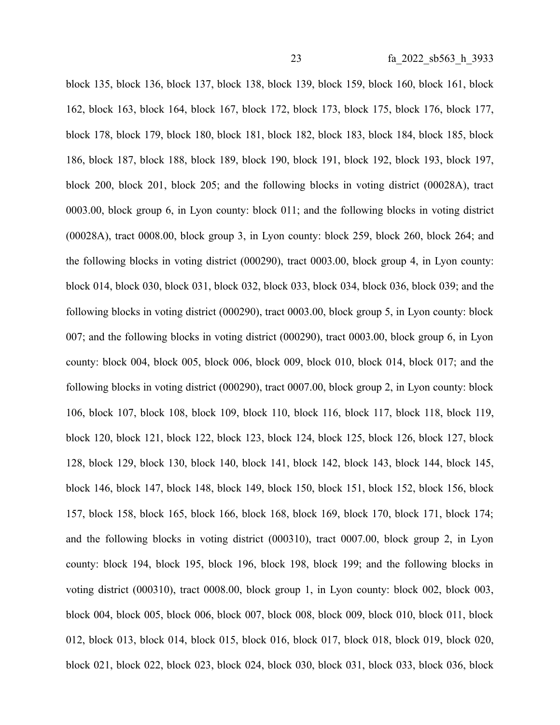block 135, block 136, block 137, block 138, block 139, block 159, block 160, block 161, block 162, block 163, block 164, block 167, block 172, block 173, block 175, block 176, block 177, block 178, block 179, block 180, block 181, block 182, block 183, block 184, block 185, block 186, block 187, block 188, block 189, block 190, block 191, block 192, block 193, block 197, block 200, block 201, block 205; and the following blocks in voting district (00028A), tract 0003.00, block group 6, in Lyon county: block 011; and the following blocks in voting district (00028A), tract 0008.00, block group 3, in Lyon county: block 259, block 260, block 264; and the following blocks in voting district (000290), tract 0003.00, block group 4, in Lyon county: block 014, block 030, block 031, block 032, block 033, block 034, block 036, block 039; and the following blocks in voting district (000290), tract 0003.00, block group 5, in Lyon county: block 007; and the following blocks in voting district (000290), tract 0003.00, block group 6, in Lyon county: block 004, block 005, block 006, block 009, block 010, block 014, block 017; and the following blocks in voting district (000290), tract 0007.00, block group 2, in Lyon county: block 106, block 107, block 108, block 109, block 110, block 116, block 117, block 118, block 119, block 120, block 121, block 122, block 123, block 124, block 125, block 126, block 127, block 128, block 129, block 130, block 140, block 141, block 142, block 143, block 144, block 145, block 146, block 147, block 148, block 149, block 150, block 151, block 152, block 156, block 157, block 158, block 165, block 166, block 168, block 169, block 170, block 171, block 174; and the following blocks in voting district (000310), tract 0007.00, block group 2, in Lyon county: block 194, block 195, block 196, block 198, block 199; and the following blocks in voting district (000310), tract 0008.00, block group 1, in Lyon county: block 002, block 003, block 004, block 005, block 006, block 007, block 008, block 009, block 010, block 011, block 012, block 013, block 014, block 015, block 016, block 017, block 018, block 019, block 020, block 021, block 022, block 023, block 024, block 030, block 031, block 033, block 036, block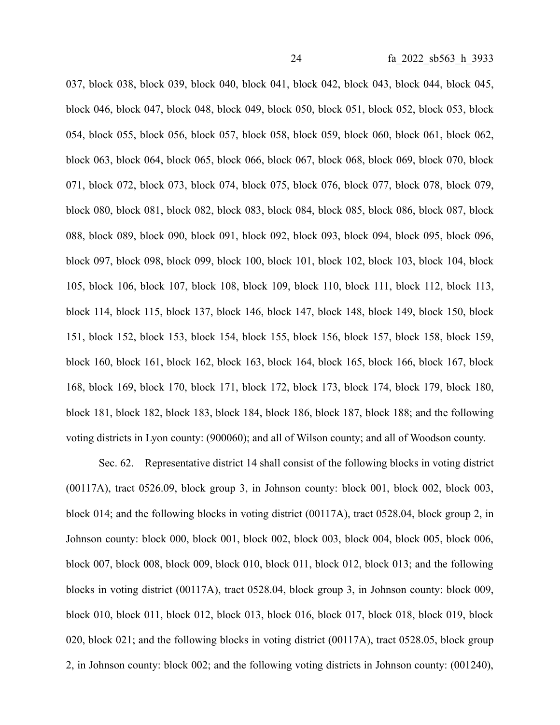037, block 038, block 039, block 040, block 041, block 042, block 043, block 044, block 045, block 046, block 047, block 048, block 049, block 050, block 051, block 052, block 053, block 054, block 055, block 056, block 057, block 058, block 059, block 060, block 061, block 062, block 063, block 064, block 065, block 066, block 067, block 068, block 069, block 070, block 071, block 072, block 073, block 074, block 075, block 076, block 077, block 078, block 079, block 080, block 081, block 082, block 083, block 084, block 085, block 086, block 087, block 088, block 089, block 090, block 091, block 092, block 093, block 094, block 095, block 096, block 097, block 098, block 099, block 100, block 101, block 102, block 103, block 104, block 105, block 106, block 107, block 108, block 109, block 110, block 111, block 112, block 113, block 114, block 115, block 137, block 146, block 147, block 148, block 149, block 150, block 151, block 152, block 153, block 154, block 155, block 156, block 157, block 158, block 159, block 160, block 161, block 162, block 163, block 164, block 165, block 166, block 167, block 168, block 169, block 170, block 171, block 172, block 173, block 174, block 179, block 180, block 181, block 182, block 183, block 184, block 186, block 187, block 188; and the following voting districts in Lyon county: (900060); and all of Wilson county; and all of Woodson county.

Sec. 62. Representative district 14 shall consist of the following blocks in voting district (00117A), tract 0526.09, block group 3, in Johnson county: block 001, block 002, block 003, block 014; and the following blocks in voting district (00117A), tract 0528.04, block group 2, in Johnson county: block 000, block 001, block 002, block 003, block 004, block 005, block 006, block 007, block 008, block 009, block 010, block 011, block 012, block 013; and the following blocks in voting district (00117A), tract 0528.04, block group 3, in Johnson county: block 009, block 010, block 011, block 012, block 013, block 016, block 017, block 018, block 019, block 020, block 021; and the following blocks in voting district (00117A), tract 0528.05, block group 2, in Johnson county: block 002; and the following voting districts in Johnson county: (001240),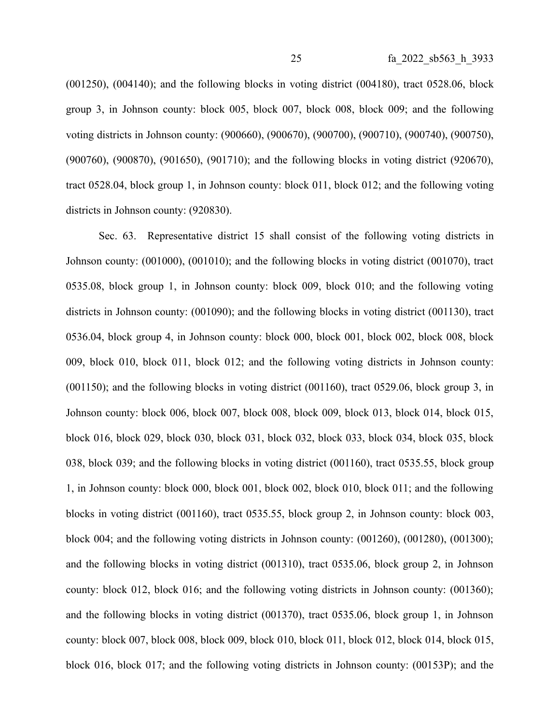(001250), (004140); and the following blocks in voting district (004180), tract 0528.06, block group 3, in Johnson county: block 005, block 007, block 008, block 009; and the following voting districts in Johnson county: (900660), (900670), (900700), (900710), (900740), (900750), (900760), (900870), (901650), (901710); and the following blocks in voting district (920670), tract 0528.04, block group 1, in Johnson county: block 011, block 012; and the following voting districts in Johnson county: (920830).

Sec. 63. Representative district 15 shall consist of the following voting districts in Johnson county: (001000), (001010); and the following blocks in voting district (001070), tract 0535.08, block group 1, in Johnson county: block 009, block 010; and the following voting districts in Johnson county: (001090); and the following blocks in voting district (001130), tract 0536.04, block group 4, in Johnson county: block 000, block 001, block 002, block 008, block 009, block 010, block 011, block 012; and the following voting districts in Johnson county: (001150); and the following blocks in voting district (001160), tract 0529.06, block group 3, in Johnson county: block 006, block 007, block 008, block 009, block 013, block 014, block 015, block 016, block 029, block 030, block 031, block 032, block 033, block 034, block 035, block 038, block 039; and the following blocks in voting district (001160), tract 0535.55, block group 1, in Johnson county: block 000, block 001, block 002, block 010, block 011; and the following blocks in voting district (001160), tract 0535.55, block group 2, in Johnson county: block 003, block 004; and the following voting districts in Johnson county: (001260), (001280), (001300); and the following blocks in voting district (001310), tract 0535.06, block group 2, in Johnson county: block 012, block 016; and the following voting districts in Johnson county: (001360); and the following blocks in voting district (001370), tract 0535.06, block group 1, in Johnson county: block 007, block 008, block 009, block 010, block 011, block 012, block 014, block 015, block 016, block 017; and the following voting districts in Johnson county: (00153P); and the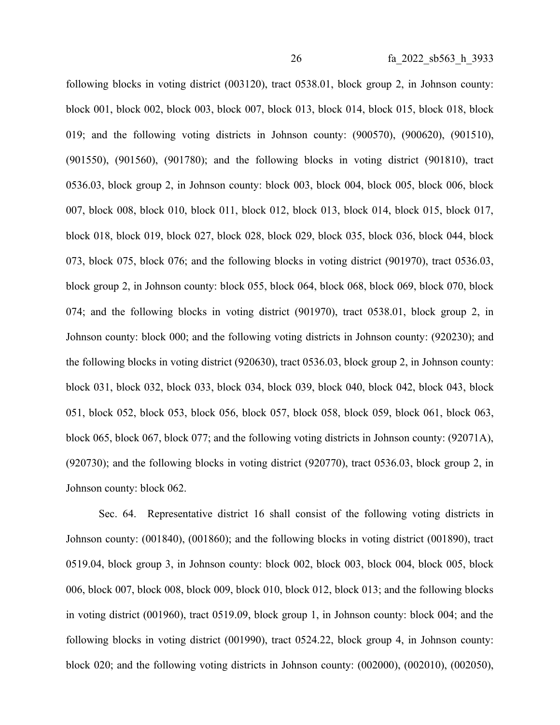following blocks in voting district (003120), tract 0538.01, block group 2, in Johnson county: block 001, block 002, block 003, block 007, block 013, block 014, block 015, block 018, block 019; and the following voting districts in Johnson county: (900570), (900620), (901510), (901550), (901560), (901780); and the following blocks in voting district (901810), tract 0536.03, block group 2, in Johnson county: block 003, block 004, block 005, block 006, block 007, block 008, block 010, block 011, block 012, block 013, block 014, block 015, block 017, block 018, block 019, block 027, block 028, block 029, block 035, block 036, block 044, block 073, block 075, block 076; and the following blocks in voting district (901970), tract 0536.03, block group 2, in Johnson county: block 055, block 064, block 068, block 069, block 070, block 074; and the following blocks in voting district (901970), tract 0538.01, block group 2, in Johnson county: block 000; and the following voting districts in Johnson county: (920230); and the following blocks in voting district (920630), tract 0536.03, block group 2, in Johnson county: block 031, block 032, block 033, block 034, block 039, block 040, block 042, block 043, block 051, block 052, block 053, block 056, block 057, block 058, block 059, block 061, block 063, block 065, block 067, block 077; and the following voting districts in Johnson county: (92071A), (920730); and the following blocks in voting district (920770), tract 0536.03, block group 2, in Johnson county: block 062.

Sec. 64. Representative district 16 shall consist of the following voting districts in Johnson county: (001840), (001860); and the following blocks in voting district (001890), tract 0519.04, block group 3, in Johnson county: block 002, block 003, block 004, block 005, block 006, block 007, block 008, block 009, block 010, block 012, block 013; and the following blocks in voting district (001960), tract 0519.09, block group 1, in Johnson county: block 004; and the following blocks in voting district (001990), tract 0524.22, block group 4, in Johnson county: block 020; and the following voting districts in Johnson county: (002000), (002010), (002050),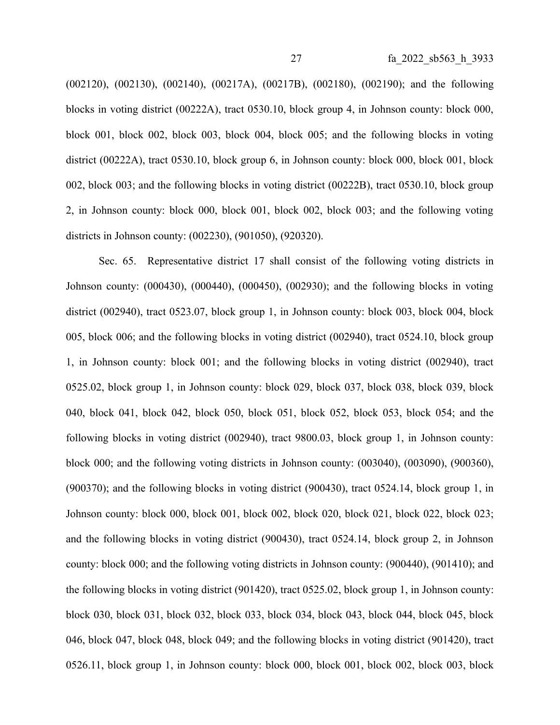(002120), (002130), (002140), (00217A), (00217B), (002180), (002190); and the following blocks in voting district (00222A), tract 0530.10, block group 4, in Johnson county: block 000, block 001, block 002, block 003, block 004, block 005; and the following blocks in voting district (00222A), tract 0530.10, block group 6, in Johnson county: block 000, block 001, block 002, block 003; and the following blocks in voting district (00222B), tract 0530.10, block group 2, in Johnson county: block 000, block 001, block 002, block 003; and the following voting districts in Johnson county: (002230), (901050), (920320).

Sec. 65. Representative district 17 shall consist of the following voting districts in Johnson county: (000430), (000440), (000450), (002930); and the following blocks in voting district (002940), tract 0523.07, block group 1, in Johnson county: block 003, block 004, block 005, block 006; and the following blocks in voting district (002940), tract 0524.10, block group 1, in Johnson county: block 001; and the following blocks in voting district (002940), tract 0525.02, block group 1, in Johnson county: block 029, block 037, block 038, block 039, block 040, block 041, block 042, block 050, block 051, block 052, block 053, block 054; and the following blocks in voting district (002940), tract 9800.03, block group 1, in Johnson county: block 000; and the following voting districts in Johnson county: (003040), (003090), (900360), (900370); and the following blocks in voting district (900430), tract 0524.14, block group 1, in Johnson county: block 000, block 001, block 002, block 020, block 021, block 022, block 023; and the following blocks in voting district (900430), tract 0524.14, block group 2, in Johnson county: block 000; and the following voting districts in Johnson county: (900440), (901410); and the following blocks in voting district (901420), tract 0525.02, block group 1, in Johnson county: block 030, block 031, block 032, block 033, block 034, block 043, block 044, block 045, block 046, block 047, block 048, block 049; and the following blocks in voting district (901420), tract 0526.11, block group 1, in Johnson county: block 000, block 001, block 002, block 003, block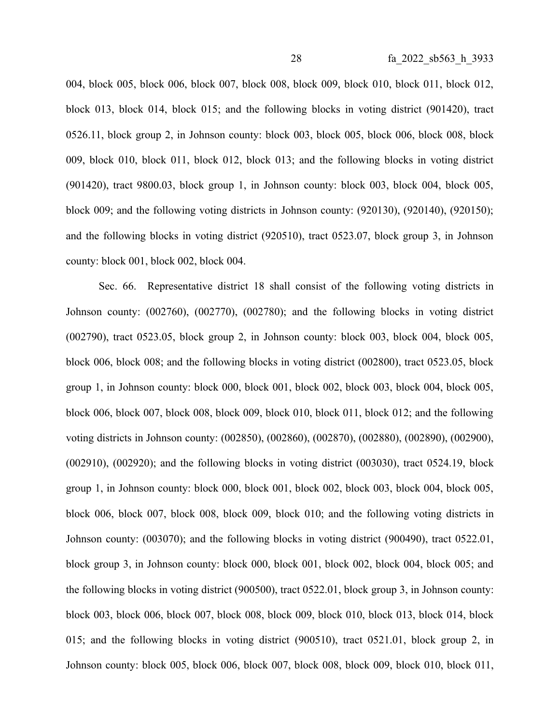004, block 005, block 006, block 007, block 008, block 009, block 010, block 011, block 012, block 013, block 014, block 015; and the following blocks in voting district (901420), tract 0526.11, block group 2, in Johnson county: block 003, block 005, block 006, block 008, block 009, block 010, block 011, block 012, block 013; and the following blocks in voting district (901420), tract 9800.03, block group 1, in Johnson county: block 003, block 004, block 005, block 009; and the following voting districts in Johnson county: (920130), (920140), (920150); and the following blocks in voting district (920510), tract 0523.07, block group 3, in Johnson county: block 001, block 002, block 004.

Sec. 66. Representative district 18 shall consist of the following voting districts in Johnson county: (002760), (002770), (002780); and the following blocks in voting district (002790), tract 0523.05, block group 2, in Johnson county: block 003, block 004, block 005, block 006, block 008; and the following blocks in voting district (002800), tract 0523.05, block group 1, in Johnson county: block 000, block 001, block 002, block 003, block 004, block 005, block 006, block 007, block 008, block 009, block 010, block 011, block 012; and the following voting districts in Johnson county: (002850), (002860), (002870), (002880), (002890), (002900), (002910), (002920); and the following blocks in voting district (003030), tract 0524.19, block group 1, in Johnson county: block 000, block 001, block 002, block 003, block 004, block 005, block 006, block 007, block 008, block 009, block 010; and the following voting districts in Johnson county: (003070); and the following blocks in voting district (900490), tract 0522.01, block group 3, in Johnson county: block 000, block 001, block 002, block 004, block 005; and the following blocks in voting district (900500), tract 0522.01, block group 3, in Johnson county: block 003, block 006, block 007, block 008, block 009, block 010, block 013, block 014, block 015; and the following blocks in voting district (900510), tract 0521.01, block group 2, in Johnson county: block 005, block 006, block 007, block 008, block 009, block 010, block 011,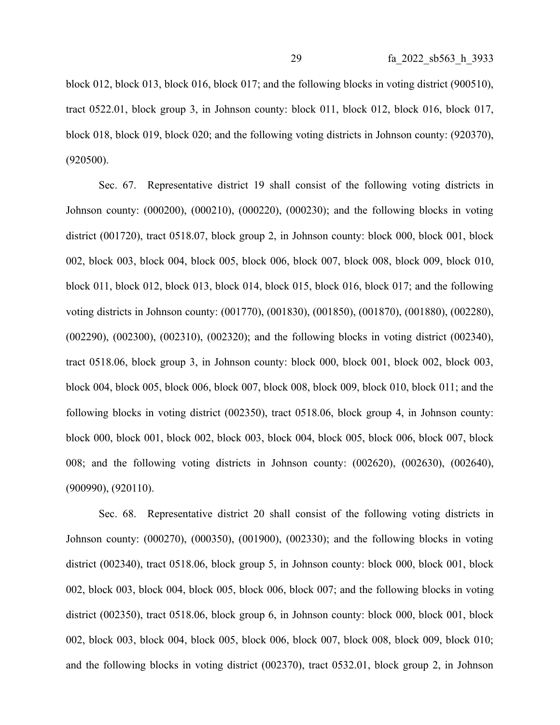block 012, block 013, block 016, block 017; and the following blocks in voting district (900510), tract 0522.01, block group 3, in Johnson county: block 011, block 012, block 016, block 017, block 018, block 019, block 020; and the following voting districts in Johnson county: (920370), (920500).

Sec. 67. Representative district 19 shall consist of the following voting districts in Johnson county: (000200), (000210), (000220), (000230); and the following blocks in voting district (001720), tract 0518.07, block group 2, in Johnson county: block 000, block 001, block 002, block 003, block 004, block 005, block 006, block 007, block 008, block 009, block 010, block 011, block 012, block 013, block 014, block 015, block 016, block 017; and the following voting districts in Johnson county: (001770), (001830), (001850), (001870), (001880), (002280), (002290), (002300), (002310), (002320); and the following blocks in voting district (002340), tract 0518.06, block group 3, in Johnson county: block 000, block 001, block 002, block 003, block 004, block 005, block 006, block 007, block 008, block 009, block 010, block 011; and the following blocks in voting district (002350), tract 0518.06, block group 4, in Johnson county: block 000, block 001, block 002, block 003, block 004, block 005, block 006, block 007, block 008; and the following voting districts in Johnson county: (002620), (002630), (002640), (900990), (920110).

Sec. 68. Representative district 20 shall consist of the following voting districts in Johnson county: (000270), (000350), (001900), (002330); and the following blocks in voting district (002340), tract 0518.06, block group 5, in Johnson county: block 000, block 001, block 002, block 003, block 004, block 005, block 006, block 007; and the following blocks in voting district (002350), tract 0518.06, block group 6, in Johnson county: block 000, block 001, block 002, block 003, block 004, block 005, block 006, block 007, block 008, block 009, block 010; and the following blocks in voting district (002370), tract 0532.01, block group 2, in Johnson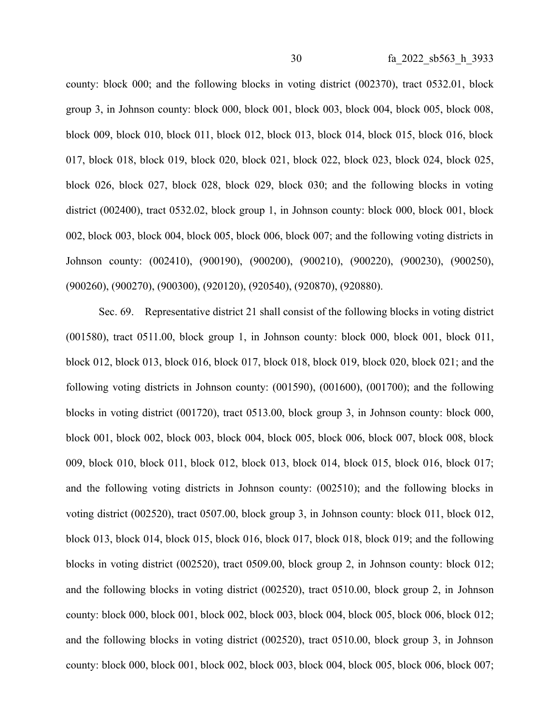county: block 000; and the following blocks in voting district (002370), tract 0532.01, block group 3, in Johnson county: block 000, block 001, block 003, block 004, block 005, block 008, block 009, block 010, block 011, block 012, block 013, block 014, block 015, block 016, block 017, block 018, block 019, block 020, block 021, block 022, block 023, block 024, block 025, block 026, block 027, block 028, block 029, block 030; and the following blocks in voting district (002400), tract 0532.02, block group 1, in Johnson county: block 000, block 001, block 002, block 003, block 004, block 005, block 006, block 007; and the following voting districts in Johnson county: (002410), (900190), (900200), (900210), (900220), (900230), (900250), (900260), (900270), (900300), (920120), (920540), (920870), (920880).

Sec. 69. Representative district 21 shall consist of the following blocks in voting district (001580), tract 0511.00, block group 1, in Johnson county: block 000, block 001, block 011, block 012, block 013, block 016, block 017, block 018, block 019, block 020, block 021; and the following voting districts in Johnson county: (001590), (001600), (001700); and the following blocks in voting district (001720), tract 0513.00, block group 3, in Johnson county: block 000, block 001, block 002, block 003, block 004, block 005, block 006, block 007, block 008, block 009, block 010, block 011, block 012, block 013, block 014, block 015, block 016, block 017; and the following voting districts in Johnson county: (002510); and the following blocks in voting district (002520), tract 0507.00, block group 3, in Johnson county: block 011, block 012, block 013, block 014, block 015, block 016, block 017, block 018, block 019; and the following blocks in voting district (002520), tract 0509.00, block group 2, in Johnson county: block 012; and the following blocks in voting district (002520), tract 0510.00, block group 2, in Johnson county: block 000, block 001, block 002, block 003, block 004, block 005, block 006, block 012; and the following blocks in voting district (002520), tract 0510.00, block group 3, in Johnson county: block 000, block 001, block 002, block 003, block 004, block 005, block 006, block 007;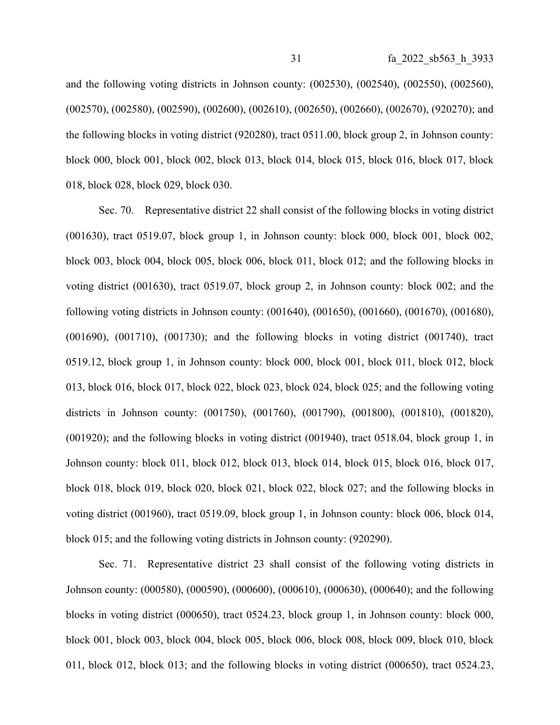and the following voting districts in Johnson county: (002530), (002540), (002550), (002560), (002570), (002580), (002590), (002600), (002610), (002650), (002660), (002670), (920270); and the following blocks in voting district (920280), tract 0511.00, block group 2, in Johnson county: block 000, block 001, block 002, block 013, block 014, block 015, block 016, block 017, block 018, block 028, block 029, block 030.

Sec. 70. Representative district 22 shall consist of the following blocks in voting district (001630), tract 0519.07, block group 1, in Johnson county: block 000, block 001, block 002, block 003, block 004, block 005, block 006, block 011, block 012; and the following blocks in voting district (001630), tract 0519.07, block group 2, in Johnson county: block 002; and the following voting districts in Johnson county: (001640), (001650), (001660), (001670), (001680), (001690), (001710), (001730); and the following blocks in voting district (001740), tract 0519.12, block group 1, in Johnson county: block 000, block 001, block 011, block 012, block 013, block 016, block 017, block 022, block 023, block 024, block 025; and the following voting districts in Johnson county: (001750), (001760), (001790), (001800), (001810), (001820), (001920); and the following blocks in voting district (001940), tract 0518.04, block group 1, in Johnson county: block 011, block 012, block 013, block 014, block 015, block 016, block 017, block 018, block 019, block 020, block 021, block 022, block 027; and the following blocks in voting district (001960), tract 0519.09, block group 1, in Johnson county: block 006, block 014, block 015; and the following voting districts in Johnson county: (920290).

Sec. 71. Representative district 23 shall consist of the following voting districts in Johnson county: (000580), (000590), (000600), (000610), (000630), (000640); and the following blocks in voting district (000650), tract 0524.23, block group 1, in Johnson county: block 000, block 001, block 003, block 004, block 005, block 006, block 008, block 009, block 010, block 011, block 012, block 013; and the following blocks in voting district (000650), tract 0524.23,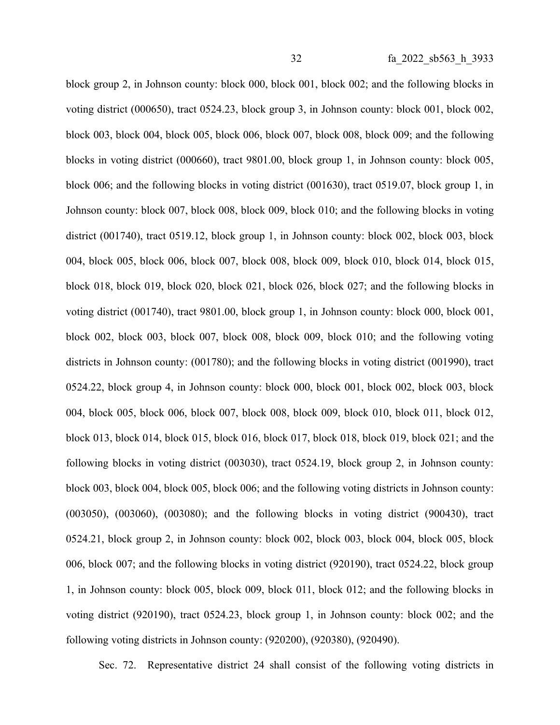block group 2, in Johnson county: block 000, block 001, block 002; and the following blocks in voting district (000650), tract 0524.23, block group 3, in Johnson county: block 001, block 002, block 003, block 004, block 005, block 006, block 007, block 008, block 009; and the following blocks in voting district (000660), tract 9801.00, block group 1, in Johnson county: block 005, block 006; and the following blocks in voting district (001630), tract 0519.07, block group 1, in Johnson county: block 007, block 008, block 009, block 010; and the following blocks in voting district (001740), tract 0519.12, block group 1, in Johnson county: block 002, block 003, block 004, block 005, block 006, block 007, block 008, block 009, block 010, block 014, block 015, block 018, block 019, block 020, block 021, block 026, block 027; and the following blocks in voting district (001740), tract 9801.00, block group 1, in Johnson county: block 000, block 001, block 002, block 003, block 007, block 008, block 009, block 010; and the following voting districts in Johnson county: (001780); and the following blocks in voting district (001990), tract 0524.22, block group 4, in Johnson county: block 000, block 001, block 002, block 003, block 004, block 005, block 006, block 007, block 008, block 009, block 010, block 011, block 012, block 013, block 014, block 015, block 016, block 017, block 018, block 019, block 021; and the following blocks in voting district (003030), tract 0524.19, block group 2, in Johnson county: block 003, block 004, block 005, block 006; and the following voting districts in Johnson county: (003050), (003060), (003080); and the following blocks in voting district (900430), tract 0524.21, block group 2, in Johnson county: block 002, block 003, block 004, block 005, block 006, block 007; and the following blocks in voting district (920190), tract 0524.22, block group 1, in Johnson county: block 005, block 009, block 011, block 012; and the following blocks in voting district (920190), tract 0524.23, block group 1, in Johnson county: block 002; and the following voting districts in Johnson county: (920200), (920380), (920490).

Sec. 72. Representative district 24 shall consist of the following voting districts in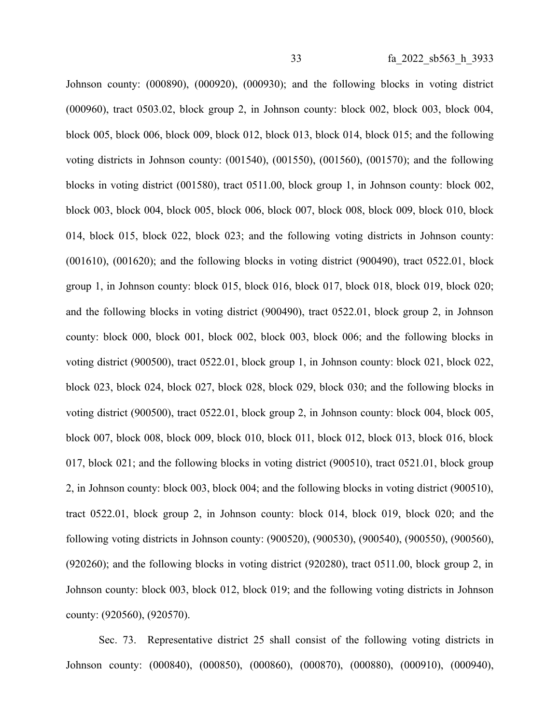Johnson county: (000890), (000920), (000930); and the following blocks in voting district (000960), tract 0503.02, block group 2, in Johnson county: block 002, block 003, block 004, block 005, block 006, block 009, block 012, block 013, block 014, block 015; and the following voting districts in Johnson county: (001540), (001550), (001560), (001570); and the following blocks in voting district (001580), tract 0511.00, block group 1, in Johnson county: block 002, block 003, block 004, block 005, block 006, block 007, block 008, block 009, block 010, block 014, block 015, block 022, block 023; and the following voting districts in Johnson county: (001610), (001620); and the following blocks in voting district (900490), tract 0522.01, block group 1, in Johnson county: block 015, block 016, block 017, block 018, block 019, block 020; and the following blocks in voting district (900490), tract 0522.01, block group 2, in Johnson county: block 000, block 001, block 002, block 003, block 006; and the following blocks in voting district (900500), tract 0522.01, block group 1, in Johnson county: block 021, block 022, block 023, block 024, block 027, block 028, block 029, block 030; and the following blocks in voting district (900500), tract 0522.01, block group 2, in Johnson county: block 004, block 005, block 007, block 008, block 009, block 010, block 011, block 012, block 013, block 016, block 017, block 021; and the following blocks in voting district (900510), tract 0521.01, block group 2, in Johnson county: block 003, block 004; and the following blocks in voting district (900510), tract 0522.01, block group 2, in Johnson county: block 014, block 019, block 020; and the following voting districts in Johnson county: (900520), (900530), (900540), (900550), (900560), (920260); and the following blocks in voting district (920280), tract 0511.00, block group 2, in Johnson county: block 003, block 012, block 019; and the following voting districts in Johnson county: (920560), (920570).

Sec. 73. Representative district 25 shall consist of the following voting districts in Johnson county: (000840), (000850), (000860), (000870), (000880), (000910), (000940),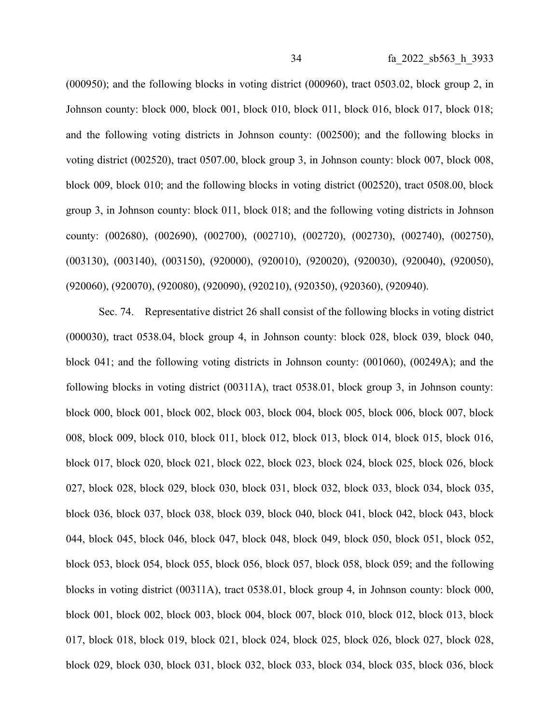(000950); and the following blocks in voting district (000960), tract 0503.02, block group 2, in Johnson county: block 000, block 001, block 010, block 011, block 016, block 017, block 018; and the following voting districts in Johnson county: (002500); and the following blocks in voting district (002520), tract 0507.00, block group 3, in Johnson county: block 007, block 008, block 009, block 010; and the following blocks in voting district (002520), tract 0508.00, block group 3, in Johnson county: block 011, block 018; and the following voting districts in Johnson county: (002680), (002690), (002700), (002710), (002720), (002730), (002740), (002750), (003130), (003140), (003150), (920000), (920010), (920020), (920030), (920040), (920050), (920060), (920070), (920080), (920090), (920210), (920350), (920360), (920940).

Sec. 74. Representative district 26 shall consist of the following blocks in voting district (000030), tract 0538.04, block group 4, in Johnson county: block 028, block 039, block 040, block 041; and the following voting districts in Johnson county: (001060), (00249A); and the following blocks in voting district (00311A), tract 0538.01, block group 3, in Johnson county: block 000, block 001, block 002, block 003, block 004, block 005, block 006, block 007, block 008, block 009, block 010, block 011, block 012, block 013, block 014, block 015, block 016, block 017, block 020, block 021, block 022, block 023, block 024, block 025, block 026, block 027, block 028, block 029, block 030, block 031, block 032, block 033, block 034, block 035, block 036, block 037, block 038, block 039, block 040, block 041, block 042, block 043, block 044, block 045, block 046, block 047, block 048, block 049, block 050, block 051, block 052, block 053, block 054, block 055, block 056, block 057, block 058, block 059; and the following blocks in voting district (00311A), tract 0538.01, block group 4, in Johnson county: block 000, block 001, block 002, block 003, block 004, block 007, block 010, block 012, block 013, block 017, block 018, block 019, block 021, block 024, block 025, block 026, block 027, block 028, block 029, block 030, block 031, block 032, block 033, block 034, block 035, block 036, block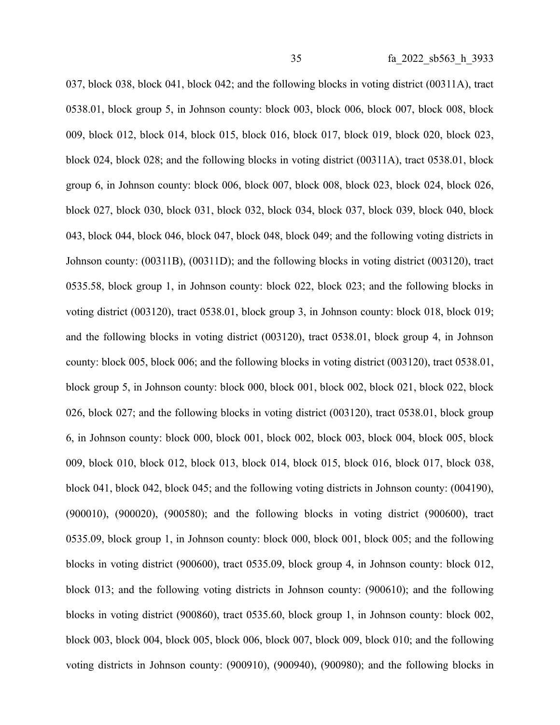037, block 038, block 041, block 042; and the following blocks in voting district (00311A), tract 0538.01, block group 5, in Johnson county: block 003, block 006, block 007, block 008, block 009, block 012, block 014, block 015, block 016, block 017, block 019, block 020, block 023, block 024, block 028; and the following blocks in voting district (00311A), tract 0538.01, block group 6, in Johnson county: block 006, block 007, block 008, block 023, block 024, block 026, block 027, block 030, block 031, block 032, block 034, block 037, block 039, block 040, block 043, block 044, block 046, block 047, block 048, block 049; and the following voting districts in Johnson county: (00311B), (00311D); and the following blocks in voting district (003120), tract 0535.58, block group 1, in Johnson county: block 022, block 023; and the following blocks in voting district (003120), tract 0538.01, block group 3, in Johnson county: block 018, block 019; and the following blocks in voting district (003120), tract 0538.01, block group 4, in Johnson county: block 005, block 006; and the following blocks in voting district (003120), tract 0538.01, block group 5, in Johnson county: block 000, block 001, block 002, block 021, block 022, block 026, block 027; and the following blocks in voting district (003120), tract 0538.01, block group 6, in Johnson county: block 000, block 001, block 002, block 003, block 004, block 005, block 009, block 010, block 012, block 013, block 014, block 015, block 016, block 017, block 038, block 041, block 042, block 045; and the following voting districts in Johnson county: (004190), (900010), (900020), (900580); and the following blocks in voting district (900600), tract 0535.09, block group 1, in Johnson county: block 000, block 001, block 005; and the following blocks in voting district (900600), tract 0535.09, block group 4, in Johnson county: block 012, block 013; and the following voting districts in Johnson county: (900610); and the following blocks in voting district (900860), tract 0535.60, block group 1, in Johnson county: block 002, block 003, block 004, block 005, block 006, block 007, block 009, block 010; and the following voting districts in Johnson county: (900910), (900940), (900980); and the following blocks in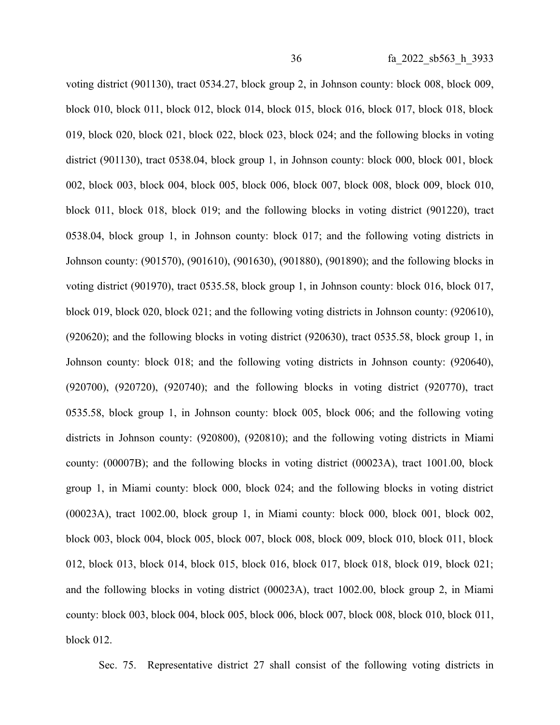voting district (901130), tract 0534.27, block group 2, in Johnson county: block 008, block 009, block 010, block 011, block 012, block 014, block 015, block 016, block 017, block 018, block 019, block 020, block 021, block 022, block 023, block 024; and the following blocks in voting district (901130), tract 0538.04, block group 1, in Johnson county: block 000, block 001, block 002, block 003, block 004, block 005, block 006, block 007, block 008, block 009, block 010, block 011, block 018, block 019; and the following blocks in voting district (901220), tract 0538.04, block group 1, in Johnson county: block 017; and the following voting districts in Johnson county: (901570), (901610), (901630), (901880), (901890); and the following blocks in voting district (901970), tract 0535.58, block group 1, in Johnson county: block 016, block 017, block 019, block 020, block 021; and the following voting districts in Johnson county: (920610), (920620); and the following blocks in voting district (920630), tract 0535.58, block group 1, in Johnson county: block 018; and the following voting districts in Johnson county: (920640), (920700), (920720), (920740); and the following blocks in voting district (920770), tract 0535.58, block group 1, in Johnson county: block 005, block 006; and the following voting districts in Johnson county: (920800), (920810); and the following voting districts in Miami county: (00007B); and the following blocks in voting district (00023A), tract 1001.00, block group 1, in Miami county: block 000, block 024; and the following blocks in voting district (00023A), tract 1002.00, block group 1, in Miami county: block 000, block 001, block 002, block 003, block 004, block 005, block 007, block 008, block 009, block 010, block 011, block 012, block 013, block 014, block 015, block 016, block 017, block 018, block 019, block 021; and the following blocks in voting district (00023A), tract 1002.00, block group 2, in Miami county: block 003, block 004, block 005, block 006, block 007, block 008, block 010, block 011, block 012.

Sec. 75. Representative district 27 shall consist of the following voting districts in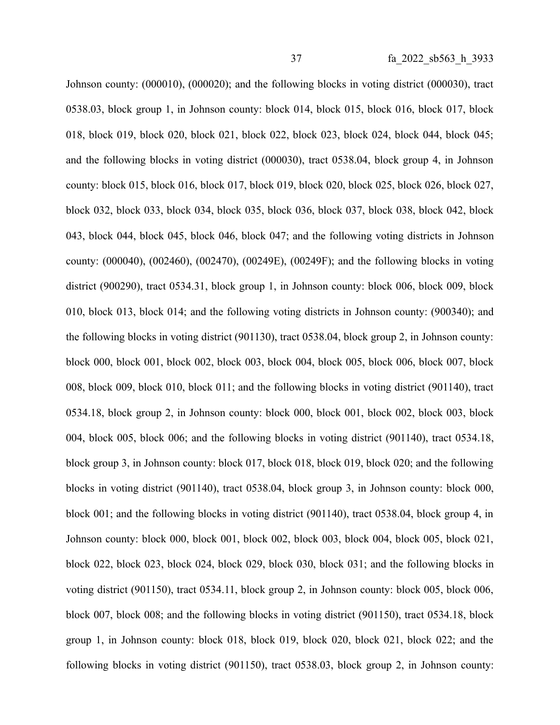Johnson county: (000010), (000020); and the following blocks in voting district (000030), tract 0538.03, block group 1, in Johnson county: block 014, block 015, block 016, block 017, block 018, block 019, block 020, block 021, block 022, block 023, block 024, block 044, block 045; and the following blocks in voting district (000030), tract 0538.04, block group 4, in Johnson county: block 015, block 016, block 017, block 019, block 020, block 025, block 026, block 027, block 032, block 033, block 034, block 035, block 036, block 037, block 038, block 042, block 043, block 044, block 045, block 046, block 047; and the following voting districts in Johnson county: (000040), (002460), (002470), (00249E), (00249F); and the following blocks in voting district (900290), tract 0534.31, block group 1, in Johnson county: block 006, block 009, block 010, block 013, block 014; and the following voting districts in Johnson county: (900340); and the following blocks in voting district (901130), tract 0538.04, block group 2, in Johnson county: block 000, block 001, block 002, block 003, block 004, block 005, block 006, block 007, block 008, block 009, block 010, block 011; and the following blocks in voting district (901140), tract 0534.18, block group 2, in Johnson county: block 000, block 001, block 002, block 003, block 004, block 005, block 006; and the following blocks in voting district (901140), tract 0534.18, block group 3, in Johnson county: block 017, block 018, block 019, block 020; and the following blocks in voting district (901140), tract 0538.04, block group 3, in Johnson county: block 000, block 001; and the following blocks in voting district (901140), tract 0538.04, block group 4, in Johnson county: block 000, block 001, block 002, block 003, block 004, block 005, block 021, block 022, block 023, block 024, block 029, block 030, block 031; and the following blocks in voting district (901150), tract 0534.11, block group 2, in Johnson county: block 005, block 006, block 007, block 008; and the following blocks in voting district (901150), tract 0534.18, block group 1, in Johnson county: block 018, block 019, block 020, block 021, block 022; and the following blocks in voting district (901150), tract 0538.03, block group 2, in Johnson county: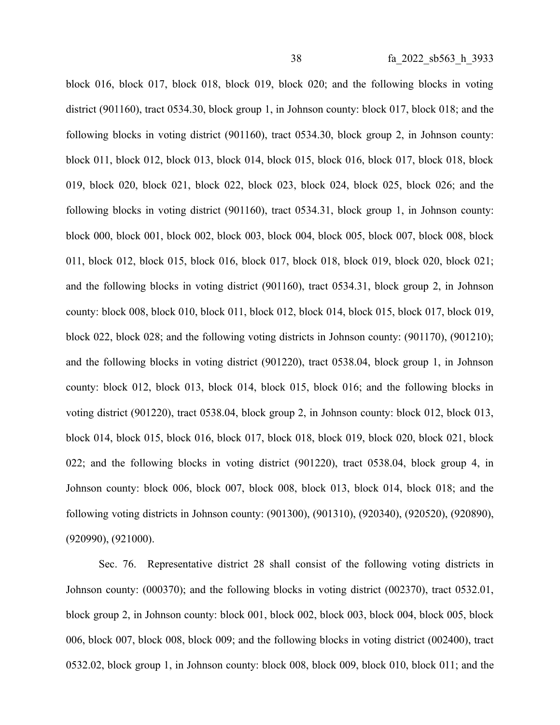block 016, block 017, block 018, block 019, block 020; and the following blocks in voting district (901160), tract 0534.30, block group 1, in Johnson county: block 017, block 018; and the following blocks in voting district (901160), tract 0534.30, block group 2, in Johnson county: block 011, block 012, block 013, block 014, block 015, block 016, block 017, block 018, block 019, block 020, block 021, block 022, block 023, block 024, block 025, block 026; and the following blocks in voting district (901160), tract 0534.31, block group 1, in Johnson county: block 000, block 001, block 002, block 003, block 004, block 005, block 007, block 008, block 011, block 012, block 015, block 016, block 017, block 018, block 019, block 020, block 021; and the following blocks in voting district (901160), tract 0534.31, block group 2, in Johnson county: block 008, block 010, block 011, block 012, block 014, block 015, block 017, block 019, block 022, block 028; and the following voting districts in Johnson county: (901170), (901210); and the following blocks in voting district (901220), tract 0538.04, block group 1, in Johnson county: block 012, block 013, block 014, block 015, block 016; and the following blocks in voting district (901220), tract 0538.04, block group 2, in Johnson county: block 012, block 013, block 014, block 015, block 016, block 017, block 018, block 019, block 020, block 021, block 022; and the following blocks in voting district (901220), tract 0538.04, block group 4, in Johnson county: block 006, block 007, block 008, block 013, block 014, block 018; and the following voting districts in Johnson county: (901300), (901310), (920340), (920520), (920890), (920990), (921000).

Sec. 76. Representative district 28 shall consist of the following voting districts in Johnson county: (000370); and the following blocks in voting district (002370), tract 0532.01, block group 2, in Johnson county: block 001, block 002, block 003, block 004, block 005, block 006, block 007, block 008, block 009; and the following blocks in voting district (002400), tract 0532.02, block group 1, in Johnson county: block 008, block 009, block 010, block 011; and the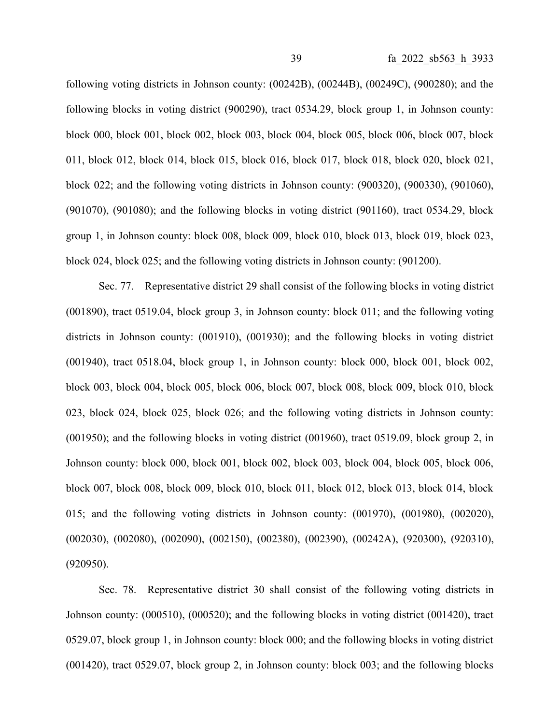following voting districts in Johnson county: (00242B), (00244B), (00249C), (900280); and the following blocks in voting district (900290), tract 0534.29, block group 1, in Johnson county: block 000, block 001, block 002, block 003, block 004, block 005, block 006, block 007, block 011, block 012, block 014, block 015, block 016, block 017, block 018, block 020, block 021, block 022; and the following voting districts in Johnson county: (900320), (900330), (901060), (901070), (901080); and the following blocks in voting district (901160), tract 0534.29, block group 1, in Johnson county: block 008, block 009, block 010, block 013, block 019, block 023, block 024, block 025; and the following voting districts in Johnson county: (901200).

Sec. 77. Representative district 29 shall consist of the following blocks in voting district (001890), tract 0519.04, block group 3, in Johnson county: block 011; and the following voting districts in Johnson county: (001910), (001930); and the following blocks in voting district (001940), tract 0518.04, block group 1, in Johnson county: block 000, block 001, block 002, block 003, block 004, block 005, block 006, block 007, block 008, block 009, block 010, block 023, block 024, block 025, block 026; and the following voting districts in Johnson county: (001950); and the following blocks in voting district (001960), tract 0519.09, block group 2, in Johnson county: block 000, block 001, block 002, block 003, block 004, block 005, block 006, block 007, block 008, block 009, block 010, block 011, block 012, block 013, block 014, block 015; and the following voting districts in Johnson county: (001970), (001980), (002020), (002030), (002080), (002090), (002150), (002380), (002390), (00242A), (920300), (920310), (920950).

Sec. 78. Representative district 30 shall consist of the following voting districts in Johnson county: (000510), (000520); and the following blocks in voting district (001420), tract 0529.07, block group 1, in Johnson county: block 000; and the following blocks in voting district (001420), tract 0529.07, block group 2, in Johnson county: block 003; and the following blocks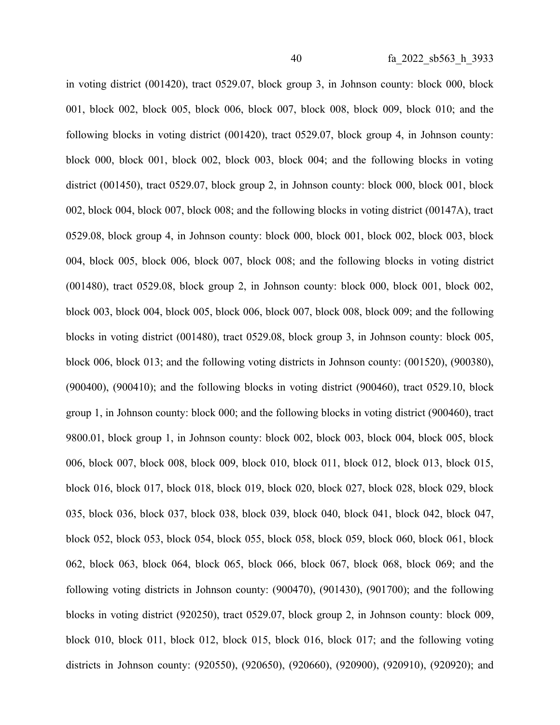in voting district (001420), tract 0529.07, block group 3, in Johnson county: block 000, block 001, block 002, block 005, block 006, block 007, block 008, block 009, block 010; and the following blocks in voting district (001420), tract 0529.07, block group 4, in Johnson county: block 000, block 001, block 002, block 003, block 004; and the following blocks in voting district (001450), tract 0529.07, block group 2, in Johnson county: block 000, block 001, block 002, block 004, block 007, block 008; and the following blocks in voting district (00147A), tract 0529.08, block group 4, in Johnson county: block 000, block 001, block 002, block 003, block 004, block 005, block 006, block 007, block 008; and the following blocks in voting district (001480), tract 0529.08, block group 2, in Johnson county: block 000, block 001, block 002, block 003, block 004, block 005, block 006, block 007, block 008, block 009; and the following blocks in voting district (001480), tract 0529.08, block group 3, in Johnson county: block 005, block 006, block 013; and the following voting districts in Johnson county: (001520), (900380), (900400), (900410); and the following blocks in voting district (900460), tract 0529.10, block group 1, in Johnson county: block 000; and the following blocks in voting district (900460), tract 9800.01, block group 1, in Johnson county: block 002, block 003, block 004, block 005, block 006, block 007, block 008, block 009, block 010, block 011, block 012, block 013, block 015, block 016, block 017, block 018, block 019, block 020, block 027, block 028, block 029, block 035, block 036, block 037, block 038, block 039, block 040, block 041, block 042, block 047, block 052, block 053, block 054, block 055, block 058, block 059, block 060, block 061, block 062, block 063, block 064, block 065, block 066, block 067, block 068, block 069; and the following voting districts in Johnson county: (900470), (901430), (901700); and the following blocks in voting district (920250), tract 0529.07, block group 2, in Johnson county: block 009, block 010, block 011, block 012, block 015, block 016, block 017; and the following voting districts in Johnson county: (920550), (920650), (920660), (920900), (920910), (920920); and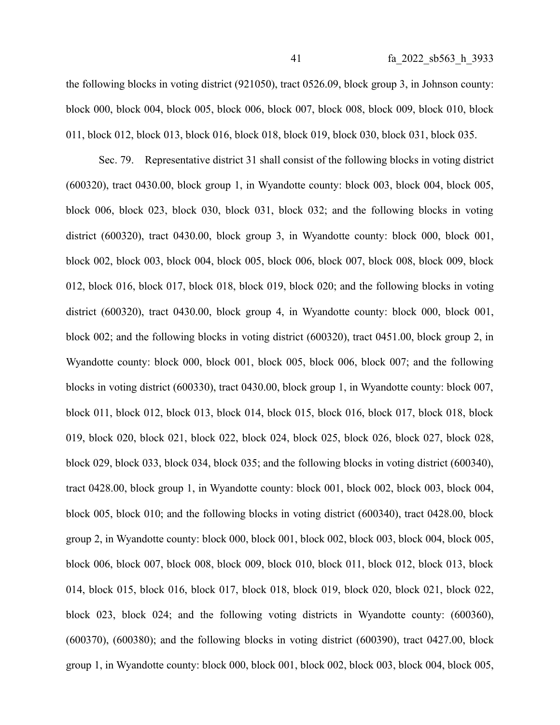the following blocks in voting district (921050), tract 0526.09, block group 3, in Johnson county: block 000, block 004, block 005, block 006, block 007, block 008, block 009, block 010, block 011, block 012, block 013, block 016, block 018, block 019, block 030, block 031, block 035.

Sec. 79. Representative district 31 shall consist of the following blocks in voting district (600320), tract 0430.00, block group 1, in Wyandotte county: block 003, block 004, block 005, block 006, block 023, block 030, block 031, block 032; and the following blocks in voting district (600320), tract 0430.00, block group 3, in Wyandotte county: block 000, block 001, block 002, block 003, block 004, block 005, block 006, block 007, block 008, block 009, block 012, block 016, block 017, block 018, block 019, block 020; and the following blocks in voting district (600320), tract 0430.00, block group 4, in Wyandotte county: block 000, block 001, block 002; and the following blocks in voting district (600320), tract 0451.00, block group 2, in Wyandotte county: block 000, block 001, block 005, block 006, block 007; and the following blocks in voting district (600330), tract 0430.00, block group 1, in Wyandotte county: block 007, block 011, block 012, block 013, block 014, block 015, block 016, block 017, block 018, block 019, block 020, block 021, block 022, block 024, block 025, block 026, block 027, block 028, block 029, block 033, block 034, block 035; and the following blocks in voting district (600340), tract 0428.00, block group 1, in Wyandotte county: block 001, block 002, block 003, block 004, block 005, block 010; and the following blocks in voting district (600340), tract 0428.00, block group 2, in Wyandotte county: block 000, block 001, block 002, block 003, block 004, block 005, block 006, block 007, block 008, block 009, block 010, block 011, block 012, block 013, block 014, block 015, block 016, block 017, block 018, block 019, block 020, block 021, block 022, block 023, block 024; and the following voting districts in Wyandotte county: (600360), (600370), (600380); and the following blocks in voting district (600390), tract 0427.00, block group 1, in Wyandotte county: block 000, block 001, block 002, block 003, block 004, block 005,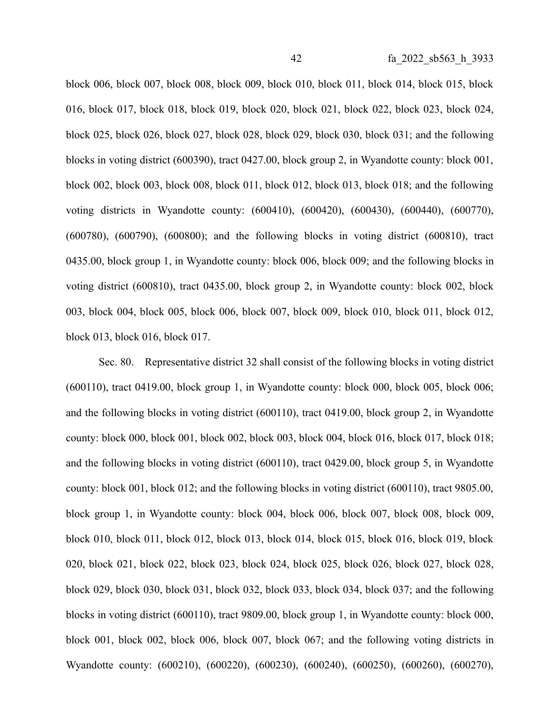block 006, block 007, block 008, block 009, block 010, block 011, block 014, block 015, block 016, block 017, block 018, block 019, block 020, block 021, block 022, block 023, block 024, block 025, block 026, block 027, block 028, block 029, block 030, block 031; and the following blocks in voting district (600390), tract 0427.00, block group 2, in Wyandotte county: block 001, block 002, block 003, block 008, block 011, block 012, block 013, block 018; and the following voting districts in Wyandotte county: (600410), (600420), (600430), (600440), (600770), (600780), (600790), (600800); and the following blocks in voting district (600810), tract 0435.00, block group 1, in Wyandotte county: block 006, block 009; and the following blocks in voting district (600810), tract 0435.00, block group 2, in Wyandotte county: block 002, block 003, block 004, block 005, block 006, block 007, block 009, block 010, block 011, block 012, block 013, block 016, block 017.

Sec. 80. Representative district 32 shall consist of the following blocks in voting district (600110), tract 0419.00, block group 1, in Wyandotte county: block 000, block 005, block 006; and the following blocks in voting district (600110), tract 0419.00, block group 2, in Wyandotte county: block 000, block 001, block 002, block 003, block 004, block 016, block 017, block 018; and the following blocks in voting district (600110), tract 0429.00, block group 5, in Wyandotte county: block 001, block 012; and the following blocks in voting district (600110), tract 9805.00, block group 1, in Wyandotte county: block 004, block 006, block 007, block 008, block 009, block 010, block 011, block 012, block 013, block 014, block 015, block 016, block 019, block 020, block 021, block 022, block 023, block 024, block 025, block 026, block 027, block 028, block 029, block 030, block 031, block 032, block 033, block 034, block 037; and the following blocks in voting district (600110), tract 9809.00, block group 1, in Wyandotte county: block 000, block 001, block 002, block 006, block 007, block 067; and the following voting districts in Wyandotte county: (600210), (600220), (600230), (600240), (600250), (600260), (600270),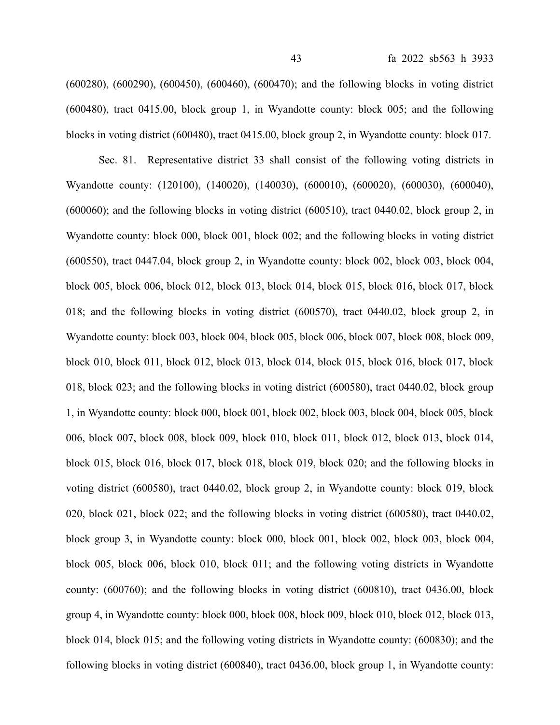(600280), (600290), (600450), (600460), (600470); and the following blocks in voting district (600480), tract 0415.00, block group 1, in Wyandotte county: block 005; and the following blocks in voting district (600480), tract 0415.00, block group 2, in Wyandotte county: block 017.

Sec. 81. Representative district 33 shall consist of the following voting districts in Wyandotte county: (120100), (140020), (140030), (600010), (600020), (600030), (600040), (600060); and the following blocks in voting district (600510), tract 0440.02, block group 2, in Wyandotte county: block 000, block 001, block 002; and the following blocks in voting district (600550), tract 0447.04, block group 2, in Wyandotte county: block 002, block 003, block 004, block 005, block 006, block 012, block 013, block 014, block 015, block 016, block 017, block 018; and the following blocks in voting district (600570), tract 0440.02, block group 2, in Wyandotte county: block 003, block 004, block 005, block 006, block 007, block 008, block 009, block 010, block 011, block 012, block 013, block 014, block 015, block 016, block 017, block 018, block 023; and the following blocks in voting district (600580), tract 0440.02, block group 1, in Wyandotte county: block 000, block 001, block 002, block 003, block 004, block 005, block 006, block 007, block 008, block 009, block 010, block 011, block 012, block 013, block 014, block 015, block 016, block 017, block 018, block 019, block 020; and the following blocks in voting district (600580), tract 0440.02, block group 2, in Wyandotte county: block 019, block 020, block 021, block 022; and the following blocks in voting district (600580), tract 0440.02, block group 3, in Wyandotte county: block 000, block 001, block 002, block 003, block 004, block 005, block 006, block 010, block 011; and the following voting districts in Wyandotte county: (600760); and the following blocks in voting district (600810), tract 0436.00, block group 4, in Wyandotte county: block 000, block 008, block 009, block 010, block 012, block 013, block 014, block 015; and the following voting districts in Wyandotte county: (600830); and the following blocks in voting district (600840), tract 0436.00, block group 1, in Wyandotte county: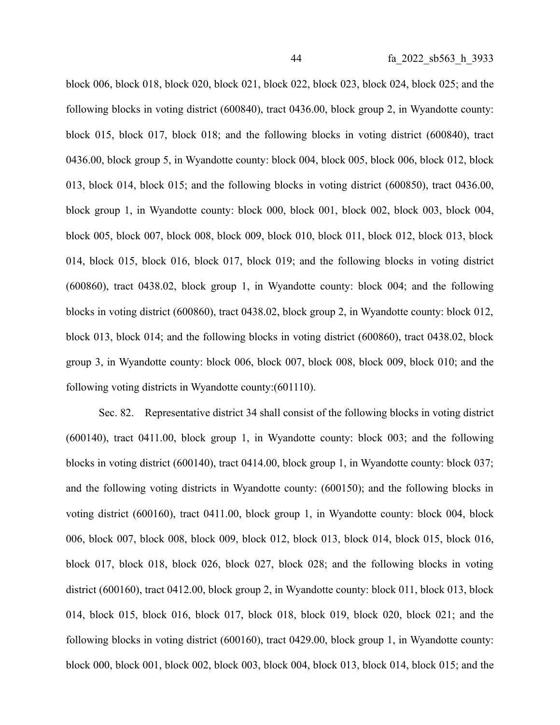block 006, block 018, block 020, block 021, block 022, block 023, block 024, block 025; and the following blocks in voting district (600840), tract 0436.00, block group 2, in Wyandotte county: block 015, block 017, block 018; and the following blocks in voting district (600840), tract 0436.00, block group 5, in Wyandotte county: block 004, block 005, block 006, block 012, block 013, block 014, block 015; and the following blocks in voting district (600850), tract 0436.00, block group 1, in Wyandotte county: block 000, block 001, block 002, block 003, block 004, block 005, block 007, block 008, block 009, block 010, block 011, block 012, block 013, block 014, block 015, block 016, block 017, block 019; and the following blocks in voting district (600860), tract 0438.02, block group 1, in Wyandotte county: block 004; and the following blocks in voting district (600860), tract 0438.02, block group 2, in Wyandotte county: block 012, block 013, block 014; and the following blocks in voting district (600860), tract 0438.02, block group 3, in Wyandotte county: block 006, block 007, block 008, block 009, block 010; and the following voting districts in Wyandotte county:(601110).

Sec. 82. Representative district 34 shall consist of the following blocks in voting district (600140), tract 0411.00, block group 1, in Wyandotte county: block 003; and the following blocks in voting district (600140), tract 0414.00, block group 1, in Wyandotte county: block 037; and the following voting districts in Wyandotte county: (600150); and the following blocks in voting district (600160), tract 0411.00, block group 1, in Wyandotte county: block 004, block 006, block 007, block 008, block 009, block 012, block 013, block 014, block 015, block 016, block 017, block 018, block 026, block 027, block 028; and the following blocks in voting district (600160), tract 0412.00, block group 2, in Wyandotte county: block 011, block 013, block 014, block 015, block 016, block 017, block 018, block 019, block 020, block 021; and the following blocks in voting district (600160), tract 0429.00, block group 1, in Wyandotte county: block 000, block 001, block 002, block 003, block 004, block 013, block 014, block 015; and the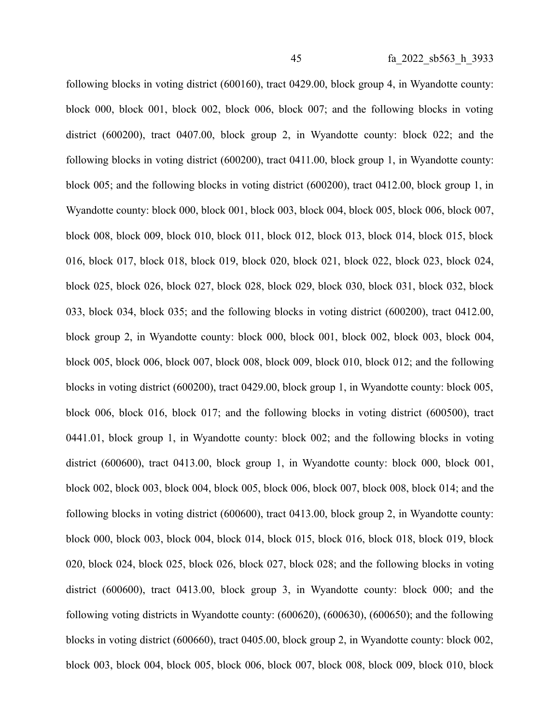following blocks in voting district (600160), tract 0429.00, block group 4, in Wyandotte county: block 000, block 001, block 002, block 006, block 007; and the following blocks in voting district (600200), tract 0407.00, block group 2, in Wyandotte county: block 022; and the following blocks in voting district (600200), tract 0411.00, block group 1, in Wyandotte county: block 005; and the following blocks in voting district (600200), tract 0412.00, block group 1, in Wyandotte county: block 000, block 001, block 003, block 004, block 005, block 006, block 007, block 008, block 009, block 010, block 011, block 012, block 013, block 014, block 015, block 016, block 017, block 018, block 019, block 020, block 021, block 022, block 023, block 024, block 025, block 026, block 027, block 028, block 029, block 030, block 031, block 032, block 033, block 034, block 035; and the following blocks in voting district (600200), tract 0412.00, block group 2, in Wyandotte county: block 000, block 001, block 002, block 003, block 004, block 005, block 006, block 007, block 008, block 009, block 010, block 012; and the following blocks in voting district (600200), tract 0429.00, block group 1, in Wyandotte county: block 005, block 006, block 016, block 017; and the following blocks in voting district (600500), tract 0441.01, block group 1, in Wyandotte county: block 002; and the following blocks in voting district (600600), tract 0413.00, block group 1, in Wyandotte county: block 000, block 001, block 002, block 003, block 004, block 005, block 006, block 007, block 008, block 014; and the following blocks in voting district (600600), tract 0413.00, block group 2, in Wyandotte county: block 000, block 003, block 004, block 014, block 015, block 016, block 018, block 019, block 020, block 024, block 025, block 026, block 027, block 028; and the following blocks in voting district (600600), tract 0413.00, block group 3, in Wyandotte county: block 000; and the following voting districts in Wyandotte county: (600620), (600630), (600650); and the following blocks in voting district (600660), tract 0405.00, block group 2, in Wyandotte county: block 002, block 003, block 004, block 005, block 006, block 007, block 008, block 009, block 010, block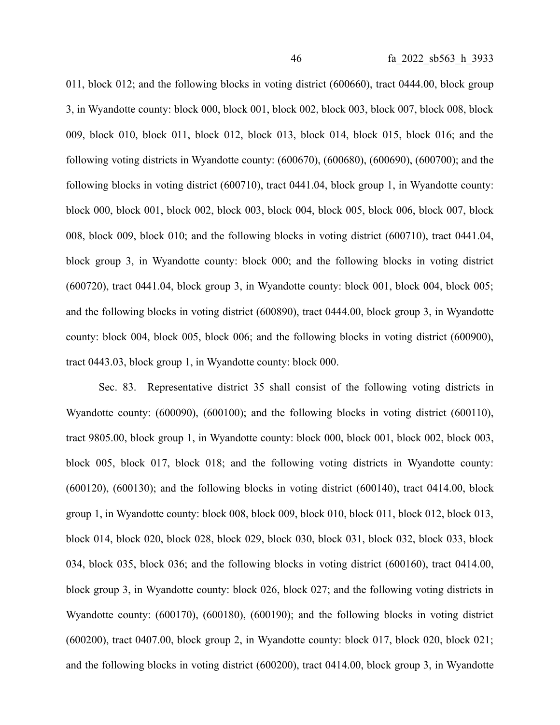011, block 012; and the following blocks in voting district (600660), tract 0444.00, block group 3, in Wyandotte county: block 000, block 001, block 002, block 003, block 007, block 008, block 009, block 010, block 011, block 012, block 013, block 014, block 015, block 016; and the following voting districts in Wyandotte county: (600670), (600680), (600690), (600700); and the following blocks in voting district (600710), tract 0441.04, block group 1, in Wyandotte county: block 000, block 001, block 002, block 003, block 004, block 005, block 006, block 007, block 008, block 009, block 010; and the following blocks in voting district (600710), tract 0441.04, block group 3, in Wyandotte county: block 000; and the following blocks in voting district (600720), tract 0441.04, block group 3, in Wyandotte county: block 001, block 004, block 005; and the following blocks in voting district (600890), tract 0444.00, block group 3, in Wyandotte county: block 004, block 005, block 006; and the following blocks in voting district (600900), tract 0443.03, block group 1, in Wyandotte county: block 000.

Sec. 83. Representative district 35 shall consist of the following voting districts in Wyandotte county: (600090), (600100); and the following blocks in voting district (600110), tract 9805.00, block group 1, in Wyandotte county: block 000, block 001, block 002, block 003, block 005, block 017, block 018; and the following voting districts in Wyandotte county: (600120), (600130); and the following blocks in voting district (600140), tract 0414.00, block group 1, in Wyandotte county: block 008, block 009, block 010, block 011, block 012, block 013, block 014, block 020, block 028, block 029, block 030, block 031, block 032, block 033, block 034, block 035, block 036; and the following blocks in voting district (600160), tract 0414.00, block group 3, in Wyandotte county: block 026, block 027; and the following voting districts in Wyandotte county: (600170), (600180), (600190); and the following blocks in voting district (600200), tract 0407.00, block group 2, in Wyandotte county: block 017, block 020, block 021; and the following blocks in voting district (600200), tract 0414.00, block group 3, in Wyandotte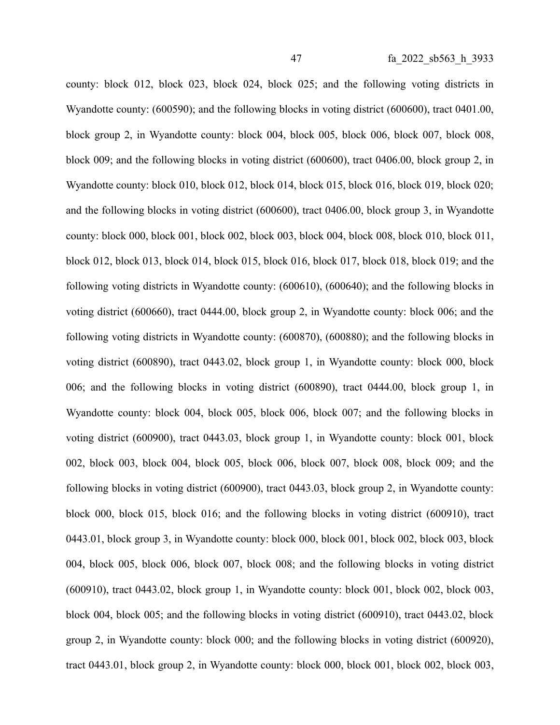county: block 012, block 023, block 024, block 025; and the following voting districts in Wyandotte county: (600590); and the following blocks in voting district (600600), tract 0401.00, block group 2, in Wyandotte county: block 004, block 005, block 006, block 007, block 008, block 009; and the following blocks in voting district (600600), tract 0406.00, block group 2, in Wyandotte county: block 010, block 012, block 014, block 015, block 016, block 019, block 020; and the following blocks in voting district (600600), tract 0406.00, block group 3, in Wyandotte county: block 000, block 001, block 002, block 003, block 004, block 008, block 010, block 011, block 012, block 013, block 014, block 015, block 016, block 017, block 018, block 019; and the following voting districts in Wyandotte county: (600610), (600640); and the following blocks in voting district (600660), tract 0444.00, block group 2, in Wyandotte county: block 006; and the following voting districts in Wyandotte county: (600870), (600880); and the following blocks in voting district (600890), tract 0443.02, block group 1, in Wyandotte county: block 000, block 006; and the following blocks in voting district (600890), tract 0444.00, block group 1, in Wyandotte county: block 004, block 005, block 006, block 007; and the following blocks in voting district (600900), tract 0443.03, block group 1, in Wyandotte county: block 001, block 002, block 003, block 004, block 005, block 006, block 007, block 008, block 009; and the following blocks in voting district (600900), tract 0443.03, block group 2, in Wyandotte county: block 000, block 015, block 016; and the following blocks in voting district (600910), tract 0443.01, block group 3, in Wyandotte county: block 000, block 001, block 002, block 003, block 004, block 005, block 006, block 007, block 008; and the following blocks in voting district (600910), tract 0443.02, block group 1, in Wyandotte county: block 001, block 002, block 003, block 004, block 005; and the following blocks in voting district (600910), tract 0443.02, block group 2, in Wyandotte county: block 000; and the following blocks in voting district (600920), tract 0443.01, block group 2, in Wyandotte county: block 000, block 001, block 002, block 003,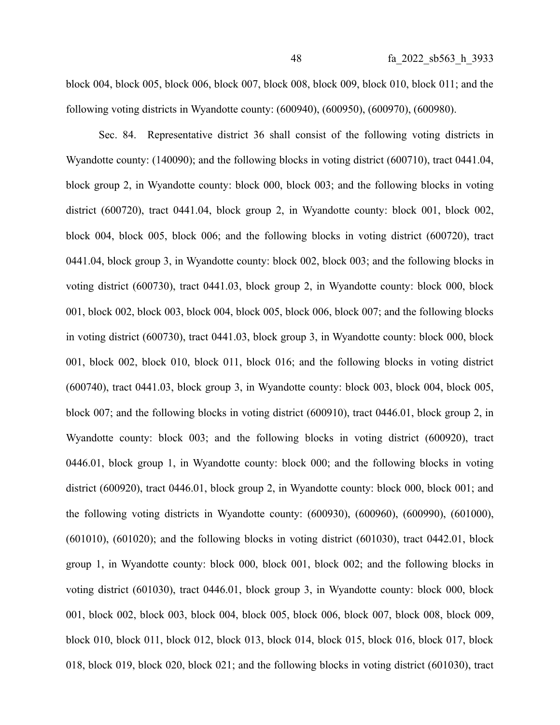block 004, block 005, block 006, block 007, block 008, block 009, block 010, block 011; and the following voting districts in Wyandotte county: (600940), (600950), (600970), (600980).

Sec. 84. Representative district 36 shall consist of the following voting districts in Wyandotte county: (140090); and the following blocks in voting district (600710), tract 0441.04, block group 2, in Wyandotte county: block 000, block 003; and the following blocks in voting district (600720), tract 0441.04, block group 2, in Wyandotte county: block 001, block 002, block 004, block 005, block 006; and the following blocks in voting district (600720), tract 0441.04, block group 3, in Wyandotte county: block 002, block 003; and the following blocks in voting district (600730), tract 0441.03, block group 2, in Wyandotte county: block 000, block 001, block 002, block 003, block 004, block 005, block 006, block 007; and the following blocks in voting district (600730), tract 0441.03, block group 3, in Wyandotte county: block 000, block 001, block 002, block 010, block 011, block 016; and the following blocks in voting district (600740), tract 0441.03, block group 3, in Wyandotte county: block 003, block 004, block 005, block 007; and the following blocks in voting district (600910), tract 0446.01, block group 2, in Wyandotte county: block 003; and the following blocks in voting district (600920), tract 0446.01, block group 1, in Wyandotte county: block 000; and the following blocks in voting district (600920), tract 0446.01, block group 2, in Wyandotte county: block 000, block 001; and the following voting districts in Wyandotte county: (600930), (600960), (600990), (601000), (601010), (601020); and the following blocks in voting district (601030), tract 0442.01, block group 1, in Wyandotte county: block 000, block 001, block 002; and the following blocks in voting district (601030), tract 0446.01, block group 3, in Wyandotte county: block 000, block 001, block 002, block 003, block 004, block 005, block 006, block 007, block 008, block 009, block 010, block 011, block 012, block 013, block 014, block 015, block 016, block 017, block 018, block 019, block 020, block 021; and the following blocks in voting district (601030), tract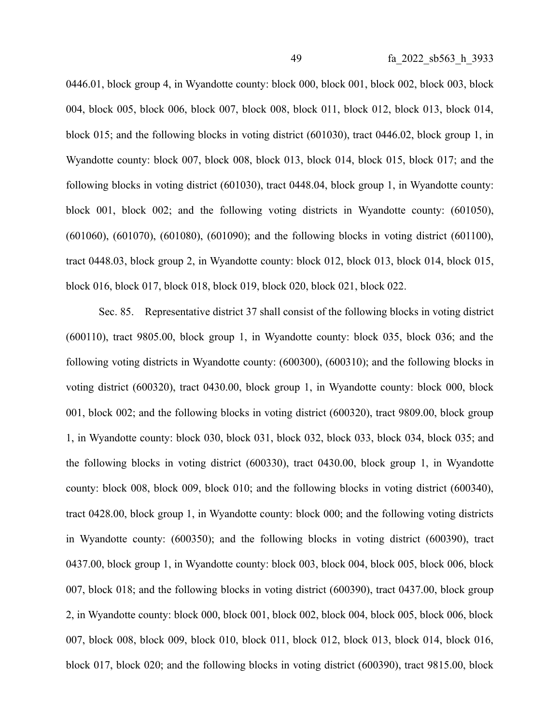0446.01, block group 4, in Wyandotte county: block 000, block 001, block 002, block 003, block 004, block 005, block 006, block 007, block 008, block 011, block 012, block 013, block 014, block 015; and the following blocks in voting district (601030), tract 0446.02, block group 1, in Wyandotte county: block 007, block 008, block 013, block 014, block 015, block 017; and the following blocks in voting district (601030), tract 0448.04, block group 1, in Wyandotte county: block 001, block 002; and the following voting districts in Wyandotte county: (601050), (601060), (601070), (601080), (601090); and the following blocks in voting district (601100),

tract 0448.03, block group 2, in Wyandotte county: block 012, block 013, block 014, block 015, block 016, block 017, block 018, block 019, block 020, block 021, block 022.

Sec. 85. Representative district 37 shall consist of the following blocks in voting district (600110), tract 9805.00, block group 1, in Wyandotte county: block 035, block 036; and the following voting districts in Wyandotte county: (600300), (600310); and the following blocks in voting district (600320), tract 0430.00, block group 1, in Wyandotte county: block 000, block 001, block 002; and the following blocks in voting district (600320), tract 9809.00, block group 1, in Wyandotte county: block 030, block 031, block 032, block 033, block 034, block 035; and the following blocks in voting district (600330), tract 0430.00, block group 1, in Wyandotte county: block 008, block 009, block 010; and the following blocks in voting district (600340), tract 0428.00, block group 1, in Wyandotte county: block 000; and the following voting districts in Wyandotte county: (600350); and the following blocks in voting district (600390), tract 0437.00, block group 1, in Wyandotte county: block 003, block 004, block 005, block 006, block 007, block 018; and the following blocks in voting district (600390), tract 0437.00, block group 2, in Wyandotte county: block 000, block 001, block 002, block 004, block 005, block 006, block 007, block 008, block 009, block 010, block 011, block 012, block 013, block 014, block 016, block 017, block 020; and the following blocks in voting district (600390), tract 9815.00, block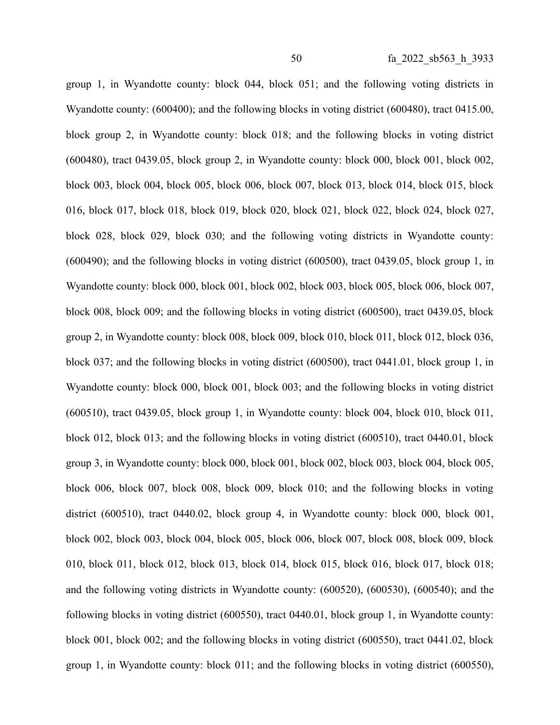group 1, in Wyandotte county: block 044, block 051; and the following voting districts in Wyandotte county: (600400); and the following blocks in voting district (600480), tract 0415.00, block group 2, in Wyandotte county: block 018; and the following blocks in voting district (600480), tract 0439.05, block group 2, in Wyandotte county: block 000, block 001, block 002, block 003, block 004, block 005, block 006, block 007, block 013, block 014, block 015, block 016, block 017, block 018, block 019, block 020, block 021, block 022, block 024, block 027, block 028, block 029, block 030; and the following voting districts in Wyandotte county: (600490); and the following blocks in voting district (600500), tract 0439.05, block group 1, in Wyandotte county: block 000, block 001, block 002, block 003, block 005, block 006, block 007, block 008, block 009; and the following blocks in voting district (600500), tract 0439.05, block group 2, in Wyandotte county: block 008, block 009, block 010, block 011, block 012, block 036, block 037; and the following blocks in voting district (600500), tract 0441.01, block group 1, in Wyandotte county: block 000, block 001, block 003; and the following blocks in voting district (600510), tract 0439.05, block group 1, in Wyandotte county: block 004, block 010, block 011, block 012, block 013; and the following blocks in voting district (600510), tract 0440.01, block group 3, in Wyandotte county: block 000, block 001, block 002, block 003, block 004, block 005, block 006, block 007, block 008, block 009, block 010; and the following blocks in voting district (600510), tract 0440.02, block group 4, in Wyandotte county: block 000, block 001, block 002, block 003, block 004, block 005, block 006, block 007, block 008, block 009, block 010, block 011, block 012, block 013, block 014, block 015, block 016, block 017, block 018; and the following voting districts in Wyandotte county: (600520), (600530), (600540); and the following blocks in voting district (600550), tract 0440.01, block group 1, in Wyandotte county: block 001, block 002; and the following blocks in voting district (600550), tract 0441.02, block group 1, in Wyandotte county: block 011; and the following blocks in voting district (600550),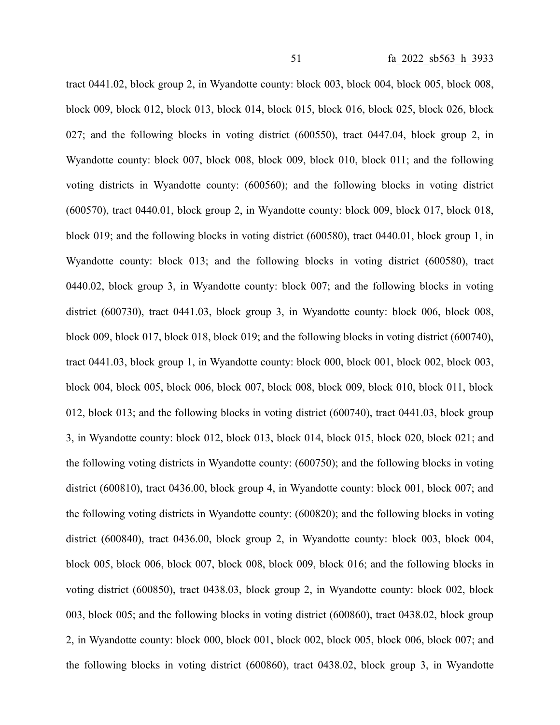tract 0441.02, block group 2, in Wyandotte county: block 003, block 004, block 005, block 008, block 009, block 012, block 013, block 014, block 015, block 016, block 025, block 026, block 027; and the following blocks in voting district (600550), tract 0447.04, block group 2, in Wyandotte county: block 007, block 008, block 009, block 010, block 011; and the following voting districts in Wyandotte county: (600560); and the following blocks in voting district (600570), tract 0440.01, block group 2, in Wyandotte county: block 009, block 017, block 018, block 019; and the following blocks in voting district (600580), tract 0440.01, block group 1, in Wyandotte county: block 013; and the following blocks in voting district (600580), tract 0440.02, block group 3, in Wyandotte county: block 007; and the following blocks in voting district (600730), tract 0441.03, block group 3, in Wyandotte county: block 006, block 008, block 009, block 017, block 018, block 019; and the following blocks in voting district (600740), tract 0441.03, block group 1, in Wyandotte county: block 000, block 001, block 002, block 003, block 004, block 005, block 006, block 007, block 008, block 009, block 010, block 011, block 012, block 013; and the following blocks in voting district (600740), tract 0441.03, block group 3, in Wyandotte county: block 012, block 013, block 014, block 015, block 020, block 021; and the following voting districts in Wyandotte county: (600750); and the following blocks in voting district (600810), tract 0436.00, block group 4, in Wyandotte county: block 001, block 007; and the following voting districts in Wyandotte county: (600820); and the following blocks in voting district (600840), tract 0436.00, block group 2, in Wyandotte county: block 003, block 004, block 005, block 006, block 007, block 008, block 009, block 016; and the following blocks in voting district (600850), tract 0438.03, block group 2, in Wyandotte county: block 002, block 003, block 005; and the following blocks in voting district (600860), tract 0438.02, block group 2, in Wyandotte county: block 000, block 001, block 002, block 005, block 006, block 007; and the following blocks in voting district (600860), tract 0438.02, block group 3, in Wyandotte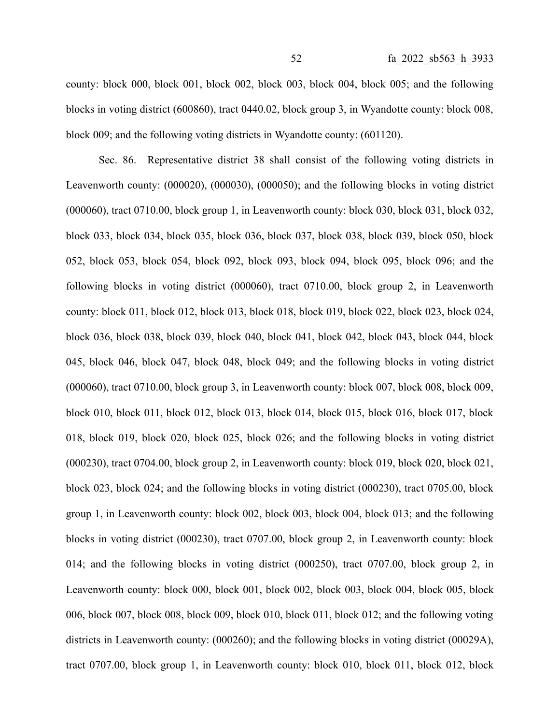county: block 000, block 001, block 002, block 003, block 004, block 005; and the following blocks in voting district (600860), tract 0440.02, block group 3, in Wyandotte county: block 008, block 009; and the following voting districts in Wyandotte county: (601120).

Sec. 86. Representative district 38 shall consist of the following voting districts in Leavenworth county: (000020), (000030), (000050); and the following blocks in voting district (000060), tract 0710.00, block group 1, in Leavenworth county: block 030, block 031, block 032, block 033, block 034, block 035, block 036, block 037, block 038, block 039, block 050, block 052, block 053, block 054, block 092, block 093, block 094, block 095, block 096; and the following blocks in voting district (000060), tract 0710.00, block group 2, in Leavenworth county: block 011, block 012, block 013, block 018, block 019, block 022, block 023, block 024, block 036, block 038, block 039, block 040, block 041, block 042, block 043, block 044, block 045, block 046, block 047, block 048, block 049; and the following blocks in voting district (000060), tract 0710.00, block group 3, in Leavenworth county: block 007, block 008, block 009, block 010, block 011, block 012, block 013, block 014, block 015, block 016, block 017, block 018, block 019, block 020, block 025, block 026; and the following blocks in voting district (000230), tract 0704.00, block group 2, in Leavenworth county: block 019, block 020, block 021, block 023, block 024; and the following blocks in voting district (000230), tract 0705.00, block group 1, in Leavenworth county: block 002, block 003, block 004, block 013; and the following blocks in voting district (000230), tract 0707.00, block group 2, in Leavenworth county: block 014; and the following blocks in voting district (000250), tract 0707.00, block group 2, in Leavenworth county: block 000, block 001, block 002, block 003, block 004, block 005, block 006, block 007, block 008, block 009, block 010, block 011, block 012; and the following voting districts in Leavenworth county: (000260); and the following blocks in voting district (00029A), tract 0707.00, block group 1, in Leavenworth county: block 010, block 011, block 012, block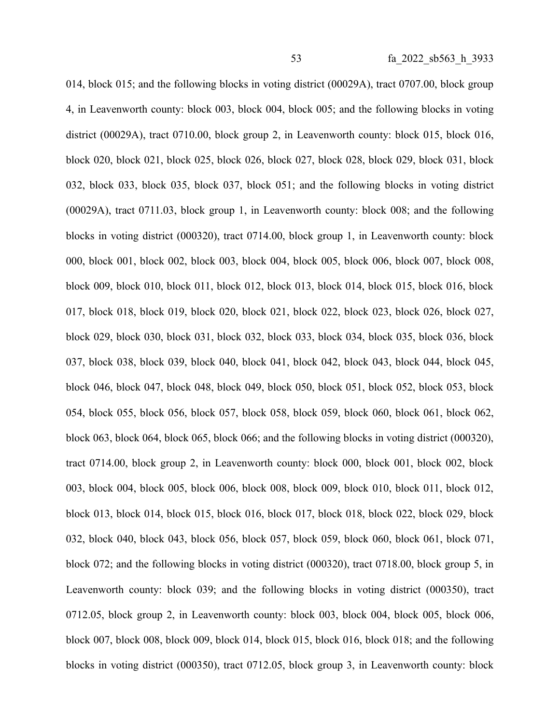014, block 015; and the following blocks in voting district (00029A), tract 0707.00, block group 4, in Leavenworth county: block 003, block 004, block 005; and the following blocks in voting district (00029A), tract 0710.00, block group 2, in Leavenworth county: block 015, block 016, block 020, block 021, block 025, block 026, block 027, block 028, block 029, block 031, block 032, block 033, block 035, block 037, block 051; and the following blocks in voting district (00029A), tract 0711.03, block group 1, in Leavenworth county: block 008; and the following blocks in voting district (000320), tract 0714.00, block group 1, in Leavenworth county: block 000, block 001, block 002, block 003, block 004, block 005, block 006, block 007, block 008, block 009, block 010, block 011, block 012, block 013, block 014, block 015, block 016, block 017, block 018, block 019, block 020, block 021, block 022, block 023, block 026, block 027, block 029, block 030, block 031, block 032, block 033, block 034, block 035, block 036, block 037, block 038, block 039, block 040, block 041, block 042, block 043, block 044, block 045, block 046, block 047, block 048, block 049, block 050, block 051, block 052, block 053, block 054, block 055, block 056, block 057, block 058, block 059, block 060, block 061, block 062, block 063, block 064, block 065, block 066; and the following blocks in voting district (000320), tract 0714.00, block group 2, in Leavenworth county: block 000, block 001, block 002, block 003, block 004, block 005, block 006, block 008, block 009, block 010, block 011, block 012, block 013, block 014, block 015, block 016, block 017, block 018, block 022, block 029, block 032, block 040, block 043, block 056, block 057, block 059, block 060, block 061, block 071, block 072; and the following blocks in voting district (000320), tract 0718.00, block group 5, in Leavenworth county: block 039; and the following blocks in voting district (000350), tract 0712.05, block group 2, in Leavenworth county: block 003, block 004, block 005, block 006, block 007, block 008, block 009, block 014, block 015, block 016, block 018; and the following blocks in voting district (000350), tract 0712.05, block group 3, in Leavenworth county: block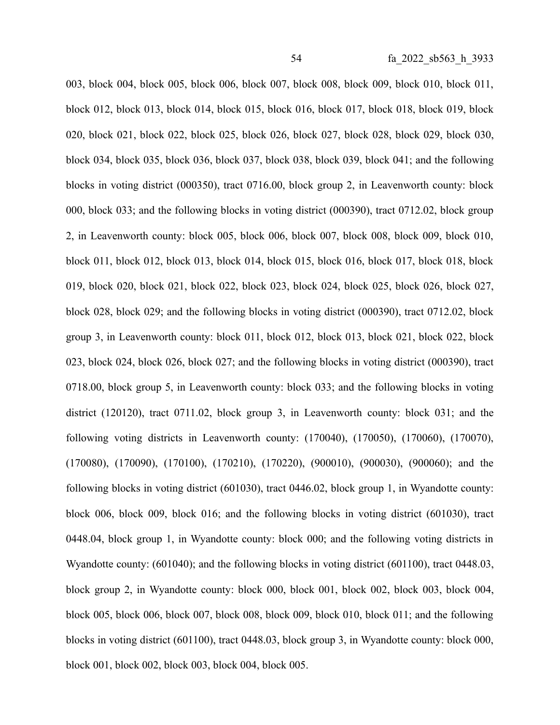003, block 004, block 005, block 006, block 007, block 008, block 009, block 010, block 011, block 012, block 013, block 014, block 015, block 016, block 017, block 018, block 019, block 020, block 021, block 022, block 025, block 026, block 027, block 028, block 029, block 030, block 034, block 035, block 036, block 037, block 038, block 039, block 041; and the following blocks in voting district (000350), tract 0716.00, block group 2, in Leavenworth county: block 000, block 033; and the following blocks in voting district (000390), tract 0712.02, block group 2, in Leavenworth county: block 005, block 006, block 007, block 008, block 009, block 010, block 011, block 012, block 013, block 014, block 015, block 016, block 017, block 018, block 019, block 020, block 021, block 022, block 023, block 024, block 025, block 026, block 027, block 028, block 029; and the following blocks in voting district (000390), tract 0712.02, block group 3, in Leavenworth county: block 011, block 012, block 013, block 021, block 022, block 023, block 024, block 026, block 027; and the following blocks in voting district (000390), tract 0718.00, block group 5, in Leavenworth county: block 033; and the following blocks in voting district (120120), tract 0711.02, block group 3, in Leavenworth county: block 031; and the following voting districts in Leavenworth county: (170040), (170050), (170060), (170070), (170080), (170090), (170100), (170210), (170220), (900010), (900030), (900060); and the following blocks in voting district (601030), tract 0446.02, block group 1, in Wyandotte county: block 006, block 009, block 016; and the following blocks in voting district (601030), tract 0448.04, block group 1, in Wyandotte county: block 000; and the following voting districts in Wyandotte county: (601040); and the following blocks in voting district (601100), tract 0448.03, block group 2, in Wyandotte county: block 000, block 001, block 002, block 003, block 004, block 005, block 006, block 007, block 008, block 009, block 010, block 011; and the following blocks in voting district (601100), tract 0448.03, block group 3, in Wyandotte county: block 000, block 001, block 002, block 003, block 004, block 005.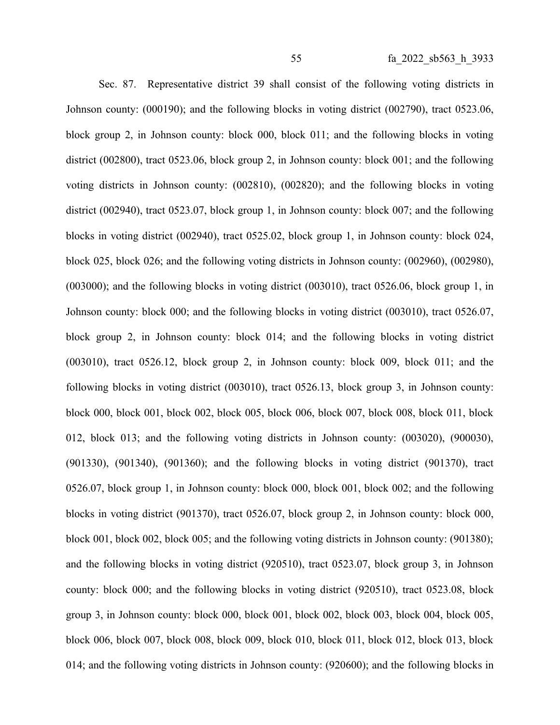Sec. 87. Representative district 39 shall consist of the following voting districts in Johnson county: (000190); and the following blocks in voting district (002790), tract 0523.06, block group 2, in Johnson county: block 000, block 011; and the following blocks in voting district (002800), tract 0523.06, block group 2, in Johnson county: block 001; and the following voting districts in Johnson county: (002810), (002820); and the following blocks in voting district (002940), tract 0523.07, block group 1, in Johnson county: block 007; and the following blocks in voting district (002940), tract 0525.02, block group 1, in Johnson county: block 024, block 025, block 026; and the following voting districts in Johnson county: (002960), (002980), (003000); and the following blocks in voting district (003010), tract 0526.06, block group 1, in Johnson county: block 000; and the following blocks in voting district (003010), tract 0526.07, block group 2, in Johnson county: block 014; and the following blocks in voting district (003010), tract 0526.12, block group 2, in Johnson county: block 009, block 011; and the following blocks in voting district (003010), tract 0526.13, block group 3, in Johnson county: block 000, block 001, block 002, block 005, block 006, block 007, block 008, block 011, block 012, block 013; and the following voting districts in Johnson county: (003020), (900030), (901330), (901340), (901360); and the following blocks in voting district (901370), tract 0526.07, block group 1, in Johnson county: block 000, block 001, block 002; and the following blocks in voting district (901370), tract 0526.07, block group 2, in Johnson county: block 000, block 001, block 002, block 005; and the following voting districts in Johnson county: (901380); and the following blocks in voting district (920510), tract 0523.07, block group 3, in Johnson county: block 000; and the following blocks in voting district (920510), tract 0523.08, block group 3, in Johnson county: block 000, block 001, block 002, block 003, block 004, block 005, block 006, block 007, block 008, block 009, block 010, block 011, block 012, block 013, block 014; and the following voting districts in Johnson county: (920600); and the following blocks in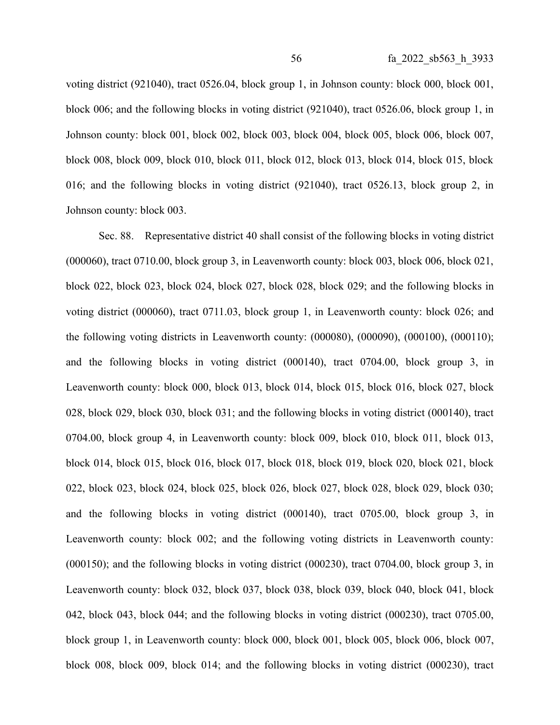voting district (921040), tract 0526.04, block group 1, in Johnson county: block 000, block 001, block 006; and the following blocks in voting district (921040), tract 0526.06, block group 1, in Johnson county: block 001, block 002, block 003, block 004, block 005, block 006, block 007, block 008, block 009, block 010, block 011, block 012, block 013, block 014, block 015, block 016; and the following blocks in voting district (921040), tract 0526.13, block group 2, in Johnson county: block 003.

Sec. 88. Representative district 40 shall consist of the following blocks in voting district (000060), tract 0710.00, block group 3, in Leavenworth county: block 003, block 006, block 021, block 022, block 023, block 024, block 027, block 028, block 029; and the following blocks in voting district (000060), tract 0711.03, block group 1, in Leavenworth county: block 026; and the following voting districts in Leavenworth county: (000080), (000090), (000100), (000110); and the following blocks in voting district (000140), tract 0704.00, block group 3, in Leavenworth county: block 000, block 013, block 014, block 015, block 016, block 027, block 028, block 029, block 030, block 031; and the following blocks in voting district (000140), tract 0704.00, block group 4, in Leavenworth county: block 009, block 010, block 011, block 013, block 014, block 015, block 016, block 017, block 018, block 019, block 020, block 021, block 022, block 023, block 024, block 025, block 026, block 027, block 028, block 029, block 030; and the following blocks in voting district (000140), tract 0705.00, block group 3, in Leavenworth county: block 002; and the following voting districts in Leavenworth county: (000150); and the following blocks in voting district (000230), tract 0704.00, block group 3, in Leavenworth county: block 032, block 037, block 038, block 039, block 040, block 041, block 042, block 043, block 044; and the following blocks in voting district (000230), tract 0705.00, block group 1, in Leavenworth county: block 000, block 001, block 005, block 006, block 007, block 008, block 009, block 014; and the following blocks in voting district (000230), tract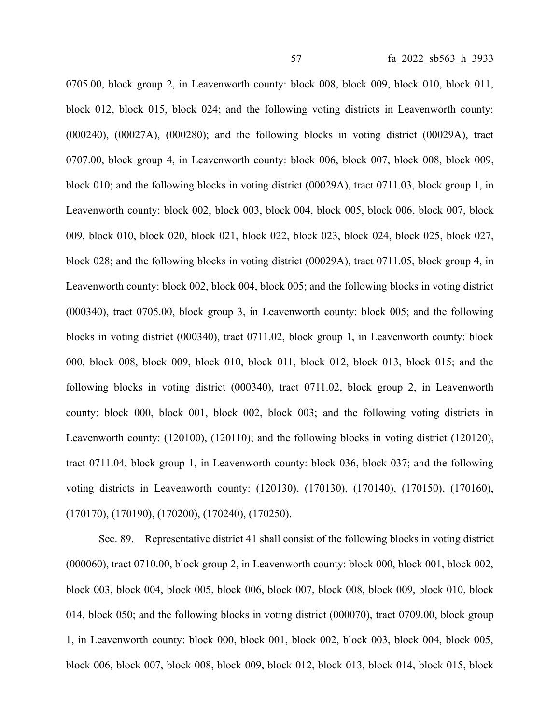0705.00, block group 2, in Leavenworth county: block 008, block 009, block 010, block 011, block 012, block 015, block 024; and the following voting districts in Leavenworth county: (000240), (00027A), (000280); and the following blocks in voting district (00029A), tract 0707.00, block group 4, in Leavenworth county: block 006, block 007, block 008, block 009, block 010; and the following blocks in voting district (00029A), tract 0711.03, block group 1, in Leavenworth county: block 002, block 003, block 004, block 005, block 006, block 007, block 009, block 010, block 020, block 021, block 022, block 023, block 024, block 025, block 027, block 028; and the following blocks in voting district (00029A), tract 0711.05, block group 4, in Leavenworth county: block 002, block 004, block 005; and the following blocks in voting district (000340), tract 0705.00, block group 3, in Leavenworth county: block 005; and the following blocks in voting district (000340), tract 0711.02, block group 1, in Leavenworth county: block 000, block 008, block 009, block 010, block 011, block 012, block 013, block 015; and the following blocks in voting district (000340), tract 0711.02, block group 2, in Leavenworth county: block 000, block 001, block 002, block 003; and the following voting districts in Leavenworth county: (120100), (120110); and the following blocks in voting district (120120), tract 0711.04, block group 1, in Leavenworth county: block 036, block 037; and the following voting districts in Leavenworth county: (120130), (170130), (170140), (170150), (170160), (170170), (170190), (170200), (170240), (170250).

Sec. 89. Representative district 41 shall consist of the following blocks in voting district (000060), tract 0710.00, block group 2, in Leavenworth county: block 000, block 001, block 002, block 003, block 004, block 005, block 006, block 007, block 008, block 009, block 010, block 014, block 050; and the following blocks in voting district (000070), tract 0709.00, block group 1, in Leavenworth county: block 000, block 001, block 002, block 003, block 004, block 005, block 006, block 007, block 008, block 009, block 012, block 013, block 014, block 015, block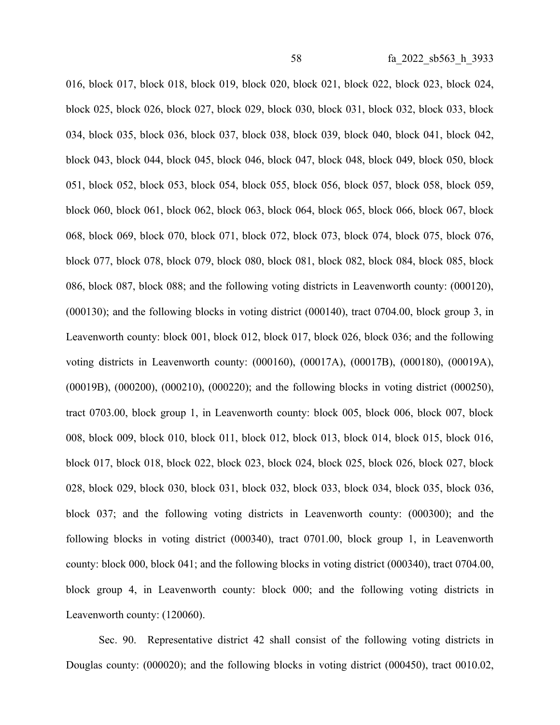016, block 017, block 018, block 019, block 020, block 021, block 022, block 023, block 024, block 025, block 026, block 027, block 029, block 030, block 031, block 032, block 033, block 034, block 035, block 036, block 037, block 038, block 039, block 040, block 041, block 042, block 043, block 044, block 045, block 046, block 047, block 048, block 049, block 050, block 051, block 052, block 053, block 054, block 055, block 056, block 057, block 058, block 059, block 060, block 061, block 062, block 063, block 064, block 065, block 066, block 067, block 068, block 069, block 070, block 071, block 072, block 073, block 074, block 075, block 076, block 077, block 078, block 079, block 080, block 081, block 082, block 084, block 085, block 086, block 087, block 088; and the following voting districts in Leavenworth county: (000120), (000130); and the following blocks in voting district (000140), tract 0704.00, block group 3, in Leavenworth county: block 001, block 012, block 017, block 026, block 036; and the following voting districts in Leavenworth county: (000160), (00017A), (00017B), (000180), (00019A), (00019B), (000200), (000210), (000220); and the following blocks in voting district (000250), tract 0703.00, block group 1, in Leavenworth county: block 005, block 006, block 007, block 008, block 009, block 010, block 011, block 012, block 013, block 014, block 015, block 016, block 017, block 018, block 022, block 023, block 024, block 025, block 026, block 027, block 028, block 029, block 030, block 031, block 032, block 033, block 034, block 035, block 036, block 037; and the following voting districts in Leavenworth county: (000300); and the following blocks in voting district (000340), tract 0701.00, block group 1, in Leavenworth county: block 000, block 041; and the following blocks in voting district (000340), tract 0704.00, block group 4, in Leavenworth county: block 000; and the following voting districts in Leavenworth county: (120060).

Sec. 90. Representative district 42 shall consist of the following voting districts in Douglas county: (000020); and the following blocks in voting district (000450), tract 0010.02,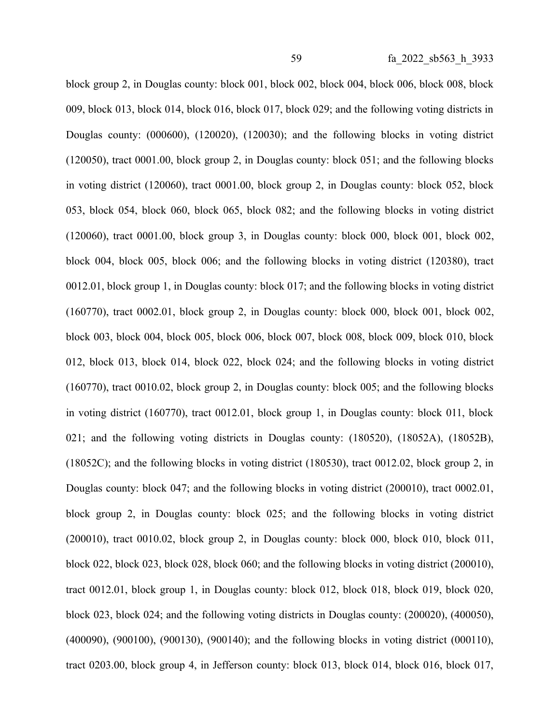block group 2, in Douglas county: block 001, block 002, block 004, block 006, block 008, block 009, block 013, block 014, block 016, block 017, block 029; and the following voting districts in Douglas county: (000600), (120020), (120030); and the following blocks in voting district (120050), tract 0001.00, block group 2, in Douglas county: block 051; and the following blocks in voting district (120060), tract 0001.00, block group 2, in Douglas county: block 052, block 053, block 054, block 060, block 065, block 082; and the following blocks in voting district (120060), tract 0001.00, block group 3, in Douglas county: block 000, block 001, block 002, block 004, block 005, block 006; and the following blocks in voting district (120380), tract 0012.01, block group 1, in Douglas county: block 017; and the following blocks in voting district (160770), tract 0002.01, block group 2, in Douglas county: block 000, block 001, block 002, block 003, block 004, block 005, block 006, block 007, block 008, block 009, block 010, block 012, block 013, block 014, block 022, block 024; and the following blocks in voting district (160770), tract 0010.02, block group 2, in Douglas county: block 005; and the following blocks in voting district (160770), tract 0012.01, block group 1, in Douglas county: block 011, block 021; and the following voting districts in Douglas county: (180520), (18052A), (18052B), (18052C); and the following blocks in voting district (180530), tract 0012.02, block group 2, in Douglas county: block 047; and the following blocks in voting district (200010), tract 0002.01, block group 2, in Douglas county: block 025; and the following blocks in voting district (200010), tract 0010.02, block group 2, in Douglas county: block 000, block 010, block 011, block 022, block 023, block 028, block 060; and the following blocks in voting district (200010), tract 0012.01, block group 1, in Douglas county: block 012, block 018, block 019, block 020, block 023, block 024; and the following voting districts in Douglas county: (200020), (400050), (400090), (900100), (900130), (900140); and the following blocks in voting district (000110), tract 0203.00, block group 4, in Jefferson county: block 013, block 014, block 016, block 017,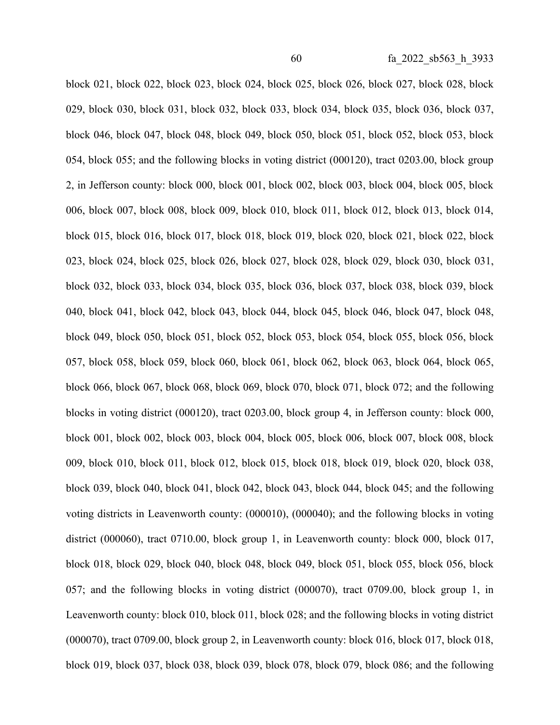block 021, block 022, block 023, block 024, block 025, block 026, block 027, block 028, block 029, block 030, block 031, block 032, block 033, block 034, block 035, block 036, block 037, block 046, block 047, block 048, block 049, block 050, block 051, block 052, block 053, block 054, block 055; and the following blocks in voting district (000120), tract 0203.00, block group 2, in Jefferson county: block 000, block 001, block 002, block 003, block 004, block 005, block 006, block 007, block 008, block 009, block 010, block 011, block 012, block 013, block 014, block 015, block 016, block 017, block 018, block 019, block 020, block 021, block 022, block 023, block 024, block 025, block 026, block 027, block 028, block 029, block 030, block 031, block 032, block 033, block 034, block 035, block 036, block 037, block 038, block 039, block 040, block 041, block 042, block 043, block 044, block 045, block 046, block 047, block 048, block 049, block 050, block 051, block 052, block 053, block 054, block 055, block 056, block 057, block 058, block 059, block 060, block 061, block 062, block 063, block 064, block 065, block 066, block 067, block 068, block 069, block 070, block 071, block 072; and the following blocks in voting district (000120), tract 0203.00, block group 4, in Jefferson county: block 000, block 001, block 002, block 003, block 004, block 005, block 006, block 007, block 008, block 009, block 010, block 011, block 012, block 015, block 018, block 019, block 020, block 038, block 039, block 040, block 041, block 042, block 043, block 044, block 045; and the following voting districts in Leavenworth county: (000010), (000040); and the following blocks in voting district (000060), tract 0710.00, block group 1, in Leavenworth county: block 000, block 017, block 018, block 029, block 040, block 048, block 049, block 051, block 055, block 056, block 057; and the following blocks in voting district (000070), tract 0709.00, block group 1, in Leavenworth county: block 010, block 011, block 028; and the following blocks in voting district (000070), tract 0709.00, block group 2, in Leavenworth county: block 016, block 017, block 018, block 019, block 037, block 038, block 039, block 078, block 079, block 086; and the following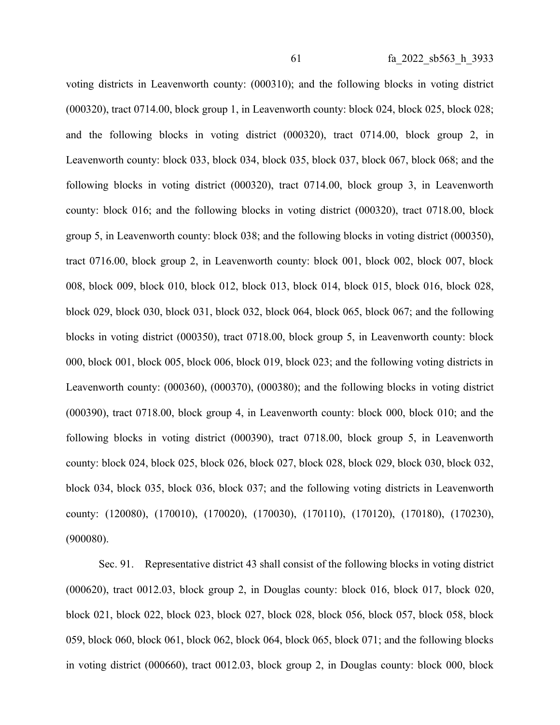voting districts in Leavenworth county: (000310); and the following blocks in voting district (000320), tract 0714.00, block group 1, in Leavenworth county: block 024, block 025, block 028; and the following blocks in voting district (000320), tract 0714.00, block group 2, in Leavenworth county: block 033, block 034, block 035, block 037, block 067, block 068; and the following blocks in voting district (000320), tract 0714.00, block group 3, in Leavenworth county: block 016; and the following blocks in voting district (000320), tract 0718.00, block group 5, in Leavenworth county: block 038; and the following blocks in voting district (000350), tract 0716.00, block group 2, in Leavenworth county: block 001, block 002, block 007, block 008, block 009, block 010, block 012, block 013, block 014, block 015, block 016, block 028, block 029, block 030, block 031, block 032, block 064, block 065, block 067; and the following blocks in voting district (000350), tract 0718.00, block group 5, in Leavenworth county: block 000, block 001, block 005, block 006, block 019, block 023; and the following voting districts in Leavenworth county: (000360), (000370), (000380); and the following blocks in voting district (000390), tract 0718.00, block group 4, in Leavenworth county: block 000, block 010; and the following blocks in voting district (000390), tract 0718.00, block group 5, in Leavenworth county: block 024, block 025, block 026, block 027, block 028, block 029, block 030, block 032, block 034, block 035, block 036, block 037; and the following voting districts in Leavenworth county: (120080), (170010), (170020), (170030), (170110), (170120), (170180), (170230), (900080).

Sec. 91. Representative district 43 shall consist of the following blocks in voting district (000620), tract 0012.03, block group 2, in Douglas county: block 016, block 017, block 020, block 021, block 022, block 023, block 027, block 028, block 056, block 057, block 058, block 059, block 060, block 061, block 062, block 064, block 065, block 071; and the following blocks in voting district (000660), tract 0012.03, block group 2, in Douglas county: block 000, block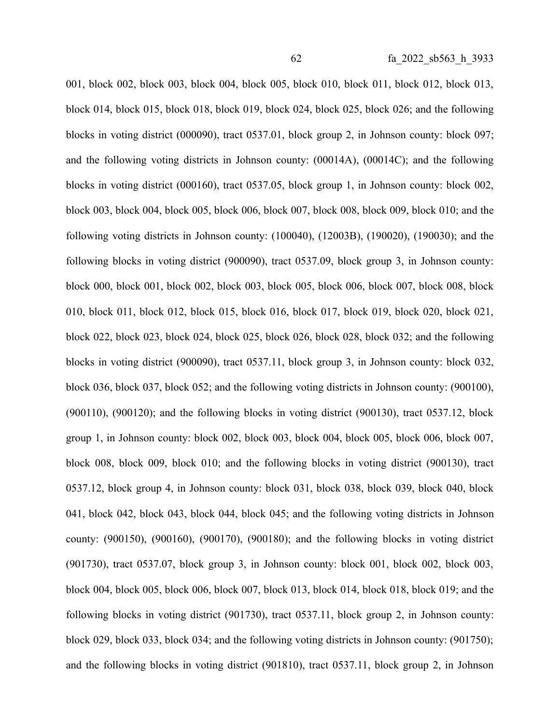001, block 002, block 003, block 004, block 005, block 010, block 011, block 012, block 013, block 014, block 015, block 018, block 019, block 024, block 025, block 026; and the following blocks in voting district (000090), tract 0537.01, block group 2, in Johnson county: block 097; and the following voting districts in Johnson county: (00014A), (00014C); and the following blocks in voting district (000160), tract 0537.05, block group 1, in Johnson county: block 002, block 003, block 004, block 005, block 006, block 007, block 008, block 009, block 010; and the following voting districts in Johnson county: (100040), (12003B), (190020), (190030); and the following blocks in voting district (900090), tract 0537.09, block group 3, in Johnson county: block 000, block 001, block 002, block 003, block 005, block 006, block 007, block 008, block 010, block 011, block 012, block 015, block 016, block 017, block 019, block 020, block 021, block 022, block 023, block 024, block 025, block 026, block 028, block 032; and the following blocks in voting district (900090), tract 0537.11, block group 3, in Johnson county: block 032, block 036, block 037, block 052; and the following voting districts in Johnson county: (900100), (900110), (900120); and the following blocks in voting district (900130), tract 0537.12, block group 1, in Johnson county: block 002, block 003, block 004, block 005, block 006, block 007, block 008, block 009, block 010; and the following blocks in voting district (900130), tract 0537.12, block group 4, in Johnson county: block 031, block 038, block 039, block 040, block 041, block 042, block 043, block 044, block 045; and the following voting districts in Johnson county: (900150), (900160), (900170), (900180); and the following blocks in voting district (901730), tract 0537.07, block group 3, in Johnson county: block 001, block 002, block 003, block 004, block 005, block 006, block 007, block 013, block 014, block 018, block 019; and the following blocks in voting district (901730), tract 0537.11, block group 2, in Johnson county: block 029, block 033, block 034; and the following voting districts in Johnson county: (901750); and the following blocks in voting district (901810), tract 0537.11, block group 2, in Johnson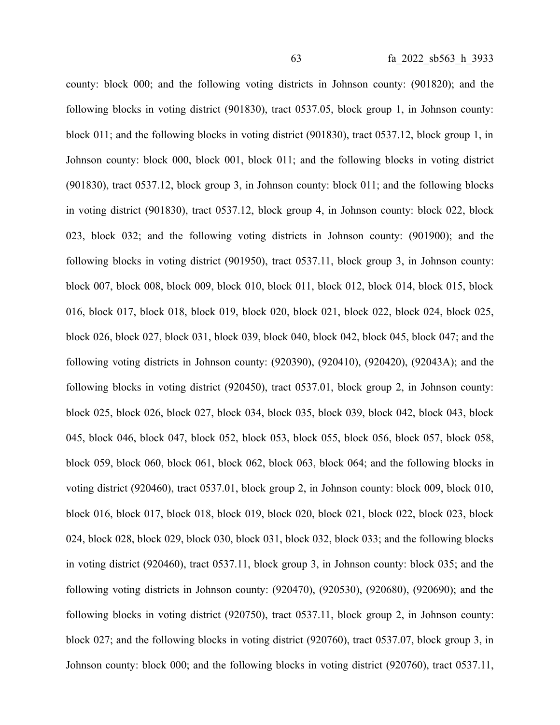county: block 000; and the following voting districts in Johnson county: (901820); and the following blocks in voting district (901830), tract 0537.05, block group 1, in Johnson county: block 011; and the following blocks in voting district (901830), tract 0537.12, block group 1, in Johnson county: block 000, block 001, block 011; and the following blocks in voting district (901830), tract 0537.12, block group 3, in Johnson county: block 011; and the following blocks in voting district (901830), tract 0537.12, block group 4, in Johnson county: block 022, block 023, block 032; and the following voting districts in Johnson county: (901900); and the following blocks in voting district (901950), tract 0537.11, block group 3, in Johnson county: block 007, block 008, block 009, block 010, block 011, block 012, block 014, block 015, block 016, block 017, block 018, block 019, block 020, block 021, block 022, block 024, block 025, block 026, block 027, block 031, block 039, block 040, block 042, block 045, block 047; and the following voting districts in Johnson county: (920390), (920410), (920420), (92043A); and the following blocks in voting district (920450), tract 0537.01, block group 2, in Johnson county: block 025, block 026, block 027, block 034, block 035, block 039, block 042, block 043, block 045, block 046, block 047, block 052, block 053, block 055, block 056, block 057, block 058, block 059, block 060, block 061, block 062, block 063, block 064; and the following blocks in voting district (920460), tract 0537.01, block group 2, in Johnson county: block 009, block 010, block 016, block 017, block 018, block 019, block 020, block 021, block 022, block 023, block 024, block 028, block 029, block 030, block 031, block 032, block 033; and the following blocks in voting district (920460), tract 0537.11, block group 3, in Johnson county: block 035; and the following voting districts in Johnson county: (920470), (920530), (920680), (920690); and the following blocks in voting district (920750), tract 0537.11, block group 2, in Johnson county: block 027; and the following blocks in voting district (920760), tract 0537.07, block group 3, in Johnson county: block 000; and the following blocks in voting district (920760), tract 0537.11,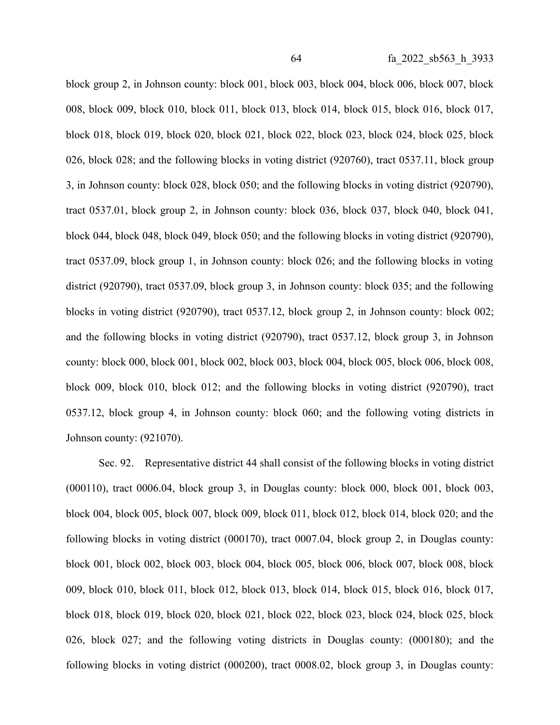block group 2, in Johnson county: block 001, block 003, block 004, block 006, block 007, block 008, block 009, block 010, block 011, block 013, block 014, block 015, block 016, block 017, block 018, block 019, block 020, block 021, block 022, block 023, block 024, block 025, block 026, block 028; and the following blocks in voting district (920760), tract 0537.11, block group 3, in Johnson county: block 028, block 050; and the following blocks in voting district (920790), tract 0537.01, block group 2, in Johnson county: block 036, block 037, block 040, block 041, block 044, block 048, block 049, block 050; and the following blocks in voting district (920790), tract 0537.09, block group 1, in Johnson county: block 026; and the following blocks in voting district (920790), tract 0537.09, block group 3, in Johnson county: block 035; and the following blocks in voting district (920790), tract 0537.12, block group 2, in Johnson county: block 002; and the following blocks in voting district (920790), tract 0537.12, block group 3, in Johnson county: block 000, block 001, block 002, block 003, block 004, block 005, block 006, block 008, block 009, block 010, block 012; and the following blocks in voting district (920790), tract 0537.12, block group 4, in Johnson county: block 060; and the following voting districts in Johnson county: (921070).

Sec. 92. Representative district 44 shall consist of the following blocks in voting district (000110), tract 0006.04, block group 3, in Douglas county: block 000, block 001, block 003, block 004, block 005, block 007, block 009, block 011, block 012, block 014, block 020; and the following blocks in voting district (000170), tract 0007.04, block group 2, in Douglas county: block 001, block 002, block 003, block 004, block 005, block 006, block 007, block 008, block 009, block 010, block 011, block 012, block 013, block 014, block 015, block 016, block 017, block 018, block 019, block 020, block 021, block 022, block 023, block 024, block 025, block 026, block 027; and the following voting districts in Douglas county: (000180); and the following blocks in voting district (000200), tract 0008.02, block group 3, in Douglas county: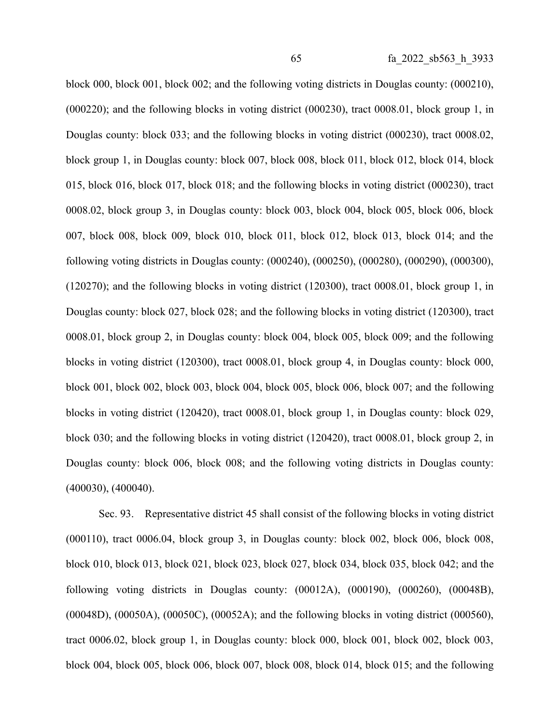block 000, block 001, block 002; and the following voting districts in Douglas county: (000210), (000220); and the following blocks in voting district (000230), tract 0008.01, block group 1, in Douglas county: block 033; and the following blocks in voting district (000230), tract 0008.02, block group 1, in Douglas county: block 007, block 008, block 011, block 012, block 014, block 015, block 016, block 017, block 018; and the following blocks in voting district (000230), tract 0008.02, block group 3, in Douglas county: block 003, block 004, block 005, block 006, block 007, block 008, block 009, block 010, block 011, block 012, block 013, block 014; and the following voting districts in Douglas county: (000240), (000250), (000280), (000290), (000300), (120270); and the following blocks in voting district (120300), tract 0008.01, block group 1, in Douglas county: block 027, block 028; and the following blocks in voting district (120300), tract 0008.01, block group 2, in Douglas county: block 004, block 005, block 009; and the following blocks in voting district (120300), tract 0008.01, block group 4, in Douglas county: block 000, block 001, block 002, block 003, block 004, block 005, block 006, block 007; and the following blocks in voting district (120420), tract 0008.01, block group 1, in Douglas county: block 029, block 030; and the following blocks in voting district (120420), tract 0008.01, block group 2, in Douglas county: block 006, block 008; and the following voting districts in Douglas county: (400030), (400040).

Sec. 93. Representative district 45 shall consist of the following blocks in voting district (000110), tract 0006.04, block group 3, in Douglas county: block 002, block 006, block 008, block 010, block 013, block 021, block 023, block 027, block 034, block 035, block 042; and the following voting districts in Douglas county: (00012A), (000190), (000260), (00048B), (00048D), (00050A), (00050C), (00052A); and the following blocks in voting district (000560), tract 0006.02, block group 1, in Douglas county: block 000, block 001, block 002, block 003, block 004, block 005, block 006, block 007, block 008, block 014, block 015; and the following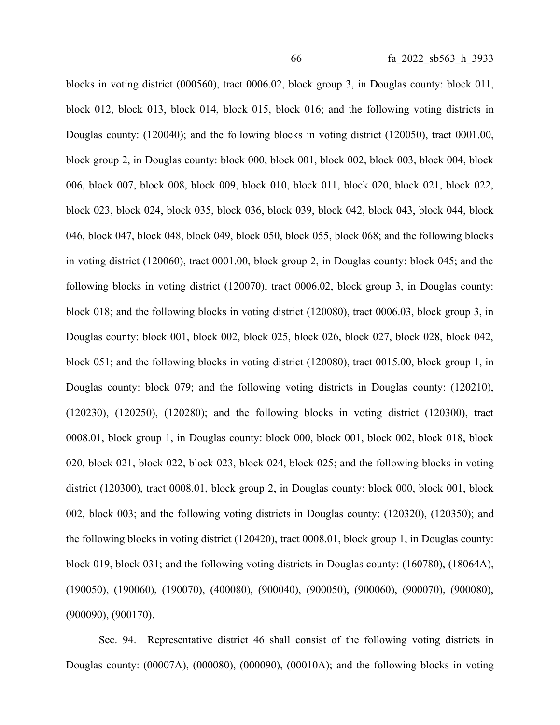blocks in voting district (000560), tract 0006.02, block group 3, in Douglas county: block 011, block 012, block 013, block 014, block 015, block 016; and the following voting districts in Douglas county: (120040); and the following blocks in voting district (120050), tract 0001.00, block group 2, in Douglas county: block 000, block 001, block 002, block 003, block 004, block 006, block 007, block 008, block 009, block 010, block 011, block 020, block 021, block 022, block 023, block 024, block 035, block 036, block 039, block 042, block 043, block 044, block 046, block 047, block 048, block 049, block 050, block 055, block 068; and the following blocks in voting district (120060), tract 0001.00, block group 2, in Douglas county: block 045; and the following blocks in voting district (120070), tract 0006.02, block group 3, in Douglas county: block 018; and the following blocks in voting district (120080), tract 0006.03, block group 3, in Douglas county: block 001, block 002, block 025, block 026, block 027, block 028, block 042, block 051; and the following blocks in voting district (120080), tract 0015.00, block group 1, in Douglas county: block 079; and the following voting districts in Douglas county: (120210), (120230), (120250), (120280); and the following blocks in voting district (120300), tract 0008.01, block group 1, in Douglas county: block 000, block 001, block 002, block 018, block 020, block 021, block 022, block 023, block 024, block 025; and the following blocks in voting district (120300), tract 0008.01, block group 2, in Douglas county: block 000, block 001, block 002, block 003; and the following voting districts in Douglas county: (120320), (120350); and the following blocks in voting district (120420), tract 0008.01, block group 1, in Douglas county: block 019, block 031; and the following voting districts in Douglas county: (160780), (18064A), (190050), (190060), (190070), (400080), (900040), (900050), (900060), (900070), (900080), (900090), (900170).

Sec. 94. Representative district 46 shall consist of the following voting districts in Douglas county: (00007A), (000080), (000090), (00010A); and the following blocks in voting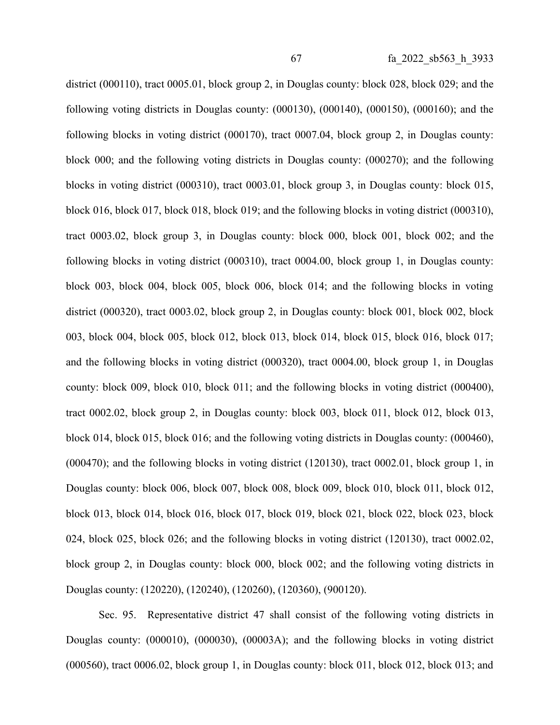district (000110), tract 0005.01, block group 2, in Douglas county: block 028, block 029; and the following voting districts in Douglas county: (000130), (000140), (000150), (000160); and the following blocks in voting district (000170), tract 0007.04, block group 2, in Douglas county: block 000; and the following voting districts in Douglas county: (000270); and the following blocks in voting district (000310), tract 0003.01, block group 3, in Douglas county: block 015, block 016, block 017, block 018, block 019; and the following blocks in voting district (000310), tract 0003.02, block group 3, in Douglas county: block 000, block 001, block 002; and the following blocks in voting district (000310), tract 0004.00, block group 1, in Douglas county: block 003, block 004, block 005, block 006, block 014; and the following blocks in voting district (000320), tract 0003.02, block group 2, in Douglas county: block 001, block 002, block 003, block 004, block 005, block 012, block 013, block 014, block 015, block 016, block 017; and the following blocks in voting district (000320), tract 0004.00, block group 1, in Douglas county: block 009, block 010, block 011; and the following blocks in voting district (000400), tract 0002.02, block group 2, in Douglas county: block 003, block 011, block 012, block 013, block 014, block 015, block 016; and the following voting districts in Douglas county: (000460), (000470); and the following blocks in voting district (120130), tract 0002.01, block group 1, in Douglas county: block 006, block 007, block 008, block 009, block 010, block 011, block 012, block 013, block 014, block 016, block 017, block 019, block 021, block 022, block 023, block 024, block 025, block 026; and the following blocks in voting district (120130), tract 0002.02, block group 2, in Douglas county: block 000, block 002; and the following voting districts in Douglas county: (120220), (120240), (120260), (120360), (900120).

Sec. 95. Representative district 47 shall consist of the following voting districts in Douglas county: (000010), (000030), (00003A); and the following blocks in voting district (000560), tract 0006.02, block group 1, in Douglas county: block 011, block 012, block 013; and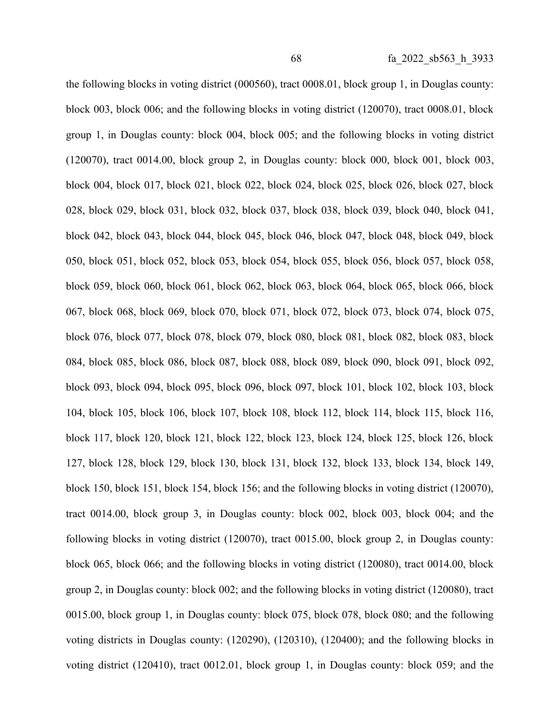the following blocks in voting district (000560), tract 0008.01, block group 1, in Douglas county: block 003, block 006; and the following blocks in voting district (120070), tract 0008.01, block group 1, in Douglas county: block 004, block 005; and the following blocks in voting district (120070), tract 0014.00, block group 2, in Douglas county: block 000, block 001, block 003, block 004, block 017, block 021, block 022, block 024, block 025, block 026, block 027, block 028, block 029, block 031, block 032, block 037, block 038, block 039, block 040, block 041, block 042, block 043, block 044, block 045, block 046, block 047, block 048, block 049, block 050, block 051, block 052, block 053, block 054, block 055, block 056, block 057, block 058, block 059, block 060, block 061, block 062, block 063, block 064, block 065, block 066, block 067, block 068, block 069, block 070, block 071, block 072, block 073, block 074, block 075, block 076, block 077, block 078, block 079, block 080, block 081, block 082, block 083, block 084, block 085, block 086, block 087, block 088, block 089, block 090, block 091, block 092, block 093, block 094, block 095, block 096, block 097, block 101, block 102, block 103, block 104, block 105, block 106, block 107, block 108, block 112, block 114, block 115, block 116, block 117, block 120, block 121, block 122, block 123, block 124, block 125, block 126, block 127, block 128, block 129, block 130, block 131, block 132, block 133, block 134, block 149, block 150, block 151, block 154, block 156; and the following blocks in voting district (120070), tract 0014.00, block group 3, in Douglas county: block 002, block 003, block 004; and the following blocks in voting district (120070), tract 0015.00, block group 2, in Douglas county: block 065, block 066; and the following blocks in voting district (120080), tract 0014.00, block group 2, in Douglas county: block 002; and the following blocks in voting district (120080), tract 0015.00, block group 1, in Douglas county: block 075, block 078, block 080; and the following voting districts in Douglas county: (120290), (120310), (120400); and the following blocks in voting district (120410), tract 0012.01, block group 1, in Douglas county: block 059; and the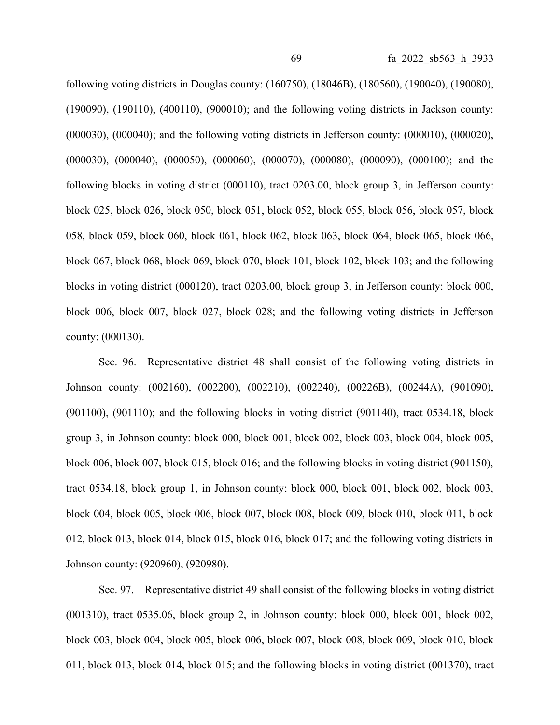following voting districts in Douglas county: (160750), (18046B), (180560), (190040), (190080), (190090), (190110), (400110), (900010); and the following voting districts in Jackson county: (000030), (000040); and the following voting districts in Jefferson county: (000010), (000020), (000030), (000040), (000050), (000060), (000070), (000080), (000090), (000100); and the following blocks in voting district (000110), tract 0203.00, block group 3, in Jefferson county: block 025, block 026, block 050, block 051, block 052, block 055, block 056, block 057, block 058, block 059, block 060, block 061, block 062, block 063, block 064, block 065, block 066, block 067, block 068, block 069, block 070, block 101, block 102, block 103; and the following blocks in voting district (000120), tract 0203.00, block group 3, in Jefferson county: block 000, block 006, block 007, block 027, block 028; and the following voting districts in Jefferson county: (000130).

Sec. 96. Representative district 48 shall consist of the following voting districts in Johnson county: (002160), (002200), (002210), (002240), (00226B), (00244A), (901090), (901100), (901110); and the following blocks in voting district (901140), tract 0534.18, block group 3, in Johnson county: block 000, block 001, block 002, block 003, block 004, block 005, block 006, block 007, block 015, block 016; and the following blocks in voting district (901150), tract 0534.18, block group 1, in Johnson county: block 000, block 001, block 002, block 003, block 004, block 005, block 006, block 007, block 008, block 009, block 010, block 011, block 012, block 013, block 014, block 015, block 016, block 017; and the following voting districts in Johnson county: (920960), (920980).

Sec. 97. Representative district 49 shall consist of the following blocks in voting district (001310), tract 0535.06, block group 2, in Johnson county: block 000, block 001, block 002, block 003, block 004, block 005, block 006, block 007, block 008, block 009, block 010, block 011, block 013, block 014, block 015; and the following blocks in voting district (001370), tract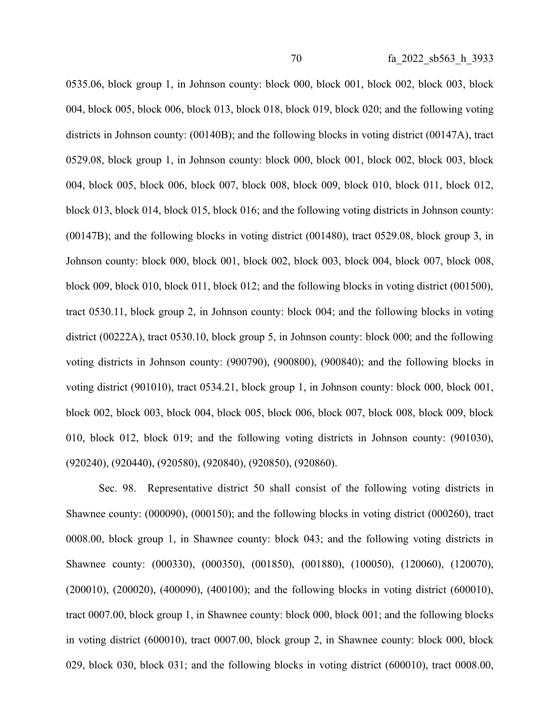0535.06, block group 1, in Johnson county: block 000, block 001, block 002, block 003, block 004, block 005, block 006, block 013, block 018, block 019, block 020; and the following voting districts in Johnson county: (00140B); and the following blocks in voting district (00147A), tract 0529.08, block group 1, in Johnson county: block 000, block 001, block 002, block 003, block 004, block 005, block 006, block 007, block 008, block 009, block 010, block 011, block 012, block 013, block 014, block 015, block 016; and the following voting districts in Johnson county: (00147B); and the following blocks in voting district (001480), tract 0529.08, block group 3, in Johnson county: block 000, block 001, block 002, block 003, block 004, block 007, block 008, block 009, block 010, block 011, block 012; and the following blocks in voting district (001500), tract 0530.11, block group 2, in Johnson county: block 004; and the following blocks in voting district (00222A), tract 0530.10, block group 5, in Johnson county: block 000; and the following voting districts in Johnson county: (900790), (900800), (900840); and the following blocks in voting district (901010), tract 0534.21, block group 1, in Johnson county: block 000, block 001, block 002, block 003, block 004, block 005, block 006, block 007, block 008, block 009, block 010, block 012, block 019; and the following voting districts in Johnson county: (901030), (920240), (920440), (920580), (920840), (920850), (920860).

Sec. 98. Representative district 50 shall consist of the following voting districts in Shawnee county: (000090), (000150); and the following blocks in voting district (000260), tract 0008.00, block group 1, in Shawnee county: block 043; and the following voting districts in Shawnee county: (000330), (000350), (001850), (001880), (100050), (120060), (120070), (200010), (200020), (400090), (400100); and the following blocks in voting district (600010), tract 0007.00, block group 1, in Shawnee county: block 000, block 001; and the following blocks in voting district (600010), tract 0007.00, block group 2, in Shawnee county: block 000, block 029, block 030, block 031; and the following blocks in voting district (600010), tract 0008.00,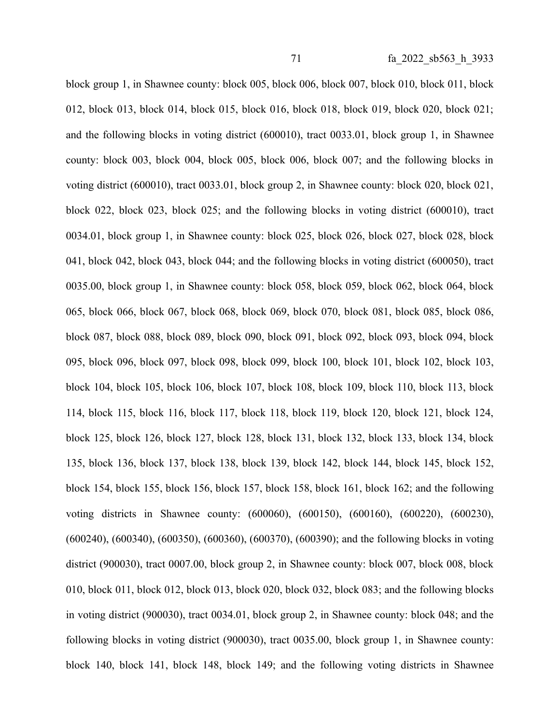block group 1, in Shawnee county: block 005, block 006, block 007, block 010, block 011, block 012, block 013, block 014, block 015, block 016, block 018, block 019, block 020, block 021; and the following blocks in voting district (600010), tract 0033.01, block group 1, in Shawnee county: block 003, block 004, block 005, block 006, block 007; and the following blocks in voting district (600010), tract 0033.01, block group 2, in Shawnee county: block 020, block 021, block 022, block 023, block 025; and the following blocks in voting district (600010), tract 0034.01, block group 1, in Shawnee county: block 025, block 026, block 027, block 028, block 041, block 042, block 043, block 044; and the following blocks in voting district (600050), tract 0035.00, block group 1, in Shawnee county: block 058, block 059, block 062, block 064, block 065, block 066, block 067, block 068, block 069, block 070, block 081, block 085, block 086, block 087, block 088, block 089, block 090, block 091, block 092, block 093, block 094, block 095, block 096, block 097, block 098, block 099, block 100, block 101, block 102, block 103, block 104, block 105, block 106, block 107, block 108, block 109, block 110, block 113, block 114, block 115, block 116, block 117, block 118, block 119, block 120, block 121, block 124, block 125, block 126, block 127, block 128, block 131, block 132, block 133, block 134, block 135, block 136, block 137, block 138, block 139, block 142, block 144, block 145, block 152, block 154, block 155, block 156, block 157, block 158, block 161, block 162; and the following voting districts in Shawnee county: (600060), (600150), (600160), (600220), (600230), (600240), (600340), (600350), (600360), (600370), (600390); and the following blocks in voting district (900030), tract 0007.00, block group 2, in Shawnee county: block 007, block 008, block 010, block 011, block 012, block 013, block 020, block 032, block 083; and the following blocks in voting district (900030), tract 0034.01, block group 2, in Shawnee county: block 048; and the following blocks in voting district (900030), tract 0035.00, block group 1, in Shawnee county: block 140, block 141, block 148, block 149; and the following voting districts in Shawnee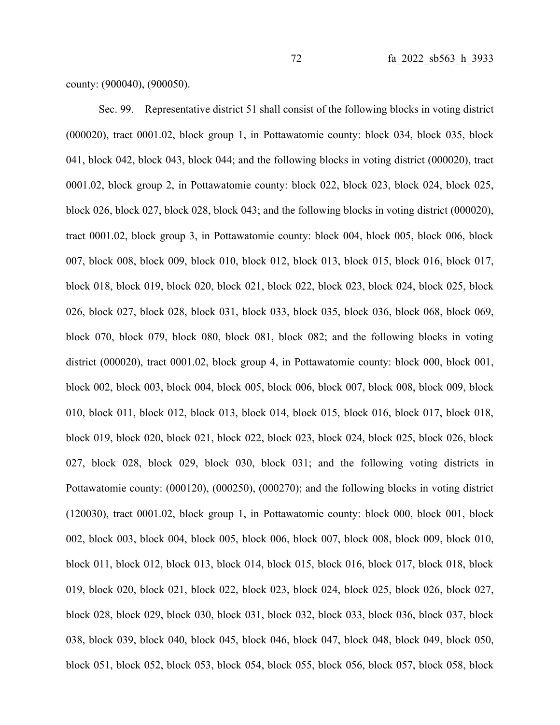county: (900040), (900050).

Sec. 99. Representative district 51 shall consist of the following blocks in voting district (000020), tract 0001.02, block group 1, in Pottawatomie county: block 034, block 035, block 041, block 042, block 043, block 044; and the following blocks in voting district (000020), tract 0001.02, block group 2, in Pottawatomie county: block 022, block 023, block 024, block 025, block 026, block 027, block 028, block 043; and the following blocks in voting district (000020), tract 0001.02, block group 3, in Pottawatomie county: block 004, block 005, block 006, block 007, block 008, block 009, block 010, block 012, block 013, block 015, block 016, block 017, block 018, block 019, block 020, block 021, block 022, block 023, block 024, block 025, block 026, block 027, block 028, block 031, block 033, block 035, block 036, block 068, block 069, block 070, block 079, block 080, block 081, block 082; and the following blocks in voting district (000020), tract 0001.02, block group 4, in Pottawatomie county: block 000, block 001, block 002, block 003, block 004, block 005, block 006, block 007, block 008, block 009, block 010, block 011, block 012, block 013, block 014, block 015, block 016, block 017, block 018, block 019, block 020, block 021, block 022, block 023, block 024, block 025, block 026, block 027, block 028, block 029, block 030, block 031; and the following voting districts in Pottawatomie county: (000120), (000250), (000270); and the following blocks in voting district (120030), tract 0001.02, block group 1, in Pottawatomie county: block 000, block 001, block 002, block 003, block 004, block 005, block 006, block 007, block 008, block 009, block 010, block 011, block 012, block 013, block 014, block 015, block 016, block 017, block 018, block 019, block 020, block 021, block 022, block 023, block 024, block 025, block 026, block 027, block 028, block 029, block 030, block 031, block 032, block 033, block 036, block 037, block 038, block 039, block 040, block 045, block 046, block 047, block 048, block 049, block 050, block 051, block 052, block 053, block 054, block 055, block 056, block 057, block 058, block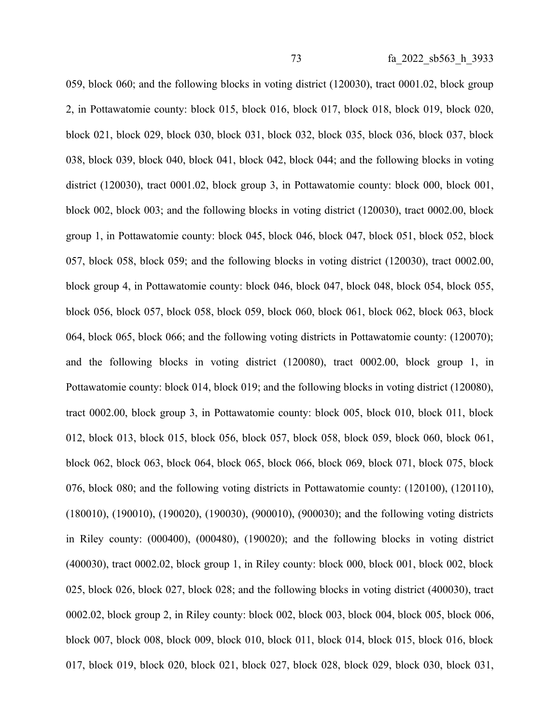059, block 060; and the following blocks in voting district (120030), tract 0001.02, block group 2, in Pottawatomie county: block 015, block 016, block 017, block 018, block 019, block 020, block 021, block 029, block 030, block 031, block 032, block 035, block 036, block 037, block 038, block 039, block 040, block 041, block 042, block 044; and the following blocks in voting district (120030), tract 0001.02, block group 3, in Pottawatomie county: block 000, block 001, block 002, block 003; and the following blocks in voting district (120030), tract 0002.00, block group 1, in Pottawatomie county: block 045, block 046, block 047, block 051, block 052, block 057, block 058, block 059; and the following blocks in voting district (120030), tract 0002.00, block group 4, in Pottawatomie county: block 046, block 047, block 048, block 054, block 055, block 056, block 057, block 058, block 059, block 060, block 061, block 062, block 063, block 064, block 065, block 066; and the following voting districts in Pottawatomie county: (120070); and the following blocks in voting district (120080), tract 0002.00, block group 1, in Pottawatomie county: block 014, block 019; and the following blocks in voting district (120080), tract 0002.00, block group 3, in Pottawatomie county: block 005, block 010, block 011, block 012, block 013, block 015, block 056, block 057, block 058, block 059, block 060, block 061, block 062, block 063, block 064, block 065, block 066, block 069, block 071, block 075, block 076, block 080; and the following voting districts in Pottawatomie county: (120100), (120110), (180010), (190010), (190020), (190030), (900010), (900030); and the following voting districts in Riley county: (000400), (000480), (190020); and the following blocks in voting district (400030), tract 0002.02, block group 1, in Riley county: block 000, block 001, block 002, block 025, block 026, block 027, block 028; and the following blocks in voting district (400030), tract 0002.02, block group 2, in Riley county: block 002, block 003, block 004, block 005, block 006, block 007, block 008, block 009, block 010, block 011, block 014, block 015, block 016, block 017, block 019, block 020, block 021, block 027, block 028, block 029, block 030, block 031,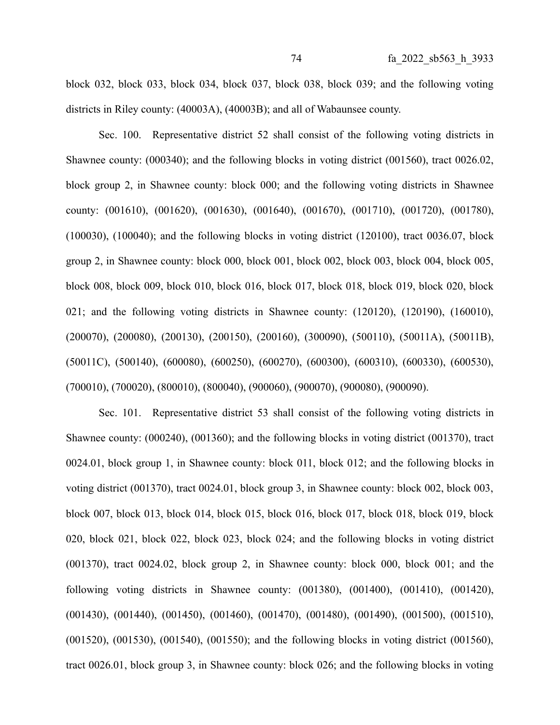block 032, block 033, block 034, block 037, block 038, block 039; and the following voting districts in Riley county: (40003A), (40003B); and all of Wabaunsee county.

Sec. 100. Representative district 52 shall consist of the following voting districts in Shawnee county: (000340); and the following blocks in voting district (001560), tract 0026.02, block group 2, in Shawnee county: block 000; and the following voting districts in Shawnee county: (001610), (001620), (001630), (001640), (001670), (001710), (001720), (001780), (100030), (100040); and the following blocks in voting district (120100), tract 0036.07, block group 2, in Shawnee county: block 000, block 001, block 002, block 003, block 004, block 005, block 008, block 009, block 010, block 016, block 017, block 018, block 019, block 020, block 021; and the following voting districts in Shawnee county: (120120), (120190), (160010), (200070), (200080), (200130), (200150), (200160), (300090), (500110), (50011A), (50011B), (50011C), (500140), (600080), (600250), (600270), (600300), (600310), (600330), (600530), (700010), (700020), (800010), (800040), (900060), (900070), (900080), (900090).

Sec. 101. Representative district 53 shall consist of the following voting districts in Shawnee county: (000240), (001360); and the following blocks in voting district (001370), tract 0024.01, block group 1, in Shawnee county: block 011, block 012; and the following blocks in voting district (001370), tract 0024.01, block group 3, in Shawnee county: block 002, block 003, block 007, block 013, block 014, block 015, block 016, block 017, block 018, block 019, block 020, block 021, block 022, block 023, block 024; and the following blocks in voting district (001370), tract 0024.02, block group 2, in Shawnee county: block 000, block 001; and the following voting districts in Shawnee county: (001380), (001400), (001410), (001420), (001430), (001440), (001450), (001460), (001470), (001480), (001490), (001500), (001510), (001520), (001530), (001540), (001550); and the following blocks in voting district (001560), tract 0026.01, block group 3, in Shawnee county: block 026; and the following blocks in voting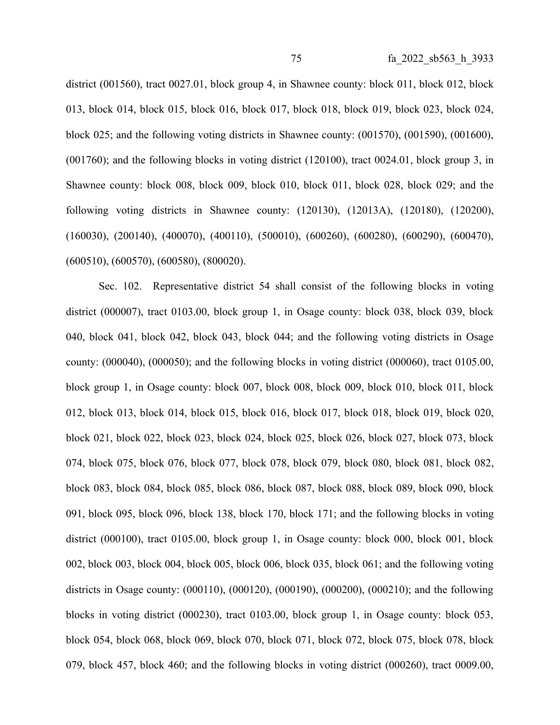district (001560), tract 0027.01, block group 4, in Shawnee county: block 011, block 012, block 013, block 014, block 015, block 016, block 017, block 018, block 019, block 023, block 024, block 025; and the following voting districts in Shawnee county: (001570), (001590), (001600), (001760); and the following blocks in voting district (120100), tract 0024.01, block group 3, in Shawnee county: block 008, block 009, block 010, block 011, block 028, block 029; and the following voting districts in Shawnee county: (120130), (12013A), (120180), (120200), (160030), (200140), (400070), (400110), (500010), (600260), (600280), (600290), (600470), (600510), (600570), (600580), (800020).

Sec. 102. Representative district 54 shall consist of the following blocks in voting district (000007), tract 0103.00, block group 1, in Osage county: block 038, block 039, block 040, block 041, block 042, block 043, block 044; and the following voting districts in Osage county: (000040), (000050); and the following blocks in voting district (000060), tract 0105.00, block group 1, in Osage county: block 007, block 008, block 009, block 010, block 011, block 012, block 013, block 014, block 015, block 016, block 017, block 018, block 019, block 020, block 021, block 022, block 023, block 024, block 025, block 026, block 027, block 073, block 074, block 075, block 076, block 077, block 078, block 079, block 080, block 081, block 082, block 083, block 084, block 085, block 086, block 087, block 088, block 089, block 090, block 091, block 095, block 096, block 138, block 170, block 171; and the following blocks in voting district (000100), tract 0105.00, block group 1, in Osage county: block 000, block 001, block 002, block 003, block 004, block 005, block 006, block 035, block 061; and the following voting districts in Osage county: (000110), (000120), (000190), (000200), (000210); and the following blocks in voting district (000230), tract 0103.00, block group 1, in Osage county: block 053, block 054, block 068, block 069, block 070, block 071, block 072, block 075, block 078, block 079, block 457, block 460; and the following blocks in voting district (000260), tract 0009.00,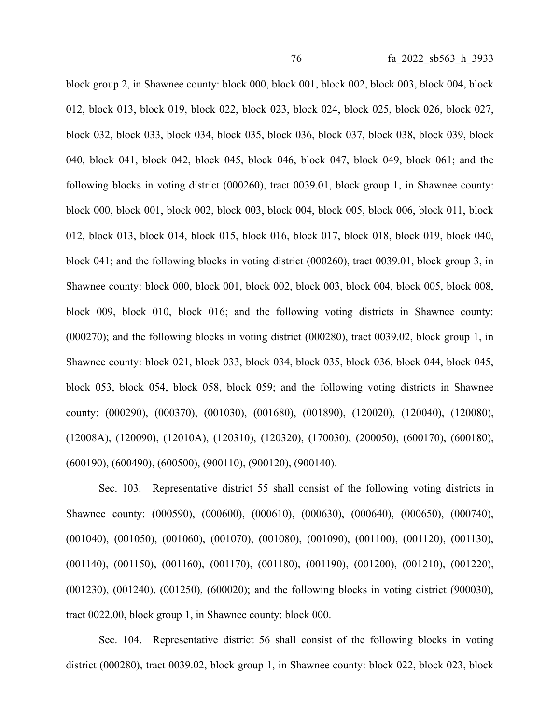block group 2, in Shawnee county: block 000, block 001, block 002, block 003, block 004, block 012, block 013, block 019, block 022, block 023, block 024, block 025, block 026, block 027, block 032, block 033, block 034, block 035, block 036, block 037, block 038, block 039, block 040, block 041, block 042, block 045, block 046, block 047, block 049, block 061; and the following blocks in voting district (000260), tract 0039.01, block group 1, in Shawnee county: block 000, block 001, block 002, block 003, block 004, block 005, block 006, block 011, block 012, block 013, block 014, block 015, block 016, block 017, block 018, block 019, block 040, block 041; and the following blocks in voting district (000260), tract 0039.01, block group 3, in Shawnee county: block 000, block 001, block 002, block 003, block 004, block 005, block 008, block 009, block 010, block 016; and the following voting districts in Shawnee county: (000270); and the following blocks in voting district (000280), tract 0039.02, block group 1, in Shawnee county: block 021, block 033, block 034, block 035, block 036, block 044, block 045, block 053, block 054, block 058, block 059; and the following voting districts in Shawnee county: (000290), (000370), (001030), (001680), (001890), (120020), (120040), (120080), (12008A), (120090), (12010A), (120310), (120320), (170030), (200050), (600170), (600180), (600190), (600490), (600500), (900110), (900120), (900140).

Sec. 103. Representative district 55 shall consist of the following voting districts in Shawnee county: (000590), (000600), (000610), (000630), (000640), (000650), (000740), (001040), (001050), (001060), (001070), (001080), (001090), (001100), (001120), (001130), (001140), (001150), (001160), (001170), (001180), (001190), (001200), (001210), (001220), (001230), (001240), (001250), (600020); and the following blocks in voting district (900030), tract 0022.00, block group 1, in Shawnee county: block 000.

Sec. 104. Representative district 56 shall consist of the following blocks in voting district (000280), tract 0039.02, block group 1, in Shawnee county: block 022, block 023, block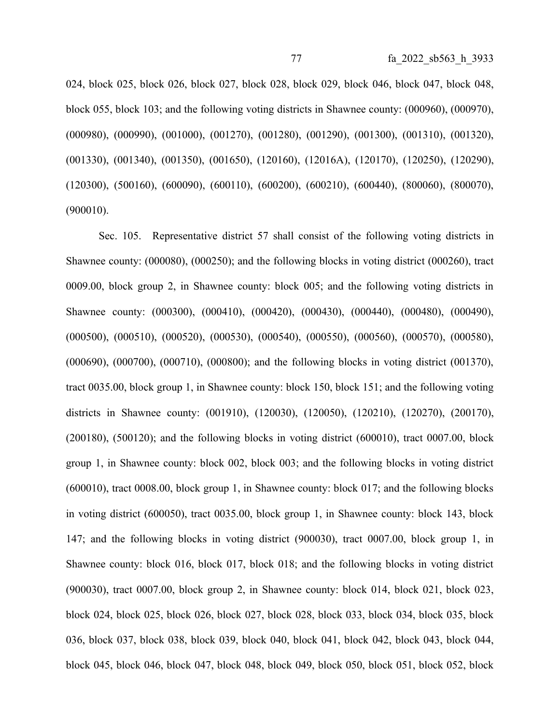024, block 025, block 026, block 027, block 028, block 029, block 046, block 047, block 048, block 055, block 103; and the following voting districts in Shawnee county: (000960), (000970), (000980), (000990), (001000), (001270), (001280), (001290), (001300), (001310), (001320), (001330), (001340), (001350), (001650), (120160), (12016A), (120170), (120250), (120290), (120300), (500160), (600090), (600110), (600200), (600210), (600440), (800060), (800070), (900010).

Sec. 105. Representative district 57 shall consist of the following voting districts in Shawnee county: (000080), (000250); and the following blocks in voting district (000260), tract 0009.00, block group 2, in Shawnee county: block 005; and the following voting districts in Shawnee county: (000300), (000410), (000420), (000430), (000440), (000480), (000490), (000500), (000510), (000520), (000530), (000540), (000550), (000560), (000570), (000580), (000690), (000700), (000710), (000800); and the following blocks in voting district (001370), tract 0035.00, block group 1, in Shawnee county: block 150, block 151; and the following voting districts in Shawnee county: (001910), (120030), (120050), (120210), (120270), (200170), (200180), (500120); and the following blocks in voting district (600010), tract 0007.00, block group 1, in Shawnee county: block 002, block 003; and the following blocks in voting district (600010), tract 0008.00, block group 1, in Shawnee county: block 017; and the following blocks in voting district (600050), tract 0035.00, block group 1, in Shawnee county: block 143, block 147; and the following blocks in voting district (900030), tract 0007.00, block group 1, in Shawnee county: block 016, block 017, block 018; and the following blocks in voting district (900030), tract 0007.00, block group 2, in Shawnee county: block 014, block 021, block 023, block 024, block 025, block 026, block 027, block 028, block 033, block 034, block 035, block 036, block 037, block 038, block 039, block 040, block 041, block 042, block 043, block 044, block 045, block 046, block 047, block 048, block 049, block 050, block 051, block 052, block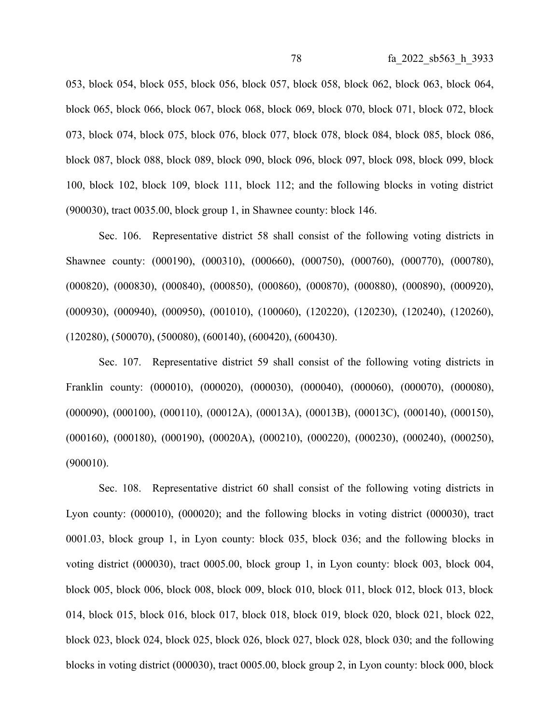053, block 054, block 055, block 056, block 057, block 058, block 062, block 063, block 064, block 065, block 066, block 067, block 068, block 069, block 070, block 071, block 072, block 073, block 074, block 075, block 076, block 077, block 078, block 084, block 085, block 086, block 087, block 088, block 089, block 090, block 096, block 097, block 098, block 099, block 100, block 102, block 109, block 111, block 112; and the following blocks in voting district (900030), tract 0035.00, block group 1, in Shawnee county: block 146.

Sec. 106. Representative district 58 shall consist of the following voting districts in Shawnee county: (000190), (000310), (000660), (000750), (000760), (000770), (000780), (000820), (000830), (000840), (000850), (000860), (000870), (000880), (000890), (000920), (000930), (000940), (000950), (001010), (100060), (120220), (120230), (120240), (120260), (120280), (500070), (500080), (600140), (600420), (600430).

Sec. 107. Representative district 59 shall consist of the following voting districts in Franklin county: (000010), (000020), (000030), (000040), (000060), (000070), (000080), (000090), (000100), (000110), (00012A), (00013A), (00013B), (00013C), (000140), (000150), (000160), (000180), (000190), (00020A), (000210), (000220), (000230), (000240), (000250), (900010).

Sec. 108. Representative district 60 shall consist of the following voting districts in Lyon county: (000010), (000020); and the following blocks in voting district (000030), tract 0001.03, block group 1, in Lyon county: block 035, block 036; and the following blocks in voting district (000030), tract 0005.00, block group 1, in Lyon county: block 003, block 004, block 005, block 006, block 008, block 009, block 010, block 011, block 012, block 013, block 014, block 015, block 016, block 017, block 018, block 019, block 020, block 021, block 022, block 023, block 024, block 025, block 026, block 027, block 028, block 030; and the following blocks in voting district (000030), tract 0005.00, block group 2, in Lyon county: block 000, block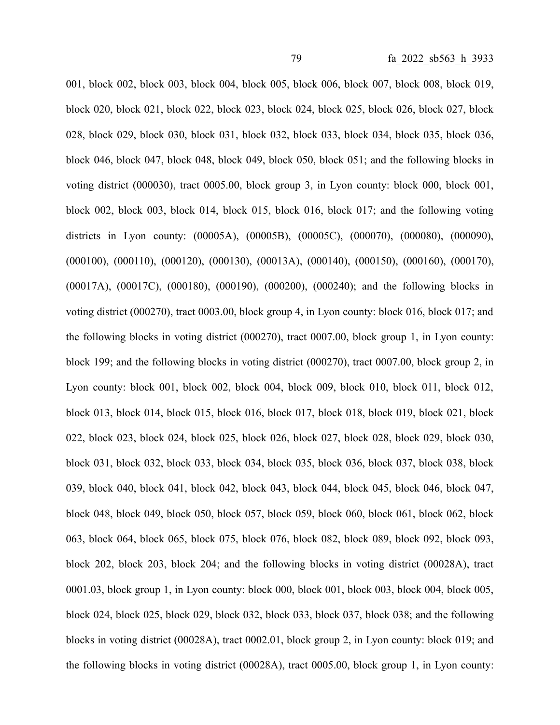001, block 002, block 003, block 004, block 005, block 006, block 007, block 008, block 019, block 020, block 021, block 022, block 023, block 024, block 025, block 026, block 027, block 028, block 029, block 030, block 031, block 032, block 033, block 034, block 035, block 036, block 046, block 047, block 048, block 049, block 050, block 051; and the following blocks in voting district (000030), tract 0005.00, block group 3, in Lyon county: block 000, block 001, block 002, block 003, block 014, block 015, block 016, block 017; and the following voting districts in Lyon county: (00005A), (00005B), (00005C), (000070), (000080), (000090), (000100), (000110), (000120), (000130), (00013A), (000140), (000150), (000160), (000170), (00017A), (00017C), (000180), (000190), (000200), (000240); and the following blocks in voting district (000270), tract 0003.00, block group 4, in Lyon county: block 016, block 017; and the following blocks in voting district (000270), tract 0007.00, block group 1, in Lyon county: block 199; and the following blocks in voting district (000270), tract 0007.00, block group 2, in Lyon county: block 001, block 002, block 004, block 009, block 010, block 011, block 012, block 013, block 014, block 015, block 016, block 017, block 018, block 019, block 021, block 022, block 023, block 024, block 025, block 026, block 027, block 028, block 029, block 030, block 031, block 032, block 033, block 034, block 035, block 036, block 037, block 038, block 039, block 040, block 041, block 042, block 043, block 044, block 045, block 046, block 047, block 048, block 049, block 050, block 057, block 059, block 060, block 061, block 062, block 063, block 064, block 065, block 075, block 076, block 082, block 089, block 092, block 093, block 202, block 203, block 204; and the following blocks in voting district (00028A), tract 0001.03, block group 1, in Lyon county: block 000, block 001, block 003, block 004, block 005, block 024, block 025, block 029, block 032, block 033, block 037, block 038; and the following blocks in voting district (00028A), tract 0002.01, block group 2, in Lyon county: block 019; and the following blocks in voting district (00028A), tract 0005.00, block group 1, in Lyon county: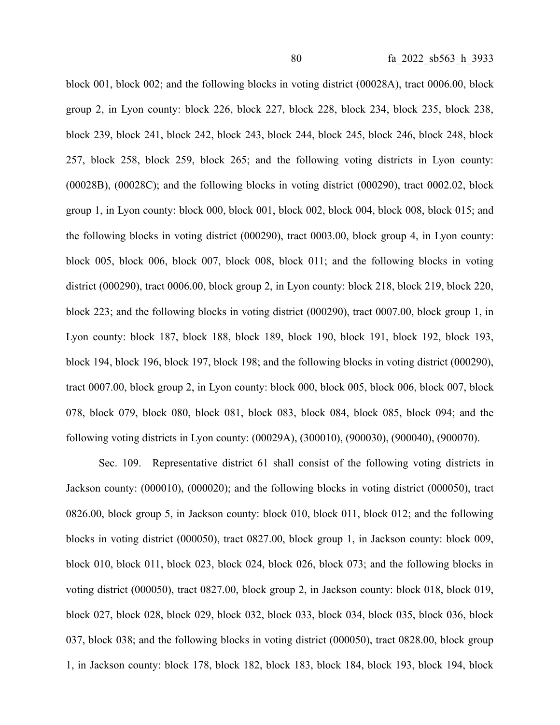block 001, block 002; and the following blocks in voting district (00028A), tract 0006.00, block group 2, in Lyon county: block 226, block 227, block 228, block 234, block 235, block 238, block 239, block 241, block 242, block 243, block 244, block 245, block 246, block 248, block 257, block 258, block 259, block 265; and the following voting districts in Lyon county: (00028B), (00028C); and the following blocks in voting district (000290), tract 0002.02, block group 1, in Lyon county: block 000, block 001, block 002, block 004, block 008, block 015; and the following blocks in voting district (000290), tract 0003.00, block group 4, in Lyon county: block 005, block 006, block 007, block 008, block 011; and the following blocks in voting district (000290), tract 0006.00, block group 2, in Lyon county: block 218, block 219, block 220, block 223; and the following blocks in voting district (000290), tract 0007.00, block group 1, in Lyon county: block 187, block 188, block 189, block 190, block 191, block 192, block 193, block 194, block 196, block 197, block 198; and the following blocks in voting district (000290), tract 0007.00, block group 2, in Lyon county: block 000, block 005, block 006, block 007, block 078, block 079, block 080, block 081, block 083, block 084, block 085, block 094; and the following voting districts in Lyon county: (00029A), (300010), (900030), (900040), (900070).

Sec. 109. Representative district 61 shall consist of the following voting districts in Jackson county: (000010), (000020); and the following blocks in voting district (000050), tract 0826.00, block group 5, in Jackson county: block 010, block 011, block 012; and the following blocks in voting district (000050), tract 0827.00, block group 1, in Jackson county: block 009, block 010, block 011, block 023, block 024, block 026, block 073; and the following blocks in voting district (000050), tract 0827.00, block group 2, in Jackson county: block 018, block 019, block 027, block 028, block 029, block 032, block 033, block 034, block 035, block 036, block 037, block 038; and the following blocks in voting district (000050), tract 0828.00, block group 1, in Jackson county: block 178, block 182, block 183, block 184, block 193, block 194, block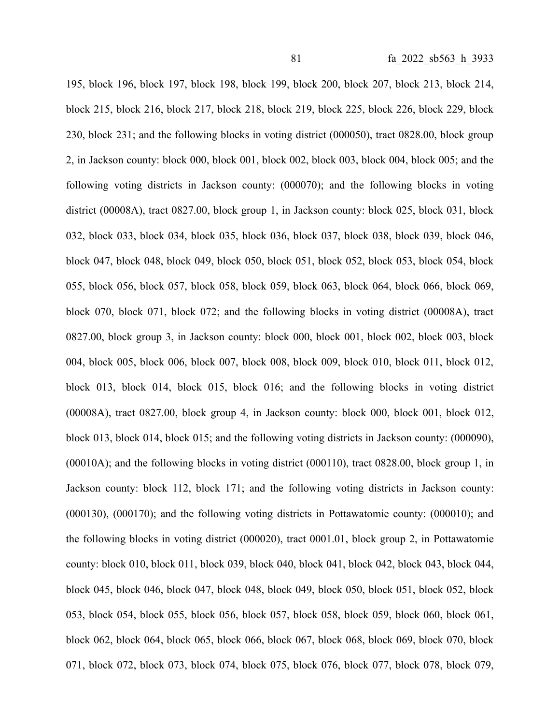195, block 196, block 197, block 198, block 199, block 200, block 207, block 213, block 214, block 215, block 216, block 217, block 218, block 219, block 225, block 226, block 229, block 230, block 231; and the following blocks in voting district (000050), tract 0828.00, block group 2, in Jackson county: block 000, block 001, block 002, block 003, block 004, block 005; and the following voting districts in Jackson county: (000070); and the following blocks in voting district (00008A), tract 0827.00, block group 1, in Jackson county: block 025, block 031, block 032, block 033, block 034, block 035, block 036, block 037, block 038, block 039, block 046, block 047, block 048, block 049, block 050, block 051, block 052, block 053, block 054, block 055, block 056, block 057, block 058, block 059, block 063, block 064, block 066, block 069, block 070, block 071, block 072; and the following blocks in voting district (00008A), tract 0827.00, block group 3, in Jackson county: block 000, block 001, block 002, block 003, block 004, block 005, block 006, block 007, block 008, block 009, block 010, block 011, block 012, block 013, block 014, block 015, block 016; and the following blocks in voting district (00008A), tract 0827.00, block group 4, in Jackson county: block 000, block 001, block 012, block 013, block 014, block 015; and the following voting districts in Jackson county: (000090), (00010A); and the following blocks in voting district (000110), tract 0828.00, block group 1, in Jackson county: block 112, block 171; and the following voting districts in Jackson county: (000130), (000170); and the following voting districts in Pottawatomie county: (000010); and the following blocks in voting district (000020), tract 0001.01, block group 2, in Pottawatomie county: block 010, block 011, block 039, block 040, block 041, block 042, block 043, block 044, block 045, block 046, block 047, block 048, block 049, block 050, block 051, block 052, block 053, block 054, block 055, block 056, block 057, block 058, block 059, block 060, block 061, block 062, block 064, block 065, block 066, block 067, block 068, block 069, block 070, block 071, block 072, block 073, block 074, block 075, block 076, block 077, block 078, block 079,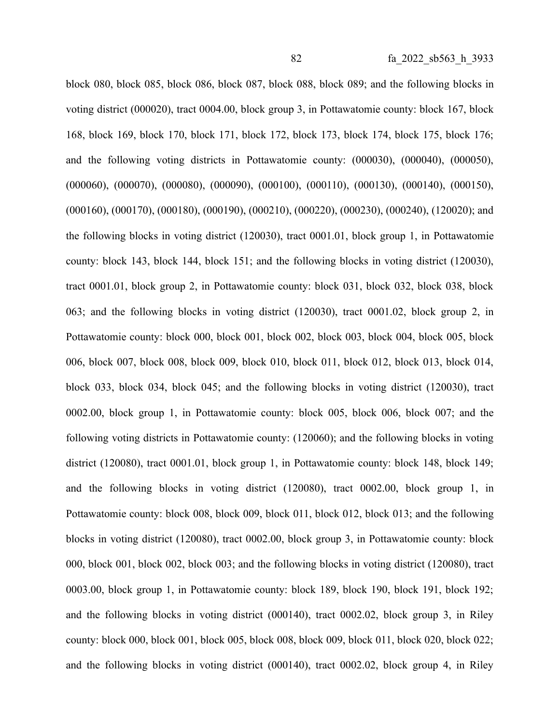block 080, block 085, block 086, block 087, block 088, block 089; and the following blocks in voting district (000020), tract 0004.00, block group 3, in Pottawatomie county: block 167, block 168, block 169, block 170, block 171, block 172, block 173, block 174, block 175, block 176; and the following voting districts in Pottawatomie county: (000030), (000040), (000050), (000060), (000070), (000080), (000090), (000100), (000110), (000130), (000140), (000150), (000160), (000170), (000180), (000190), (000210), (000220), (000230), (000240), (120020); and the following blocks in voting district (120030), tract 0001.01, block group 1, in Pottawatomie county: block 143, block 144, block 151; and the following blocks in voting district (120030), tract 0001.01, block group 2, in Pottawatomie county: block 031, block 032, block 038, block 063; and the following blocks in voting district (120030), tract 0001.02, block group 2, in Pottawatomie county: block 000, block 001, block 002, block 003, block 004, block 005, block 006, block 007, block 008, block 009, block 010, block 011, block 012, block 013, block 014, block 033, block 034, block 045; and the following blocks in voting district (120030), tract 0002.00, block group 1, in Pottawatomie county: block 005, block 006, block 007; and the following voting districts in Pottawatomie county: (120060); and the following blocks in voting district (120080), tract 0001.01, block group 1, in Pottawatomie county: block 148, block 149; and the following blocks in voting district (120080), tract 0002.00, block group 1, in Pottawatomie county: block 008, block 009, block 011, block 012, block 013; and the following blocks in voting district (120080), tract 0002.00, block group 3, in Pottawatomie county: block 000, block 001, block 002, block 003; and the following blocks in voting district (120080), tract 0003.00, block group 1, in Pottawatomie county: block 189, block 190, block 191, block 192; and the following blocks in voting district (000140), tract 0002.02, block group 3, in Riley county: block 000, block 001, block 005, block 008, block 009, block 011, block 020, block 022; and the following blocks in voting district (000140), tract 0002.02, block group 4, in Riley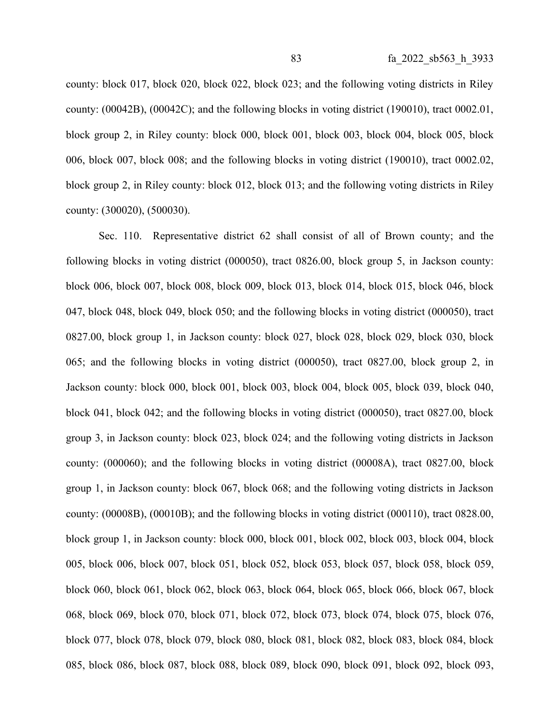county: block 017, block 020, block 022, block 023; and the following voting districts in Riley county: (00042B), (00042C); and the following blocks in voting district (190010), tract 0002.01, block group 2, in Riley county: block 000, block 001, block 003, block 004, block 005, block 006, block 007, block 008; and the following blocks in voting district (190010), tract 0002.02, block group 2, in Riley county: block 012, block 013; and the following voting districts in Riley county: (300020), (500030).

Sec. 110. Representative district 62 shall consist of all of Brown county; and the following blocks in voting district (000050), tract 0826.00, block group 5, in Jackson county: block 006, block 007, block 008, block 009, block 013, block 014, block 015, block 046, block 047, block 048, block 049, block 050; and the following blocks in voting district (000050), tract 0827.00, block group 1, in Jackson county: block 027, block 028, block 029, block 030, block 065; and the following blocks in voting district (000050), tract 0827.00, block group 2, in Jackson county: block 000, block 001, block 003, block 004, block 005, block 039, block 040, block 041, block 042; and the following blocks in voting district (000050), tract 0827.00, block group 3, in Jackson county: block 023, block 024; and the following voting districts in Jackson county: (000060); and the following blocks in voting district (00008A), tract 0827.00, block group 1, in Jackson county: block 067, block 068; and the following voting districts in Jackson county: (00008B), (00010B); and the following blocks in voting district (000110), tract 0828.00, block group 1, in Jackson county: block 000, block 001, block 002, block 003, block 004, block 005, block 006, block 007, block 051, block 052, block 053, block 057, block 058, block 059, block 060, block 061, block 062, block 063, block 064, block 065, block 066, block 067, block 068, block 069, block 070, block 071, block 072, block 073, block 074, block 075, block 076, block 077, block 078, block 079, block 080, block 081, block 082, block 083, block 084, block 085, block 086, block 087, block 088, block 089, block 090, block 091, block 092, block 093,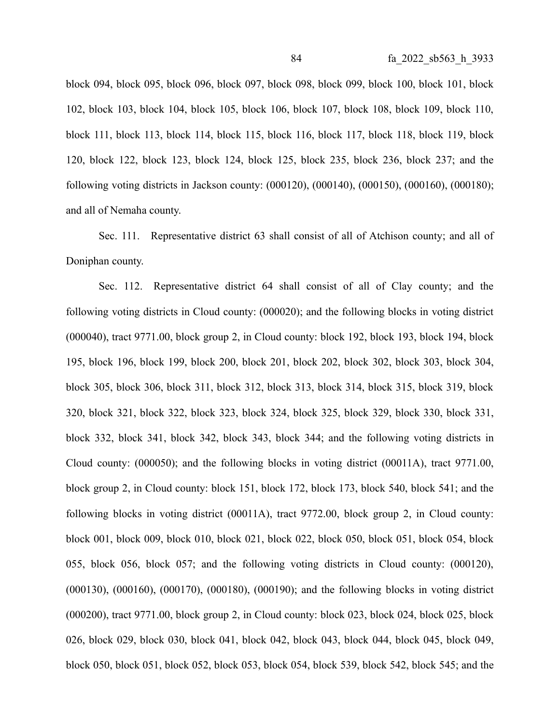block 094, block 095, block 096, block 097, block 098, block 099, block 100, block 101, block 102, block 103, block 104, block 105, block 106, block 107, block 108, block 109, block 110, block 111, block 113, block 114, block 115, block 116, block 117, block 118, block 119, block 120, block 122, block 123, block 124, block 125, block 235, block 236, block 237; and the following voting districts in Jackson county: (000120), (000140), (000150), (000160), (000180); and all of Nemaha county.

Sec. 111. Representative district 63 shall consist of all of Atchison county; and all of Doniphan county.

Sec. 112. Representative district 64 shall consist of all of Clay county; and the following voting districts in Cloud county: (000020); and the following blocks in voting district (000040), tract 9771.00, block group 2, in Cloud county: block 192, block 193, block 194, block 195, block 196, block 199, block 200, block 201, block 202, block 302, block 303, block 304, block 305, block 306, block 311, block 312, block 313, block 314, block 315, block 319, block 320, block 321, block 322, block 323, block 324, block 325, block 329, block 330, block 331, block 332, block 341, block 342, block 343, block 344; and the following voting districts in Cloud county: (000050); and the following blocks in voting district (00011A), tract 9771.00, block group 2, in Cloud county: block 151, block 172, block 173, block 540, block 541; and the following blocks in voting district (00011A), tract 9772.00, block group 2, in Cloud county: block 001, block 009, block 010, block 021, block 022, block 050, block 051, block 054, block 055, block 056, block 057; and the following voting districts in Cloud county: (000120), (000130), (000160), (000170), (000180), (000190); and the following blocks in voting district (000200), tract 9771.00, block group 2, in Cloud county: block 023, block 024, block 025, block 026, block 029, block 030, block 041, block 042, block 043, block 044, block 045, block 049, block 050, block 051, block 052, block 053, block 054, block 539, block 542, block 545; and the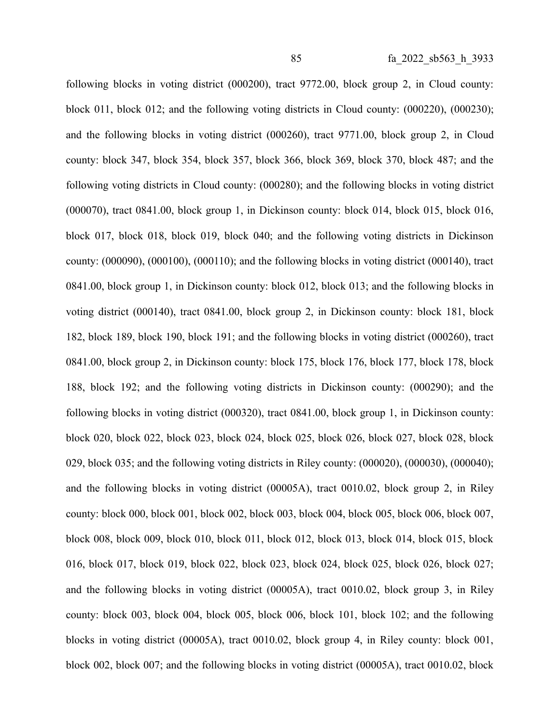following blocks in voting district (000200), tract 9772.00, block group 2, in Cloud county: block 011, block 012; and the following voting districts in Cloud county: (000220), (000230); and the following blocks in voting district (000260), tract 9771.00, block group 2, in Cloud county: block 347, block 354, block 357, block 366, block 369, block 370, block 487; and the following voting districts in Cloud county: (000280); and the following blocks in voting district (000070), tract 0841.00, block group 1, in Dickinson county: block 014, block 015, block 016, block 017, block 018, block 019, block 040; and the following voting districts in Dickinson county: (000090), (000100), (000110); and the following blocks in voting district (000140), tract 0841.00, block group 1, in Dickinson county: block 012, block 013; and the following blocks in voting district (000140), tract 0841.00, block group 2, in Dickinson county: block 181, block 182, block 189, block 190, block 191; and the following blocks in voting district (000260), tract 0841.00, block group 2, in Dickinson county: block 175, block 176, block 177, block 178, block 188, block 192; and the following voting districts in Dickinson county: (000290); and the following blocks in voting district (000320), tract 0841.00, block group 1, in Dickinson county: block 020, block 022, block 023, block 024, block 025, block 026, block 027, block 028, block 029, block 035; and the following voting districts in Riley county: (000020), (000030), (000040); and the following blocks in voting district (00005A), tract 0010.02, block group 2, in Riley county: block 000, block 001, block 002, block 003, block 004, block 005, block 006, block 007, block 008, block 009, block 010, block 011, block 012, block 013, block 014, block 015, block 016, block 017, block 019, block 022, block 023, block 024, block 025, block 026, block 027; and the following blocks in voting district (00005A), tract 0010.02, block group 3, in Riley county: block 003, block 004, block 005, block 006, block 101, block 102; and the following blocks in voting district (00005A), tract 0010.02, block group 4, in Riley county: block 001, block 002, block 007; and the following blocks in voting district (00005A), tract 0010.02, block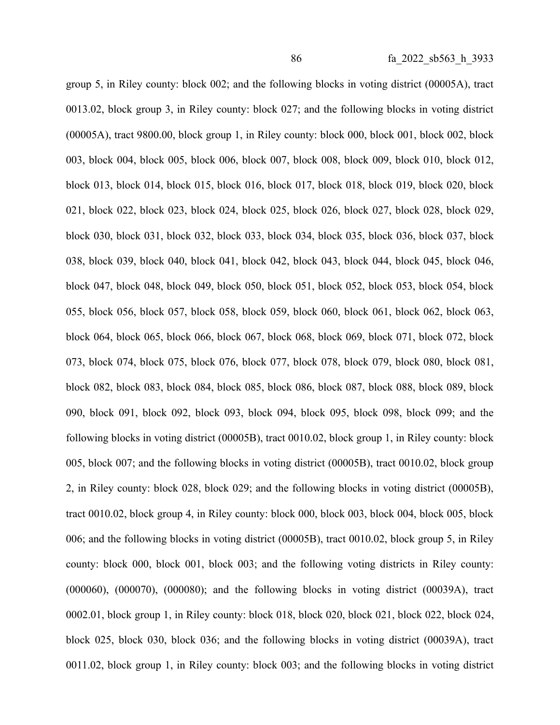group 5, in Riley county: block 002; and the following blocks in voting district (00005A), tract 0013.02, block group 3, in Riley county: block 027; and the following blocks in voting district (00005A), tract 9800.00, block group 1, in Riley county: block 000, block 001, block 002, block 003, block 004, block 005, block 006, block 007, block 008, block 009, block 010, block 012, block 013, block 014, block 015, block 016, block 017, block 018, block 019, block 020, block 021, block 022, block 023, block 024, block 025, block 026, block 027, block 028, block 029, block 030, block 031, block 032, block 033, block 034, block 035, block 036, block 037, block 038, block 039, block 040, block 041, block 042, block 043, block 044, block 045, block 046, block 047, block 048, block 049, block 050, block 051, block 052, block 053, block 054, block 055, block 056, block 057, block 058, block 059, block 060, block 061, block 062, block 063, block 064, block 065, block 066, block 067, block 068, block 069, block 071, block 072, block 073, block 074, block 075, block 076, block 077, block 078, block 079, block 080, block 081, block 082, block 083, block 084, block 085, block 086, block 087, block 088, block 089, block 090, block 091, block 092, block 093, block 094, block 095, block 098, block 099; and the following blocks in voting district (00005B), tract 0010.02, block group 1, in Riley county: block 005, block 007; and the following blocks in voting district (00005B), tract 0010.02, block group 2, in Riley county: block 028, block 029; and the following blocks in voting district (00005B), tract 0010.02, block group 4, in Riley county: block 000, block 003, block 004, block 005, block 006; and the following blocks in voting district (00005B), tract 0010.02, block group 5, in Riley county: block 000, block 001, block 003; and the following voting districts in Riley county: (000060), (000070), (000080); and the following blocks in voting district (00039A), tract 0002.01, block group 1, in Riley county: block 018, block 020, block 021, block 022, block 024, block 025, block 030, block 036; and the following blocks in voting district (00039A), tract 0011.02, block group 1, in Riley county: block 003; and the following blocks in voting district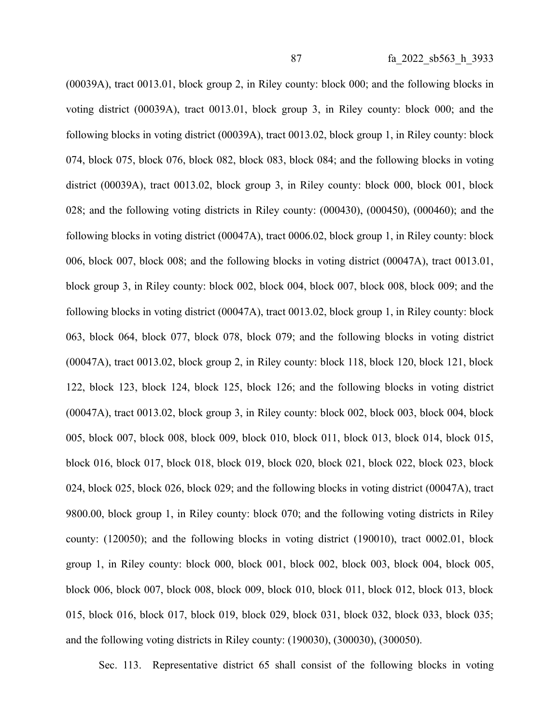(00039A), tract 0013.01, block group 2, in Riley county: block 000; and the following blocks in voting district (00039A), tract 0013.01, block group 3, in Riley county: block 000; and the following blocks in voting district (00039A), tract 0013.02, block group 1, in Riley county: block 074, block 075, block 076, block 082, block 083, block 084; and the following blocks in voting district (00039A), tract 0013.02, block group 3, in Riley county: block 000, block 001, block 028; and the following voting districts in Riley county: (000430), (000450), (000460); and the following blocks in voting district (00047A), tract 0006.02, block group 1, in Riley county: block 006, block 007, block 008; and the following blocks in voting district (00047A), tract 0013.01, block group 3, in Riley county: block 002, block 004, block 007, block 008, block 009; and the following blocks in voting district (00047A), tract 0013.02, block group 1, in Riley county: block 063, block 064, block 077, block 078, block 079; and the following blocks in voting district (00047A), tract 0013.02, block group 2, in Riley county: block 118, block 120, block 121, block 122, block 123, block 124, block 125, block 126; and the following blocks in voting district (00047A), tract 0013.02, block group 3, in Riley county: block 002, block 003, block 004, block 005, block 007, block 008, block 009, block 010, block 011, block 013, block 014, block 015, block 016, block 017, block 018, block 019, block 020, block 021, block 022, block 023, block 024, block 025, block 026, block 029; and the following blocks in voting district (00047A), tract 9800.00, block group 1, in Riley county: block 070; and the following voting districts in Riley county: (120050); and the following blocks in voting district (190010), tract 0002.01, block group 1, in Riley county: block 000, block 001, block 002, block 003, block 004, block 005, block 006, block 007, block 008, block 009, block 010, block 011, block 012, block 013, block 015, block 016, block 017, block 019, block 029, block 031, block 032, block 033, block 035; and the following voting districts in Riley county: (190030), (300030), (300050).

Sec. 113. Representative district 65 shall consist of the following blocks in voting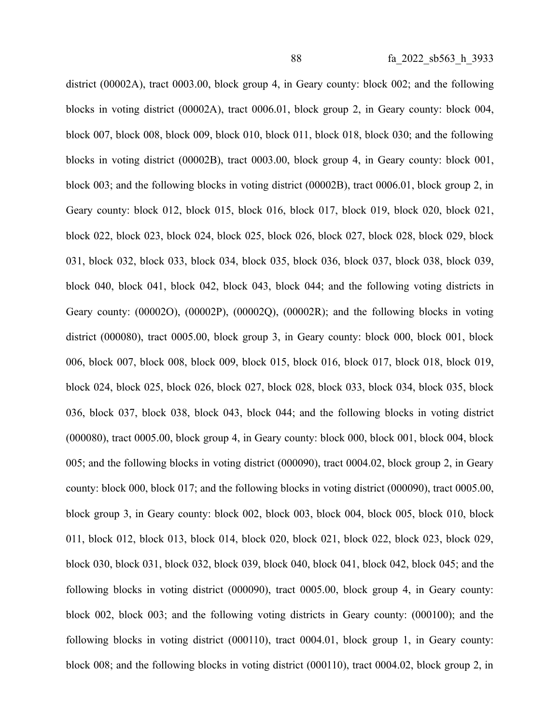district (00002A), tract 0003.00, block group 4, in Geary county: block 002; and the following blocks in voting district (00002A), tract 0006.01, block group 2, in Geary county: block 004, block 007, block 008, block 009, block 010, block 011, block 018, block 030; and the following blocks in voting district (00002B), tract 0003.00, block group 4, in Geary county: block 001, block 003; and the following blocks in voting district (00002B), tract 0006.01, block group 2, in Geary county: block 012, block 015, block 016, block 017, block 019, block 020, block 021, block 022, block 023, block 024, block 025, block 026, block 027, block 028, block 029, block 031, block 032, block 033, block 034, block 035, block 036, block 037, block 038, block 039, block 040, block 041, block 042, block 043, block 044; and the following voting districts in Geary county: (00002O), (00002P), (00002Q), (00002R); and the following blocks in voting district (000080), tract 0005.00, block group 3, in Geary county: block 000, block 001, block 006, block 007, block 008, block 009, block 015, block 016, block 017, block 018, block 019, block 024, block 025, block 026, block 027, block 028, block 033, block 034, block 035, block 036, block 037, block 038, block 043, block 044; and the following blocks in voting district (000080), tract 0005.00, block group 4, in Geary county: block 000, block 001, block 004, block 005; and the following blocks in voting district (000090), tract 0004.02, block group 2, in Geary county: block 000, block 017; and the following blocks in voting district (000090), tract 0005.00, block group 3, in Geary county: block 002, block 003, block 004, block 005, block 010, block 011, block 012, block 013, block 014, block 020, block 021, block 022, block 023, block 029, block 030, block 031, block 032, block 039, block 040, block 041, block 042, block 045; and the following blocks in voting district (000090), tract 0005.00, block group 4, in Geary county: block 002, block 003; and the following voting districts in Geary county: (000100); and the following blocks in voting district (000110), tract 0004.01, block group 1, in Geary county: block 008; and the following blocks in voting district (000110), tract 0004.02, block group 2, in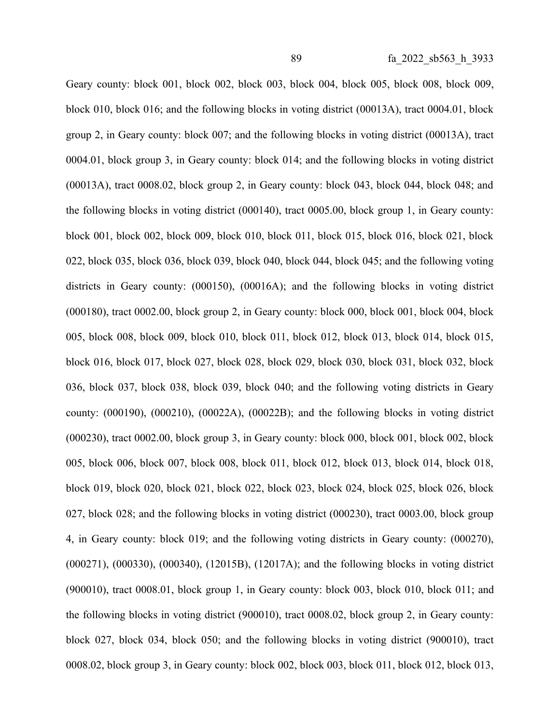Geary county: block 001, block 002, block 003, block 004, block 005, block 008, block 009, block 010, block 016; and the following blocks in voting district (00013A), tract 0004.01, block group 2, in Geary county: block 007; and the following blocks in voting district (00013A), tract 0004.01, block group 3, in Geary county: block 014; and the following blocks in voting district (00013A), tract 0008.02, block group 2, in Geary county: block 043, block 044, block 048; and the following blocks in voting district (000140), tract 0005.00, block group 1, in Geary county: block 001, block 002, block 009, block 010, block 011, block 015, block 016, block 021, block 022, block 035, block 036, block 039, block 040, block 044, block 045; and the following voting districts in Geary county: (000150), (00016A); and the following blocks in voting district (000180), tract 0002.00, block group 2, in Geary county: block 000, block 001, block 004, block 005, block 008, block 009, block 010, block 011, block 012, block 013, block 014, block 015, block 016, block 017, block 027, block 028, block 029, block 030, block 031, block 032, block 036, block 037, block 038, block 039, block 040; and the following voting districts in Geary county: (000190), (000210), (00022A), (00022B); and the following blocks in voting district (000230), tract 0002.00, block group 3, in Geary county: block 000, block 001, block 002, block 005, block 006, block 007, block 008, block 011, block 012, block 013, block 014, block 018, block 019, block 020, block 021, block 022, block 023, block 024, block 025, block 026, block 027, block 028; and the following blocks in voting district (000230), tract 0003.00, block group 4, in Geary county: block 019; and the following voting districts in Geary county: (000270), (000271), (000330), (000340), (12015B), (12017A); and the following blocks in voting district (900010), tract 0008.01, block group 1, in Geary county: block 003, block 010, block 011; and the following blocks in voting district (900010), tract 0008.02, block group 2, in Geary county: block 027, block 034, block 050; and the following blocks in voting district (900010), tract 0008.02, block group 3, in Geary county: block 002, block 003, block 011, block 012, block 013,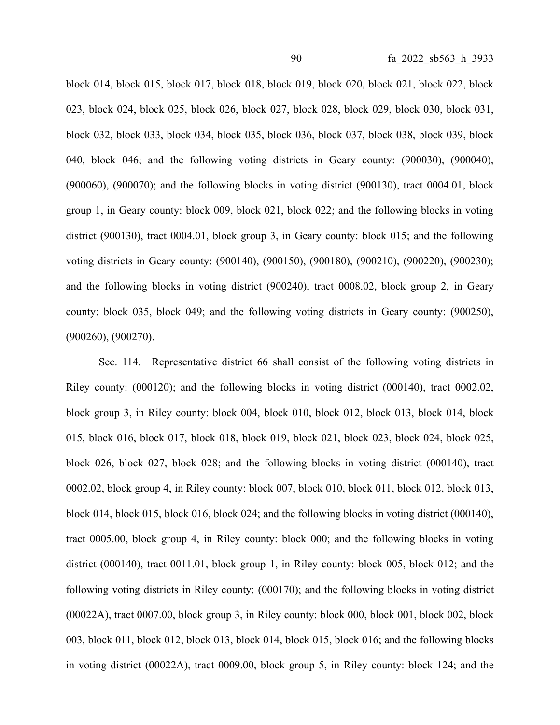block 014, block 015, block 017, block 018, block 019, block 020, block 021, block 022, block 023, block 024, block 025, block 026, block 027, block 028, block 029, block 030, block 031, block 032, block 033, block 034, block 035, block 036, block 037, block 038, block 039, block 040, block 046; and the following voting districts in Geary county: (900030), (900040), (900060), (900070); and the following blocks in voting district (900130), tract 0004.01, block group 1, in Geary county: block 009, block 021, block 022; and the following blocks in voting district (900130), tract 0004.01, block group 3, in Geary county: block 015; and the following voting districts in Geary county: (900140), (900150), (900180), (900210), (900220), (900230); and the following blocks in voting district (900240), tract 0008.02, block group 2, in Geary county: block 035, block 049; and the following voting districts in Geary county: (900250), (900260), (900270).

Sec. 114. Representative district 66 shall consist of the following voting districts in Riley county: (000120); and the following blocks in voting district (000140), tract 0002.02, block group 3, in Riley county: block 004, block 010, block 012, block 013, block 014, block 015, block 016, block 017, block 018, block 019, block 021, block 023, block 024, block 025, block 026, block 027, block 028; and the following blocks in voting district (000140), tract 0002.02, block group 4, in Riley county: block 007, block 010, block 011, block 012, block 013, block 014, block 015, block 016, block 024; and the following blocks in voting district (000140), tract 0005.00, block group 4, in Riley county: block 000; and the following blocks in voting district (000140), tract 0011.01, block group 1, in Riley county: block 005, block 012; and the following voting districts in Riley county: (000170); and the following blocks in voting district (00022A), tract 0007.00, block group 3, in Riley county: block 000, block 001, block 002, block 003, block 011, block 012, block 013, block 014, block 015, block 016; and the following blocks in voting district (00022A), tract 0009.00, block group 5, in Riley county: block 124; and the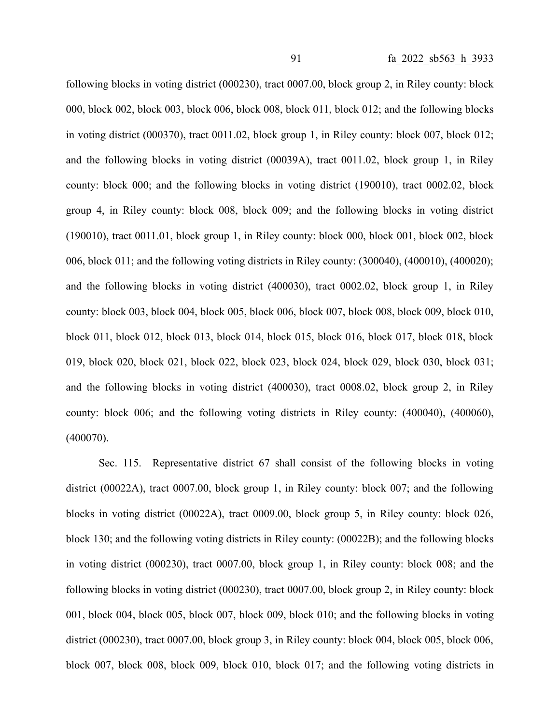following blocks in voting district (000230), tract 0007.00, block group 2, in Riley county: block 000, block 002, block 003, block 006, block 008, block 011, block 012; and the following blocks in voting district (000370), tract 0011.02, block group 1, in Riley county: block 007, block 012; and the following blocks in voting district (00039A), tract 0011.02, block group 1, in Riley county: block 000; and the following blocks in voting district (190010), tract 0002.02, block group 4, in Riley county: block 008, block 009; and the following blocks in voting district (190010), tract 0011.01, block group 1, in Riley county: block 000, block 001, block 002, block 006, block 011; and the following voting districts in Riley county: (300040), (400010), (400020); and the following blocks in voting district (400030), tract 0002.02, block group 1, in Riley county: block 003, block 004, block 005, block 006, block 007, block 008, block 009, block 010, block 011, block 012, block 013, block 014, block 015, block 016, block 017, block 018, block 019, block 020, block 021, block 022, block 023, block 024, block 029, block 030, block 031; and the following blocks in voting district (400030), tract 0008.02, block group 2, in Riley county: block 006; and the following voting districts in Riley county: (400040), (400060), (400070).

Sec. 115. Representative district 67 shall consist of the following blocks in voting district (00022A), tract 0007.00, block group 1, in Riley county: block 007; and the following blocks in voting district (00022A), tract 0009.00, block group 5, in Riley county: block 026, block 130; and the following voting districts in Riley county: (00022B); and the following blocks in voting district (000230), tract 0007.00, block group 1, in Riley county: block 008; and the following blocks in voting district (000230), tract 0007.00, block group 2, in Riley county: block 001, block 004, block 005, block 007, block 009, block 010; and the following blocks in voting district (000230), tract 0007.00, block group 3, in Riley county: block 004, block 005, block 006, block 007, block 008, block 009, block 010, block 017; and the following voting districts in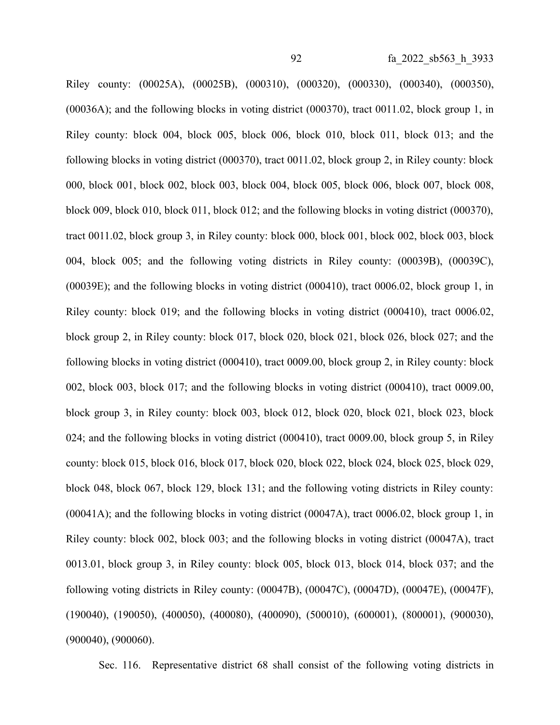Riley county: (00025A), (00025B), (000310), (000320), (000330), (000340), (000350), (00036A); and the following blocks in voting district (000370), tract 0011.02, block group 1, in Riley county: block 004, block 005, block 006, block 010, block 011, block 013; and the following blocks in voting district (000370), tract 0011.02, block group 2, in Riley county: block 000, block 001, block 002, block 003, block 004, block 005, block 006, block 007, block 008, block 009, block 010, block 011, block 012; and the following blocks in voting district (000370), tract 0011.02, block group 3, in Riley county: block 000, block 001, block 002, block 003, block 004, block 005; and the following voting districts in Riley county: (00039B), (00039C), (00039E); and the following blocks in voting district (000410), tract 0006.02, block group 1, in Riley county: block 019; and the following blocks in voting district (000410), tract 0006.02, block group 2, in Riley county: block 017, block 020, block 021, block 026, block 027; and the following blocks in voting district (000410), tract 0009.00, block group 2, in Riley county: block 002, block 003, block 017; and the following blocks in voting district (000410), tract 0009.00, block group 3, in Riley county: block 003, block 012, block 020, block 021, block 023, block 024; and the following blocks in voting district (000410), tract 0009.00, block group 5, in Riley county: block 015, block 016, block 017, block 020, block 022, block 024, block 025, block 029, block 048, block 067, block 129, block 131; and the following voting districts in Riley county: (00041A); and the following blocks in voting district (00047A), tract 0006.02, block group 1, in Riley county: block 002, block 003; and the following blocks in voting district (00047A), tract 0013.01, block group 3, in Riley county: block 005, block 013, block 014, block 037; and the following voting districts in Riley county: (00047B), (00047C), (00047D), (00047E), (00047F), (190040), (190050), (400050), (400080), (400090), (500010), (600001), (800001), (900030), (900040), (900060).

Sec. 116. Representative district 68 shall consist of the following voting districts in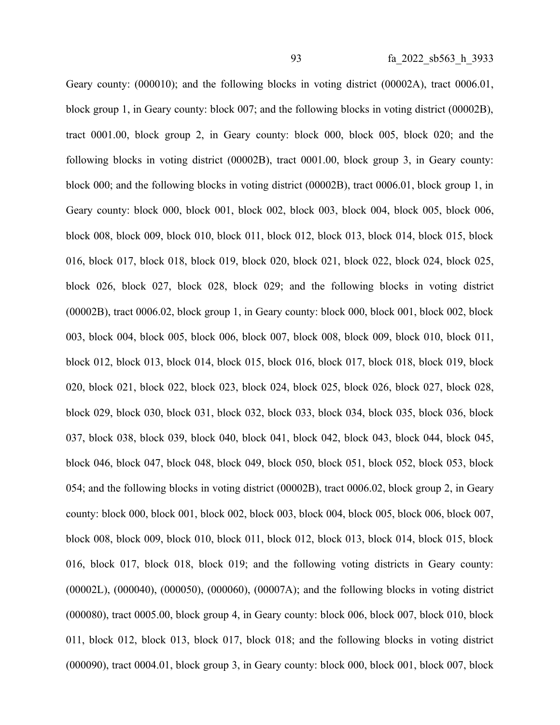Geary county: (000010); and the following blocks in voting district (00002A), tract 0006.01, block group 1, in Geary county: block 007; and the following blocks in voting district (00002B), tract 0001.00, block group 2, in Geary county: block 000, block 005, block 020; and the following blocks in voting district (00002B), tract 0001.00, block group 3, in Geary county: block 000; and the following blocks in voting district (00002B), tract 0006.01, block group 1, in Geary county: block 000, block 001, block 002, block 003, block 004, block 005, block 006, block 008, block 009, block 010, block 011, block 012, block 013, block 014, block 015, block 016, block 017, block 018, block 019, block 020, block 021, block 022, block 024, block 025, block 026, block 027, block 028, block 029; and the following blocks in voting district (00002B), tract 0006.02, block group 1, in Geary county: block 000, block 001, block 002, block 003, block 004, block 005, block 006, block 007, block 008, block 009, block 010, block 011, block 012, block 013, block 014, block 015, block 016, block 017, block 018, block 019, block 020, block 021, block 022, block 023, block 024, block 025, block 026, block 027, block 028, block 029, block 030, block 031, block 032, block 033, block 034, block 035, block 036, block 037, block 038, block 039, block 040, block 041, block 042, block 043, block 044, block 045, block 046, block 047, block 048, block 049, block 050, block 051, block 052, block 053, block 054; and the following blocks in voting district (00002B), tract 0006.02, block group 2, in Geary county: block 000, block 001, block 002, block 003, block 004, block 005, block 006, block 007, block 008, block 009, block 010, block 011, block 012, block 013, block 014, block 015, block 016, block 017, block 018, block 019; and the following voting districts in Geary county: (00002L), (000040), (000050), (000060), (00007A); and the following blocks in voting district (000080), tract 0005.00, block group 4, in Geary county: block 006, block 007, block 010, block 011, block 012, block 013, block 017, block 018; and the following blocks in voting district (000090), tract 0004.01, block group 3, in Geary county: block 000, block 001, block 007, block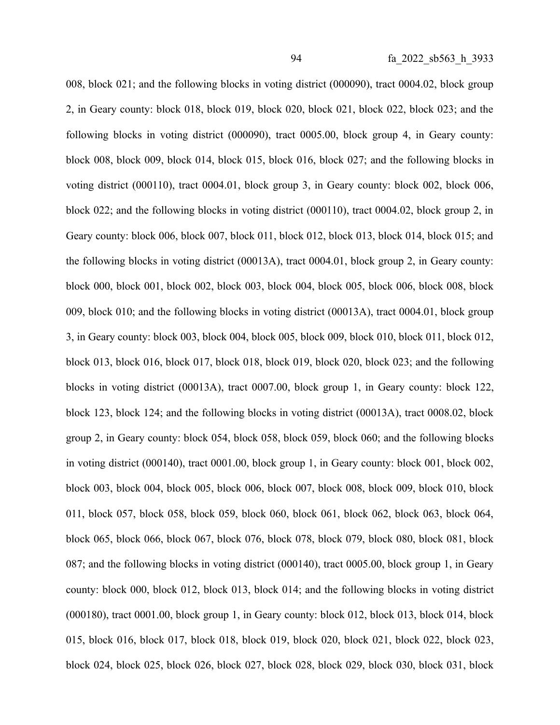008, block 021; and the following blocks in voting district (000090), tract 0004.02, block group 2, in Geary county: block 018, block 019, block 020, block 021, block 022, block 023; and the following blocks in voting district (000090), tract 0005.00, block group 4, in Geary county: block 008, block 009, block 014, block 015, block 016, block 027; and the following blocks in voting district (000110), tract 0004.01, block group 3, in Geary county: block 002, block 006, block 022; and the following blocks in voting district (000110), tract 0004.02, block group 2, in Geary county: block 006, block 007, block 011, block 012, block 013, block 014, block 015; and the following blocks in voting district (00013A), tract 0004.01, block group 2, in Geary county: block 000, block 001, block 002, block 003, block 004, block 005, block 006, block 008, block 009, block 010; and the following blocks in voting district (00013A), tract 0004.01, block group 3, in Geary county: block 003, block 004, block 005, block 009, block 010, block 011, block 012, block 013, block 016, block 017, block 018, block 019, block 020, block 023; and the following blocks in voting district (00013A), tract 0007.00, block group 1, in Geary county: block 122, block 123, block 124; and the following blocks in voting district (00013A), tract 0008.02, block group 2, in Geary county: block 054, block 058, block 059, block 060; and the following blocks in voting district (000140), tract 0001.00, block group 1, in Geary county: block 001, block 002, block 003, block 004, block 005, block 006, block 007, block 008, block 009, block 010, block 011, block 057, block 058, block 059, block 060, block 061, block 062, block 063, block 064, block 065, block 066, block 067, block 076, block 078, block 079, block 080, block 081, block 087; and the following blocks in voting district (000140), tract 0005.00, block group 1, in Geary county: block 000, block 012, block 013, block 014; and the following blocks in voting district (000180), tract 0001.00, block group 1, in Geary county: block 012, block 013, block 014, block 015, block 016, block 017, block 018, block 019, block 020, block 021, block 022, block 023, block 024, block 025, block 026, block 027, block 028, block 029, block 030, block 031, block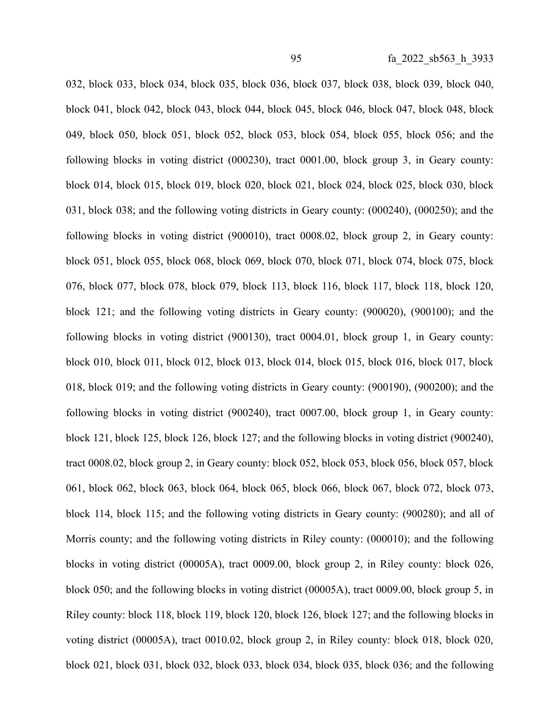032, block 033, block 034, block 035, block 036, block 037, block 038, block 039, block 040, block 041, block 042, block 043, block 044, block 045, block 046, block 047, block 048, block 049, block 050, block 051, block 052, block 053, block 054, block 055, block 056; and the following blocks in voting district (000230), tract 0001.00, block group 3, in Geary county: block 014, block 015, block 019, block 020, block 021, block 024, block 025, block 030, block 031, block 038; and the following voting districts in Geary county: (000240), (000250); and the following blocks in voting district (900010), tract 0008.02, block group 2, in Geary county: block 051, block 055, block 068, block 069, block 070, block 071, block 074, block 075, block 076, block 077, block 078, block 079, block 113, block 116, block 117, block 118, block 120, block 121; and the following voting districts in Geary county: (900020), (900100); and the following blocks in voting district (900130), tract 0004.01, block group 1, in Geary county: block 010, block 011, block 012, block 013, block 014, block 015, block 016, block 017, block 018, block 019; and the following voting districts in Geary county: (900190), (900200); and the following blocks in voting district (900240), tract 0007.00, block group 1, in Geary county: block 121, block 125, block 126, block 127; and the following blocks in voting district (900240), tract 0008.02, block group 2, in Geary county: block 052, block 053, block 056, block 057, block 061, block 062, block 063, block 064, block 065, block 066, block 067, block 072, block 073, block 114, block 115; and the following voting districts in Geary county: (900280); and all of Morris county; and the following voting districts in Riley county: (000010); and the following blocks in voting district (00005A), tract 0009.00, block group 2, in Riley county: block 026, block 050; and the following blocks in voting district (00005A), tract 0009.00, block group 5, in Riley county: block 118, block 119, block 120, block 126, block 127; and the following blocks in voting district (00005A), tract 0010.02, block group 2, in Riley county: block 018, block 020, block 021, block 031, block 032, block 033, block 034, block 035, block 036; and the following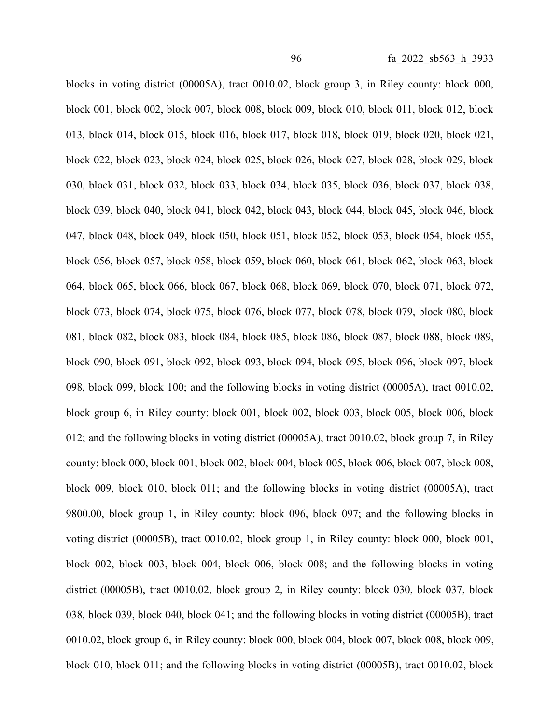blocks in voting district (00005A), tract 0010.02, block group 3, in Riley county: block 000, block 001, block 002, block 007, block 008, block 009, block 010, block 011, block 012, block 013, block 014, block 015, block 016, block 017, block 018, block 019, block 020, block 021, block 022, block 023, block 024, block 025, block 026, block 027, block 028, block 029, block 030, block 031, block 032, block 033, block 034, block 035, block 036, block 037, block 038, block 039, block 040, block 041, block 042, block 043, block 044, block 045, block 046, block 047, block 048, block 049, block 050, block 051, block 052, block 053, block 054, block 055, block 056, block 057, block 058, block 059, block 060, block 061, block 062, block 063, block 064, block 065, block 066, block 067, block 068, block 069, block 070, block 071, block 072, block 073, block 074, block 075, block 076, block 077, block 078, block 079, block 080, block 081, block 082, block 083, block 084, block 085, block 086, block 087, block 088, block 089, block 090, block 091, block 092, block 093, block 094, block 095, block 096, block 097, block 098, block 099, block 100; and the following blocks in voting district (00005A), tract 0010.02, block group 6, in Riley county: block 001, block 002, block 003, block 005, block 006, block 012; and the following blocks in voting district (00005A), tract 0010.02, block group 7, in Riley county: block 000, block 001, block 002, block 004, block 005, block 006, block 007, block 008, block 009, block 010, block 011; and the following blocks in voting district (00005A), tract 9800.00, block group 1, in Riley county: block 096, block 097; and the following blocks in voting district (00005B), tract 0010.02, block group 1, in Riley county: block 000, block 001, block 002, block 003, block 004, block 006, block 008; and the following blocks in voting district (00005B), tract 0010.02, block group 2, in Riley county: block 030, block 037, block 038, block 039, block 040, block 041; and the following blocks in voting district (00005B), tract 0010.02, block group 6, in Riley county: block 000, block 004, block 007, block 008, block 009, block 010, block 011; and the following blocks in voting district (00005B), tract 0010.02, block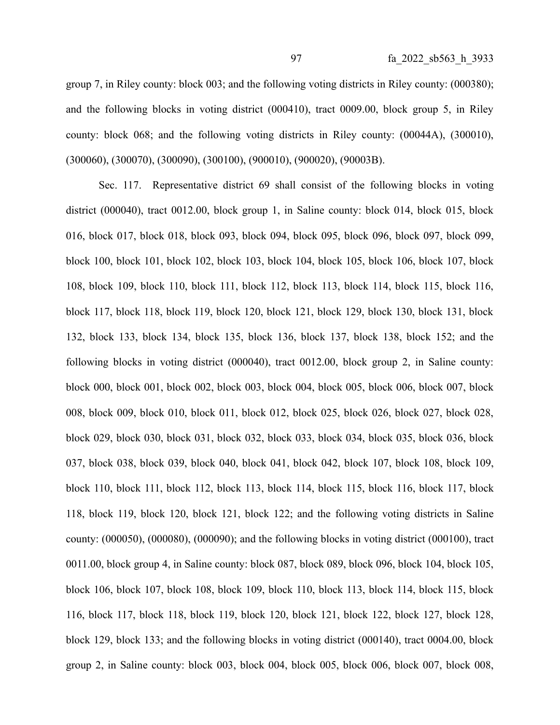group 7, in Riley county: block 003; and the following voting districts in Riley county: (000380); and the following blocks in voting district (000410), tract 0009.00, block group 5, in Riley county: block 068; and the following voting districts in Riley county: (00044A), (300010), (300060), (300070), (300090), (300100), (900010), (900020), (90003B).

Sec. 117. Representative district 69 shall consist of the following blocks in voting district (000040), tract 0012.00, block group 1, in Saline county: block 014, block 015, block 016, block 017, block 018, block 093, block 094, block 095, block 096, block 097, block 099, block 100, block 101, block 102, block 103, block 104, block 105, block 106, block 107, block 108, block 109, block 110, block 111, block 112, block 113, block 114, block 115, block 116, block 117, block 118, block 119, block 120, block 121, block 129, block 130, block 131, block 132, block 133, block 134, block 135, block 136, block 137, block 138, block 152; and the following blocks in voting district (000040), tract 0012.00, block group 2, in Saline county: block 000, block 001, block 002, block 003, block 004, block 005, block 006, block 007, block 008, block 009, block 010, block 011, block 012, block 025, block 026, block 027, block 028, block 029, block 030, block 031, block 032, block 033, block 034, block 035, block 036, block 037, block 038, block 039, block 040, block 041, block 042, block 107, block 108, block 109, block 110, block 111, block 112, block 113, block 114, block 115, block 116, block 117, block 118, block 119, block 120, block 121, block 122; and the following voting districts in Saline county: (000050), (000080), (000090); and the following blocks in voting district (000100), tract 0011.00, block group 4, in Saline county: block 087, block 089, block 096, block 104, block 105, block 106, block 107, block 108, block 109, block 110, block 113, block 114, block 115, block 116, block 117, block 118, block 119, block 120, block 121, block 122, block 127, block 128, block 129, block 133; and the following blocks in voting district (000140), tract 0004.00, block group 2, in Saline county: block 003, block 004, block 005, block 006, block 007, block 008,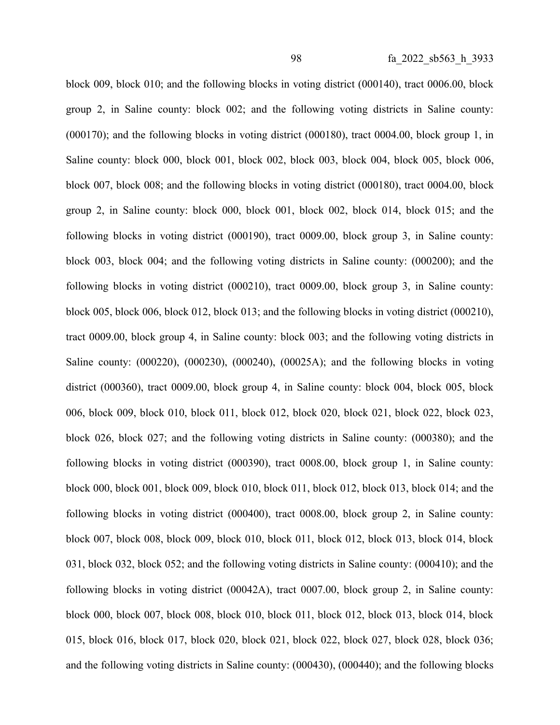block 009, block 010; and the following blocks in voting district (000140), tract 0006.00, block group 2, in Saline county: block 002; and the following voting districts in Saline county: (000170); and the following blocks in voting district (000180), tract 0004.00, block group 1, in Saline county: block 000, block 001, block 002, block 003, block 004, block 005, block 006, block 007, block 008; and the following blocks in voting district (000180), tract 0004.00, block group 2, in Saline county: block 000, block 001, block 002, block 014, block 015; and the following blocks in voting district (000190), tract 0009.00, block group 3, in Saline county: block 003, block 004; and the following voting districts in Saline county: (000200); and the following blocks in voting district (000210), tract 0009.00, block group 3, in Saline county: block 005, block 006, block 012, block 013; and the following blocks in voting district (000210), tract 0009.00, block group 4, in Saline county: block 003; and the following voting districts in Saline county: (000220), (000230), (000240), (00025A); and the following blocks in voting district (000360), tract 0009.00, block group 4, in Saline county: block 004, block 005, block 006, block 009, block 010, block 011, block 012, block 020, block 021, block 022, block 023, block 026, block 027; and the following voting districts in Saline county: (000380); and the following blocks in voting district (000390), tract 0008.00, block group 1, in Saline county: block 000, block 001, block 009, block 010, block 011, block 012, block 013, block 014; and the following blocks in voting district (000400), tract 0008.00, block group 2, in Saline county: block 007, block 008, block 009, block 010, block 011, block 012, block 013, block 014, block 031, block 032, block 052; and the following voting districts in Saline county: (000410); and the following blocks in voting district (00042A), tract 0007.00, block group 2, in Saline county: block 000, block 007, block 008, block 010, block 011, block 012, block 013, block 014, block 015, block 016, block 017, block 020, block 021, block 022, block 027, block 028, block 036; and the following voting districts in Saline county: (000430), (000440); and the following blocks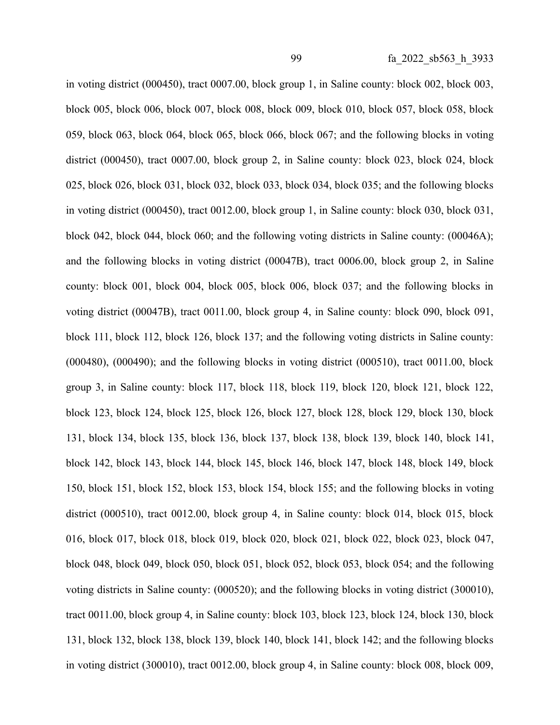in voting district (000450), tract 0007.00, block group 1, in Saline county: block 002, block 003, block 005, block 006, block 007, block 008, block 009, block 010, block 057, block 058, block 059, block 063, block 064, block 065, block 066, block 067; and the following blocks in voting district (000450), tract 0007.00, block group 2, in Saline county: block 023, block 024, block 025, block 026, block 031, block 032, block 033, block 034, block 035; and the following blocks in voting district (000450), tract 0012.00, block group 1, in Saline county: block 030, block 031, block 042, block 044, block 060; and the following voting districts in Saline county: (00046A); and the following blocks in voting district (00047B), tract 0006.00, block group 2, in Saline county: block 001, block 004, block 005, block 006, block 037; and the following blocks in voting district (00047B), tract 0011.00, block group 4, in Saline county: block 090, block 091, block 111, block 112, block 126, block 137; and the following voting districts in Saline county: (000480), (000490); and the following blocks in voting district (000510), tract 0011.00, block group 3, in Saline county: block 117, block 118, block 119, block 120, block 121, block 122, block 123, block 124, block 125, block 126, block 127, block 128, block 129, block 130, block 131, block 134, block 135, block 136, block 137, block 138, block 139, block 140, block 141, block 142, block 143, block 144, block 145, block 146, block 147, block 148, block 149, block 150, block 151, block 152, block 153, block 154, block 155; and the following blocks in voting district (000510), tract 0012.00, block group 4, in Saline county: block 014, block 015, block 016, block 017, block 018, block 019, block 020, block 021, block 022, block 023, block 047, block 048, block 049, block 050, block 051, block 052, block 053, block 054; and the following voting districts in Saline county: (000520); and the following blocks in voting district (300010), tract 0011.00, block group 4, in Saline county: block 103, block 123, block 124, block 130, block 131, block 132, block 138, block 139, block 140, block 141, block 142; and the following blocks in voting district (300010), tract 0012.00, block group 4, in Saline county: block 008, block 009,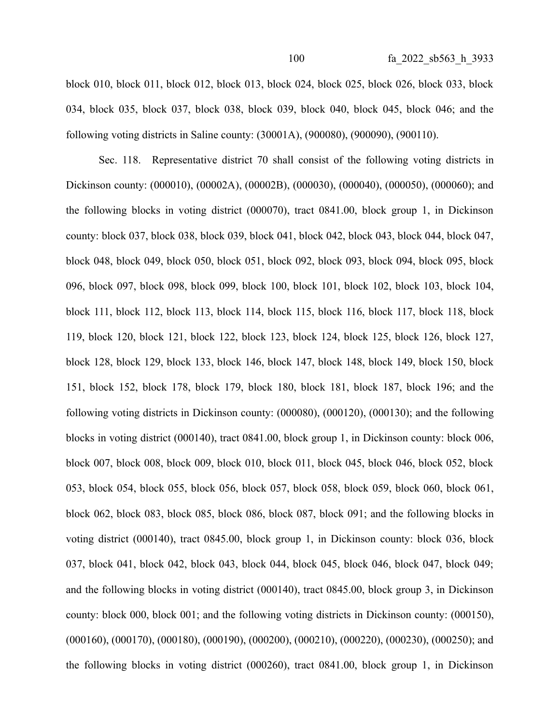block 010, block 011, block 012, block 013, block 024, block 025, block 026, block 033, block 034, block 035, block 037, block 038, block 039, block 040, block 045, block 046; and the following voting districts in Saline county: (30001A), (900080), (900090), (900110).

Sec. 118. Representative district 70 shall consist of the following voting districts in Dickinson county: (000010), (00002A), (00002B), (000030), (000040), (000050), (000060); and the following blocks in voting district (000070), tract 0841.00, block group 1, in Dickinson county: block 037, block 038, block 039, block 041, block 042, block 043, block 044, block 047, block 048, block 049, block 050, block 051, block 092, block 093, block 094, block 095, block 096, block 097, block 098, block 099, block 100, block 101, block 102, block 103, block 104, block 111, block 112, block 113, block 114, block 115, block 116, block 117, block 118, block 119, block 120, block 121, block 122, block 123, block 124, block 125, block 126, block 127, block 128, block 129, block 133, block 146, block 147, block 148, block 149, block 150, block 151, block 152, block 178, block 179, block 180, block 181, block 187, block 196; and the following voting districts in Dickinson county: (000080), (000120), (000130); and the following blocks in voting district (000140), tract 0841.00, block group 1, in Dickinson county: block 006, block 007, block 008, block 009, block 010, block 011, block 045, block 046, block 052, block 053, block 054, block 055, block 056, block 057, block 058, block 059, block 060, block 061, block 062, block 083, block 085, block 086, block 087, block 091; and the following blocks in voting district (000140), tract 0845.00, block group 1, in Dickinson county: block 036, block 037, block 041, block 042, block 043, block 044, block 045, block 046, block 047, block 049; and the following blocks in voting district (000140), tract 0845.00, block group 3, in Dickinson county: block 000, block 001; and the following voting districts in Dickinson county: (000150), (000160), (000170), (000180), (000190), (000200), (000210), (000220), (000230), (000250); and the following blocks in voting district (000260), tract 0841.00, block group 1, in Dickinson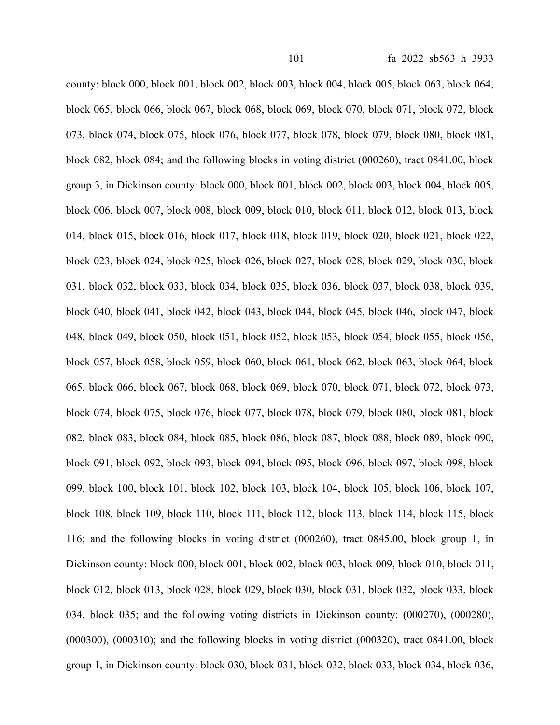county: block 000, block 001, block 002, block 003, block 004, block 005, block 063, block 064, block 065, block 066, block 067, block 068, block 069, block 070, block 071, block 072, block 073, block 074, block 075, block 076, block 077, block 078, block 079, block 080, block 081, block 082, block 084; and the following blocks in voting district (000260), tract 0841.00, block group 3, in Dickinson county: block 000, block 001, block 002, block 003, block 004, block 005, block 006, block 007, block 008, block 009, block 010, block 011, block 012, block 013, block 014, block 015, block 016, block 017, block 018, block 019, block 020, block 021, block 022, block 023, block 024, block 025, block 026, block 027, block 028, block 029, block 030, block 031, block 032, block 033, block 034, block 035, block 036, block 037, block 038, block 039, block 040, block 041, block 042, block 043, block 044, block 045, block 046, block 047, block 048, block 049, block 050, block 051, block 052, block 053, block 054, block 055, block 056, block 057, block 058, block 059, block 060, block 061, block 062, block 063, block 064, block 065, block 066, block 067, block 068, block 069, block 070, block 071, block 072, block 073, block 074, block 075, block 076, block 077, block 078, block 079, block 080, block 081, block 082, block 083, block 084, block 085, block 086, block 087, block 088, block 089, block 090, block 091, block 092, block 093, block 094, block 095, block 096, block 097, block 098, block 099, block 100, block 101, block 102, block 103, block 104, block 105, block 106, block 107, block 108, block 109, block 110, block 111, block 112, block 113, block 114, block 115, block 116; and the following blocks in voting district (000260), tract 0845.00, block group 1, in Dickinson county: block 000, block 001, block 002, block 003, block 009, block 010, block 011, block 012, block 013, block 028, block 029, block 030, block 031, block 032, block 033, block 034, block 035; and the following voting districts in Dickinson county: (000270), (000280),  $(0.00300)$ ,  $(0.00310)$ ; and the following blocks in voting district  $(0.00320)$ , tract  $0.0841.00$ , block group 1, in Dickinson county: block 030, block 031, block 032, block 033, block 034, block 036,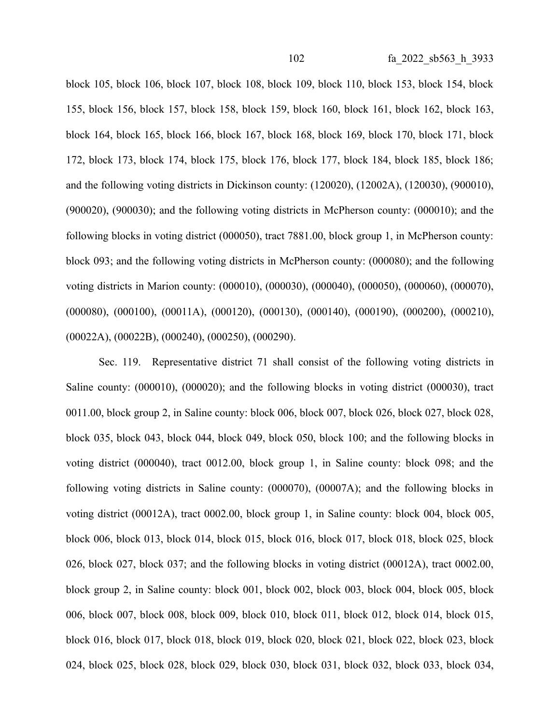block 105, block 106, block 107, block 108, block 109, block 110, block 153, block 154, block 155, block 156, block 157, block 158, block 159, block 160, block 161, block 162, block 163, block 164, block 165, block 166, block 167, block 168, block 169, block 170, block 171, block 172, block 173, block 174, block 175, block 176, block 177, block 184, block 185, block 186; and the following voting districts in Dickinson county: (120020), (12002A), (120030), (900010), (900020), (900030); and the following voting districts in McPherson county: (000010); and the following blocks in voting district (000050), tract 7881.00, block group 1, in McPherson county: block 093; and the following voting districts in McPherson county: (000080); and the following voting districts in Marion county: (000010), (000030), (000040), (000050), (000060), (000070), (000080), (000100), (00011A), (000120), (000130), (000140), (000190), (000200), (000210), (00022A), (00022B), (000240), (000250), (000290).

Sec. 119. Representative district 71 shall consist of the following voting districts in Saline county: (000010), (000020); and the following blocks in voting district (000030), tract 0011.00, block group 2, in Saline county: block 006, block 007, block 026, block 027, block 028, block 035, block 043, block 044, block 049, block 050, block 100; and the following blocks in voting district (000040), tract 0012.00, block group 1, in Saline county: block 098; and the following voting districts in Saline county: (000070), (00007A); and the following blocks in voting district (00012A), tract 0002.00, block group 1, in Saline county: block 004, block 005, block 006, block 013, block 014, block 015, block 016, block 017, block 018, block 025, block 026, block 027, block 037; and the following blocks in voting district (00012A), tract 0002.00, block group 2, in Saline county: block 001, block 002, block 003, block 004, block 005, block 006, block 007, block 008, block 009, block 010, block 011, block 012, block 014, block 015, block 016, block 017, block 018, block 019, block 020, block 021, block 022, block 023, block 024, block 025, block 028, block 029, block 030, block 031, block 032, block 033, block 034,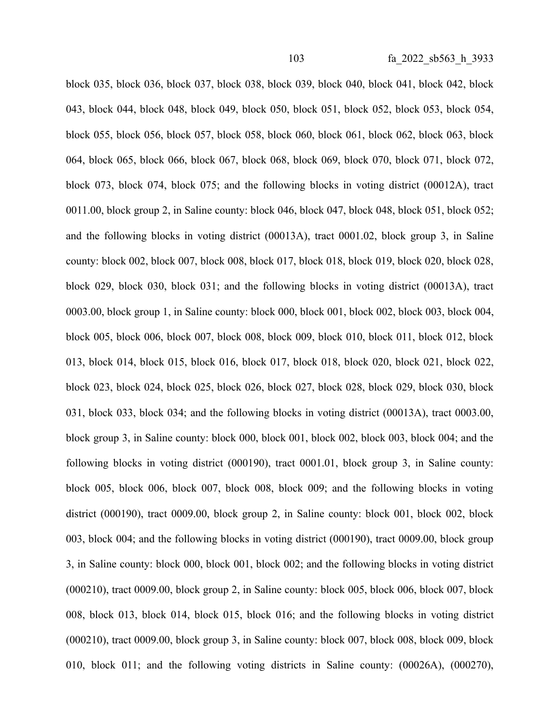block 035, block 036, block 037, block 038, block 039, block 040, block 041, block 042, block 043, block 044, block 048, block 049, block 050, block 051, block 052, block 053, block 054, block 055, block 056, block 057, block 058, block 060, block 061, block 062, block 063, block 064, block 065, block 066, block 067, block 068, block 069, block 070, block 071, block 072, block 073, block 074, block 075; and the following blocks in voting district (00012A), tract 0011.00, block group 2, in Saline county: block 046, block 047, block 048, block 051, block 052; and the following blocks in voting district (00013A), tract 0001.02, block group 3, in Saline county: block 002, block 007, block 008, block 017, block 018, block 019, block 020, block 028, block 029, block 030, block 031; and the following blocks in voting district (00013A), tract 0003.00, block group 1, in Saline county: block 000, block 001, block 002, block 003, block 004, block 005, block 006, block 007, block 008, block 009, block 010, block 011, block 012, block 013, block 014, block 015, block 016, block 017, block 018, block 020, block 021, block 022, block 023, block 024, block 025, block 026, block 027, block 028, block 029, block 030, block 031, block 033, block 034; and the following blocks in voting district (00013A), tract 0003.00, block group 3, in Saline county: block 000, block 001, block 002, block 003, block 004; and the following blocks in voting district (000190), tract 0001.01, block group 3, in Saline county: block 005, block 006, block 007, block 008, block 009; and the following blocks in voting district (000190), tract 0009.00, block group 2, in Saline county: block 001, block 002, block 003, block 004; and the following blocks in voting district (000190), tract 0009.00, block group 3, in Saline county: block 000, block 001, block 002; and the following blocks in voting district (000210), tract 0009.00, block group 2, in Saline county: block 005, block 006, block 007, block 008, block 013, block 014, block 015, block 016; and the following blocks in voting district (000210), tract 0009.00, block group 3, in Saline county: block 007, block 008, block 009, block 010, block 011; and the following voting districts in Saline county: (00026A), (000270),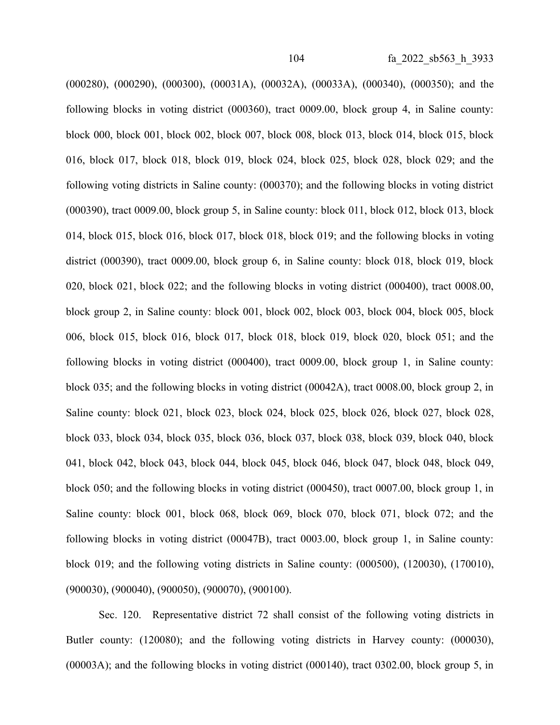(000280), (000290), (000300), (00031A), (00032A), (00033A), (000340), (000350); and the following blocks in voting district (000360), tract 0009.00, block group 4, in Saline county: block 000, block 001, block 002, block 007, block 008, block 013, block 014, block 015, block 016, block 017, block 018, block 019, block 024, block 025, block 028, block 029; and the following voting districts in Saline county: (000370); and the following blocks in voting district (000390), tract 0009.00, block group 5, in Saline county: block 011, block 012, block 013, block 014, block 015, block 016, block 017, block 018, block 019; and the following blocks in voting district (000390), tract 0009.00, block group 6, in Saline county: block 018, block 019, block 020, block 021, block 022; and the following blocks in voting district (000400), tract 0008.00, block group 2, in Saline county: block 001, block 002, block 003, block 004, block 005, block 006, block 015, block 016, block 017, block 018, block 019, block 020, block 051; and the following blocks in voting district (000400), tract 0009.00, block group 1, in Saline county: block 035; and the following blocks in voting district (00042A), tract 0008.00, block group 2, in Saline county: block 021, block 023, block 024, block 025, block 026, block 027, block 028, block 033, block 034, block 035, block 036, block 037, block 038, block 039, block 040, block 041, block 042, block 043, block 044, block 045, block 046, block 047, block 048, block 049, block 050; and the following blocks in voting district (000450), tract 0007.00, block group 1, in Saline county: block 001, block 068, block 069, block 070, block 071, block 072; and the following blocks in voting district (00047B), tract 0003.00, block group 1, in Saline county: block 019; and the following voting districts in Saline county: (000500), (120030), (170010), (900030), (900040), (900050), (900070), (900100).

Sec. 120. Representative district 72 shall consist of the following voting districts in Butler county: (120080); and the following voting districts in Harvey county: (000030), (00003A); and the following blocks in voting district (000140), tract 0302.00, block group 5, in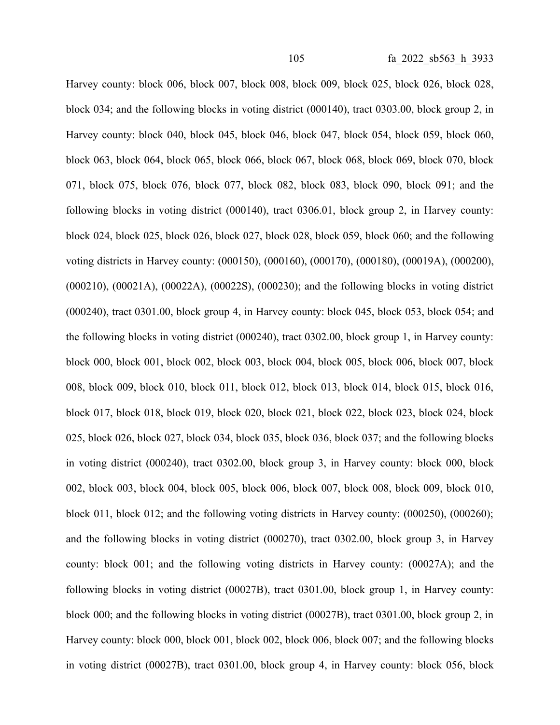Harvey county: block 006, block 007, block 008, block 009, block 025, block 026, block 028, block 034; and the following blocks in voting district (000140), tract 0303.00, block group 2, in Harvey county: block 040, block 045, block 046, block 047, block 054, block 059, block 060, block 063, block 064, block 065, block 066, block 067, block 068, block 069, block 070, block 071, block 075, block 076, block 077, block 082, block 083, block 090, block 091; and the following blocks in voting district (000140), tract 0306.01, block group 2, in Harvey county: block 024, block 025, block 026, block 027, block 028, block 059, block 060; and the following voting districts in Harvey county: (000150), (000160), (000170), (000180), (00019A), (000200), (000210), (00021A), (00022A), (00022S), (000230); and the following blocks in voting district (000240), tract 0301.00, block group 4, in Harvey county: block 045, block 053, block 054; and the following blocks in voting district (000240), tract 0302.00, block group 1, in Harvey county: block 000, block 001, block 002, block 003, block 004, block 005, block 006, block 007, block 008, block 009, block 010, block 011, block 012, block 013, block 014, block 015, block 016, block 017, block 018, block 019, block 020, block 021, block 022, block 023, block 024, block 025, block 026, block 027, block 034, block 035, block 036, block 037; and the following blocks in voting district (000240), tract 0302.00, block group 3, in Harvey county: block 000, block 002, block 003, block 004, block 005, block 006, block 007, block 008, block 009, block 010, block 011, block 012; and the following voting districts in Harvey county: (000250), (000260); and the following blocks in voting district (000270), tract 0302.00, block group 3, in Harvey county: block 001; and the following voting districts in Harvey county: (00027A); and the following blocks in voting district (00027B), tract 0301.00, block group 1, in Harvey county: block 000; and the following blocks in voting district (00027B), tract 0301.00, block group 2, in Harvey county: block 000, block 001, block 002, block 006, block 007; and the following blocks in voting district (00027B), tract 0301.00, block group 4, in Harvey county: block 056, block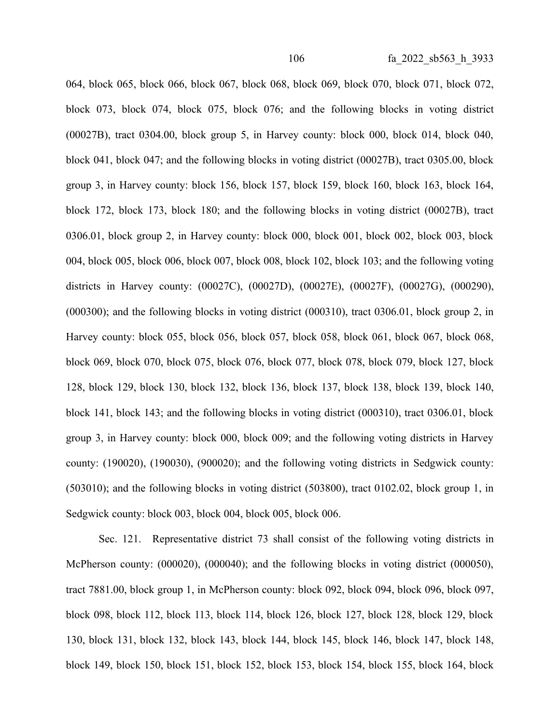064, block 065, block 066, block 067, block 068, block 069, block 070, block 071, block 072, block 073, block 074, block 075, block 076; and the following blocks in voting district (00027B), tract 0304.00, block group 5, in Harvey county: block 000, block 014, block 040, block 041, block 047; and the following blocks in voting district (00027B), tract 0305.00, block group 3, in Harvey county: block 156, block 157, block 159, block 160, block 163, block 164, block 172, block 173, block 180; and the following blocks in voting district (00027B), tract 0306.01, block group 2, in Harvey county: block 000, block 001, block 002, block 003, block 004, block 005, block 006, block 007, block 008, block 102, block 103; and the following voting districts in Harvey county: (00027C), (00027D), (00027E), (00027F), (00027G), (000290), (000300); and the following blocks in voting district (000310), tract 0306.01, block group 2, in Harvey county: block 055, block 056, block 057, block 058, block 061, block 067, block 068, block 069, block 070, block 075, block 076, block 077, block 078, block 079, block 127, block 128, block 129, block 130, block 132, block 136, block 137, block 138, block 139, block 140, block 141, block 143; and the following blocks in voting district (000310), tract 0306.01, block group 3, in Harvey county: block 000, block 009; and the following voting districts in Harvey county: (190020), (190030), (900020); and the following voting districts in Sedgwick county: (503010); and the following blocks in voting district (503800), tract 0102.02, block group 1, in Sedgwick county: block 003, block 004, block 005, block 006.

Sec. 121. Representative district 73 shall consist of the following voting districts in McPherson county: (000020), (000040); and the following blocks in voting district (000050), tract 7881.00, block group 1, in McPherson county: block 092, block 094, block 096, block 097, block 098, block 112, block 113, block 114, block 126, block 127, block 128, block 129, block 130, block 131, block 132, block 143, block 144, block 145, block 146, block 147, block 148, block 149, block 150, block 151, block 152, block 153, block 154, block 155, block 164, block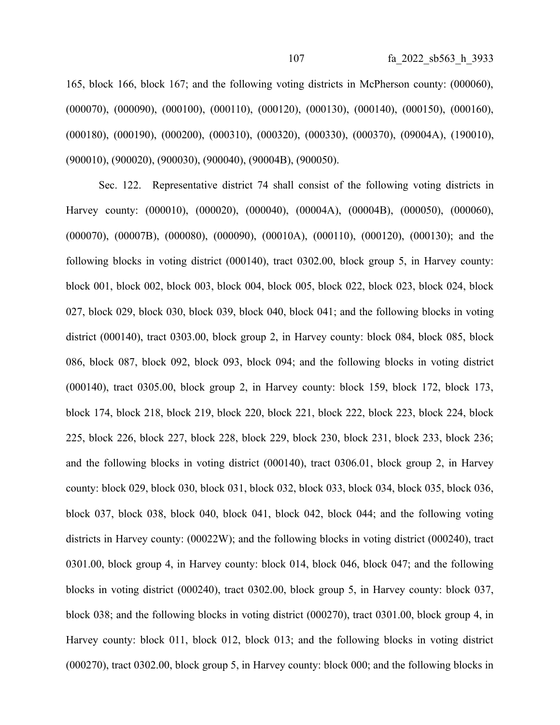165, block 166, block 167; and the following voting districts in McPherson county: (000060), (000070), (000090), (000100), (000110), (000120), (000130), (000140), (000150), (000160), (000180), (000190), (000200), (000310), (000320), (000330), (000370), (09004A), (190010), (900010), (900020), (900030), (900040), (90004B), (900050).

Sec. 122. Representative district 74 shall consist of the following voting districts in Harvey county: (000010), (000020), (000040), (00004A), (00004B), (000050), (000060), (000070), (00007B), (000080), (000090), (00010A), (000110), (000120), (000130); and the following blocks in voting district (000140), tract 0302.00, block group 5, in Harvey county: block 001, block 002, block 003, block 004, block 005, block 022, block 023, block 024, block 027, block 029, block 030, block 039, block 040, block 041; and the following blocks in voting district (000140), tract 0303.00, block group 2, in Harvey county: block 084, block 085, block 086, block 087, block 092, block 093, block 094; and the following blocks in voting district (000140), tract 0305.00, block group 2, in Harvey county: block 159, block 172, block 173, block 174, block 218, block 219, block 220, block 221, block 222, block 223, block 224, block 225, block 226, block 227, block 228, block 229, block 230, block 231, block 233, block 236; and the following blocks in voting district (000140), tract 0306.01, block group 2, in Harvey county: block 029, block 030, block 031, block 032, block 033, block 034, block 035, block 036, block 037, block 038, block 040, block 041, block 042, block 044; and the following voting districts in Harvey county: (00022W); and the following blocks in voting district (000240), tract 0301.00, block group 4, in Harvey county: block 014, block 046, block 047; and the following blocks in voting district (000240), tract 0302.00, block group 5, in Harvey county: block 037, block 038; and the following blocks in voting district (000270), tract 0301.00, block group 4, in Harvey county: block 011, block 012, block 013; and the following blocks in voting district (000270), tract 0302.00, block group 5, in Harvey county: block 000; and the following blocks in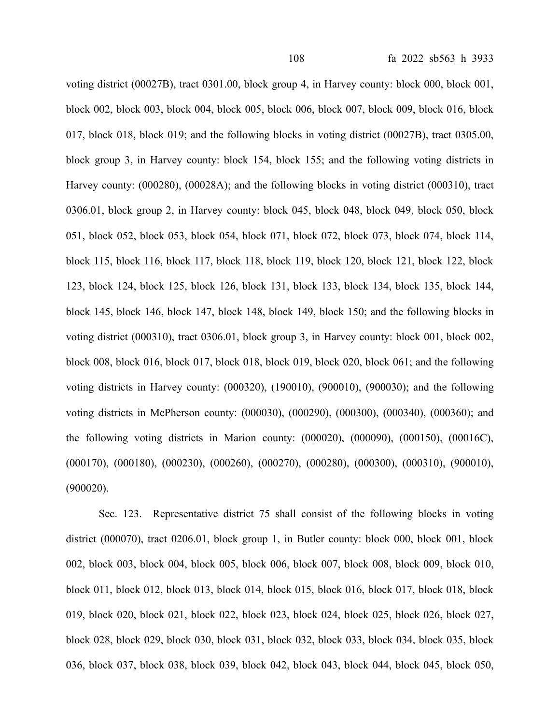voting district (00027B), tract 0301.00, block group 4, in Harvey county: block 000, block 001, block 002, block 003, block 004, block 005, block 006, block 007, block 009, block 016, block 017, block 018, block 019; and the following blocks in voting district (00027B), tract 0305.00, block group 3, in Harvey county: block 154, block 155; and the following voting districts in Harvey county: (000280), (00028A); and the following blocks in voting district (000310), tract 0306.01, block group 2, in Harvey county: block 045, block 048, block 049, block 050, block 051, block 052, block 053, block 054, block 071, block 072, block 073, block 074, block 114, block 115, block 116, block 117, block 118, block 119, block 120, block 121, block 122, block 123, block 124, block 125, block 126, block 131, block 133, block 134, block 135, block 144, block 145, block 146, block 147, block 148, block 149, block 150; and the following blocks in voting district (000310), tract 0306.01, block group 3, in Harvey county: block 001, block 002, block 008, block 016, block 017, block 018, block 019, block 020, block 061; and the following voting districts in Harvey county: (000320), (190010), (900010), (900030); and the following voting districts in McPherson county: (000030), (000290), (000300), (000340), (000360); and the following voting districts in Marion county: (000020), (000090), (000150), (00016C), (000170), (000180), (000230), (000260), (000270), (000280), (000300), (000310), (900010), (900020).

Sec. 123. Representative district 75 shall consist of the following blocks in voting district (000070), tract 0206.01, block group 1, in Butler county: block 000, block 001, block 002, block 003, block 004, block 005, block 006, block 007, block 008, block 009, block 010, block 011, block 012, block 013, block 014, block 015, block 016, block 017, block 018, block 019, block 020, block 021, block 022, block 023, block 024, block 025, block 026, block 027, block 028, block 029, block 030, block 031, block 032, block 033, block 034, block 035, block 036, block 037, block 038, block 039, block 042, block 043, block 044, block 045, block 050,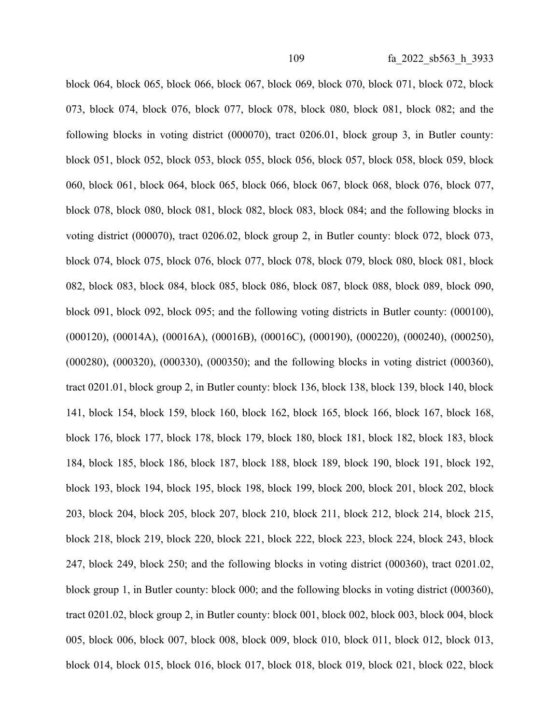block 064, block 065, block 066, block 067, block 069, block 070, block 071, block 072, block 073, block 074, block 076, block 077, block 078, block 080, block 081, block 082; and the following blocks in voting district (000070), tract 0206.01, block group 3, in Butler county: block 051, block 052, block 053, block 055, block 056, block 057, block 058, block 059, block 060, block 061, block 064, block 065, block 066, block 067, block 068, block 076, block 077, block 078, block 080, block 081, block 082, block 083, block 084; and the following blocks in voting district (000070), tract 0206.02, block group 2, in Butler county: block 072, block 073, block 074, block 075, block 076, block 077, block 078, block 079, block 080, block 081, block 082, block 083, block 084, block 085, block 086, block 087, block 088, block 089, block 090, block 091, block 092, block 095; and the following voting districts in Butler county: (000100), (000120), (00014A), (00016A), (00016B), (00016C), (000190), (000220), (000240), (000250), (000280), (000320), (000330), (000350); and the following blocks in voting district (000360), tract 0201.01, block group 2, in Butler county: block 136, block 138, block 139, block 140, block 141, block 154, block 159, block 160, block 162, block 165, block 166, block 167, block 168, block 176, block 177, block 178, block 179, block 180, block 181, block 182, block 183, block 184, block 185, block 186, block 187, block 188, block 189, block 190, block 191, block 192, block 193, block 194, block 195, block 198, block 199, block 200, block 201, block 202, block 203, block 204, block 205, block 207, block 210, block 211, block 212, block 214, block 215, block 218, block 219, block 220, block 221, block 222, block 223, block 224, block 243, block 247, block 249, block 250; and the following blocks in voting district (000360), tract 0201.02, block group 1, in Butler county: block 000; and the following blocks in voting district (000360), tract 0201.02, block group 2, in Butler county: block 001, block 002, block 003, block 004, block 005, block 006, block 007, block 008, block 009, block 010, block 011, block 012, block 013, block 014, block 015, block 016, block 017, block 018, block 019, block 021, block 022, block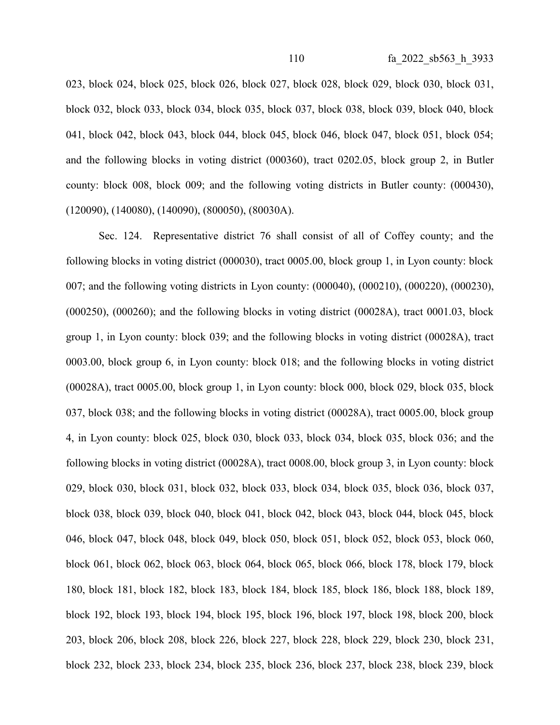023, block 024, block 025, block 026, block 027, block 028, block 029, block 030, block 031, block 032, block 033, block 034, block 035, block 037, block 038, block 039, block 040, block 041, block 042, block 043, block 044, block 045, block 046, block 047, block 051, block 054; and the following blocks in voting district (000360), tract 0202.05, block group 2, in Butler county: block 008, block 009; and the following voting districts in Butler county: (000430), (120090), (140080), (140090), (800050), (80030A).

Sec. 124. Representative district 76 shall consist of all of Coffey county; and the following blocks in voting district (000030), tract 0005.00, block group 1, in Lyon county: block 007; and the following voting districts in Lyon county: (000040), (000210), (000220), (000230), (000250), (000260); and the following blocks in voting district (00028A), tract 0001.03, block group 1, in Lyon county: block 039; and the following blocks in voting district (00028A), tract 0003.00, block group 6, in Lyon county: block 018; and the following blocks in voting district (00028A), tract 0005.00, block group 1, in Lyon county: block 000, block 029, block 035, block 037, block 038; and the following blocks in voting district (00028A), tract 0005.00, block group 4, in Lyon county: block 025, block 030, block 033, block 034, block 035, block 036; and the following blocks in voting district (00028A), tract 0008.00, block group 3, in Lyon county: block 029, block 030, block 031, block 032, block 033, block 034, block 035, block 036, block 037, block 038, block 039, block 040, block 041, block 042, block 043, block 044, block 045, block 046, block 047, block 048, block 049, block 050, block 051, block 052, block 053, block 060, block 061, block 062, block 063, block 064, block 065, block 066, block 178, block 179, block 180, block 181, block 182, block 183, block 184, block 185, block 186, block 188, block 189, block 192, block 193, block 194, block 195, block 196, block 197, block 198, block 200, block 203, block 206, block 208, block 226, block 227, block 228, block 229, block 230, block 231, block 232, block 233, block 234, block 235, block 236, block 237, block 238, block 239, block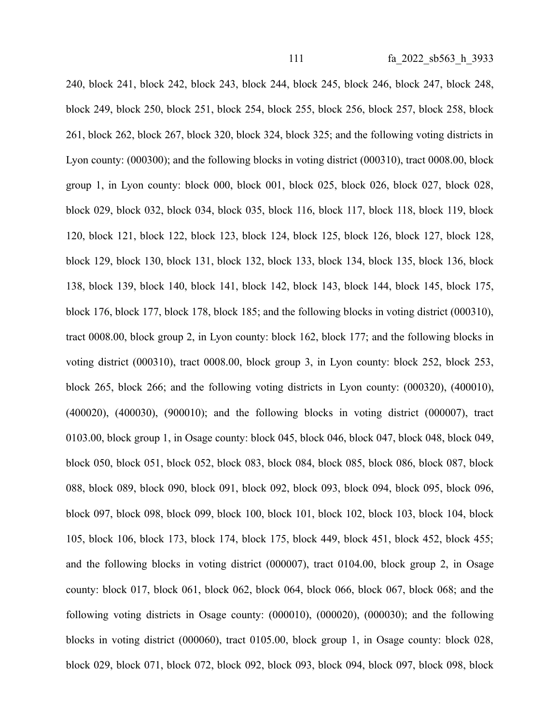240, block 241, block 242, block 243, block 244, block 245, block 246, block 247, block 248, block 249, block 250, block 251, block 254, block 255, block 256, block 257, block 258, block 261, block 262, block 267, block 320, block 324, block 325; and the following voting districts in Lyon county: (000300); and the following blocks in voting district (000310), tract 0008.00, block group 1, in Lyon county: block 000, block 001, block 025, block 026, block 027, block 028, block 029, block 032, block 034, block 035, block 116, block 117, block 118, block 119, block 120, block 121, block 122, block 123, block 124, block 125, block 126, block 127, block 128, block 129, block 130, block 131, block 132, block 133, block 134, block 135, block 136, block 138, block 139, block 140, block 141, block 142, block 143, block 144, block 145, block 175, block 176, block 177, block 178, block 185; and the following blocks in voting district (000310), tract 0008.00, block group 2, in Lyon county: block 162, block 177; and the following blocks in voting district (000310), tract 0008.00, block group 3, in Lyon county: block 252, block 253, block 265, block 266; and the following voting districts in Lyon county: (000320), (400010), (400020), (400030), (900010); and the following blocks in voting district (000007), tract 0103.00, block group 1, in Osage county: block 045, block 046, block 047, block 048, block 049, block 050, block 051, block 052, block 083, block 084, block 085, block 086, block 087, block 088, block 089, block 090, block 091, block 092, block 093, block 094, block 095, block 096, block 097, block 098, block 099, block 100, block 101, block 102, block 103, block 104, block 105, block 106, block 173, block 174, block 175, block 449, block 451, block 452, block 455; and the following blocks in voting district (000007), tract 0104.00, block group 2, in Osage county: block 017, block 061, block 062, block 064, block 066, block 067, block 068; and the following voting districts in Osage county: (000010), (000020), (000030); and the following blocks in voting district (000060), tract 0105.00, block group 1, in Osage county: block 028, block 029, block 071, block 072, block 092, block 093, block 094, block 097, block 098, block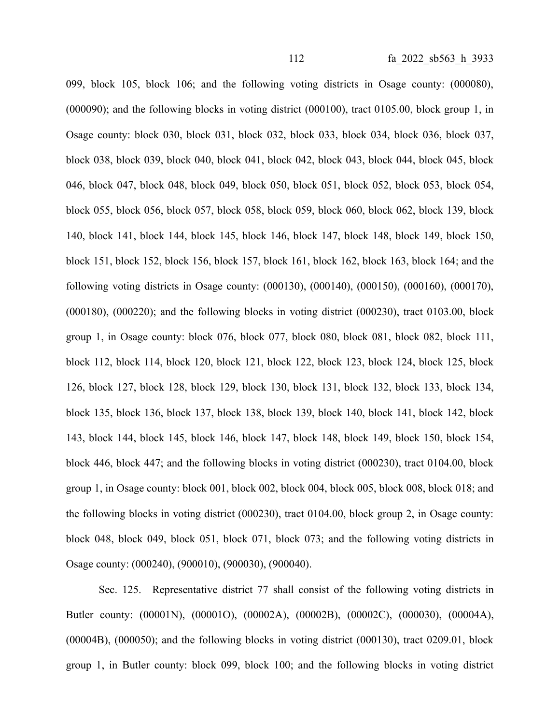099, block 105, block 106; and the following voting districts in Osage county: (000080), (000090); and the following blocks in voting district (000100), tract 0105.00, block group 1, in Osage county: block 030, block 031, block 032, block 033, block 034, block 036, block 037, block 038, block 039, block 040, block 041, block 042, block 043, block 044, block 045, block 046, block 047, block 048, block 049, block 050, block 051, block 052, block 053, block 054, block 055, block 056, block 057, block 058, block 059, block 060, block 062, block 139, block 140, block 141, block 144, block 145, block 146, block 147, block 148, block 149, block 150, block 151, block 152, block 156, block 157, block 161, block 162, block 163, block 164; and the following voting districts in Osage county: (000130), (000140), (000150), (000160), (000170),  $(000180)$ ,  $(000220)$ ; and the following blocks in voting district  $(000230)$ , tract 0103.00, block group 1, in Osage county: block 076, block 077, block 080, block 081, block 082, block 111, block 112, block 114, block 120, block 121, block 122, block 123, block 124, block 125, block 126, block 127, block 128, block 129, block 130, block 131, block 132, block 133, block 134, block 135, block 136, block 137, block 138, block 139, block 140, block 141, block 142, block 143, block 144, block 145, block 146, block 147, block 148, block 149, block 150, block 154, block 446, block 447; and the following blocks in voting district (000230), tract 0104.00, block group 1, in Osage county: block 001, block 002, block 004, block 005, block 008, block 018; and the following blocks in voting district (000230), tract 0104.00, block group 2, in Osage county: block 048, block 049, block 051, block 071, block 073; and the following voting districts in Osage county: (000240), (900010), (900030), (900040).

Sec. 125. Representative district 77 shall consist of the following voting districts in Butler county: (00001N), (00001O), (00002A), (00002B), (00002C), (000030), (00004A), (00004B), (000050); and the following blocks in voting district (000130), tract 0209.01, block group 1, in Butler county: block 099, block 100; and the following blocks in voting district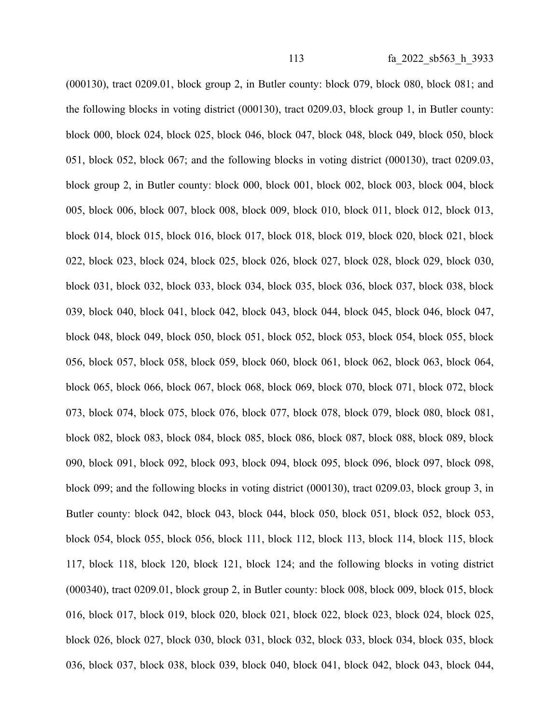(000130), tract 0209.01, block group 2, in Butler county: block 079, block 080, block 081; and the following blocks in voting district (000130), tract 0209.03, block group 1, in Butler county: block 000, block 024, block 025, block 046, block 047, block 048, block 049, block 050, block 051, block 052, block 067; and the following blocks in voting district (000130), tract 0209.03, block group 2, in Butler county: block 000, block 001, block 002, block 003, block 004, block 005, block 006, block 007, block 008, block 009, block 010, block 011, block 012, block 013, block 014, block 015, block 016, block 017, block 018, block 019, block 020, block 021, block 022, block 023, block 024, block 025, block 026, block 027, block 028, block 029, block 030, block 031, block 032, block 033, block 034, block 035, block 036, block 037, block 038, block 039, block 040, block 041, block 042, block 043, block 044, block 045, block 046, block 047, block 048, block 049, block 050, block 051, block 052, block 053, block 054, block 055, block 056, block 057, block 058, block 059, block 060, block 061, block 062, block 063, block 064, block 065, block 066, block 067, block 068, block 069, block 070, block 071, block 072, block 073, block 074, block 075, block 076, block 077, block 078, block 079, block 080, block 081, block 082, block 083, block 084, block 085, block 086, block 087, block 088, block 089, block 090, block 091, block 092, block 093, block 094, block 095, block 096, block 097, block 098, block 099; and the following blocks in voting district (000130), tract 0209.03, block group 3, in Butler county: block 042, block 043, block 044, block 050, block 051, block 052, block 053, block 054, block 055, block 056, block 111, block 112, block 113, block 114, block 115, block 117, block 118, block 120, block 121, block 124; and the following blocks in voting district (000340), tract 0209.01, block group 2, in Butler county: block 008, block 009, block 015, block 016, block 017, block 019, block 020, block 021, block 022, block 023, block 024, block 025, block 026, block 027, block 030, block 031, block 032, block 033, block 034, block 035, block 036, block 037, block 038, block 039, block 040, block 041, block 042, block 043, block 044,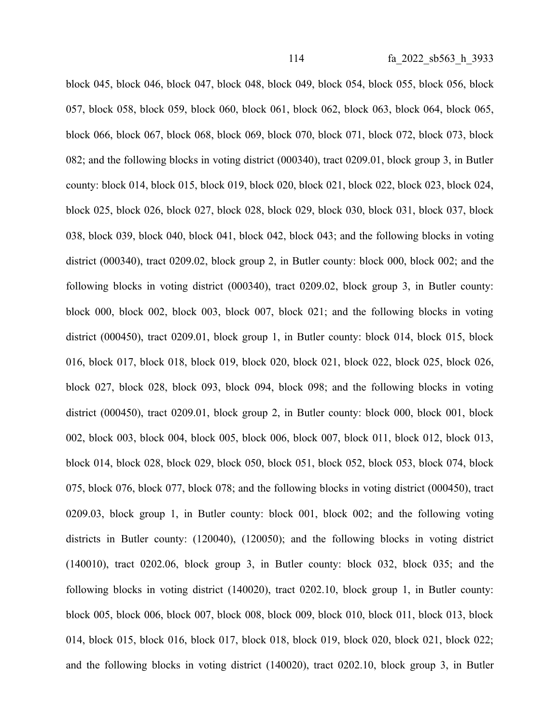block 045, block 046, block 047, block 048, block 049, block 054, block 055, block 056, block 057, block 058, block 059, block 060, block 061, block 062, block 063, block 064, block 065, block 066, block 067, block 068, block 069, block 070, block 071, block 072, block 073, block 082; and the following blocks in voting district (000340), tract 0209.01, block group 3, in Butler county: block 014, block 015, block 019, block 020, block 021, block 022, block 023, block 024, block 025, block 026, block 027, block 028, block 029, block 030, block 031, block 037, block 038, block 039, block 040, block 041, block 042, block 043; and the following blocks in voting district (000340), tract 0209.02, block group 2, in Butler county: block 000, block 002; and the following blocks in voting district (000340), tract 0209.02, block group 3, in Butler county: block 000, block 002, block 003, block 007, block 021; and the following blocks in voting district (000450), tract 0209.01, block group 1, in Butler county: block 014, block 015, block 016, block 017, block 018, block 019, block 020, block 021, block 022, block 025, block 026, block 027, block 028, block 093, block 094, block 098; and the following blocks in voting district (000450), tract 0209.01, block group 2, in Butler county: block 000, block 001, block 002, block 003, block 004, block 005, block 006, block 007, block 011, block 012, block 013, block 014, block 028, block 029, block 050, block 051, block 052, block 053, block 074, block 075, block 076, block 077, block 078; and the following blocks in voting district (000450), tract 0209.03, block group 1, in Butler county: block 001, block 002; and the following voting districts in Butler county: (120040), (120050); and the following blocks in voting district (140010), tract 0202.06, block group 3, in Butler county: block 032, block 035; and the following blocks in voting district (140020), tract 0202.10, block group 1, in Butler county: block 005, block 006, block 007, block 008, block 009, block 010, block 011, block 013, block 014, block 015, block 016, block 017, block 018, block 019, block 020, block 021, block 022; and the following blocks in voting district (140020), tract 0202.10, block group 3, in Butler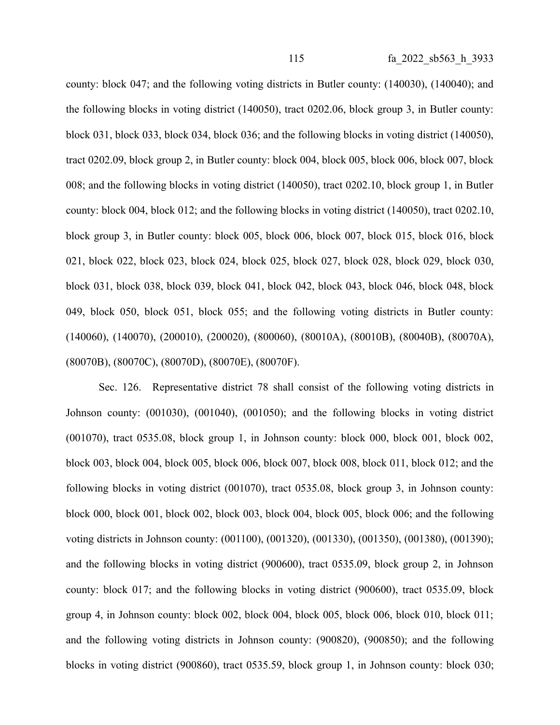county: block 047; and the following voting districts in Butler county: (140030), (140040); and the following blocks in voting district (140050), tract 0202.06, block group 3, in Butler county: block 031, block 033, block 034, block 036; and the following blocks in voting district (140050), tract 0202.09, block group 2, in Butler county: block 004, block 005, block 006, block 007, block 008; and the following blocks in voting district (140050), tract 0202.10, block group 1, in Butler county: block 004, block 012; and the following blocks in voting district (140050), tract 0202.10, block group 3, in Butler county: block 005, block 006, block 007, block 015, block 016, block 021, block 022, block 023, block 024, block 025, block 027, block 028, block 029, block 030, block 031, block 038, block 039, block 041, block 042, block 043, block 046, block 048, block 049, block 050, block 051, block 055; and the following voting districts in Butler county: (140060), (140070), (200010), (200020), (800060), (80010A), (80010B), (80040B), (80070A), (80070B), (80070C), (80070D), (80070E), (80070F).

Sec. 126. Representative district 78 shall consist of the following voting districts in Johnson county: (001030), (001040), (001050); and the following blocks in voting district (001070), tract 0535.08, block group 1, in Johnson county: block 000, block 001, block 002, block 003, block 004, block 005, block 006, block 007, block 008, block 011, block 012; and the following blocks in voting district (001070), tract 0535.08, block group 3, in Johnson county: block 000, block 001, block 002, block 003, block 004, block 005, block 006; and the following voting districts in Johnson county: (001100), (001320), (001330), (001350), (001380), (001390); and the following blocks in voting district (900600), tract 0535.09, block group 2, in Johnson county: block 017; and the following blocks in voting district (900600), tract 0535.09, block group 4, in Johnson county: block 002, block 004, block 005, block 006, block 010, block 011; and the following voting districts in Johnson county: (900820), (900850); and the following blocks in voting district (900860), tract 0535.59, block group 1, in Johnson county: block 030;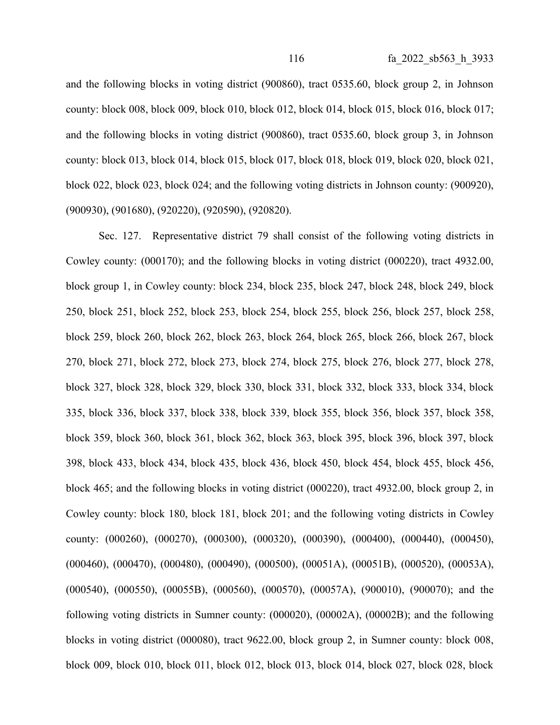and the following blocks in voting district (900860), tract 0535.60, block group 2, in Johnson county: block 008, block 009, block 010, block 012, block 014, block 015, block 016, block 017; and the following blocks in voting district (900860), tract 0535.60, block group 3, in Johnson county: block 013, block 014, block 015, block 017, block 018, block 019, block 020, block 021, block 022, block 023, block 024; and the following voting districts in Johnson county: (900920), (900930), (901680), (920220), (920590), (920820).

Sec. 127. Representative district 79 shall consist of the following voting districts in Cowley county: (000170); and the following blocks in voting district (000220), tract 4932.00, block group 1, in Cowley county: block 234, block 235, block 247, block 248, block 249, block 250, block 251, block 252, block 253, block 254, block 255, block 256, block 257, block 258, block 259, block 260, block 262, block 263, block 264, block 265, block 266, block 267, block 270, block 271, block 272, block 273, block 274, block 275, block 276, block 277, block 278, block 327, block 328, block 329, block 330, block 331, block 332, block 333, block 334, block 335, block 336, block 337, block 338, block 339, block 355, block 356, block 357, block 358, block 359, block 360, block 361, block 362, block 363, block 395, block 396, block 397, block 398, block 433, block 434, block 435, block 436, block 450, block 454, block 455, block 456, block 465; and the following blocks in voting district (000220), tract 4932.00, block group 2, in Cowley county: block 180, block 181, block 201; and the following voting districts in Cowley county: (000260), (000270), (000300), (000320), (000390), (000400), (000440), (000450), (000460), (000470), (000480), (000490), (000500), (00051A), (00051B), (000520), (00053A), (000540), (000550), (00055B), (000560), (000570), (00057A), (900010), (900070); and the following voting districts in Sumner county: (000020), (00002A), (00002B); and the following blocks in voting district (000080), tract 9622.00, block group 2, in Sumner county: block 008, block 009, block 010, block 011, block 012, block 013, block 014, block 027, block 028, block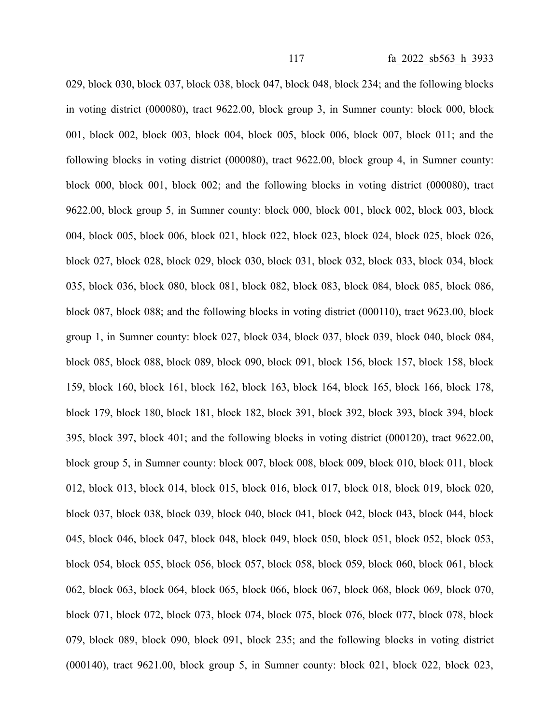029, block 030, block 037, block 038, block 047, block 048, block 234; and the following blocks in voting district (000080), tract 9622.00, block group 3, in Sumner county: block 000, block 001, block 002, block 003, block 004, block 005, block 006, block 007, block 011; and the following blocks in voting district (000080), tract 9622.00, block group 4, in Sumner county: block 000, block 001, block 002; and the following blocks in voting district (000080), tract 9622.00, block group 5, in Sumner county: block 000, block 001, block 002, block 003, block 004, block 005, block 006, block 021, block 022, block 023, block 024, block 025, block 026, block 027, block 028, block 029, block 030, block 031, block 032, block 033, block 034, block 035, block 036, block 080, block 081, block 082, block 083, block 084, block 085, block 086, block 087, block 088; and the following blocks in voting district (000110), tract 9623.00, block group 1, in Sumner county: block 027, block 034, block 037, block 039, block 040, block 084, block 085, block 088, block 089, block 090, block 091, block 156, block 157, block 158, block 159, block 160, block 161, block 162, block 163, block 164, block 165, block 166, block 178, block 179, block 180, block 181, block 182, block 391, block 392, block 393, block 394, block 395, block 397, block 401; and the following blocks in voting district (000120), tract 9622.00, block group 5, in Sumner county: block 007, block 008, block 009, block 010, block 011, block 012, block 013, block 014, block 015, block 016, block 017, block 018, block 019, block 020, block 037, block 038, block 039, block 040, block 041, block 042, block 043, block 044, block 045, block 046, block 047, block 048, block 049, block 050, block 051, block 052, block 053, block 054, block 055, block 056, block 057, block 058, block 059, block 060, block 061, block 062, block 063, block 064, block 065, block 066, block 067, block 068, block 069, block 070, block 071, block 072, block 073, block 074, block 075, block 076, block 077, block 078, block 079, block 089, block 090, block 091, block 235; and the following blocks in voting district (000140), tract 9621.00, block group 5, in Sumner county: block 021, block 022, block 023,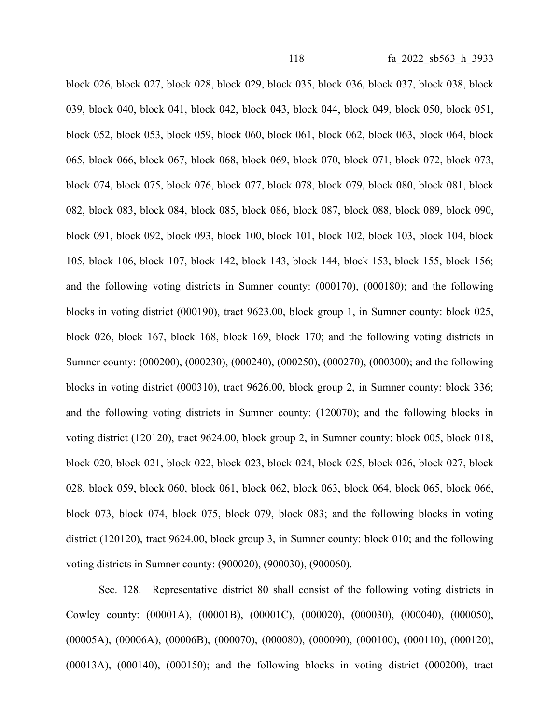block 026, block 027, block 028, block 029, block 035, block 036, block 037, block 038, block 039, block 040, block 041, block 042, block 043, block 044, block 049, block 050, block 051, block 052, block 053, block 059, block 060, block 061, block 062, block 063, block 064, block 065, block 066, block 067, block 068, block 069, block 070, block 071, block 072, block 073, block 074, block 075, block 076, block 077, block 078, block 079, block 080, block 081, block 082, block 083, block 084, block 085, block 086, block 087, block 088, block 089, block 090, block 091, block 092, block 093, block 100, block 101, block 102, block 103, block 104, block 105, block 106, block 107, block 142, block 143, block 144, block 153, block 155, block 156; and the following voting districts in Sumner county: (000170), (000180); and the following blocks in voting district (000190), tract 9623.00, block group 1, in Sumner county: block 025, block 026, block 167, block 168, block 169, block 170; and the following voting districts in Sumner county: (000200), (000230), (000240), (000250), (000270), (000300); and the following blocks in voting district (000310), tract 9626.00, block group 2, in Sumner county: block 336; and the following voting districts in Sumner county: (120070); and the following blocks in voting district (120120), tract 9624.00, block group 2, in Sumner county: block 005, block 018, block 020, block 021, block 022, block 023, block 024, block 025, block 026, block 027, block 028, block 059, block 060, block 061, block 062, block 063, block 064, block 065, block 066, block 073, block 074, block 075, block 079, block 083; and the following blocks in voting district (120120), tract 9624.00, block group 3, in Sumner county: block 010; and the following voting districts in Sumner county: (900020), (900030), (900060).

Sec. 128. Representative district 80 shall consist of the following voting districts in Cowley county: (00001A), (00001B), (00001C), (000020), (000030), (000040), (000050), (00005A), (00006A), (00006B), (000070), (000080), (000090), (000100), (000110), (000120), (00013A), (000140), (000150); and the following blocks in voting district (000200), tract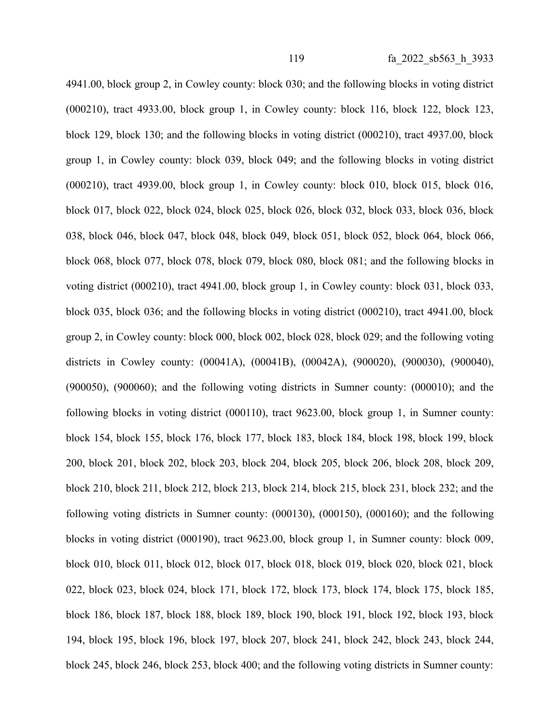4941.00, block group 2, in Cowley county: block 030; and the following blocks in voting district (000210), tract 4933.00, block group 1, in Cowley county: block 116, block 122, block 123, block 129, block 130; and the following blocks in voting district (000210), tract 4937.00, block group 1, in Cowley county: block 039, block 049; and the following blocks in voting district (000210), tract 4939.00, block group 1, in Cowley county: block 010, block 015, block 016, block 017, block 022, block 024, block 025, block 026, block 032, block 033, block 036, block 038, block 046, block 047, block 048, block 049, block 051, block 052, block 064, block 066, block 068, block 077, block 078, block 079, block 080, block 081; and the following blocks in voting district (000210), tract 4941.00, block group 1, in Cowley county: block 031, block 033, block 035, block 036; and the following blocks in voting district (000210), tract 4941.00, block group 2, in Cowley county: block 000, block 002, block 028, block 029; and the following voting districts in Cowley county: (00041A), (00041B), (00042A), (900020), (900030), (900040), (900050), (900060); and the following voting districts in Sumner county: (000010); and the following blocks in voting district (000110), tract 9623.00, block group 1, in Sumner county: block 154, block 155, block 176, block 177, block 183, block 184, block 198, block 199, block 200, block 201, block 202, block 203, block 204, block 205, block 206, block 208, block 209, block 210, block 211, block 212, block 213, block 214, block 215, block 231, block 232; and the following voting districts in Sumner county: (000130), (000150), (000160); and the following blocks in voting district (000190), tract 9623.00, block group 1, in Sumner county: block 009, block 010, block 011, block 012, block 017, block 018, block 019, block 020, block 021, block 022, block 023, block 024, block 171, block 172, block 173, block 174, block 175, block 185, block 186, block 187, block 188, block 189, block 190, block 191, block 192, block 193, block 194, block 195, block 196, block 197, block 207, block 241, block 242, block 243, block 244, block 245, block 246, block 253, block 400; and the following voting districts in Sumner county: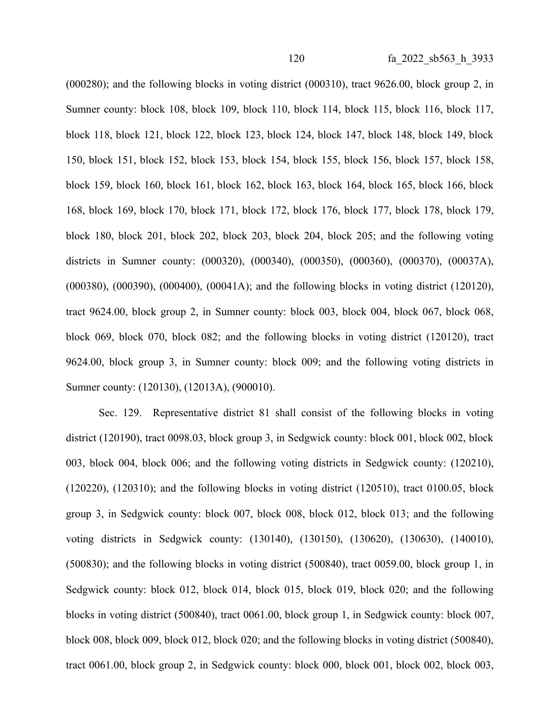(000280); and the following blocks in voting district (000310), tract 9626.00, block group 2, in Sumner county: block 108, block 109, block 110, block 114, block 115, block 116, block 117, block 118, block 121, block 122, block 123, block 124, block 147, block 148, block 149, block 150, block 151, block 152, block 153, block 154, block 155, block 156, block 157, block 158, block 159, block 160, block 161, block 162, block 163, block 164, block 165, block 166, block 168, block 169, block 170, block 171, block 172, block 176, block 177, block 178, block 179, block 180, block 201, block 202, block 203, block 204, block 205; and the following voting districts in Sumner county: (000320), (000340), (000350), (000360), (000370), (00037A), (000380), (000390), (000400), (00041A); and the following blocks in voting district (120120), tract 9624.00, block group 2, in Sumner county: block 003, block 004, block 067, block 068, block 069, block 070, block 082; and the following blocks in voting district (120120), tract 9624.00, block group 3, in Sumner county: block 009; and the following voting districts in Sumner county: (120130), (12013A), (900010).

Sec. 129. Representative district 81 shall consist of the following blocks in voting district (120190), tract 0098.03, block group 3, in Sedgwick county: block 001, block 002, block 003, block 004, block 006; and the following voting districts in Sedgwick county: (120210), (120220), (120310); and the following blocks in voting district (120510), tract 0100.05, block group 3, in Sedgwick county: block 007, block 008, block 012, block 013; and the following voting districts in Sedgwick county: (130140), (130150), (130620), (130630), (140010), (500830); and the following blocks in voting district (500840), tract 0059.00, block group 1, in Sedgwick county: block 012, block 014, block 015, block 019, block 020; and the following blocks in voting district (500840), tract 0061.00, block group 1, in Sedgwick county: block 007, block 008, block 009, block 012, block 020; and the following blocks in voting district (500840), tract 0061.00, block group 2, in Sedgwick county: block 000, block 001, block 002, block 003,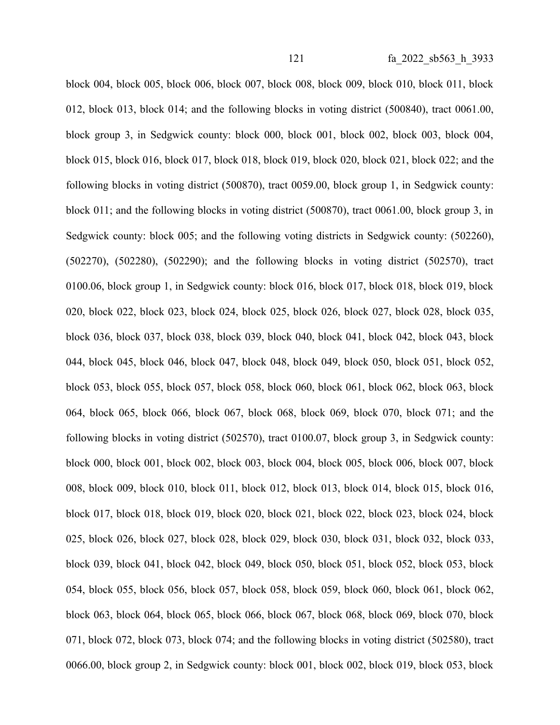block 004, block 005, block 006, block 007, block 008, block 009, block 010, block 011, block 012, block 013, block 014; and the following blocks in voting district (500840), tract 0061.00, block group 3, in Sedgwick county: block 000, block 001, block 002, block 003, block 004, block 015, block 016, block 017, block 018, block 019, block 020, block 021, block 022; and the following blocks in voting district (500870), tract 0059.00, block group 1, in Sedgwick county: block 011; and the following blocks in voting district (500870), tract 0061.00, block group 3, in Sedgwick county: block 005; and the following voting districts in Sedgwick county: (502260), (502270), (502280), (502290); and the following blocks in voting district (502570), tract 0100.06, block group 1, in Sedgwick county: block 016, block 017, block 018, block 019, block 020, block 022, block 023, block 024, block 025, block 026, block 027, block 028, block 035, block 036, block 037, block 038, block 039, block 040, block 041, block 042, block 043, block 044, block 045, block 046, block 047, block 048, block 049, block 050, block 051, block 052, block 053, block 055, block 057, block 058, block 060, block 061, block 062, block 063, block 064, block 065, block 066, block 067, block 068, block 069, block 070, block 071; and the following blocks in voting district (502570), tract 0100.07, block group 3, in Sedgwick county: block 000, block 001, block 002, block 003, block 004, block 005, block 006, block 007, block 008, block 009, block 010, block 011, block 012, block 013, block 014, block 015, block 016, block 017, block 018, block 019, block 020, block 021, block 022, block 023, block 024, block 025, block 026, block 027, block 028, block 029, block 030, block 031, block 032, block 033, block 039, block 041, block 042, block 049, block 050, block 051, block 052, block 053, block 054, block 055, block 056, block 057, block 058, block 059, block 060, block 061, block 062, block 063, block 064, block 065, block 066, block 067, block 068, block 069, block 070, block 071, block 072, block 073, block 074; and the following blocks in voting district (502580), tract 0066.00, block group 2, in Sedgwick county: block 001, block 002, block 019, block 053, block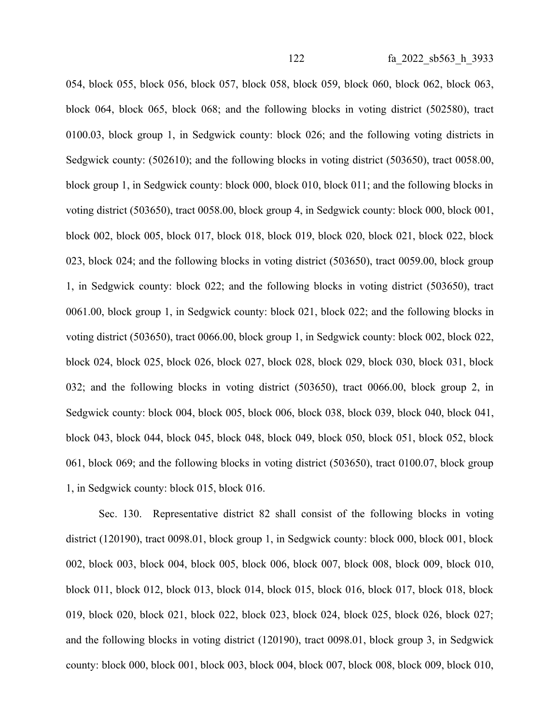054, block 055, block 056, block 057, block 058, block 059, block 060, block 062, block 063, block 064, block 065, block 068; and the following blocks in voting district (502580), tract 0100.03, block group 1, in Sedgwick county: block 026; and the following voting districts in Sedgwick county: (502610); and the following blocks in voting district (503650), tract 0058.00, block group 1, in Sedgwick county: block 000, block 010, block 011; and the following blocks in voting district (503650), tract 0058.00, block group 4, in Sedgwick county: block 000, block 001, block 002, block 005, block 017, block 018, block 019, block 020, block 021, block 022, block 023, block 024; and the following blocks in voting district (503650), tract 0059.00, block group 1, in Sedgwick county: block 022; and the following blocks in voting district (503650), tract 0061.00, block group 1, in Sedgwick county: block 021, block 022; and the following blocks in voting district (503650), tract 0066.00, block group 1, in Sedgwick county: block 002, block 022, block 024, block 025, block 026, block 027, block 028, block 029, block 030, block 031, block 032; and the following blocks in voting district (503650), tract 0066.00, block group 2, in Sedgwick county: block 004, block 005, block 006, block 038, block 039, block 040, block 041, block 043, block 044, block 045, block 048, block 049, block 050, block 051, block 052, block 061, block 069; and the following blocks in voting district (503650), tract 0100.07, block group 1, in Sedgwick county: block 015, block 016.

Sec. 130. Representative district 82 shall consist of the following blocks in voting district (120190), tract 0098.01, block group 1, in Sedgwick county: block 000, block 001, block 002, block 003, block 004, block 005, block 006, block 007, block 008, block 009, block 010, block 011, block 012, block 013, block 014, block 015, block 016, block 017, block 018, block 019, block 020, block 021, block 022, block 023, block 024, block 025, block 026, block 027; and the following blocks in voting district (120190), tract 0098.01, block group 3, in Sedgwick county: block 000, block 001, block 003, block 004, block 007, block 008, block 009, block 010,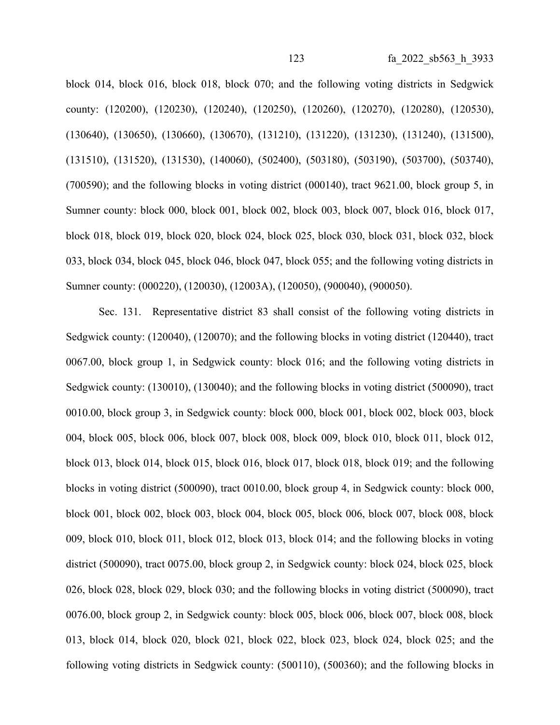block 014, block 016, block 018, block 070; and the following voting districts in Sedgwick county: (120200), (120230), (120240), (120250), (120260), (120270), (120280), (120530), (130640), (130650), (130660), (130670), (131210), (131220), (131230), (131240), (131500), (131510), (131520), (131530), (140060), (502400), (503180), (503190), (503700), (503740), (700590); and the following blocks in voting district (000140), tract 9621.00, block group 5, in Sumner county: block 000, block 001, block 002, block 003, block 007, block 016, block 017, block 018, block 019, block 020, block 024, block 025, block 030, block 031, block 032, block 033, block 034, block 045, block 046, block 047, block 055; and the following voting districts in Sumner county: (000220), (120030), (12003A), (120050), (900040), (900050).

Sec. 131. Representative district 83 shall consist of the following voting districts in Sedgwick county: (120040), (120070); and the following blocks in voting district (120440), tract 0067.00, block group 1, in Sedgwick county: block 016; and the following voting districts in Sedgwick county: (130010), (130040); and the following blocks in voting district (500090), tract 0010.00, block group 3, in Sedgwick county: block 000, block 001, block 002, block 003, block 004, block 005, block 006, block 007, block 008, block 009, block 010, block 011, block 012, block 013, block 014, block 015, block 016, block 017, block 018, block 019; and the following blocks in voting district (500090), tract 0010.00, block group 4, in Sedgwick county: block 000, block 001, block 002, block 003, block 004, block 005, block 006, block 007, block 008, block 009, block 010, block 011, block 012, block 013, block 014; and the following blocks in voting district (500090), tract 0075.00, block group 2, in Sedgwick county: block 024, block 025, block 026, block 028, block 029, block 030; and the following blocks in voting district (500090), tract 0076.00, block group 2, in Sedgwick county: block 005, block 006, block 007, block 008, block 013, block 014, block 020, block 021, block 022, block 023, block 024, block 025; and the following voting districts in Sedgwick county: (500110), (500360); and the following blocks in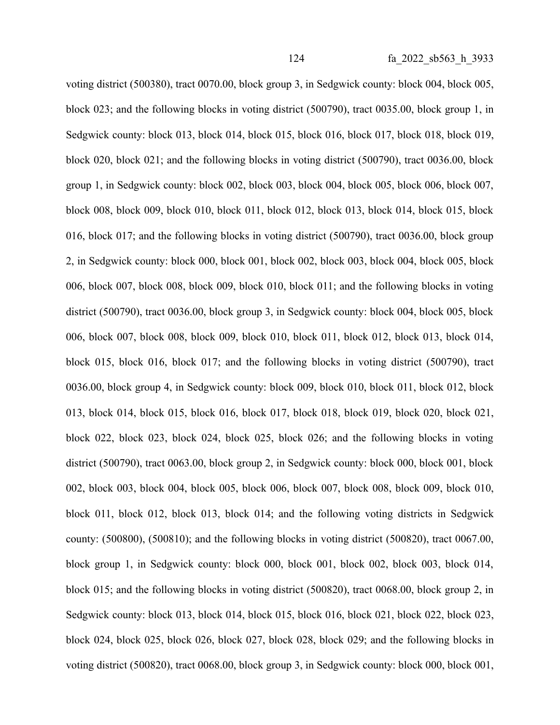voting district (500380), tract 0070.00, block group 3, in Sedgwick county: block 004, block 005, block 023; and the following blocks in voting district (500790), tract 0035.00, block group 1, in Sedgwick county: block 013, block 014, block 015, block 016, block 017, block 018, block 019, block 020, block 021; and the following blocks in voting district (500790), tract 0036.00, block group 1, in Sedgwick county: block 002, block 003, block 004, block 005, block 006, block 007, block 008, block 009, block 010, block 011, block 012, block 013, block 014, block 015, block 016, block 017; and the following blocks in voting district (500790), tract 0036.00, block group 2, in Sedgwick county: block 000, block 001, block 002, block 003, block 004, block 005, block 006, block 007, block 008, block 009, block 010, block 011; and the following blocks in voting district (500790), tract 0036.00, block group 3, in Sedgwick county: block 004, block 005, block 006, block 007, block 008, block 009, block 010, block 011, block 012, block 013, block 014, block 015, block 016, block 017; and the following blocks in voting district (500790), tract 0036.00, block group 4, in Sedgwick county: block 009, block 010, block 011, block 012, block 013, block 014, block 015, block 016, block 017, block 018, block 019, block 020, block 021, block 022, block 023, block 024, block 025, block 026; and the following blocks in voting district (500790), tract 0063.00, block group 2, in Sedgwick county: block 000, block 001, block 002, block 003, block 004, block 005, block 006, block 007, block 008, block 009, block 010, block 011, block 012, block 013, block 014; and the following voting districts in Sedgwick county: (500800), (500810); and the following blocks in voting district (500820), tract 0067.00, block group 1, in Sedgwick county: block 000, block 001, block 002, block 003, block 014, block 015; and the following blocks in voting district (500820), tract 0068.00, block group 2, in Sedgwick county: block 013, block 014, block 015, block 016, block 021, block 022, block 023, block 024, block 025, block 026, block 027, block 028, block 029; and the following blocks in voting district (500820), tract 0068.00, block group 3, in Sedgwick county: block 000, block 001,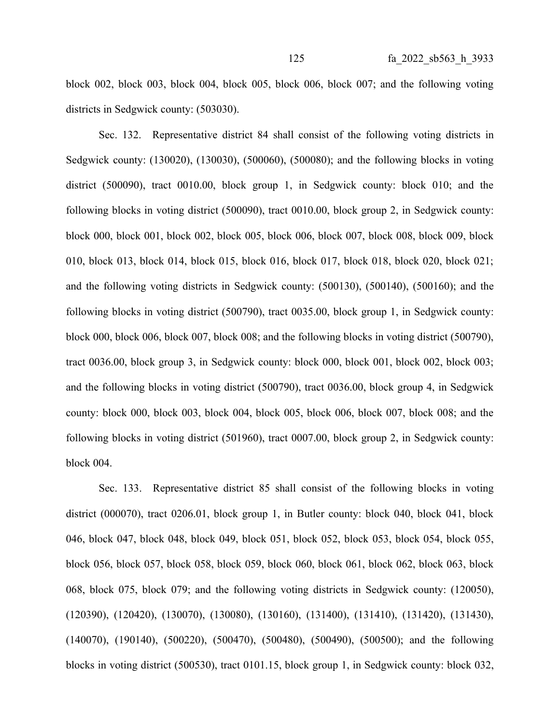block 002, block 003, block 004, block 005, block 006, block 007; and the following voting districts in Sedgwick county: (503030).

Sec. 132. Representative district 84 shall consist of the following voting districts in Sedgwick county: (130020), (130030), (500060), (500080); and the following blocks in voting district (500090), tract 0010.00, block group 1, in Sedgwick county: block 010; and the following blocks in voting district (500090), tract 0010.00, block group 2, in Sedgwick county: block 000, block 001, block 002, block 005, block 006, block 007, block 008, block 009, block 010, block 013, block 014, block 015, block 016, block 017, block 018, block 020, block 021; and the following voting districts in Sedgwick county: (500130), (500140), (500160); and the following blocks in voting district (500790), tract 0035.00, block group 1, in Sedgwick county: block 000, block 006, block 007, block 008; and the following blocks in voting district (500790), tract 0036.00, block group 3, in Sedgwick county: block 000, block 001, block 002, block 003; and the following blocks in voting district (500790), tract 0036.00, block group 4, in Sedgwick county: block 000, block 003, block 004, block 005, block 006, block 007, block 008; and the following blocks in voting district (501960), tract 0007.00, block group 2, in Sedgwick county: block 004.

Sec. 133. Representative district 85 shall consist of the following blocks in voting district (000070), tract 0206.01, block group 1, in Butler county: block 040, block 041, block 046, block 047, block 048, block 049, block 051, block 052, block 053, block 054, block 055, block 056, block 057, block 058, block 059, block 060, block 061, block 062, block 063, block 068, block 075, block 079; and the following voting districts in Sedgwick county: (120050), (120390), (120420), (130070), (130080), (130160), (131400), (131410), (131420), (131430), (140070), (190140), (500220), (500470), (500480), (500490), (500500); and the following blocks in voting district (500530), tract 0101.15, block group 1, in Sedgwick county: block 032,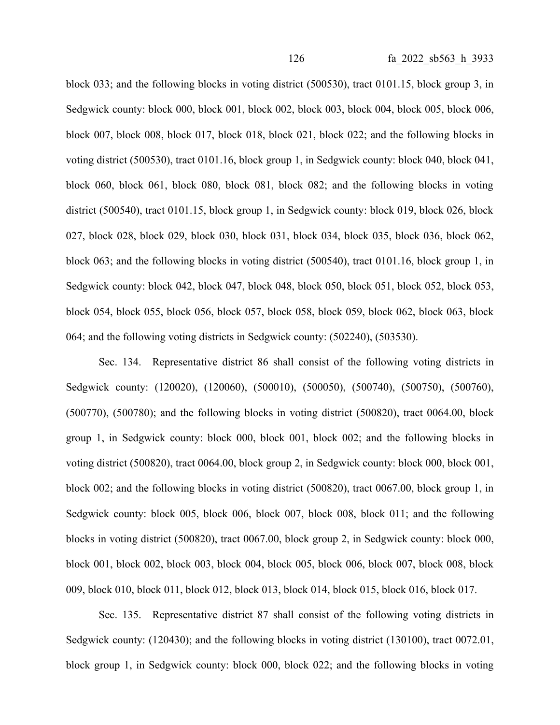block 033; and the following blocks in voting district (500530), tract 0101.15, block group 3, in Sedgwick county: block 000, block 001, block 002, block 003, block 004, block 005, block 006, block 007, block 008, block 017, block 018, block 021, block 022; and the following blocks in voting district (500530), tract 0101.16, block group 1, in Sedgwick county: block 040, block 041, block 060, block 061, block 080, block 081, block 082; and the following blocks in voting district (500540), tract 0101.15, block group 1, in Sedgwick county: block 019, block 026, block 027, block 028, block 029, block 030, block 031, block 034, block 035, block 036, block 062, block 063; and the following blocks in voting district (500540), tract 0101.16, block group 1, in Sedgwick county: block 042, block 047, block 048, block 050, block 051, block 052, block 053, block 054, block 055, block 056, block 057, block 058, block 059, block 062, block 063, block 064; and the following voting districts in Sedgwick county: (502240), (503530).

Sec. 134. Representative district 86 shall consist of the following voting districts in Sedgwick county: (120020), (120060), (500010), (500050), (500740), (500750), (500760), (500770), (500780); and the following blocks in voting district (500820), tract 0064.00, block group 1, in Sedgwick county: block 000, block 001, block 002; and the following blocks in voting district (500820), tract 0064.00, block group 2, in Sedgwick county: block 000, block 001, block 002; and the following blocks in voting district (500820), tract 0067.00, block group 1, in Sedgwick county: block 005, block 006, block 007, block 008, block 011; and the following blocks in voting district (500820), tract 0067.00, block group 2, in Sedgwick county: block 000, block 001, block 002, block 003, block 004, block 005, block 006, block 007, block 008, block 009, block 010, block 011, block 012, block 013, block 014, block 015, block 016, block 017.

Sec. 135. Representative district 87 shall consist of the following voting districts in Sedgwick county: (120430); and the following blocks in voting district (130100), tract 0072.01, block group 1, in Sedgwick county: block 000, block 022; and the following blocks in voting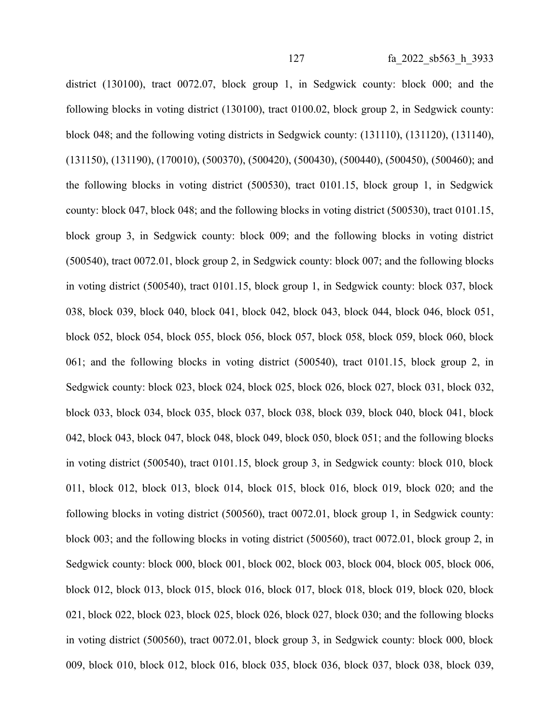district (130100), tract 0072.07, block group 1, in Sedgwick county: block 000; and the following blocks in voting district (130100), tract 0100.02, block group 2, in Sedgwick county: block 048; and the following voting districts in Sedgwick county: (131110), (131120), (131140), (131150), (131190), (170010), (500370), (500420), (500430), (500440), (500450), (500460); and the following blocks in voting district (500530), tract 0101.15, block group 1, in Sedgwick county: block 047, block 048; and the following blocks in voting district (500530), tract 0101.15, block group 3, in Sedgwick county: block 009; and the following blocks in voting district (500540), tract 0072.01, block group 2, in Sedgwick county: block 007; and the following blocks in voting district (500540), tract 0101.15, block group 1, in Sedgwick county: block 037, block 038, block 039, block 040, block 041, block 042, block 043, block 044, block 046, block 051, block 052, block 054, block 055, block 056, block 057, block 058, block 059, block 060, block 061; and the following blocks in voting district (500540), tract 0101.15, block group 2, in Sedgwick county: block 023, block 024, block 025, block 026, block 027, block 031, block 032, block 033, block 034, block 035, block 037, block 038, block 039, block 040, block 041, block 042, block 043, block 047, block 048, block 049, block 050, block 051; and the following blocks in voting district (500540), tract 0101.15, block group 3, in Sedgwick county: block 010, block 011, block 012, block 013, block 014, block 015, block 016, block 019, block 020; and the following blocks in voting district (500560), tract 0072.01, block group 1, in Sedgwick county: block 003; and the following blocks in voting district (500560), tract 0072.01, block group 2, in Sedgwick county: block 000, block 001, block 002, block 003, block 004, block 005, block 006, block 012, block 013, block 015, block 016, block 017, block 018, block 019, block 020, block 021, block 022, block 023, block 025, block 026, block 027, block 030; and the following blocks in voting district (500560), tract 0072.01, block group 3, in Sedgwick county: block 000, block 009, block 010, block 012, block 016, block 035, block 036, block 037, block 038, block 039,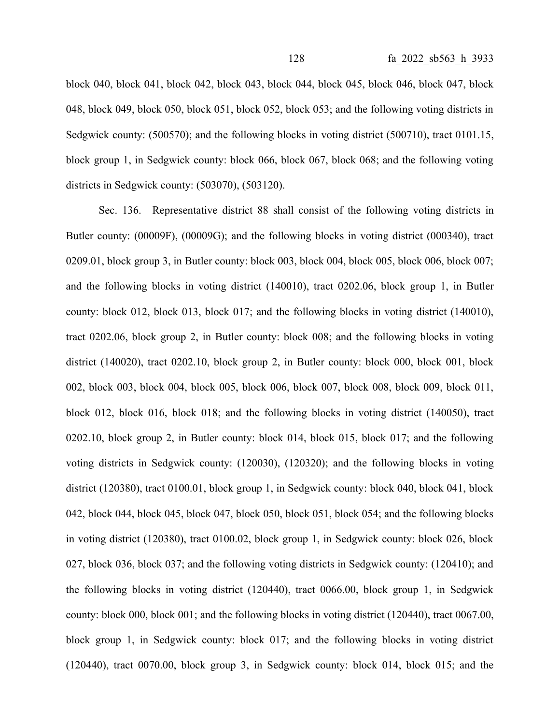block 040, block 041, block 042, block 043, block 044, block 045, block 046, block 047, block 048, block 049, block 050, block 051, block 052, block 053; and the following voting districts in Sedgwick county: (500570); and the following blocks in voting district (500710), tract 0101.15, block group 1, in Sedgwick county: block 066, block 067, block 068; and the following voting districts in Sedgwick county: (503070), (503120).

Sec. 136. Representative district 88 shall consist of the following voting districts in Butler county: (00009F), (00009G); and the following blocks in voting district (000340), tract 0209.01, block group 3, in Butler county: block 003, block 004, block 005, block 006, block 007; and the following blocks in voting district (140010), tract 0202.06, block group 1, in Butler county: block 012, block 013, block 017; and the following blocks in voting district (140010), tract 0202.06, block group 2, in Butler county: block 008; and the following blocks in voting district (140020), tract 0202.10, block group 2, in Butler county: block 000, block 001, block 002, block 003, block 004, block 005, block 006, block 007, block 008, block 009, block 011, block 012, block 016, block 018; and the following blocks in voting district (140050), tract 0202.10, block group 2, in Butler county: block 014, block 015, block 017; and the following voting districts in Sedgwick county: (120030), (120320); and the following blocks in voting district (120380), tract 0100.01, block group 1, in Sedgwick county: block 040, block 041, block 042, block 044, block 045, block 047, block 050, block 051, block 054; and the following blocks in voting district (120380), tract 0100.02, block group 1, in Sedgwick county: block 026, block 027, block 036, block 037; and the following voting districts in Sedgwick county: (120410); and the following blocks in voting district (120440), tract 0066.00, block group 1, in Sedgwick county: block 000, block 001; and the following blocks in voting district (120440), tract 0067.00, block group 1, in Sedgwick county: block 017; and the following blocks in voting district (120440), tract 0070.00, block group 3, in Sedgwick county: block 014, block 015; and the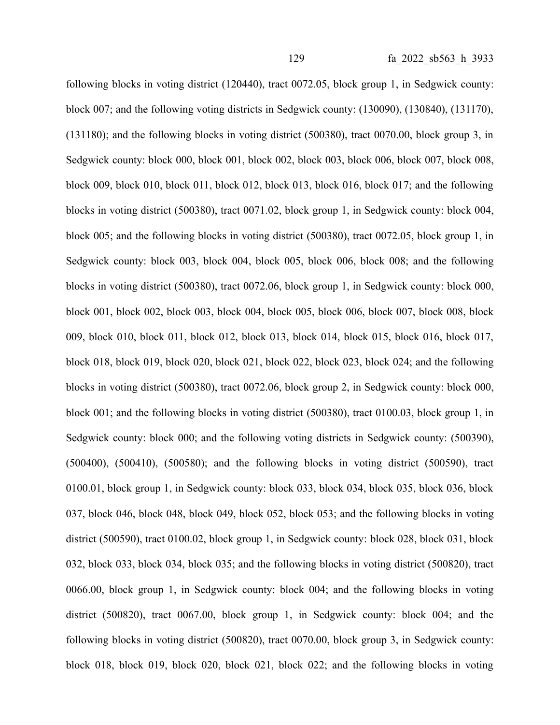following blocks in voting district (120440), tract 0072.05, block group 1, in Sedgwick county: block 007; and the following voting districts in Sedgwick county: (130090), (130840), (131170), (131180); and the following blocks in voting district (500380), tract 0070.00, block group 3, in Sedgwick county: block 000, block 001, block 002, block 003, block 006, block 007, block 008, block 009, block 010, block 011, block 012, block 013, block 016, block 017; and the following blocks in voting district (500380), tract 0071.02, block group 1, in Sedgwick county: block 004, block 005; and the following blocks in voting district (500380), tract 0072.05, block group 1, in Sedgwick county: block 003, block 004, block 005, block 006, block 008; and the following blocks in voting district (500380), tract 0072.06, block group 1, in Sedgwick county: block 000, block 001, block 002, block 003, block 004, block 005, block 006, block 007, block 008, block 009, block 010, block 011, block 012, block 013, block 014, block 015, block 016, block 017, block 018, block 019, block 020, block 021, block 022, block 023, block 024; and the following blocks in voting district (500380), tract 0072.06, block group 2, in Sedgwick county: block 000, block 001; and the following blocks in voting district (500380), tract 0100.03, block group 1, in Sedgwick county: block 000; and the following voting districts in Sedgwick county: (500390), (500400), (500410), (500580); and the following blocks in voting district (500590), tract 0100.01, block group 1, in Sedgwick county: block 033, block 034, block 035, block 036, block 037, block 046, block 048, block 049, block 052, block 053; and the following blocks in voting district (500590), tract 0100.02, block group 1, in Sedgwick county: block 028, block 031, block 032, block 033, block 034, block 035; and the following blocks in voting district (500820), tract 0066.00, block group 1, in Sedgwick county: block 004; and the following blocks in voting district (500820), tract 0067.00, block group 1, in Sedgwick county: block 004; and the following blocks in voting district (500820), tract 0070.00, block group 3, in Sedgwick county: block 018, block 019, block 020, block 021, block 022; and the following blocks in voting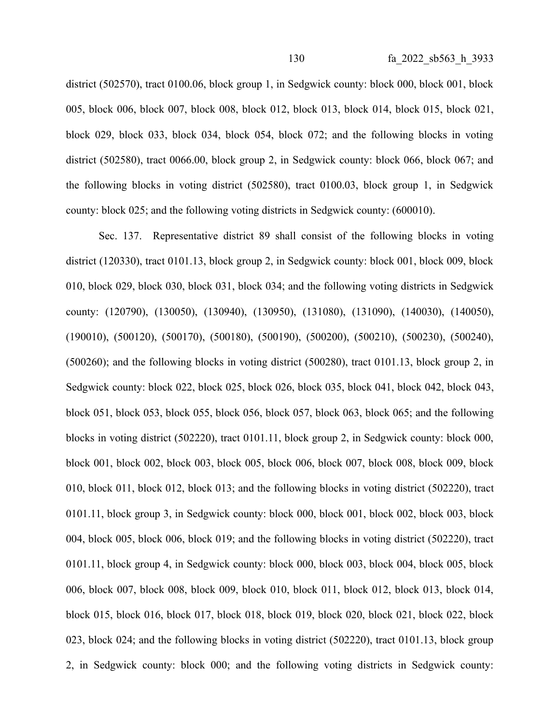district (502570), tract 0100.06, block group 1, in Sedgwick county: block 000, block 001, block 005, block 006, block 007, block 008, block 012, block 013, block 014, block 015, block 021, block 029, block 033, block 034, block 054, block 072; and the following blocks in voting district (502580), tract 0066.00, block group 2, in Sedgwick county: block 066, block 067; and the following blocks in voting district (502580), tract 0100.03, block group 1, in Sedgwick county: block 025; and the following voting districts in Sedgwick county: (600010).

Sec. 137. Representative district 89 shall consist of the following blocks in voting district (120330), tract 0101.13, block group 2, in Sedgwick county: block 001, block 009, block 010, block 029, block 030, block 031, block 034; and the following voting districts in Sedgwick county: (120790), (130050), (130940), (130950), (131080), (131090), (140030), (140050), (190010), (500120), (500170), (500180), (500190), (500200), (500210), (500230), (500240), (500260); and the following blocks in voting district (500280), tract 0101.13, block group 2, in Sedgwick county: block 022, block 025, block 026, block 035, block 041, block 042, block 043, block 051, block 053, block 055, block 056, block 057, block 063, block 065; and the following blocks in voting district (502220), tract 0101.11, block group 2, in Sedgwick county: block 000, block 001, block 002, block 003, block 005, block 006, block 007, block 008, block 009, block 010, block 011, block 012, block 013; and the following blocks in voting district (502220), tract 0101.11, block group 3, in Sedgwick county: block 000, block 001, block 002, block 003, block 004, block 005, block 006, block 019; and the following blocks in voting district (502220), tract 0101.11, block group 4, in Sedgwick county: block 000, block 003, block 004, block 005, block 006, block 007, block 008, block 009, block 010, block 011, block 012, block 013, block 014, block 015, block 016, block 017, block 018, block 019, block 020, block 021, block 022, block 023, block 024; and the following blocks in voting district (502220), tract 0101.13, block group 2, in Sedgwick county: block 000; and the following voting districts in Sedgwick county: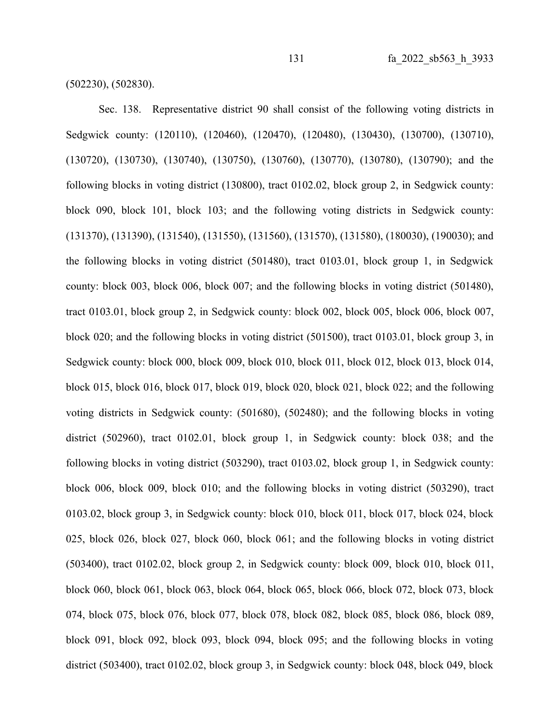(502230), (502830).

Sec. 138. Representative district 90 shall consist of the following voting districts in Sedgwick county: (120110), (120460), (120470), (120480), (130430), (130700), (130710), (130720), (130730), (130740), (130750), (130760), (130770), (130780), (130790); and the following blocks in voting district (130800), tract 0102.02, block group 2, in Sedgwick county: block 090, block 101, block 103; and the following voting districts in Sedgwick county: (131370), (131390), (131540), (131550), (131560), (131570), (131580), (180030), (190030); and the following blocks in voting district (501480), tract 0103.01, block group 1, in Sedgwick county: block 003, block 006, block 007; and the following blocks in voting district (501480), tract 0103.01, block group 2, in Sedgwick county: block 002, block 005, block 006, block 007, block 020; and the following blocks in voting district (501500), tract 0103.01, block group 3, in Sedgwick county: block 000, block 009, block 010, block 011, block 012, block 013, block 014, block 015, block 016, block 017, block 019, block 020, block 021, block 022; and the following voting districts in Sedgwick county: (501680), (502480); and the following blocks in voting district (502960), tract 0102.01, block group 1, in Sedgwick county: block 038; and the following blocks in voting district (503290), tract 0103.02, block group 1, in Sedgwick county: block 006, block 009, block 010; and the following blocks in voting district (503290), tract 0103.02, block group 3, in Sedgwick county: block 010, block 011, block 017, block 024, block 025, block 026, block 027, block 060, block 061; and the following blocks in voting district (503400), tract 0102.02, block group 2, in Sedgwick county: block 009, block 010, block 011, block 060, block 061, block 063, block 064, block 065, block 066, block 072, block 073, block 074, block 075, block 076, block 077, block 078, block 082, block 085, block 086, block 089, block 091, block 092, block 093, block 094, block 095; and the following blocks in voting district (503400), tract 0102.02, block group 3, in Sedgwick county: block 048, block 049, block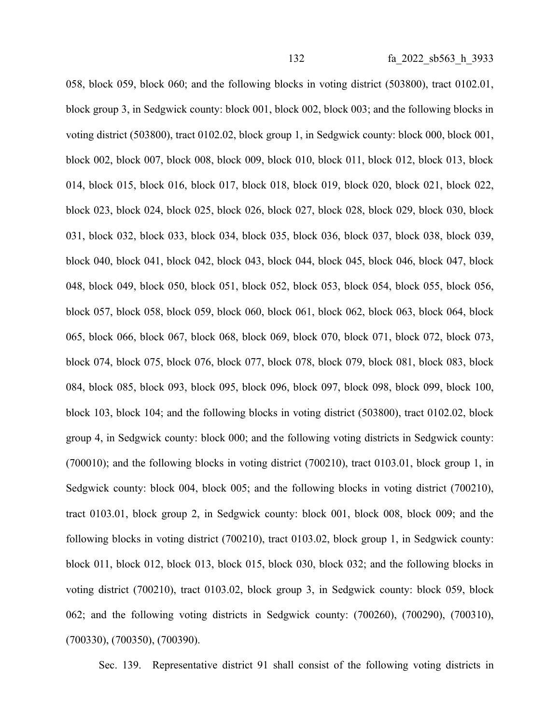058, block 059, block 060; and the following blocks in voting district (503800), tract 0102.01, block group 3, in Sedgwick county: block 001, block 002, block 003; and the following blocks in voting district (503800), tract 0102.02, block group 1, in Sedgwick county: block 000, block 001, block 002, block 007, block 008, block 009, block 010, block 011, block 012, block 013, block 014, block 015, block 016, block 017, block 018, block 019, block 020, block 021, block 022, block 023, block 024, block 025, block 026, block 027, block 028, block 029, block 030, block 031, block 032, block 033, block 034, block 035, block 036, block 037, block 038, block 039, block 040, block 041, block 042, block 043, block 044, block 045, block 046, block 047, block 048, block 049, block 050, block 051, block 052, block 053, block 054, block 055, block 056, block 057, block 058, block 059, block 060, block 061, block 062, block 063, block 064, block 065, block 066, block 067, block 068, block 069, block 070, block 071, block 072, block 073, block 074, block 075, block 076, block 077, block 078, block 079, block 081, block 083, block 084, block 085, block 093, block 095, block 096, block 097, block 098, block 099, block 100, block 103, block 104; and the following blocks in voting district (503800), tract 0102.02, block group 4, in Sedgwick county: block 000; and the following voting districts in Sedgwick county: (700010); and the following blocks in voting district (700210), tract 0103.01, block group 1, in Sedgwick county: block 004, block 005; and the following blocks in voting district (700210), tract 0103.01, block group 2, in Sedgwick county: block 001, block 008, block 009; and the following blocks in voting district (700210), tract 0103.02, block group 1, in Sedgwick county: block 011, block 012, block 013, block 015, block 030, block 032; and the following blocks in voting district (700210), tract 0103.02, block group 3, in Sedgwick county: block 059, block 062; and the following voting districts in Sedgwick county: (700260), (700290), (700310), (700330), (700350), (700390).

Sec. 139. Representative district 91 shall consist of the following voting districts in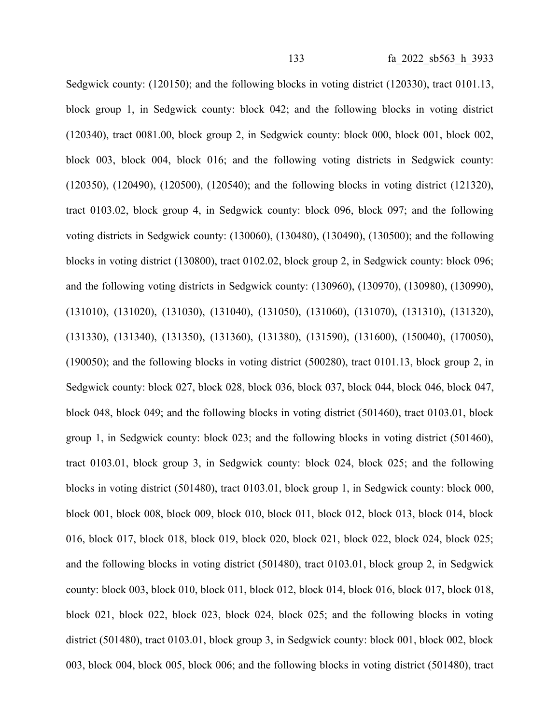Sedgwick county: (120150); and the following blocks in voting district (120330), tract 0101.13, block group 1, in Sedgwick county: block 042; and the following blocks in voting district (120340), tract 0081.00, block group 2, in Sedgwick county: block 000, block 001, block 002, block 003, block 004, block 016; and the following voting districts in Sedgwick county: (120350), (120490), (120500), (120540); and the following blocks in voting district (121320), tract 0103.02, block group 4, in Sedgwick county: block 096, block 097; and the following voting districts in Sedgwick county: (130060), (130480), (130490), (130500); and the following blocks in voting district (130800), tract 0102.02, block group 2, in Sedgwick county: block 096; and the following voting districts in Sedgwick county: (130960), (130970), (130980), (130990), (131010), (131020), (131030), (131040), (131050), (131060), (131070), (131310), (131320), (131330), (131340), (131350), (131360), (131380), (131590), (131600), (150040), (170050), (190050); and the following blocks in voting district (500280), tract 0101.13, block group 2, in Sedgwick county: block 027, block 028, block 036, block 037, block 044, block 046, block 047, block 048, block 049; and the following blocks in voting district (501460), tract 0103.01, block group 1, in Sedgwick county: block 023; and the following blocks in voting district (501460), tract 0103.01, block group 3, in Sedgwick county: block 024, block 025; and the following blocks in voting district (501480), tract 0103.01, block group 1, in Sedgwick county: block 000, block 001, block 008, block 009, block 010, block 011, block 012, block 013, block 014, block 016, block 017, block 018, block 019, block 020, block 021, block 022, block 024, block 025; and the following blocks in voting district (501480), tract 0103.01, block group 2, in Sedgwick county: block 003, block 010, block 011, block 012, block 014, block 016, block 017, block 018, block 021, block 022, block 023, block 024, block 025; and the following blocks in voting district (501480), tract 0103.01, block group 3, in Sedgwick county: block 001, block 002, block 003, block 004, block 005, block 006; and the following blocks in voting district (501480), tract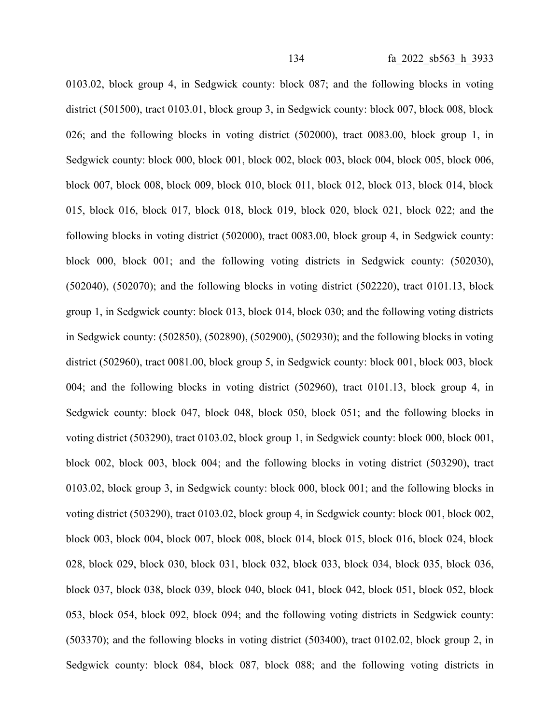0103.02, block group 4, in Sedgwick county: block 087; and the following blocks in voting district (501500), tract 0103.01, block group 3, in Sedgwick county: block 007, block 008, block 026; and the following blocks in voting district (502000), tract 0083.00, block group 1, in Sedgwick county: block 000, block 001, block 002, block 003, block 004, block 005, block 006, block 007, block 008, block 009, block 010, block 011, block 012, block 013, block 014, block 015, block 016, block 017, block 018, block 019, block 020, block 021, block 022; and the following blocks in voting district (502000), tract 0083.00, block group 4, in Sedgwick county: block 000, block 001; and the following voting districts in Sedgwick county: (502030), (502040), (502070); and the following blocks in voting district (502220), tract 0101.13, block group 1, in Sedgwick county: block 013, block 014, block 030; and the following voting districts in Sedgwick county: (502850), (502890), (502900), (502930); and the following blocks in voting district (502960), tract 0081.00, block group 5, in Sedgwick county: block 001, block 003, block 004; and the following blocks in voting district (502960), tract 0101.13, block group 4, in Sedgwick county: block 047, block 048, block 050, block 051; and the following blocks in voting district (503290), tract 0103.02, block group 1, in Sedgwick county: block 000, block 001, block 002, block 003, block 004; and the following blocks in voting district (503290), tract 0103.02, block group 3, in Sedgwick county: block 000, block 001; and the following blocks in voting district (503290), tract 0103.02, block group 4, in Sedgwick county: block 001, block 002, block 003, block 004, block 007, block 008, block 014, block 015, block 016, block 024, block 028, block 029, block 030, block 031, block 032, block 033, block 034, block 035, block 036, block 037, block 038, block 039, block 040, block 041, block 042, block 051, block 052, block 053, block 054, block 092, block 094; and the following voting districts in Sedgwick county: (503370); and the following blocks in voting district (503400), tract 0102.02, block group 2, in Sedgwick county: block 084, block 087, block 088; and the following voting districts in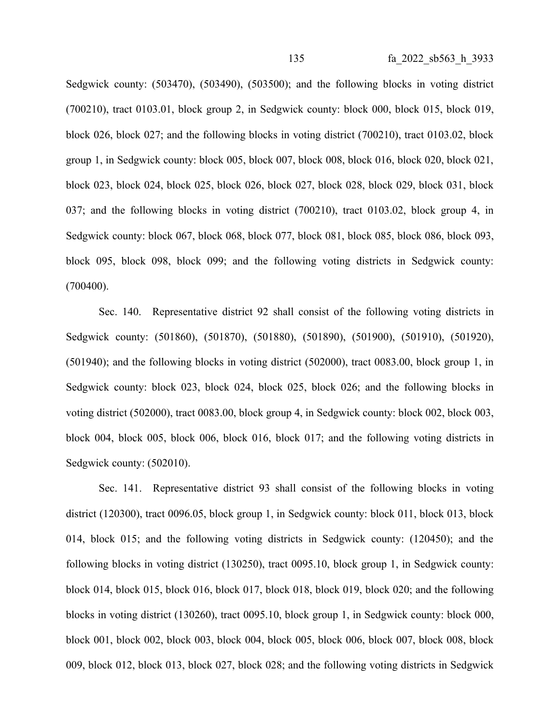Sedgwick county:  $(503470)$ ,  $(503490)$ ,  $(503500)$ ; and the following blocks in voting district (700210), tract 0103.01, block group 2, in Sedgwick county: block 000, block 015, block 019, block 026, block 027; and the following blocks in voting district (700210), tract 0103.02, block group 1, in Sedgwick county: block 005, block 007, block 008, block 016, block 020, block 021, block 023, block 024, block 025, block 026, block 027, block 028, block 029, block 031, block 037; and the following blocks in voting district (700210), tract 0103.02, block group 4, in Sedgwick county: block 067, block 068, block 077, block 081, block 085, block 086, block 093, block 095, block 098, block 099; and the following voting districts in Sedgwick county: (700400).

Sec. 140. Representative district 92 shall consist of the following voting districts in Sedgwick county: (501860), (501870), (501880), (501890), (501900), (501910), (501920), (501940); and the following blocks in voting district (502000), tract 0083.00, block group 1, in Sedgwick county: block 023, block 024, block 025, block 026; and the following blocks in voting district (502000), tract 0083.00, block group 4, in Sedgwick county: block 002, block 003, block 004, block 005, block 006, block 016, block 017; and the following voting districts in Sedgwick county: (502010).

Sec. 141. Representative district 93 shall consist of the following blocks in voting district (120300), tract 0096.05, block group 1, in Sedgwick county: block 011, block 013, block 014, block 015; and the following voting districts in Sedgwick county: (120450); and the following blocks in voting district (130250), tract 0095.10, block group 1, in Sedgwick county: block 014, block 015, block 016, block 017, block 018, block 019, block 020; and the following blocks in voting district (130260), tract 0095.10, block group 1, in Sedgwick county: block 000, block 001, block 002, block 003, block 004, block 005, block 006, block 007, block 008, block 009, block 012, block 013, block 027, block 028; and the following voting districts in Sedgwick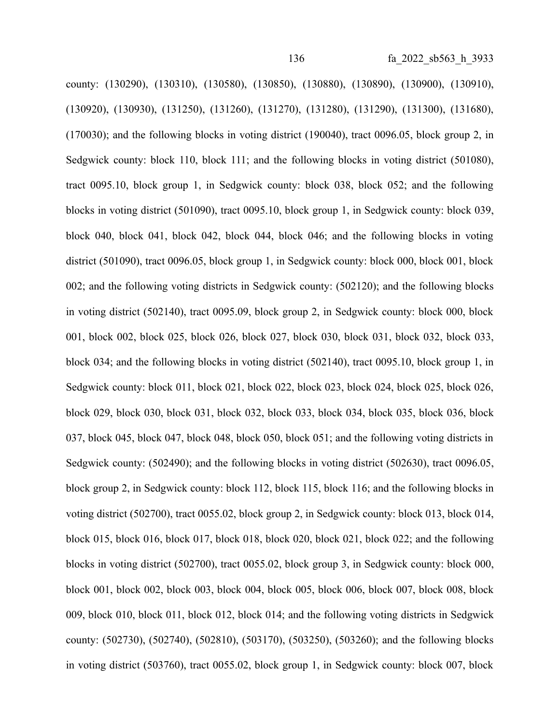county: (130290), (130310), (130580), (130850), (130880), (130890), (130900), (130910), (130920), (130930), (131250), (131260), (131270), (131280), (131290), (131300), (131680), (170030); and the following blocks in voting district (190040), tract 0096.05, block group 2, in Sedgwick county: block 110, block 111; and the following blocks in voting district (501080), tract 0095.10, block group 1, in Sedgwick county: block 038, block 052; and the following blocks in voting district (501090), tract 0095.10, block group 1, in Sedgwick county: block 039, block 040, block 041, block 042, block 044, block 046; and the following blocks in voting district (501090), tract 0096.05, block group 1, in Sedgwick county: block 000, block 001, block 002; and the following voting districts in Sedgwick county: (502120); and the following blocks in voting district (502140), tract 0095.09, block group 2, in Sedgwick county: block 000, block 001, block 002, block 025, block 026, block 027, block 030, block 031, block 032, block 033, block 034; and the following blocks in voting district (502140), tract 0095.10, block group 1, in Sedgwick county: block 011, block 021, block 022, block 023, block 024, block 025, block 026, block 029, block 030, block 031, block 032, block 033, block 034, block 035, block 036, block 037, block 045, block 047, block 048, block 050, block 051; and the following voting districts in Sedgwick county: (502490); and the following blocks in voting district (502630), tract 0096.05, block group 2, in Sedgwick county: block 112, block 115, block 116; and the following blocks in voting district (502700), tract 0055.02, block group 2, in Sedgwick county: block 013, block 014, block 015, block 016, block 017, block 018, block 020, block 021, block 022; and the following blocks in voting district (502700), tract 0055.02, block group 3, in Sedgwick county: block 000, block 001, block 002, block 003, block 004, block 005, block 006, block 007, block 008, block 009, block 010, block 011, block 012, block 014; and the following voting districts in Sedgwick county: (502730), (502740), (502810), (503170), (503250), (503260); and the following blocks in voting district (503760), tract 0055.02, block group 1, in Sedgwick county: block 007, block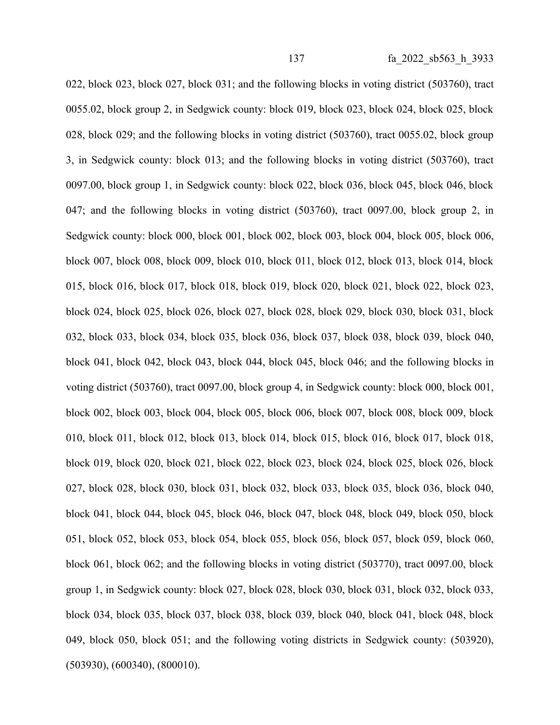022, block 023, block 027, block 031; and the following blocks in voting district (503760), tract 0055.02, block group 2, in Sedgwick county: block 019, block 023, block 024, block 025, block 028, block 029; and the following blocks in voting district (503760), tract 0055.02, block group 3, in Sedgwick county: block 013; and the following blocks in voting district (503760), tract 0097.00, block group 1, in Sedgwick county: block 022, block 036, block 045, block 046, block 047; and the following blocks in voting district (503760), tract 0097.00, block group 2, in Sedgwick county: block 000, block 001, block 002, block 003, block 004, block 005, block 006, block 007, block 008, block 009, block 010, block 011, block 012, block 013, block 014, block 015, block 016, block 017, block 018, block 019, block 020, block 021, block 022, block 023, block 024, block 025, block 026, block 027, block 028, block 029, block 030, block 031, block 032, block 033, block 034, block 035, block 036, block 037, block 038, block 039, block 040, block 041, block 042, block 043, block 044, block 045, block 046; and the following blocks in voting district (503760), tract 0097.00, block group 4, in Sedgwick county: block 000, block 001, block 002, block 003, block 004, block 005, block 006, block 007, block 008, block 009, block 010, block 011, block 012, block 013, block 014, block 015, block 016, block 017, block 018, block 019, block 020, block 021, block 022, block 023, block 024, block 025, block 026, block 027, block 028, block 030, block 031, block 032, block 033, block 035, block 036, block 040, block 041, block 044, block 045, block 046, block 047, block 048, block 049, block 050, block 051, block 052, block 053, block 054, block 055, block 056, block 057, block 059, block 060, block 061, block 062; and the following blocks in voting district (503770), tract 0097.00, block group 1, in Sedgwick county: block 027, block 028, block 030, block 031, block 032, block 033, block 034, block 035, block 037, block 038, block 039, block 040, block 041, block 048, block 049, block 050, block 051; and the following voting districts in Sedgwick county: (503920), (503930), (600340), (800010).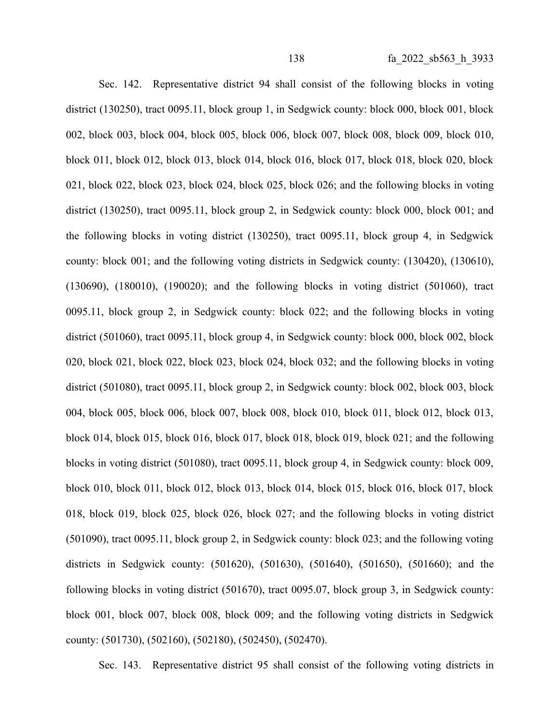Sec. 142. Representative district 94 shall consist of the following blocks in voting district (130250), tract 0095.11, block group 1, in Sedgwick county: block 000, block 001, block 002, block 003, block 004, block 005, block 006, block 007, block 008, block 009, block 010, block 011, block 012, block 013, block 014, block 016, block 017, block 018, block 020, block 021, block 022, block 023, block 024, block 025, block 026; and the following blocks in voting district (130250), tract 0095.11, block group 2, in Sedgwick county: block 000, block 001; and the following blocks in voting district (130250), tract 0095.11, block group 4, in Sedgwick county: block 001; and the following voting districts in Sedgwick county: (130420), (130610), (130690), (180010), (190020); and the following blocks in voting district (501060), tract 0095.11, block group 2, in Sedgwick county: block 022; and the following blocks in voting district (501060), tract 0095.11, block group 4, in Sedgwick county: block 000, block 002, block 020, block 021, block 022, block 023, block 024, block 032; and the following blocks in voting district (501080), tract 0095.11, block group 2, in Sedgwick county: block 002, block 003, block 004, block 005, block 006, block 007, block 008, block 010, block 011, block 012, block 013, block 014, block 015, block 016, block 017, block 018, block 019, block 021; and the following blocks in voting district (501080), tract 0095.11, block group 4, in Sedgwick county: block 009, block 010, block 011, block 012, block 013, block 014, block 015, block 016, block 017, block 018, block 019, block 025, block 026, block 027; and the following blocks in voting district (501090), tract 0095.11, block group 2, in Sedgwick county: block 023; and the following voting districts in Sedgwick county: (501620), (501630), (501640), (501650), (501660); and the following blocks in voting district (501670), tract 0095.07, block group 3, in Sedgwick county: block 001, block 007, block 008, block 009; and the following voting districts in Sedgwick county: (501730), (502160), (502180), (502450), (502470).

Sec. 143. Representative district 95 shall consist of the following voting districts in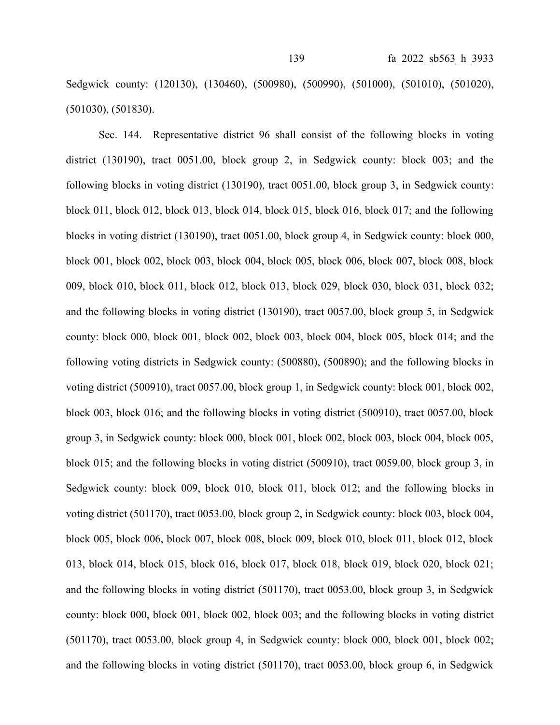Sedgwick county: (120130), (130460), (500980), (500990), (501000), (501010), (501020), (501030), (501830).

Sec. 144. Representative district 96 shall consist of the following blocks in voting district (130190), tract 0051.00, block group 2, in Sedgwick county: block 003; and the following blocks in voting district (130190), tract 0051.00, block group 3, in Sedgwick county: block 011, block 012, block 013, block 014, block 015, block 016, block 017; and the following blocks in voting district (130190), tract 0051.00, block group 4, in Sedgwick county: block 000, block 001, block 002, block 003, block 004, block 005, block 006, block 007, block 008, block 009, block 010, block 011, block 012, block 013, block 029, block 030, block 031, block 032; and the following blocks in voting district (130190), tract 0057.00, block group 5, in Sedgwick county: block 000, block 001, block 002, block 003, block 004, block 005, block 014; and the following voting districts in Sedgwick county: (500880), (500890); and the following blocks in voting district (500910), tract 0057.00, block group 1, in Sedgwick county: block 001, block 002, block 003, block 016; and the following blocks in voting district (500910), tract 0057.00, block group 3, in Sedgwick county: block 000, block 001, block 002, block 003, block 004, block 005, block 015; and the following blocks in voting district (500910), tract 0059.00, block group 3, in Sedgwick county: block 009, block 010, block 011, block 012; and the following blocks in voting district (501170), tract 0053.00, block group 2, in Sedgwick county: block 003, block 004, block 005, block 006, block 007, block 008, block 009, block 010, block 011, block 012, block 013, block 014, block 015, block 016, block 017, block 018, block 019, block 020, block 021; and the following blocks in voting district (501170), tract 0053.00, block group 3, in Sedgwick county: block 000, block 001, block 002, block 003; and the following blocks in voting district (501170), tract 0053.00, block group 4, in Sedgwick county: block 000, block 001, block 002; and the following blocks in voting district (501170), tract 0053.00, block group 6, in Sedgwick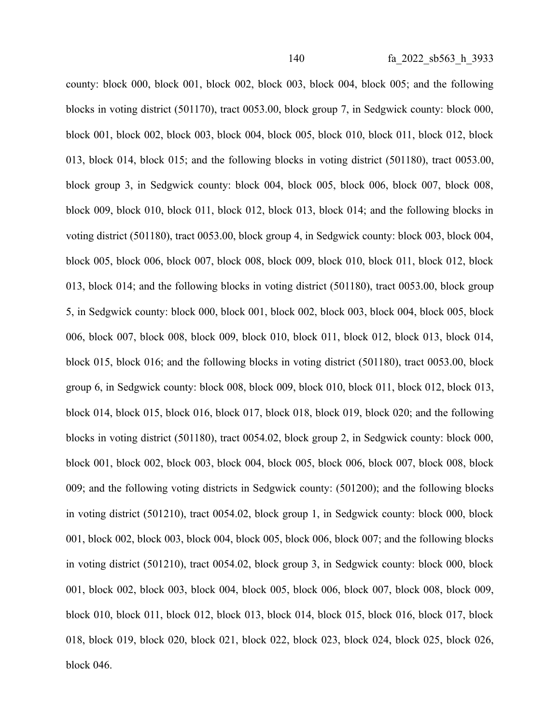county: block 000, block 001, block 002, block 003, block 004, block 005; and the following blocks in voting district (501170), tract 0053.00, block group 7, in Sedgwick county: block 000, block 001, block 002, block 003, block 004, block 005, block 010, block 011, block 012, block 013, block 014, block 015; and the following blocks in voting district (501180), tract 0053.00, block group 3, in Sedgwick county: block 004, block 005, block 006, block 007, block 008, block 009, block 010, block 011, block 012, block 013, block 014; and the following blocks in voting district (501180), tract 0053.00, block group 4, in Sedgwick county: block 003, block 004, block 005, block 006, block 007, block 008, block 009, block 010, block 011, block 012, block 013, block 014; and the following blocks in voting district (501180), tract 0053.00, block group 5, in Sedgwick county: block 000, block 001, block 002, block 003, block 004, block 005, block 006, block 007, block 008, block 009, block 010, block 011, block 012, block 013, block 014, block 015, block 016; and the following blocks in voting district (501180), tract 0053.00, block group 6, in Sedgwick county: block 008, block 009, block 010, block 011, block 012, block 013, block 014, block 015, block 016, block 017, block 018, block 019, block 020; and the following blocks in voting district (501180), tract 0054.02, block group 2, in Sedgwick county: block 000, block 001, block 002, block 003, block 004, block 005, block 006, block 007, block 008, block 009; and the following voting districts in Sedgwick county: (501200); and the following blocks in voting district (501210), tract 0054.02, block group 1, in Sedgwick county: block 000, block 001, block 002, block 003, block 004, block 005, block 006, block 007; and the following blocks in voting district (501210), tract 0054.02, block group 3, in Sedgwick county: block 000, block 001, block 002, block 003, block 004, block 005, block 006, block 007, block 008, block 009, block 010, block 011, block 012, block 013, block 014, block 015, block 016, block 017, block 018, block 019, block 020, block 021, block 022, block 023, block 024, block 025, block 026, block 046.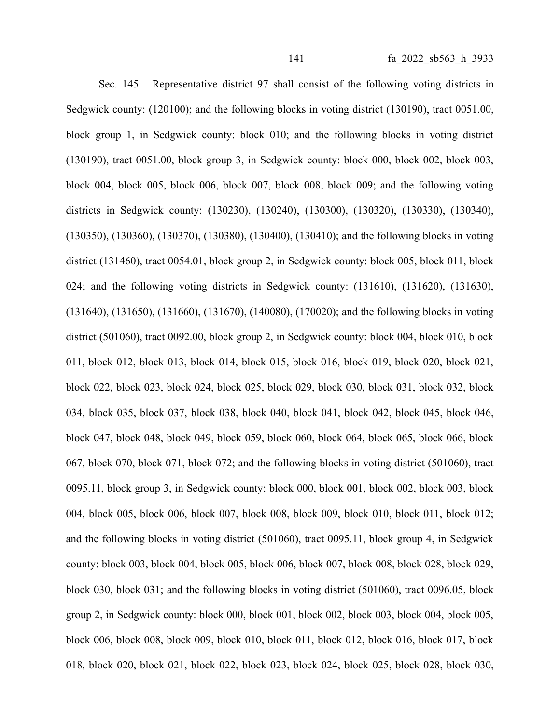Sec. 145. Representative district 97 shall consist of the following voting districts in Sedgwick county: (120100); and the following blocks in voting district (130190), tract 0051.00, block group 1, in Sedgwick county: block 010; and the following blocks in voting district (130190), tract 0051.00, block group 3, in Sedgwick county: block 000, block 002, block 003, block 004, block 005, block 006, block 007, block 008, block 009; and the following voting districts in Sedgwick county: (130230), (130240), (130300), (130320), (130330), (130340), (130350), (130360), (130370), (130380), (130400), (130410); and the following blocks in voting district (131460), tract 0054.01, block group 2, in Sedgwick county: block 005, block 011, block 024; and the following voting districts in Sedgwick county: (131610), (131620), (131630), (131640), (131650), (131660), (131670), (140080), (170020); and the following blocks in voting district (501060), tract 0092.00, block group 2, in Sedgwick county: block 004, block 010, block 011, block 012, block 013, block 014, block 015, block 016, block 019, block 020, block 021, block 022, block 023, block 024, block 025, block 029, block 030, block 031, block 032, block 034, block 035, block 037, block 038, block 040, block 041, block 042, block 045, block 046, block 047, block 048, block 049, block 059, block 060, block 064, block 065, block 066, block 067, block 070, block 071, block 072; and the following blocks in voting district (501060), tract 0095.11, block group 3, in Sedgwick county: block 000, block 001, block 002, block 003, block 004, block 005, block 006, block 007, block 008, block 009, block 010, block 011, block 012; and the following blocks in voting district (501060), tract 0095.11, block group 4, in Sedgwick county: block 003, block 004, block 005, block 006, block 007, block 008, block 028, block 029, block 030, block 031; and the following blocks in voting district (501060), tract 0096.05, block group 2, in Sedgwick county: block 000, block 001, block 002, block 003, block 004, block 005, block 006, block 008, block 009, block 010, block 011, block 012, block 016, block 017, block 018, block 020, block 021, block 022, block 023, block 024, block 025, block 028, block 030,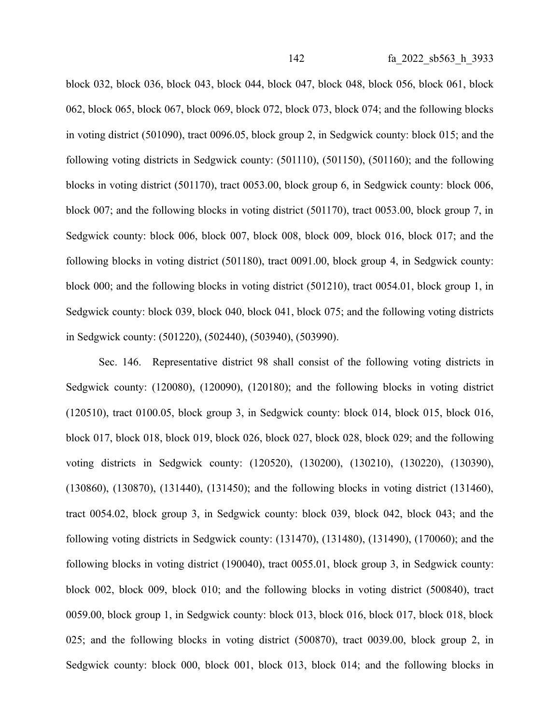block 032, block 036, block 043, block 044, block 047, block 048, block 056, block 061, block 062, block 065, block 067, block 069, block 072, block 073, block 074; and the following blocks in voting district (501090), tract 0096.05, block group 2, in Sedgwick county: block 015; and the following voting districts in Sedgwick county: (501110), (501150), (501160); and the following blocks in voting district (501170), tract 0053.00, block group 6, in Sedgwick county: block 006, block 007; and the following blocks in voting district (501170), tract 0053.00, block group 7, in Sedgwick county: block 006, block 007, block 008, block 009, block 016, block 017; and the following blocks in voting district (501180), tract 0091.00, block group 4, in Sedgwick county: block 000; and the following blocks in voting district (501210), tract 0054.01, block group 1, in Sedgwick county: block 039, block 040, block 041, block 075; and the following voting districts in Sedgwick county: (501220), (502440), (503940), (503990).

Sec. 146. Representative district 98 shall consist of the following voting districts in Sedgwick county: (120080), (120090), (120180); and the following blocks in voting district (120510), tract 0100.05, block group 3, in Sedgwick county: block 014, block 015, block 016, block 017, block 018, block 019, block 026, block 027, block 028, block 029; and the following voting districts in Sedgwick county: (120520), (130200), (130210), (130220), (130390), (130860), (130870), (131440), (131450); and the following blocks in voting district (131460), tract 0054.02, block group 3, in Sedgwick county: block 039, block 042, block 043; and the following voting districts in Sedgwick county: (131470), (131480), (131490), (170060); and the following blocks in voting district (190040), tract 0055.01, block group 3, in Sedgwick county: block 002, block 009, block 010; and the following blocks in voting district (500840), tract 0059.00, block group 1, in Sedgwick county: block 013, block 016, block 017, block 018, block 025; and the following blocks in voting district (500870), tract 0039.00, block group 2, in Sedgwick county: block 000, block 001, block 013, block 014; and the following blocks in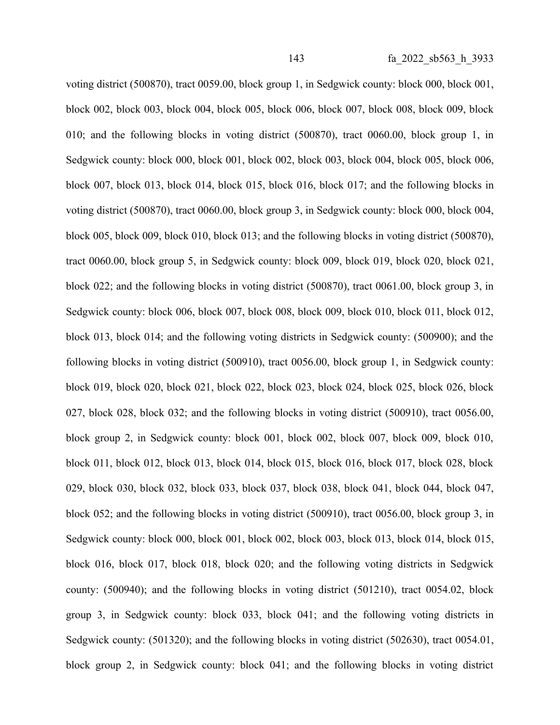voting district (500870), tract 0059.00, block group 1, in Sedgwick county: block 000, block 001, block 002, block 003, block 004, block 005, block 006, block 007, block 008, block 009, block 010; and the following blocks in voting district (500870), tract 0060.00, block group 1, in Sedgwick county: block 000, block 001, block 002, block 003, block 004, block 005, block 006, block 007, block 013, block 014, block 015, block 016, block 017; and the following blocks in voting district (500870), tract 0060.00, block group 3, in Sedgwick county: block 000, block 004, block 005, block 009, block 010, block 013; and the following blocks in voting district (500870), tract 0060.00, block group 5, in Sedgwick county: block 009, block 019, block 020, block 021, block 022; and the following blocks in voting district (500870), tract 0061.00, block group 3, in Sedgwick county: block 006, block 007, block 008, block 009, block 010, block 011, block 012, block 013, block 014; and the following voting districts in Sedgwick county: (500900); and the following blocks in voting district (500910), tract 0056.00, block group 1, in Sedgwick county: block 019, block 020, block 021, block 022, block 023, block 024, block 025, block 026, block 027, block 028, block 032; and the following blocks in voting district (500910), tract 0056.00, block group 2, in Sedgwick county: block 001, block 002, block 007, block 009, block 010, block 011, block 012, block 013, block 014, block 015, block 016, block 017, block 028, block 029, block 030, block 032, block 033, block 037, block 038, block 041, block 044, block 047, block 052; and the following blocks in voting district (500910), tract 0056.00, block group 3, in Sedgwick county: block 000, block 001, block 002, block 003, block 013, block 014, block 015, block 016, block 017, block 018, block 020; and the following voting districts in Sedgwick county: (500940); and the following blocks in voting district (501210), tract 0054.02, block group 3, in Sedgwick county: block 033, block 041; and the following voting districts in Sedgwick county: (501320); and the following blocks in voting district (502630), tract 0054.01, block group 2, in Sedgwick county: block 041; and the following blocks in voting district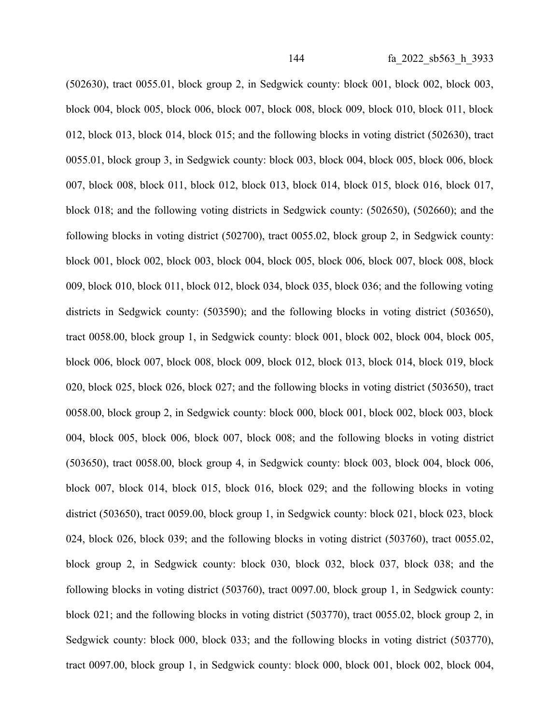(502630), tract 0055.01, block group 2, in Sedgwick county: block 001, block 002, block 003, block 004, block 005, block 006, block 007, block 008, block 009, block 010, block 011, block 012, block 013, block 014, block 015; and the following blocks in voting district (502630), tract 0055.01, block group 3, in Sedgwick county: block 003, block 004, block 005, block 006, block 007, block 008, block 011, block 012, block 013, block 014, block 015, block 016, block 017, block 018; and the following voting districts in Sedgwick county: (502650), (502660); and the following blocks in voting district (502700), tract 0055.02, block group 2, in Sedgwick county: block 001, block 002, block 003, block 004, block 005, block 006, block 007, block 008, block 009, block 010, block 011, block 012, block 034, block 035, block 036; and the following voting districts in Sedgwick county: (503590); and the following blocks in voting district (503650), tract 0058.00, block group 1, in Sedgwick county: block 001, block 002, block 004, block 005, block 006, block 007, block 008, block 009, block 012, block 013, block 014, block 019, block 020, block 025, block 026, block 027; and the following blocks in voting district (503650), tract 0058.00, block group 2, in Sedgwick county: block 000, block 001, block 002, block 003, block 004, block 005, block 006, block 007, block 008; and the following blocks in voting district (503650), tract 0058.00, block group 4, in Sedgwick county: block 003, block 004, block 006, block 007, block 014, block 015, block 016, block 029; and the following blocks in voting district (503650), tract 0059.00, block group 1, in Sedgwick county: block 021, block 023, block 024, block 026, block 039; and the following blocks in voting district (503760), tract 0055.02, block group 2, in Sedgwick county: block 030, block 032, block 037, block 038; and the following blocks in voting district (503760), tract 0097.00, block group 1, in Sedgwick county: block 021; and the following blocks in voting district (503770), tract 0055.02, block group 2, in Sedgwick county: block 000, block 033; and the following blocks in voting district (503770), tract 0097.00, block group 1, in Sedgwick county: block 000, block 001, block 002, block 004,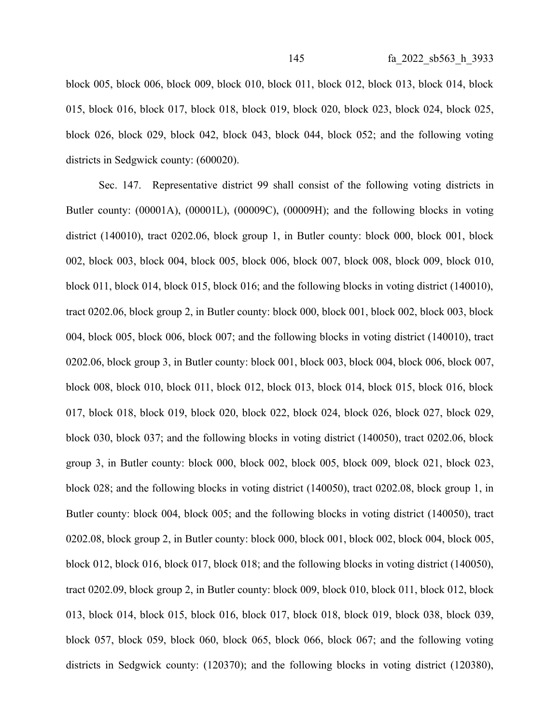block 005, block 006, block 009, block 010, block 011, block 012, block 013, block 014, block 015, block 016, block 017, block 018, block 019, block 020, block 023, block 024, block 025, block 026, block 029, block 042, block 043, block 044, block 052; and the following voting districts in Sedgwick county: (600020).

Sec. 147. Representative district 99 shall consist of the following voting districts in Butler county: (00001A), (00001L), (00009C), (00009H); and the following blocks in voting district (140010), tract 0202.06, block group 1, in Butler county: block 000, block 001, block 002, block 003, block 004, block 005, block 006, block 007, block 008, block 009, block 010, block 011, block 014, block 015, block 016; and the following blocks in voting district (140010), tract 0202.06, block group 2, in Butler county: block 000, block 001, block 002, block 003, block 004, block 005, block 006, block 007; and the following blocks in voting district (140010), tract 0202.06, block group 3, in Butler county: block 001, block 003, block 004, block 006, block 007, block 008, block 010, block 011, block 012, block 013, block 014, block 015, block 016, block 017, block 018, block 019, block 020, block 022, block 024, block 026, block 027, block 029, block 030, block 037; and the following blocks in voting district (140050), tract 0202.06, block group 3, in Butler county: block 000, block 002, block 005, block 009, block 021, block 023, block 028; and the following blocks in voting district (140050), tract 0202.08, block group 1, in Butler county: block 004, block 005; and the following blocks in voting district (140050), tract 0202.08, block group 2, in Butler county: block 000, block 001, block 002, block 004, block 005, block 012, block 016, block 017, block 018; and the following blocks in voting district (140050), tract 0202.09, block group 2, in Butler county: block 009, block 010, block 011, block 012, block 013, block 014, block 015, block 016, block 017, block 018, block 019, block 038, block 039, block 057, block 059, block 060, block 065, block 066, block 067; and the following voting districts in Sedgwick county: (120370); and the following blocks in voting district (120380),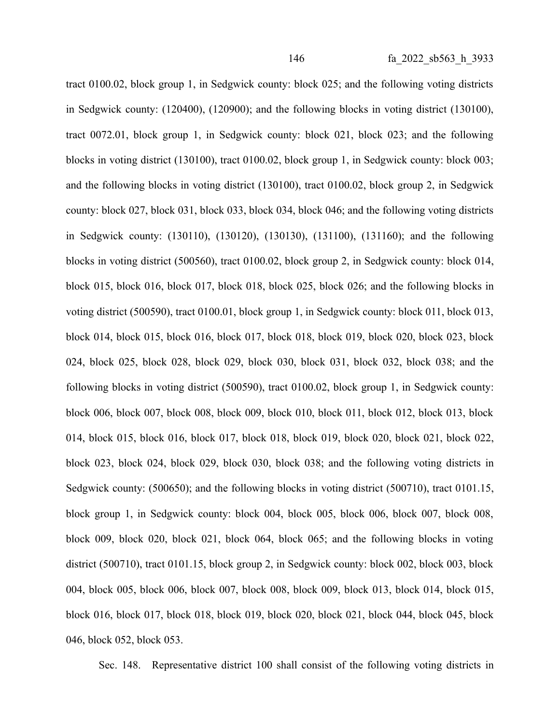tract 0100.02, block group 1, in Sedgwick county: block 025; and the following voting districts in Sedgwick county: (120400), (120900); and the following blocks in voting district (130100), tract 0072.01, block group 1, in Sedgwick county: block 021, block 023; and the following blocks in voting district (130100), tract 0100.02, block group 1, in Sedgwick county: block 003; and the following blocks in voting district (130100), tract 0100.02, block group 2, in Sedgwick county: block 027, block 031, block 033, block 034, block 046; and the following voting districts in Sedgwick county: (130110), (130120), (130130), (131100), (131160); and the following blocks in voting district (500560), tract 0100.02, block group 2, in Sedgwick county: block 014, block 015, block 016, block 017, block 018, block 025, block 026; and the following blocks in voting district (500590), tract 0100.01, block group 1, in Sedgwick county: block 011, block 013, block 014, block 015, block 016, block 017, block 018, block 019, block 020, block 023, block 024, block 025, block 028, block 029, block 030, block 031, block 032, block 038; and the following blocks in voting district (500590), tract 0100.02, block group 1, in Sedgwick county: block 006, block 007, block 008, block 009, block 010, block 011, block 012, block 013, block 014, block 015, block 016, block 017, block 018, block 019, block 020, block 021, block 022, block 023, block 024, block 029, block 030, block 038; and the following voting districts in Sedgwick county: (500650); and the following blocks in voting district (500710), tract 0101.15, block group 1, in Sedgwick county: block 004, block 005, block 006, block 007, block 008, block 009, block 020, block 021, block 064, block 065; and the following blocks in voting district (500710), tract 0101.15, block group 2, in Sedgwick county: block 002, block 003, block 004, block 005, block 006, block 007, block 008, block 009, block 013, block 014, block 015, block 016, block 017, block 018, block 019, block 020, block 021, block 044, block 045, block 046, block 052, block 053.

Sec. 148. Representative district 100 shall consist of the following voting districts in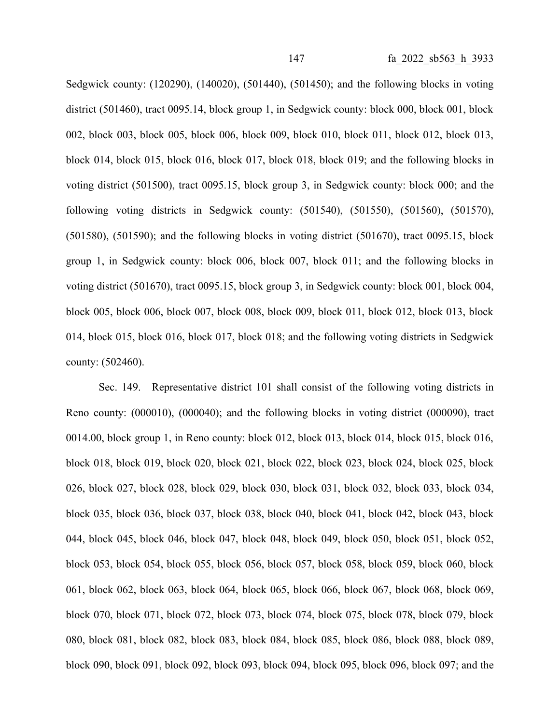Sedgwick county: (120290), (140020), (501440), (501450); and the following blocks in voting district (501460), tract 0095.14, block group 1, in Sedgwick county: block 000, block 001, block 002, block 003, block 005, block 006, block 009, block 010, block 011, block 012, block 013, block 014, block 015, block 016, block 017, block 018, block 019; and the following blocks in voting district (501500), tract 0095.15, block group 3, in Sedgwick county: block 000; and the following voting districts in Sedgwick county: (501540), (501550), (501560), (501570), (501580), (501590); and the following blocks in voting district (501670), tract 0095.15, block group 1, in Sedgwick county: block 006, block 007, block 011; and the following blocks in voting district (501670), tract 0095.15, block group 3, in Sedgwick county: block 001, block 004, block 005, block 006, block 007, block 008, block 009, block 011, block 012, block 013, block 014, block 015, block 016, block 017, block 018; and the following voting districts in Sedgwick county: (502460).

Sec. 149. Representative district 101 shall consist of the following voting districts in Reno county: (000010), (000040); and the following blocks in voting district (000090), tract 0014.00, block group 1, in Reno county: block 012, block 013, block 014, block 015, block 016, block 018, block 019, block 020, block 021, block 022, block 023, block 024, block 025, block 026, block 027, block 028, block 029, block 030, block 031, block 032, block 033, block 034, block 035, block 036, block 037, block 038, block 040, block 041, block 042, block 043, block 044, block 045, block 046, block 047, block 048, block 049, block 050, block 051, block 052, block 053, block 054, block 055, block 056, block 057, block 058, block 059, block 060, block 061, block 062, block 063, block 064, block 065, block 066, block 067, block 068, block 069, block 070, block 071, block 072, block 073, block 074, block 075, block 078, block 079, block 080, block 081, block 082, block 083, block 084, block 085, block 086, block 088, block 089, block 090, block 091, block 092, block 093, block 094, block 095, block 096, block 097; and the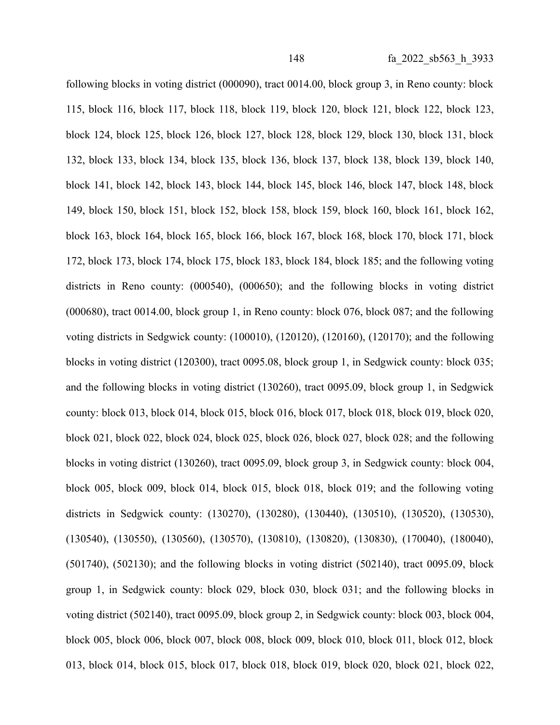following blocks in voting district (000090), tract 0014.00, block group 3, in Reno county: block 115, block 116, block 117, block 118, block 119, block 120, block 121, block 122, block 123, block 124, block 125, block 126, block 127, block 128, block 129, block 130, block 131, block 132, block 133, block 134, block 135, block 136, block 137, block 138, block 139, block 140, block 141, block 142, block 143, block 144, block 145, block 146, block 147, block 148, block 149, block 150, block 151, block 152, block 158, block 159, block 160, block 161, block 162, block 163, block 164, block 165, block 166, block 167, block 168, block 170, block 171, block 172, block 173, block 174, block 175, block 183, block 184, block 185; and the following voting districts in Reno county: (000540), (000650); and the following blocks in voting district (000680), tract 0014.00, block group 1, in Reno county: block 076, block 087; and the following voting districts in Sedgwick county: (100010), (120120), (120160), (120170); and the following blocks in voting district (120300), tract 0095.08, block group 1, in Sedgwick county: block 035; and the following blocks in voting district (130260), tract 0095.09, block group 1, in Sedgwick county: block 013, block 014, block 015, block 016, block 017, block 018, block 019, block 020, block 021, block 022, block 024, block 025, block 026, block 027, block 028; and the following blocks in voting district (130260), tract 0095.09, block group 3, in Sedgwick county: block 004, block 005, block 009, block 014, block 015, block 018, block 019; and the following voting districts in Sedgwick county: (130270), (130280), (130440), (130510), (130520), (130530), (130540), (130550), (130560), (130570), (130810), (130820), (130830), (170040), (180040), (501740), (502130); and the following blocks in voting district (502140), tract 0095.09, block group 1, in Sedgwick county: block 029, block 030, block 031; and the following blocks in voting district (502140), tract 0095.09, block group 2, in Sedgwick county: block 003, block 004, block 005, block 006, block 007, block 008, block 009, block 010, block 011, block 012, block 013, block 014, block 015, block 017, block 018, block 019, block 020, block 021, block 022,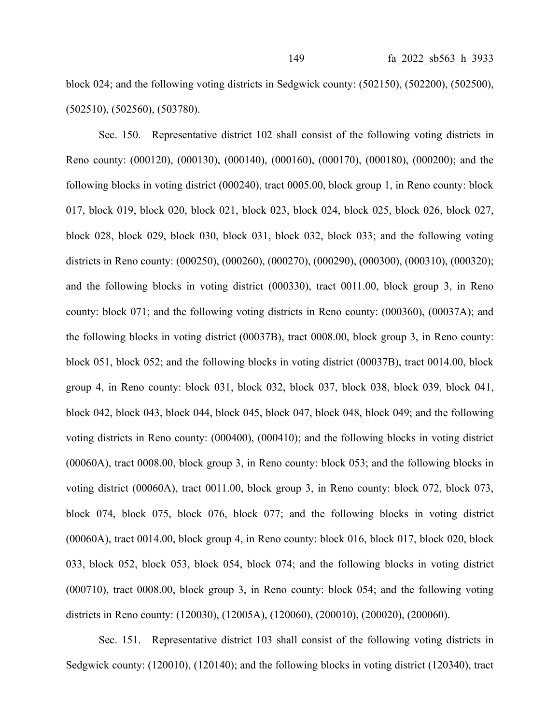block 024; and the following voting districts in Sedgwick county: (502150), (502200), (502500), (502510), (502560), (503780).

Sec. 150. Representative district 102 shall consist of the following voting districts in Reno county: (000120), (000130), (000140), (000160), (000170), (000180), (000200); and the following blocks in voting district (000240), tract 0005.00, block group 1, in Reno county: block 017, block 019, block 020, block 021, block 023, block 024, block 025, block 026, block 027, block 028, block 029, block 030, block 031, block 032, block 033; and the following voting districts in Reno county: (000250), (000260), (000270), (000290), (000300), (000310), (000320); and the following blocks in voting district (000330), tract 0011.00, block group 3, in Reno county: block 071; and the following voting districts in Reno county: (000360), (00037A); and the following blocks in voting district (00037B), tract 0008.00, block group 3, in Reno county: block 051, block 052; and the following blocks in voting district (00037B), tract 0014.00, block group 4, in Reno county: block 031, block 032, block 037, block 038, block 039, block 041, block 042, block 043, block 044, block 045, block 047, block 048, block 049; and the following voting districts in Reno county: (000400), (000410); and the following blocks in voting district (00060A), tract 0008.00, block group 3, in Reno county: block 053; and the following blocks in voting district (00060A), tract 0011.00, block group 3, in Reno county: block 072, block 073, block 074, block 075, block 076, block 077; and the following blocks in voting district (00060A), tract 0014.00, block group 4, in Reno county: block 016, block 017, block 020, block 033, block 052, block 053, block 054, block 074; and the following blocks in voting district (000710), tract 0008.00, block group 3, in Reno county: block 054; and the following voting districts in Reno county: (120030), (12005A), (120060), (200010), (200020), (200060).

Sec. 151. Representative district 103 shall consist of the following voting districts in Sedgwick county: (120010), (120140); and the following blocks in voting district (120340), tract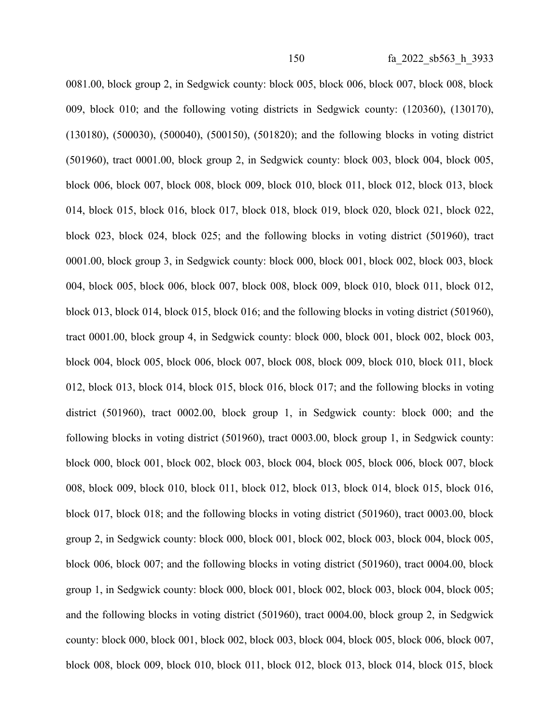0081.00, block group 2, in Sedgwick county: block 005, block 006, block 007, block 008, block 009, block 010; and the following voting districts in Sedgwick county: (120360), (130170), (130180), (500030), (500040), (500150), (501820); and the following blocks in voting district (501960), tract 0001.00, block group 2, in Sedgwick county: block 003, block 004, block 005, block 006, block 007, block 008, block 009, block 010, block 011, block 012, block 013, block 014, block 015, block 016, block 017, block 018, block 019, block 020, block 021, block 022, block 023, block 024, block 025; and the following blocks in voting district (501960), tract 0001.00, block group 3, in Sedgwick county: block 000, block 001, block 002, block 003, block 004, block 005, block 006, block 007, block 008, block 009, block 010, block 011, block 012, block 013, block 014, block 015, block 016; and the following blocks in voting district (501960), tract 0001.00, block group 4, in Sedgwick county: block 000, block 001, block 002, block 003, block 004, block 005, block 006, block 007, block 008, block 009, block 010, block 011, block 012, block 013, block 014, block 015, block 016, block 017; and the following blocks in voting district (501960), tract 0002.00, block group 1, in Sedgwick county: block 000; and the following blocks in voting district (501960), tract 0003.00, block group 1, in Sedgwick county: block 000, block 001, block 002, block 003, block 004, block 005, block 006, block 007, block 008, block 009, block 010, block 011, block 012, block 013, block 014, block 015, block 016, block 017, block 018; and the following blocks in voting district (501960), tract 0003.00, block group 2, in Sedgwick county: block 000, block 001, block 002, block 003, block 004, block 005, block 006, block 007; and the following blocks in voting district (501960), tract 0004.00, block group 1, in Sedgwick county: block 000, block 001, block 002, block 003, block 004, block 005; and the following blocks in voting district (501960), tract 0004.00, block group 2, in Sedgwick county: block 000, block 001, block 002, block 003, block 004, block 005, block 006, block 007, block 008, block 009, block 010, block 011, block 012, block 013, block 014, block 015, block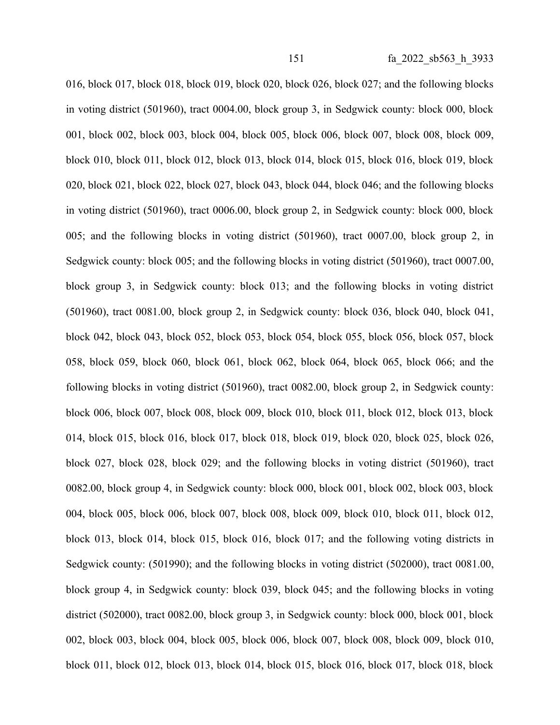016, block 017, block 018, block 019, block 020, block 026, block 027; and the following blocks in voting district (501960), tract 0004.00, block group 3, in Sedgwick county: block 000, block 001, block 002, block 003, block 004, block 005, block 006, block 007, block 008, block 009, block 010, block 011, block 012, block 013, block 014, block 015, block 016, block 019, block 020, block 021, block 022, block 027, block 043, block 044, block 046; and the following blocks in voting district (501960), tract 0006.00, block group 2, in Sedgwick county: block 000, block 005; and the following blocks in voting district (501960), tract 0007.00, block group 2, in Sedgwick county: block 005; and the following blocks in voting district (501960), tract 0007.00, block group 3, in Sedgwick county: block 013; and the following blocks in voting district (501960), tract 0081.00, block group 2, in Sedgwick county: block 036, block 040, block 041, block 042, block 043, block 052, block 053, block 054, block 055, block 056, block 057, block 058, block 059, block 060, block 061, block 062, block 064, block 065, block 066; and the following blocks in voting district (501960), tract 0082.00, block group 2, in Sedgwick county: block 006, block 007, block 008, block 009, block 010, block 011, block 012, block 013, block 014, block 015, block 016, block 017, block 018, block 019, block 020, block 025, block 026, block 027, block 028, block 029; and the following blocks in voting district (501960), tract 0082.00, block group 4, in Sedgwick county: block 000, block 001, block 002, block 003, block 004, block 005, block 006, block 007, block 008, block 009, block 010, block 011, block 012, block 013, block 014, block 015, block 016, block 017; and the following voting districts in Sedgwick county: (501990); and the following blocks in voting district (502000), tract 0081.00, block group 4, in Sedgwick county: block 039, block 045; and the following blocks in voting district (502000), tract 0082.00, block group 3, in Sedgwick county: block 000, block 001, block 002, block 003, block 004, block 005, block 006, block 007, block 008, block 009, block 010, block 011, block 012, block 013, block 014, block 015, block 016, block 017, block 018, block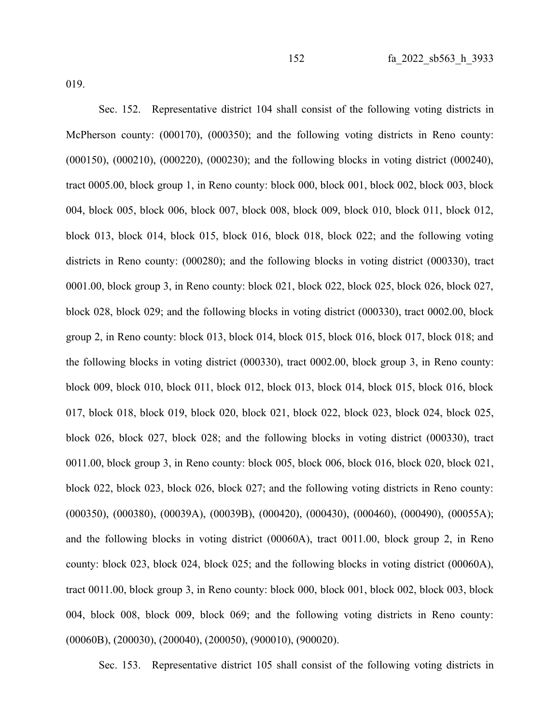Sec. 152. Representative district 104 shall consist of the following voting districts in McPherson county: (000170), (000350); and the following voting districts in Reno county: (000150), (000210), (000220), (000230); and the following blocks in voting district (000240), tract 0005.00, block group 1, in Reno county: block 000, block 001, block 002, block 003, block 004, block 005, block 006, block 007, block 008, block 009, block 010, block 011, block 012, block 013, block 014, block 015, block 016, block 018, block 022; and the following voting districts in Reno county: (000280); and the following blocks in voting district (000330), tract 0001.00, block group 3, in Reno county: block 021, block 022, block 025, block 026, block 027, block 028, block 029; and the following blocks in voting district (000330), tract 0002.00, block group 2, in Reno county: block 013, block 014, block 015, block 016, block 017, block 018; and the following blocks in voting district (000330), tract 0002.00, block group 3, in Reno county: block 009, block 010, block 011, block 012, block 013, block 014, block 015, block 016, block 017, block 018, block 019, block 020, block 021, block 022, block 023, block 024, block 025, block 026, block 027, block 028; and the following blocks in voting district (000330), tract 0011.00, block group 3, in Reno county: block 005, block 006, block 016, block 020, block 021, block 022, block 023, block 026, block 027; and the following voting districts in Reno county: (000350), (000380), (00039A), (00039B), (000420), (000430), (000460), (000490), (00055A); and the following blocks in voting district (00060A), tract 0011.00, block group 2, in Reno county: block 023, block 024, block 025; and the following blocks in voting district (00060A), tract 0011.00, block group 3, in Reno county: block 000, block 001, block 002, block 003, block 004, block 008, block 009, block 069; and the following voting districts in Reno county: (00060B), (200030), (200040), (200050), (900010), (900020).

Sec. 153. Representative district 105 shall consist of the following voting districts in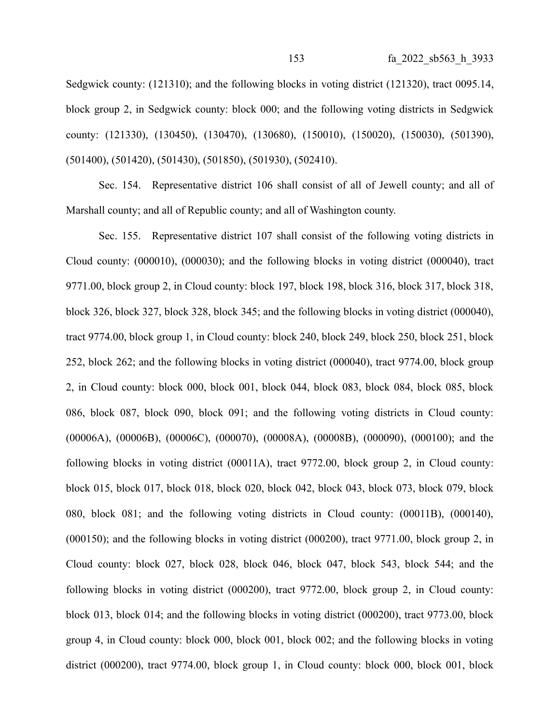Sedgwick county: (121310); and the following blocks in voting district (121320), tract 0095.14, block group 2, in Sedgwick county: block 000; and the following voting districts in Sedgwick county: (121330), (130450), (130470), (130680), (150010), (150020), (150030), (501390), (501400), (501420), (501430), (501850), (501930), (502410).

Sec. 154. Representative district 106 shall consist of all of Jewell county; and all of Marshall county; and all of Republic county; and all of Washington county.

Sec. 155. Representative district 107 shall consist of the following voting districts in Cloud county: (000010), (000030); and the following blocks in voting district (000040), tract 9771.00, block group 2, in Cloud county: block 197, block 198, block 316, block 317, block 318, block 326, block 327, block 328, block 345; and the following blocks in voting district (000040), tract 9774.00, block group 1, in Cloud county: block 240, block 249, block 250, block 251, block 252, block 262; and the following blocks in voting district (000040), tract 9774.00, block group 2, in Cloud county: block 000, block 001, block 044, block 083, block 084, block 085, block 086, block 087, block 090, block 091; and the following voting districts in Cloud county: (00006A), (00006B), (00006C), (000070), (00008A), (00008B), (000090), (000100); and the following blocks in voting district (00011A), tract 9772.00, block group 2, in Cloud county: block 015, block 017, block 018, block 020, block 042, block 043, block 073, block 079, block 080, block 081; and the following voting districts in Cloud county: (00011B), (000140), (000150); and the following blocks in voting district (000200), tract 9771.00, block group 2, in Cloud county: block 027, block 028, block 046, block 047, block 543, block 544; and the following blocks in voting district (000200), tract 9772.00, block group 2, in Cloud county: block 013, block 014; and the following blocks in voting district (000200), tract 9773.00, block group 4, in Cloud county: block 000, block 001, block 002; and the following blocks in voting district (000200), tract 9774.00, block group 1, in Cloud county: block 000, block 001, block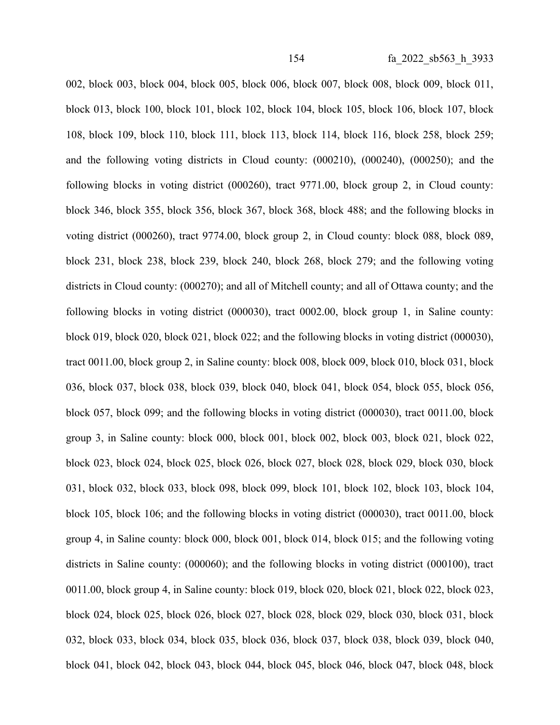002, block 003, block 004, block 005, block 006, block 007, block 008, block 009, block 011, block 013, block 100, block 101, block 102, block 104, block 105, block 106, block 107, block 108, block 109, block 110, block 111, block 113, block 114, block 116, block 258, block 259; and the following voting districts in Cloud county: (000210), (000240), (000250); and the following blocks in voting district (000260), tract 9771.00, block group 2, in Cloud county: block 346, block 355, block 356, block 367, block 368, block 488; and the following blocks in voting district (000260), tract 9774.00, block group 2, in Cloud county: block 088, block 089, block 231, block 238, block 239, block 240, block 268, block 279; and the following voting districts in Cloud county: (000270); and all of Mitchell county; and all of Ottawa county; and the following blocks in voting district (000030), tract 0002.00, block group 1, in Saline county: block 019, block 020, block 021, block 022; and the following blocks in voting district (000030), tract 0011.00, block group 2, in Saline county: block 008, block 009, block 010, block 031, block 036, block 037, block 038, block 039, block 040, block 041, block 054, block 055, block 056, block 057, block 099; and the following blocks in voting district (000030), tract 0011.00, block group 3, in Saline county: block 000, block 001, block 002, block 003, block 021, block 022, block 023, block 024, block 025, block 026, block 027, block 028, block 029, block 030, block 031, block 032, block 033, block 098, block 099, block 101, block 102, block 103, block 104, block 105, block 106; and the following blocks in voting district (000030), tract 0011.00, block group 4, in Saline county: block 000, block 001, block 014, block 015; and the following voting districts in Saline county: (000060); and the following blocks in voting district (000100), tract 0011.00, block group 4, in Saline county: block 019, block 020, block 021, block 022, block 023, block 024, block 025, block 026, block 027, block 028, block 029, block 030, block 031, block 032, block 033, block 034, block 035, block 036, block 037, block 038, block 039, block 040, block 041, block 042, block 043, block 044, block 045, block 046, block 047, block 048, block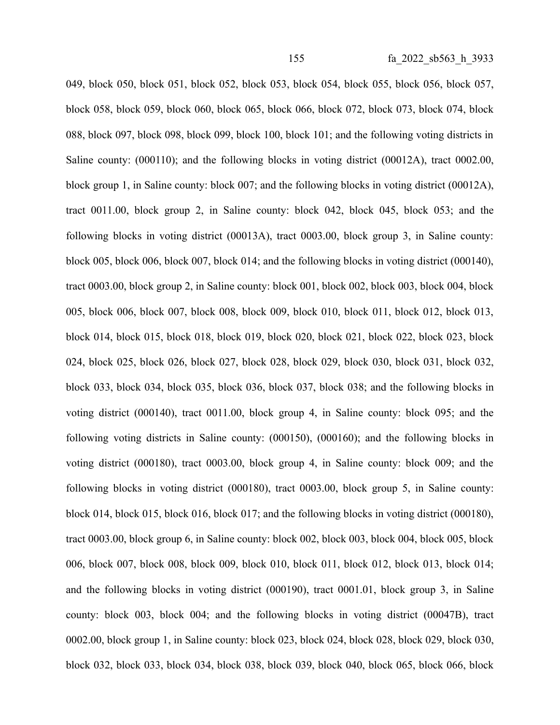049, block 050, block 051, block 052, block 053, block 054, block 055, block 056, block 057, block 058, block 059, block 060, block 065, block 066, block 072, block 073, block 074, block 088, block 097, block 098, block 099, block 100, block 101; and the following voting districts in Saline county: (000110); and the following blocks in voting district (00012A), tract 0002.00, block group 1, in Saline county: block 007; and the following blocks in voting district (00012A), tract 0011.00, block group 2, in Saline county: block 042, block 045, block 053; and the following blocks in voting district (00013A), tract 0003.00, block group 3, in Saline county: block 005, block 006, block 007, block 014; and the following blocks in voting district (000140), tract 0003.00, block group 2, in Saline county: block 001, block 002, block 003, block 004, block 005, block 006, block 007, block 008, block 009, block 010, block 011, block 012, block 013, block 014, block 015, block 018, block 019, block 020, block 021, block 022, block 023, block 024, block 025, block 026, block 027, block 028, block 029, block 030, block 031, block 032, block 033, block 034, block 035, block 036, block 037, block 038; and the following blocks in voting district (000140), tract 0011.00, block group 4, in Saline county: block 095; and the following voting districts in Saline county: (000150), (000160); and the following blocks in voting district (000180), tract 0003.00, block group 4, in Saline county: block 009; and the following blocks in voting district (000180), tract 0003.00, block group 5, in Saline county: block 014, block 015, block 016, block 017; and the following blocks in voting district (000180), tract 0003.00, block group 6, in Saline county: block 002, block 003, block 004, block 005, block 006, block 007, block 008, block 009, block 010, block 011, block 012, block 013, block 014; and the following blocks in voting district (000190), tract 0001.01, block group 3, in Saline county: block 003, block 004; and the following blocks in voting district (00047B), tract 0002.00, block group 1, in Saline county: block 023, block 024, block 028, block 029, block 030, block 032, block 033, block 034, block 038, block 039, block 040, block 065, block 066, block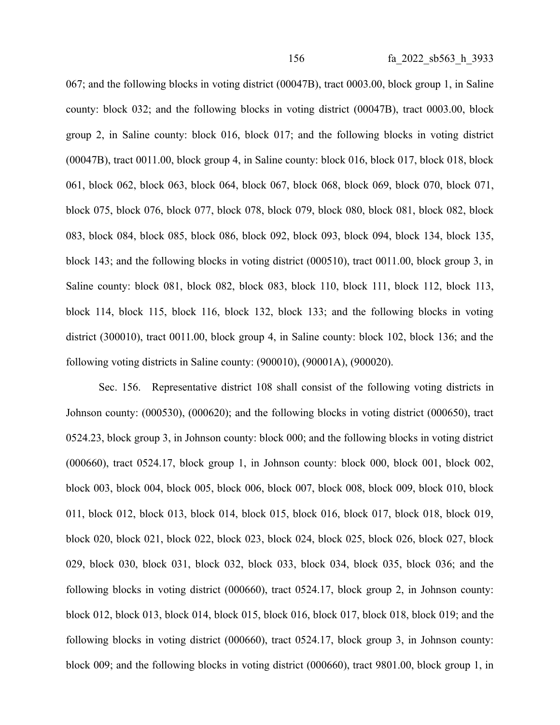067; and the following blocks in voting district (00047B), tract 0003.00, block group 1, in Saline county: block 032; and the following blocks in voting district (00047B), tract 0003.00, block group 2, in Saline county: block 016, block 017; and the following blocks in voting district (00047B), tract 0011.00, block group 4, in Saline county: block 016, block 017, block 018, block 061, block 062, block 063, block 064, block 067, block 068, block 069, block 070, block 071, block 075, block 076, block 077, block 078, block 079, block 080, block 081, block 082, block 083, block 084, block 085, block 086, block 092, block 093, block 094, block 134, block 135, block 143; and the following blocks in voting district (000510), tract 0011.00, block group 3, in Saline county: block 081, block 082, block 083, block 110, block 111, block 112, block 113, block 114, block 115, block 116, block 132, block 133; and the following blocks in voting district (300010), tract 0011.00, block group 4, in Saline county: block 102, block 136; and the following voting districts in Saline county: (900010), (90001A), (900020).

Sec. 156. Representative district 108 shall consist of the following voting districts in Johnson county: (000530), (000620); and the following blocks in voting district (000650), tract 0524.23, block group 3, in Johnson county: block 000; and the following blocks in voting district (000660), tract 0524.17, block group 1, in Johnson county: block 000, block 001, block 002, block 003, block 004, block 005, block 006, block 007, block 008, block 009, block 010, block 011, block 012, block 013, block 014, block 015, block 016, block 017, block 018, block 019, block 020, block 021, block 022, block 023, block 024, block 025, block 026, block 027, block 029, block 030, block 031, block 032, block 033, block 034, block 035, block 036; and the following blocks in voting district (000660), tract 0524.17, block group 2, in Johnson county: block 012, block 013, block 014, block 015, block 016, block 017, block 018, block 019; and the following blocks in voting district (000660), tract 0524.17, block group 3, in Johnson county: block 009; and the following blocks in voting district (000660), tract 9801.00, block group 1, in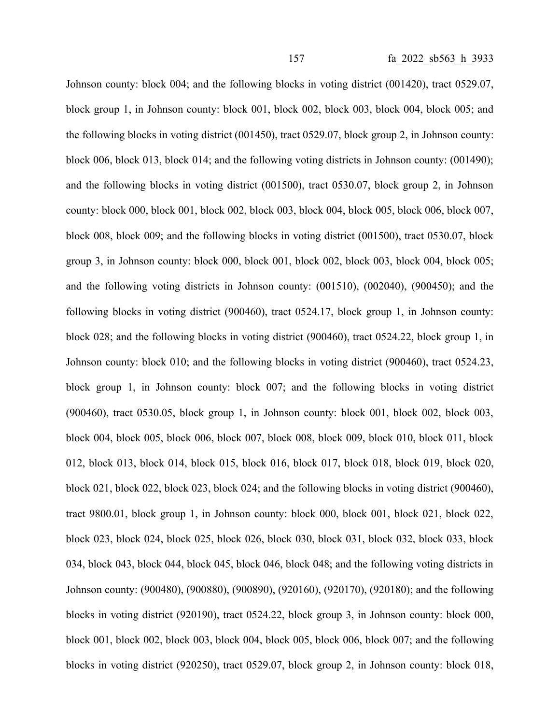Johnson county: block 004; and the following blocks in voting district (001420), tract 0529.07, block group 1, in Johnson county: block 001, block 002, block 003, block 004, block 005; and the following blocks in voting district (001450), tract 0529.07, block group 2, in Johnson county: block 006, block 013, block 014; and the following voting districts in Johnson county: (001490); and the following blocks in voting district (001500), tract 0530.07, block group 2, in Johnson county: block 000, block 001, block 002, block 003, block 004, block 005, block 006, block 007, block 008, block 009; and the following blocks in voting district (001500), tract 0530.07, block group 3, in Johnson county: block 000, block 001, block 002, block 003, block 004, block 005; and the following voting districts in Johnson county: (001510), (002040), (900450); and the following blocks in voting district (900460), tract 0524.17, block group 1, in Johnson county: block 028; and the following blocks in voting district (900460), tract 0524.22, block group 1, in Johnson county: block 010; and the following blocks in voting district (900460), tract 0524.23, block group 1, in Johnson county: block 007; and the following blocks in voting district (900460), tract 0530.05, block group 1, in Johnson county: block 001, block 002, block 003, block 004, block 005, block 006, block 007, block 008, block 009, block 010, block 011, block 012, block 013, block 014, block 015, block 016, block 017, block 018, block 019, block 020, block 021, block 022, block 023, block 024; and the following blocks in voting district (900460), tract 9800.01, block group 1, in Johnson county: block 000, block 001, block 021, block 022, block 023, block 024, block 025, block 026, block 030, block 031, block 032, block 033, block 034, block 043, block 044, block 045, block 046, block 048; and the following voting districts in Johnson county: (900480), (900880), (900890), (920160), (920170), (920180); and the following blocks in voting district (920190), tract 0524.22, block group 3, in Johnson county: block 000, block 001, block 002, block 003, block 004, block 005, block 006, block 007; and the following blocks in voting district (920250), tract 0529.07, block group 2, in Johnson county: block 018,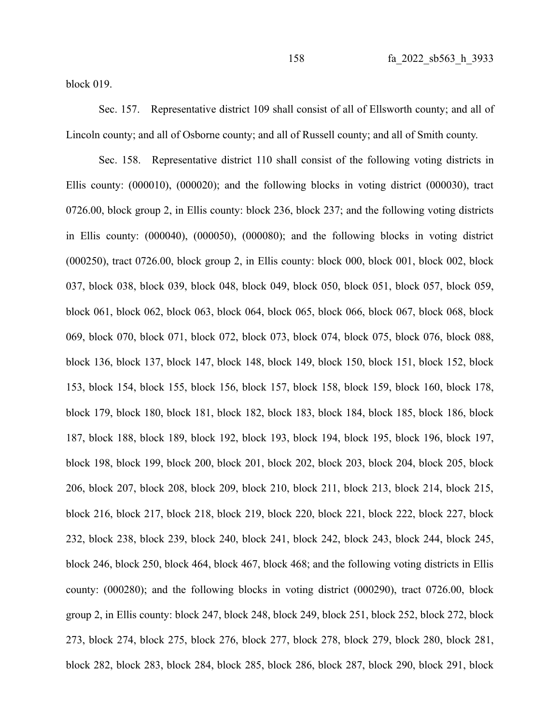block 019.

Sec. 157. Representative district 109 shall consist of all of Ellsworth county; and all of Lincoln county; and all of Osborne county; and all of Russell county; and all of Smith county.

Sec. 158. Representative district 110 shall consist of the following voting districts in Ellis county: (000010), (000020); and the following blocks in voting district (000030), tract 0726.00, block group 2, in Ellis county: block 236, block 237; and the following voting districts in Ellis county: (000040), (000050), (000080); and the following blocks in voting district (000250), tract 0726.00, block group 2, in Ellis county: block 000, block 001, block 002, block 037, block 038, block 039, block 048, block 049, block 050, block 051, block 057, block 059, block 061, block 062, block 063, block 064, block 065, block 066, block 067, block 068, block 069, block 070, block 071, block 072, block 073, block 074, block 075, block 076, block 088, block 136, block 137, block 147, block 148, block 149, block 150, block 151, block 152, block 153, block 154, block 155, block 156, block 157, block 158, block 159, block 160, block 178, block 179, block 180, block 181, block 182, block 183, block 184, block 185, block 186, block 187, block 188, block 189, block 192, block 193, block 194, block 195, block 196, block 197, block 198, block 199, block 200, block 201, block 202, block 203, block 204, block 205, block 206, block 207, block 208, block 209, block 210, block 211, block 213, block 214, block 215, block 216, block 217, block 218, block 219, block 220, block 221, block 222, block 227, block 232, block 238, block 239, block 240, block 241, block 242, block 243, block 244, block 245, block 246, block 250, block 464, block 467, block 468; and the following voting districts in Ellis county: (000280); and the following blocks in voting district (000290), tract 0726.00, block group 2, in Ellis county: block 247, block 248, block 249, block 251, block 252, block 272, block 273, block 274, block 275, block 276, block 277, block 278, block 279, block 280, block 281, block 282, block 283, block 284, block 285, block 286, block 287, block 290, block 291, block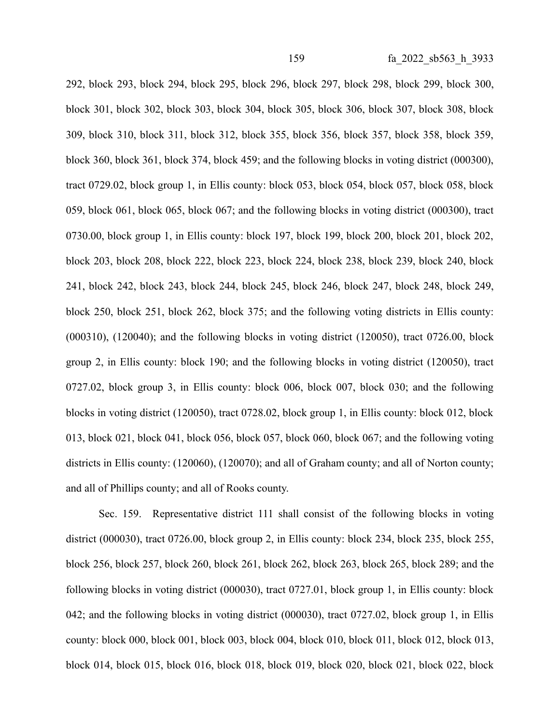292, block 293, block 294, block 295, block 296, block 297, block 298, block 299, block 300, block 301, block 302, block 303, block 304, block 305, block 306, block 307, block 308, block 309, block 310, block 311, block 312, block 355, block 356, block 357, block 358, block 359, block 360, block 361, block 374, block 459; and the following blocks in voting district (000300), tract 0729.02, block group 1, in Ellis county: block 053, block 054, block 057, block 058, block 059, block 061, block 065, block 067; and the following blocks in voting district (000300), tract 0730.00, block group 1, in Ellis county: block 197, block 199, block 200, block 201, block 202, block 203, block 208, block 222, block 223, block 224, block 238, block 239, block 240, block 241, block 242, block 243, block 244, block 245, block 246, block 247, block 248, block 249, block 250, block 251, block 262, block 375; and the following voting districts in Ellis county: (000310), (120040); and the following blocks in voting district (120050), tract 0726.00, block group 2, in Ellis county: block 190; and the following blocks in voting district (120050), tract 0727.02, block group 3, in Ellis county: block 006, block 007, block 030; and the following blocks in voting district (120050), tract 0728.02, block group 1, in Ellis county: block 012, block 013, block 021, block 041, block 056, block 057, block 060, block 067; and the following voting districts in Ellis county: (120060), (120070); and all of Graham county; and all of Norton county; and all of Phillips county; and all of Rooks county.

Sec. 159. Representative district 111 shall consist of the following blocks in voting district (000030), tract 0726.00, block group 2, in Ellis county: block 234, block 235, block 255, block 256, block 257, block 260, block 261, block 262, block 263, block 265, block 289; and the following blocks in voting district (000030), tract 0727.01, block group 1, in Ellis county: block 042; and the following blocks in voting district (000030), tract 0727.02, block group 1, in Ellis county: block 000, block 001, block 003, block 004, block 010, block 011, block 012, block 013, block 014, block 015, block 016, block 018, block 019, block 020, block 021, block 022, block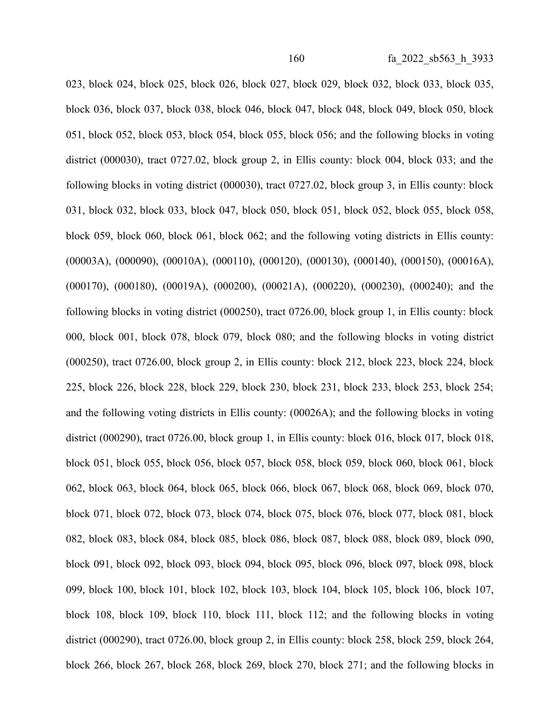023, block 024, block 025, block 026, block 027, block 029, block 032, block 033, block 035, block 036, block 037, block 038, block 046, block 047, block 048, block 049, block 050, block 051, block 052, block 053, block 054, block 055, block 056; and the following blocks in voting district (000030), tract 0727.02, block group 2, in Ellis county: block 004, block 033; and the following blocks in voting district (000030), tract 0727.02, block group 3, in Ellis county: block 031, block 032, block 033, block 047, block 050, block 051, block 052, block 055, block 058, block 059, block 060, block 061, block 062; and the following voting districts in Ellis county: (00003A), (000090), (00010A), (000110), (000120), (000130), (000140), (000150), (00016A), (000170), (000180), (00019A), (000200), (00021A), (000220), (000230), (000240); and the following blocks in voting district (000250), tract 0726.00, block group 1, in Ellis county: block 000, block 001, block 078, block 079, block 080; and the following blocks in voting district (000250), tract 0726.00, block group 2, in Ellis county: block 212, block 223, block 224, block 225, block 226, block 228, block 229, block 230, block 231, block 233, block 253, block 254; and the following voting districts in Ellis county: (00026A); and the following blocks in voting district (000290), tract 0726.00, block group 1, in Ellis county: block 016, block 017, block 018, block 051, block 055, block 056, block 057, block 058, block 059, block 060, block 061, block 062, block 063, block 064, block 065, block 066, block 067, block 068, block 069, block 070, block 071, block 072, block 073, block 074, block 075, block 076, block 077, block 081, block 082, block 083, block 084, block 085, block 086, block 087, block 088, block 089, block 090, block 091, block 092, block 093, block 094, block 095, block 096, block 097, block 098, block 099, block 100, block 101, block 102, block 103, block 104, block 105, block 106, block 107, block 108, block 109, block 110, block 111, block 112; and the following blocks in voting district (000290), tract 0726.00, block group 2, in Ellis county: block 258, block 259, block 264, block 266, block 267, block 268, block 269, block 270, block 271; and the following blocks in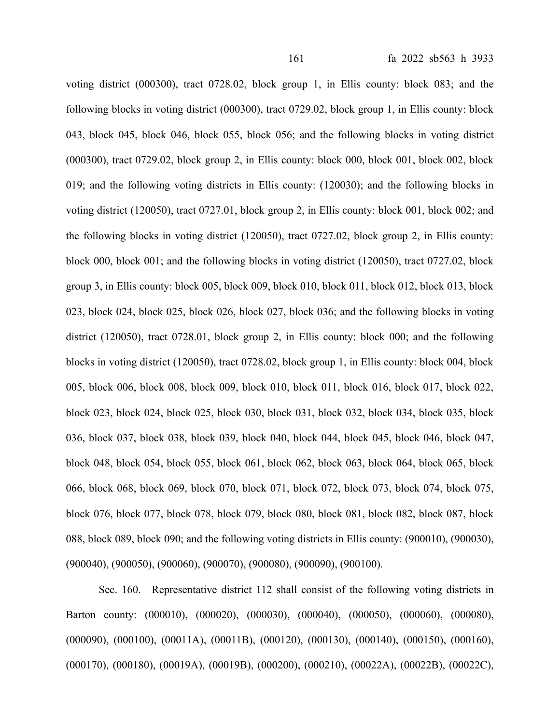voting district (000300), tract 0728.02, block group 1, in Ellis county: block 083; and the following blocks in voting district (000300), tract 0729.02, block group 1, in Ellis county: block 043, block 045, block 046, block 055, block 056; and the following blocks in voting district (000300), tract 0729.02, block group 2, in Ellis county: block 000, block 001, block 002, block 019; and the following voting districts in Ellis county: (120030); and the following blocks in voting district (120050), tract 0727.01, block group 2, in Ellis county: block 001, block 002; and the following blocks in voting district (120050), tract 0727.02, block group 2, in Ellis county: block 000, block 001; and the following blocks in voting district (120050), tract 0727.02, block group 3, in Ellis county: block 005, block 009, block 010, block 011, block 012, block 013, block 023, block 024, block 025, block 026, block 027, block 036; and the following blocks in voting district (120050), tract 0728.01, block group 2, in Ellis county: block 000; and the following blocks in voting district (120050), tract 0728.02, block group 1, in Ellis county: block 004, block 005, block 006, block 008, block 009, block 010, block 011, block 016, block 017, block 022, block 023, block 024, block 025, block 030, block 031, block 032, block 034, block 035, block 036, block 037, block 038, block 039, block 040, block 044, block 045, block 046, block 047, block 048, block 054, block 055, block 061, block 062, block 063, block 064, block 065, block 066, block 068, block 069, block 070, block 071, block 072, block 073, block 074, block 075, block 076, block 077, block 078, block 079, block 080, block 081, block 082, block 087, block 088, block 089, block 090; and the following voting districts in Ellis county: (900010), (900030), (900040), (900050), (900060), (900070), (900080), (900090), (900100).

Sec. 160. Representative district 112 shall consist of the following voting districts in Barton county: (000010), (000020), (000030), (000040), (000050), (000060), (000080), (000090), (000100), (00011A), (00011B), (000120), (000130), (000140), (000150), (000160), (000170), (000180), (00019A), (00019B), (000200), (000210), (00022A), (00022B), (00022C),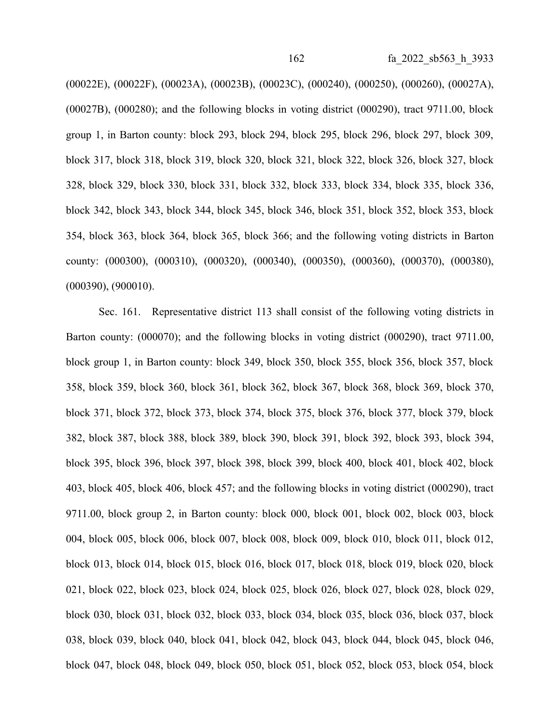(00022E), (00022F), (00023A), (00023B), (00023C), (000240), (000250), (000260), (00027A), (00027B), (000280); and the following blocks in voting district (000290), tract 9711.00, block group 1, in Barton county: block 293, block 294, block 295, block 296, block 297, block 309, block 317, block 318, block 319, block 320, block 321, block 322, block 326, block 327, block 328, block 329, block 330, block 331, block 332, block 333, block 334, block 335, block 336, block 342, block 343, block 344, block 345, block 346, block 351, block 352, block 353, block 354, block 363, block 364, block 365, block 366; and the following voting districts in Barton county: (000300), (000310), (000320), (000340), (000350), (000360), (000370), (000380), (000390), (900010).

Sec. 161. Representative district 113 shall consist of the following voting districts in Barton county: (000070); and the following blocks in voting district (000290), tract 9711.00, block group 1, in Barton county: block 349, block 350, block 355, block 356, block 357, block 358, block 359, block 360, block 361, block 362, block 367, block 368, block 369, block 370, block 371, block 372, block 373, block 374, block 375, block 376, block 377, block 379, block 382, block 387, block 388, block 389, block 390, block 391, block 392, block 393, block 394, block 395, block 396, block 397, block 398, block 399, block 400, block 401, block 402, block 403, block 405, block 406, block 457; and the following blocks in voting district (000290), tract 9711.00, block group 2, in Barton county: block 000, block 001, block 002, block 003, block 004, block 005, block 006, block 007, block 008, block 009, block 010, block 011, block 012, block 013, block 014, block 015, block 016, block 017, block 018, block 019, block 020, block 021, block 022, block 023, block 024, block 025, block 026, block 027, block 028, block 029, block 030, block 031, block 032, block 033, block 034, block 035, block 036, block 037, block 038, block 039, block 040, block 041, block 042, block 043, block 044, block 045, block 046, block 047, block 048, block 049, block 050, block 051, block 052, block 053, block 054, block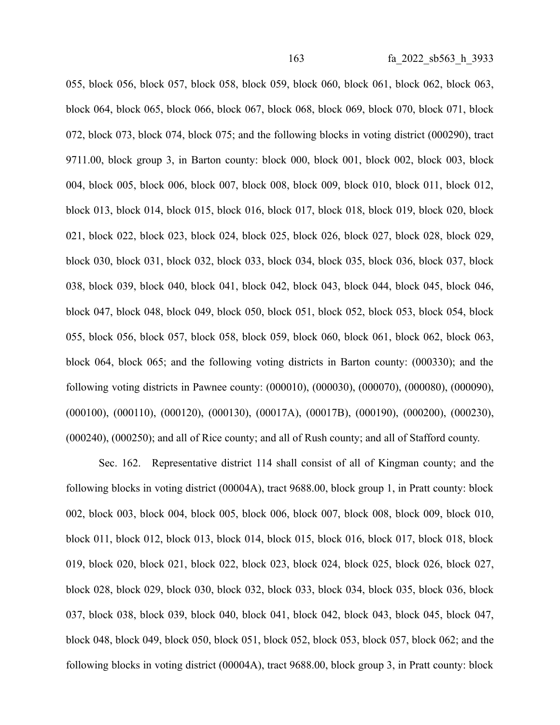055, block 056, block 057, block 058, block 059, block 060, block 061, block 062, block 063, block 064, block 065, block 066, block 067, block 068, block 069, block 070, block 071, block 072, block 073, block 074, block 075; and the following blocks in voting district (000290), tract 9711.00, block group 3, in Barton county: block 000, block 001, block 002, block 003, block 004, block 005, block 006, block 007, block 008, block 009, block 010, block 011, block 012, block 013, block 014, block 015, block 016, block 017, block 018, block 019, block 020, block 021, block 022, block 023, block 024, block 025, block 026, block 027, block 028, block 029, block 030, block 031, block 032, block 033, block 034, block 035, block 036, block 037, block 038, block 039, block 040, block 041, block 042, block 043, block 044, block 045, block 046, block 047, block 048, block 049, block 050, block 051, block 052, block 053, block 054, block 055, block 056, block 057, block 058, block 059, block 060, block 061, block 062, block 063, block 064, block 065; and the following voting districts in Barton county: (000330); and the following voting districts in Pawnee county: (000010), (000030), (000070), (000080), (000090), (000100), (000110), (000120), (000130), (00017A), (00017B), (000190), (000200), (000230), (000240), (000250); and all of Rice county; and all of Rush county; and all of Stafford county.

Sec. 162. Representative district 114 shall consist of all of Kingman county; and the following blocks in voting district (00004A), tract 9688.00, block group 1, in Pratt county: block 002, block 003, block 004, block 005, block 006, block 007, block 008, block 009, block 010, block 011, block 012, block 013, block 014, block 015, block 016, block 017, block 018, block 019, block 020, block 021, block 022, block 023, block 024, block 025, block 026, block 027, block 028, block 029, block 030, block 032, block 033, block 034, block 035, block 036, block 037, block 038, block 039, block 040, block 041, block 042, block 043, block 045, block 047, block 048, block 049, block 050, block 051, block 052, block 053, block 057, block 062; and the following blocks in voting district (00004A), tract 9688.00, block group 3, in Pratt county: block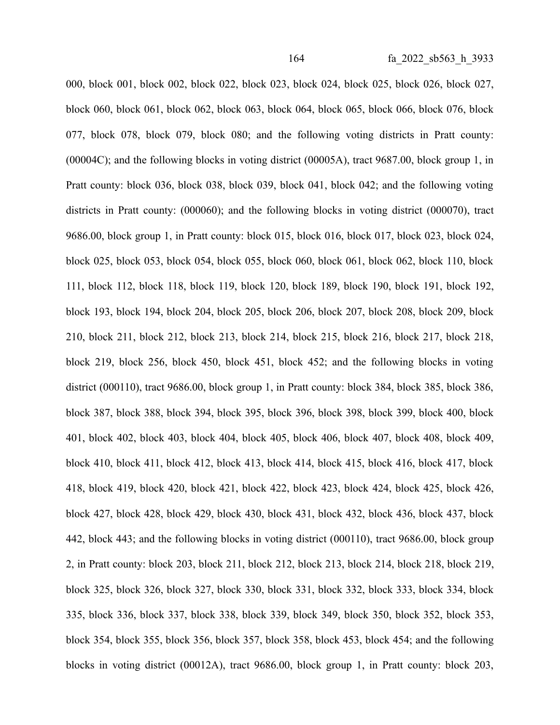000, block 001, block 002, block 022, block 023, block 024, block 025, block 026, block 027, block 060, block 061, block 062, block 063, block 064, block 065, block 066, block 076, block 077, block 078, block 079, block 080; and the following voting districts in Pratt county: (00004C); and the following blocks in voting district (00005A), tract 9687.00, block group 1, in Pratt county: block 036, block 038, block 039, block 041, block 042; and the following voting districts in Pratt county: (000060); and the following blocks in voting district (000070), tract 9686.00, block group 1, in Pratt county: block 015, block 016, block 017, block 023, block 024, block 025, block 053, block 054, block 055, block 060, block 061, block 062, block 110, block 111, block 112, block 118, block 119, block 120, block 189, block 190, block 191, block 192, block 193, block 194, block 204, block 205, block 206, block 207, block 208, block 209, block 210, block 211, block 212, block 213, block 214, block 215, block 216, block 217, block 218, block 219, block 256, block 450, block 451, block 452; and the following blocks in voting district (000110), tract 9686.00, block group 1, in Pratt county: block 384, block 385, block 386, block 387, block 388, block 394, block 395, block 396, block 398, block 399, block 400, block 401, block 402, block 403, block 404, block 405, block 406, block 407, block 408, block 409, block 410, block 411, block 412, block 413, block 414, block 415, block 416, block 417, block 418, block 419, block 420, block 421, block 422, block 423, block 424, block 425, block 426, block 427, block 428, block 429, block 430, block 431, block 432, block 436, block 437, block 442, block 443; and the following blocks in voting district (000110), tract 9686.00, block group 2, in Pratt county: block 203, block 211, block 212, block 213, block 214, block 218, block 219, block 325, block 326, block 327, block 330, block 331, block 332, block 333, block 334, block 335, block 336, block 337, block 338, block 339, block 349, block 350, block 352, block 353, block 354, block 355, block 356, block 357, block 358, block 453, block 454; and the following blocks in voting district (00012A), tract 9686.00, block group 1, in Pratt county: block 203,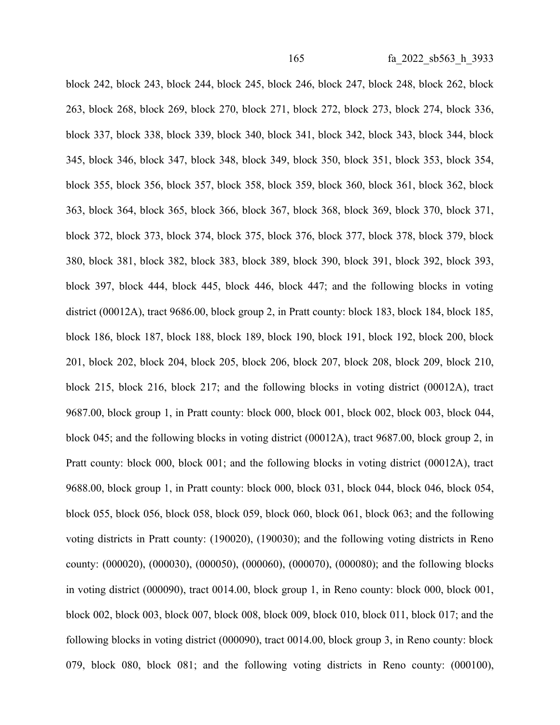block 242, block 243, block 244, block 245, block 246, block 247, block 248, block 262, block 263, block 268, block 269, block 270, block 271, block 272, block 273, block 274, block 336, block 337, block 338, block 339, block 340, block 341, block 342, block 343, block 344, block 345, block 346, block 347, block 348, block 349, block 350, block 351, block 353, block 354, block 355, block 356, block 357, block 358, block 359, block 360, block 361, block 362, block 363, block 364, block 365, block 366, block 367, block 368, block 369, block 370, block 371, block 372, block 373, block 374, block 375, block 376, block 377, block 378, block 379, block 380, block 381, block 382, block 383, block 389, block 390, block 391, block 392, block 393, block 397, block 444, block 445, block 446, block 447; and the following blocks in voting district (00012A), tract 9686.00, block group 2, in Pratt county: block 183, block 184, block 185, block 186, block 187, block 188, block 189, block 190, block 191, block 192, block 200, block 201, block 202, block 204, block 205, block 206, block 207, block 208, block 209, block 210, block 215, block 216, block 217; and the following blocks in voting district (00012A), tract 9687.00, block group 1, in Pratt county: block 000, block 001, block 002, block 003, block 044, block 045; and the following blocks in voting district (00012A), tract 9687.00, block group 2, in Pratt county: block 000, block 001; and the following blocks in voting district (00012A), tract 9688.00, block group 1, in Pratt county: block 000, block 031, block 044, block 046, block 054, block 055, block 056, block 058, block 059, block 060, block 061, block 063; and the following voting districts in Pratt county: (190020), (190030); and the following voting districts in Reno county: (000020), (000030), (000050), (000060), (000070), (000080); and the following blocks in voting district (000090), tract 0014.00, block group 1, in Reno county: block 000, block 001, block 002, block 003, block 007, block 008, block 009, block 010, block 011, block 017; and the following blocks in voting district (000090), tract 0014.00, block group 3, in Reno county: block 079, block 080, block 081; and the following voting districts in Reno county: (000100),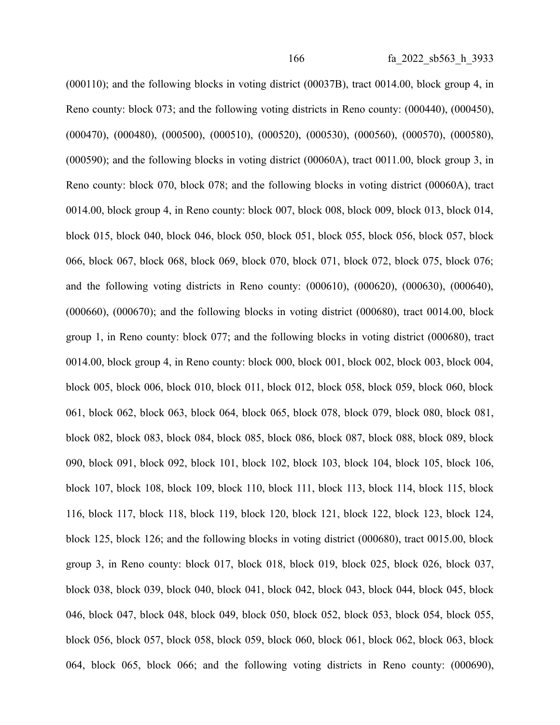(000110); and the following blocks in voting district (00037B), tract 0014.00, block group 4, in Reno county: block 073; and the following voting districts in Reno county: (000440), (000450), (000470), (000480), (000500), (000510), (000520), (000530), (000560), (000570), (000580), (000590); and the following blocks in voting district (00060A), tract 0011.00, block group 3, in Reno county: block 070, block 078; and the following blocks in voting district (00060A), tract 0014.00, block group 4, in Reno county: block 007, block 008, block 009, block 013, block 014, block 015, block 040, block 046, block 050, block 051, block 055, block 056, block 057, block 066, block 067, block 068, block 069, block 070, block 071, block 072, block 075, block 076; and the following voting districts in Reno county: (000610), (000620), (000630), (000640),  $(000660)$ ,  $(000670)$ ; and the following blocks in voting district  $(000680)$ , tract  $0014.00$ , block group 1, in Reno county: block 077; and the following blocks in voting district (000680), tract 0014.00, block group 4, in Reno county: block 000, block 001, block 002, block 003, block 004, block 005, block 006, block 010, block 011, block 012, block 058, block 059, block 060, block 061, block 062, block 063, block 064, block 065, block 078, block 079, block 080, block 081, block 082, block 083, block 084, block 085, block 086, block 087, block 088, block 089, block 090, block 091, block 092, block 101, block 102, block 103, block 104, block 105, block 106, block 107, block 108, block 109, block 110, block 111, block 113, block 114, block 115, block 116, block 117, block 118, block 119, block 120, block 121, block 122, block 123, block 124, block 125, block 126; and the following blocks in voting district (000680), tract 0015.00, block group 3, in Reno county: block 017, block 018, block 019, block 025, block 026, block 037, block 038, block 039, block 040, block 041, block 042, block 043, block 044, block 045, block 046, block 047, block 048, block 049, block 050, block 052, block 053, block 054, block 055, block 056, block 057, block 058, block 059, block 060, block 061, block 062, block 063, block 064, block 065, block 066; and the following voting districts in Reno county: (000690),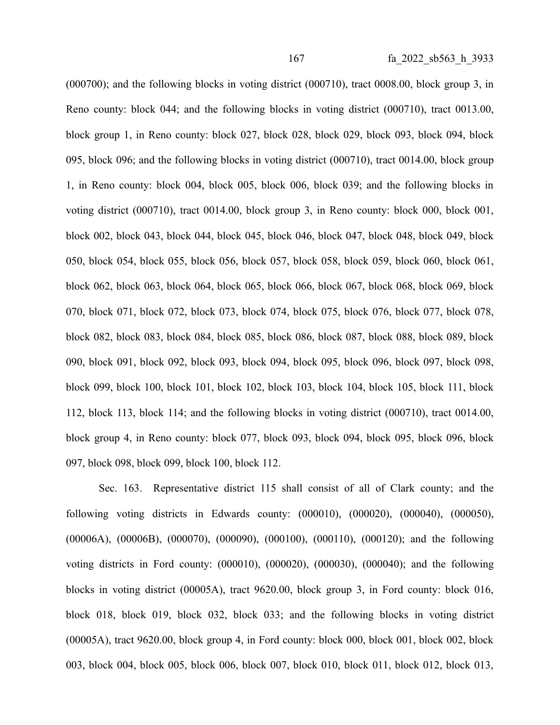(000700); and the following blocks in voting district (000710), tract 0008.00, block group 3, in Reno county: block 044; and the following blocks in voting district (000710), tract 0013.00, block group 1, in Reno county: block 027, block 028, block 029, block 093, block 094, block 095, block 096; and the following blocks in voting district (000710), tract 0014.00, block group 1, in Reno county: block 004, block 005, block 006, block 039; and the following blocks in voting district (000710), tract 0014.00, block group 3, in Reno county: block 000, block 001, block 002, block 043, block 044, block 045, block 046, block 047, block 048, block 049, block 050, block 054, block 055, block 056, block 057, block 058, block 059, block 060, block 061, block 062, block 063, block 064, block 065, block 066, block 067, block 068, block 069, block 070, block 071, block 072, block 073, block 074, block 075, block 076, block 077, block 078, block 082, block 083, block 084, block 085, block 086, block 087, block 088, block 089, block 090, block 091, block 092, block 093, block 094, block 095, block 096, block 097, block 098, block 099, block 100, block 101, block 102, block 103, block 104, block 105, block 111, block 112, block 113, block 114; and the following blocks in voting district (000710), tract 0014.00, block group 4, in Reno county: block 077, block 093, block 094, block 095, block 096, block 097, block 098, block 099, block 100, block 112.

Sec. 163. Representative district 115 shall consist of all of Clark county; and the following voting districts in Edwards county: (000010), (000020), (000040), (000050), (00006A), (00006B), (000070), (000090), (000100), (000110), (000120); and the following voting districts in Ford county: (000010), (000020), (000030), (000040); and the following blocks in voting district (00005A), tract 9620.00, block group 3, in Ford county: block 016, block 018, block 019, block 032, block 033; and the following blocks in voting district (00005A), tract 9620.00, block group 4, in Ford county: block 000, block 001, block 002, block 003, block 004, block 005, block 006, block 007, block 010, block 011, block 012, block 013,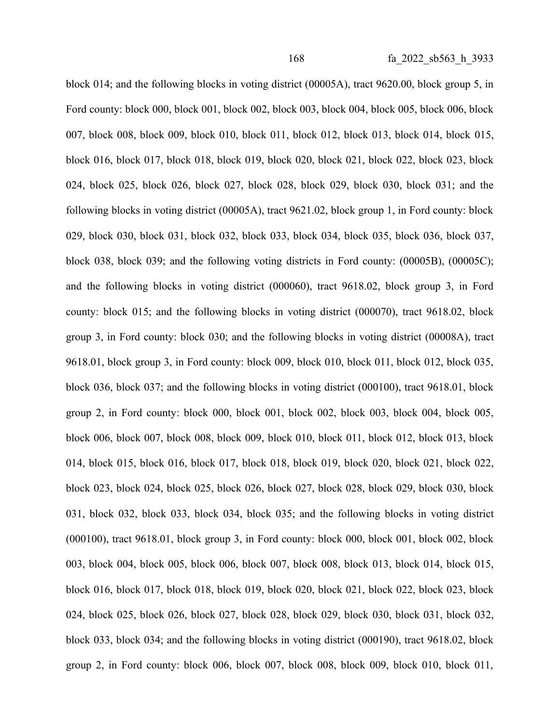block 014; and the following blocks in voting district (00005A), tract 9620.00, block group 5, in Ford county: block 000, block 001, block 002, block 003, block 004, block 005, block 006, block 007, block 008, block 009, block 010, block 011, block 012, block 013, block 014, block 015, block 016, block 017, block 018, block 019, block 020, block 021, block 022, block 023, block 024, block 025, block 026, block 027, block 028, block 029, block 030, block 031; and the following blocks in voting district (00005A), tract 9621.02, block group 1, in Ford county: block 029, block 030, block 031, block 032, block 033, block 034, block 035, block 036, block 037, block 038, block 039; and the following voting districts in Ford county: (00005B), (00005C); and the following blocks in voting district (000060), tract 9618.02, block group 3, in Ford county: block 015; and the following blocks in voting district (000070), tract 9618.02, block group 3, in Ford county: block 030; and the following blocks in voting district (00008A), tract 9618.01, block group 3, in Ford county: block 009, block 010, block 011, block 012, block 035, block 036, block 037; and the following blocks in voting district (000100), tract 9618.01, block group 2, in Ford county: block 000, block 001, block 002, block 003, block 004, block 005, block 006, block 007, block 008, block 009, block 010, block 011, block 012, block 013, block 014, block 015, block 016, block 017, block 018, block 019, block 020, block 021, block 022, block 023, block 024, block 025, block 026, block 027, block 028, block 029, block 030, block 031, block 032, block 033, block 034, block 035; and the following blocks in voting district (000100), tract 9618.01, block group 3, in Ford county: block 000, block 001, block 002, block 003, block 004, block 005, block 006, block 007, block 008, block 013, block 014, block 015, block 016, block 017, block 018, block 019, block 020, block 021, block 022, block 023, block 024, block 025, block 026, block 027, block 028, block 029, block 030, block 031, block 032, block 033, block 034; and the following blocks in voting district (000190), tract 9618.02, block group 2, in Ford county: block 006, block 007, block 008, block 009, block 010, block 011,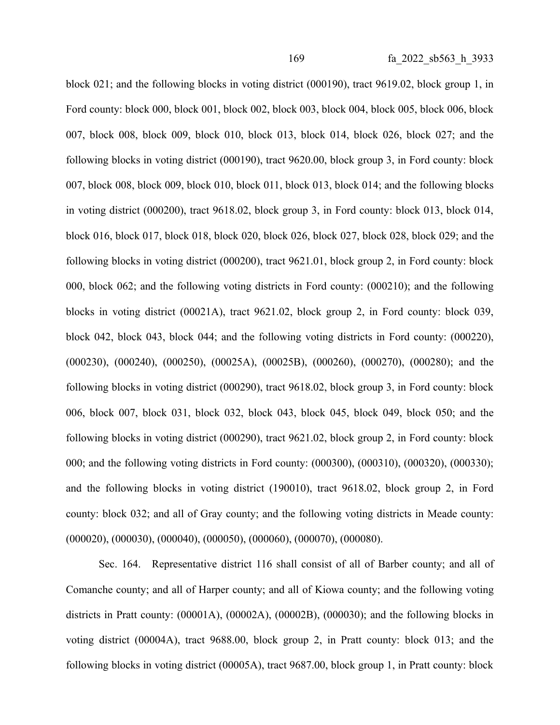block 021; and the following blocks in voting district (000190), tract 9619.02, block group 1, in Ford county: block 000, block 001, block 002, block 003, block 004, block 005, block 006, block 007, block 008, block 009, block 010, block 013, block 014, block 026, block 027; and the following blocks in voting district (000190), tract 9620.00, block group 3, in Ford county: block 007, block 008, block 009, block 010, block 011, block 013, block 014; and the following blocks in voting district (000200), tract 9618.02, block group 3, in Ford county: block 013, block 014, block 016, block 017, block 018, block 020, block 026, block 027, block 028, block 029; and the following blocks in voting district (000200), tract 9621.01, block group 2, in Ford county: block 000, block 062; and the following voting districts in Ford county: (000210); and the following blocks in voting district (00021A), tract 9621.02, block group 2, in Ford county: block 039, block 042, block 043, block 044; and the following voting districts in Ford county: (000220), (000230), (000240), (000250), (00025A), (00025B), (000260), (000270), (000280); and the following blocks in voting district (000290), tract 9618.02, block group 3, in Ford county: block 006, block 007, block 031, block 032, block 043, block 045, block 049, block 050; and the following blocks in voting district (000290), tract 9621.02, block group 2, in Ford county: block 000; and the following voting districts in Ford county: (000300), (000310), (000320), (000330); and the following blocks in voting district (190010), tract 9618.02, block group 2, in Ford county: block 032; and all of Gray county; and the following voting districts in Meade county: (000020), (000030), (000040), (000050), (000060), (000070), (000080).

Sec. 164. Representative district 116 shall consist of all of Barber county; and all of Comanche county; and all of Harper county; and all of Kiowa county; and the following voting districts in Pratt county: (00001A), (00002A), (00002B), (000030); and the following blocks in voting district (00004A), tract 9688.00, block group 2, in Pratt county: block 013; and the following blocks in voting district (00005A), tract 9687.00, block group 1, in Pratt county: block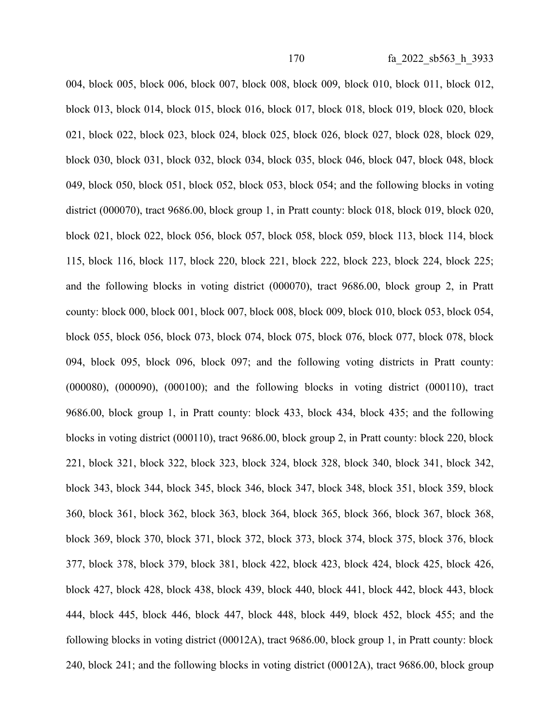004, block 005, block 006, block 007, block 008, block 009, block 010, block 011, block 012, block 013, block 014, block 015, block 016, block 017, block 018, block 019, block 020, block 021, block 022, block 023, block 024, block 025, block 026, block 027, block 028, block 029, block 030, block 031, block 032, block 034, block 035, block 046, block 047, block 048, block 049, block 050, block 051, block 052, block 053, block 054; and the following blocks in voting district (000070), tract 9686.00, block group 1, in Pratt county: block 018, block 019, block 020, block 021, block 022, block 056, block 057, block 058, block 059, block 113, block 114, block 115, block 116, block 117, block 220, block 221, block 222, block 223, block 224, block 225; and the following blocks in voting district (000070), tract 9686.00, block group 2, in Pratt county: block 000, block 001, block 007, block 008, block 009, block 010, block 053, block 054, block 055, block 056, block 073, block 074, block 075, block 076, block 077, block 078, block 094, block 095, block 096, block 097; and the following voting districts in Pratt county: (000080), (000090), (000100); and the following blocks in voting district (000110), tract 9686.00, block group 1, in Pratt county: block 433, block 434, block 435; and the following blocks in voting district (000110), tract 9686.00, block group 2, in Pratt county: block 220, block 221, block 321, block 322, block 323, block 324, block 328, block 340, block 341, block 342, block 343, block 344, block 345, block 346, block 347, block 348, block 351, block 359, block 360, block 361, block 362, block 363, block 364, block 365, block 366, block 367, block 368, block 369, block 370, block 371, block 372, block 373, block 374, block 375, block 376, block 377, block 378, block 379, block 381, block 422, block 423, block 424, block 425, block 426, block 427, block 428, block 438, block 439, block 440, block 441, block 442, block 443, block 444, block 445, block 446, block 447, block 448, block 449, block 452, block 455; and the following blocks in voting district (00012A), tract 9686.00, block group 1, in Pratt county: block 240, block 241; and the following blocks in voting district (00012A), tract 9686.00, block group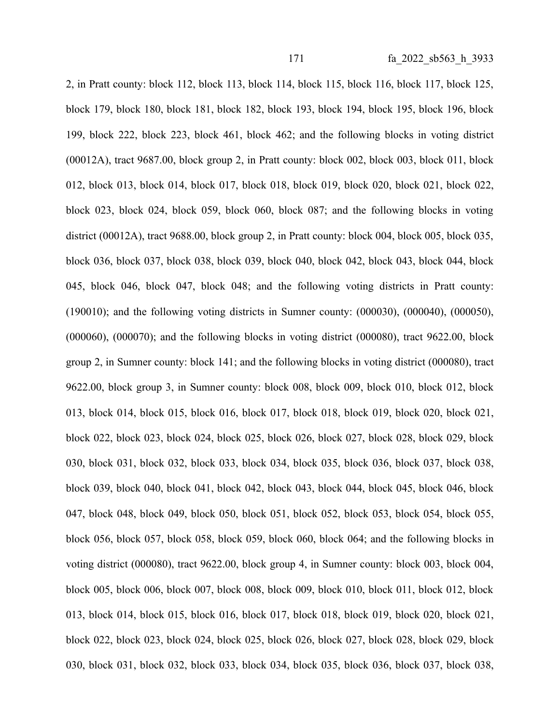2, in Pratt county: block 112, block 113, block 114, block 115, block 116, block 117, block 125, block 179, block 180, block 181, block 182, block 193, block 194, block 195, block 196, block 199, block 222, block 223, block 461, block 462; and the following blocks in voting district (00012A), tract 9687.00, block group 2, in Pratt county: block 002, block 003, block 011, block 012, block 013, block 014, block 017, block 018, block 019, block 020, block 021, block 022, block 023, block 024, block 059, block 060, block 087; and the following blocks in voting district (00012A), tract 9688.00, block group 2, in Pratt county: block 004, block 005, block 035, block 036, block 037, block 038, block 039, block 040, block 042, block 043, block 044, block 045, block 046, block 047, block 048; and the following voting districts in Pratt county: (190010); and the following voting districts in Sumner county: (000030), (000040), (000050), (000060), (000070); and the following blocks in voting district (000080), tract 9622.00, block group 2, in Sumner county: block 141; and the following blocks in voting district (000080), tract 9622.00, block group 3, in Sumner county: block 008, block 009, block 010, block 012, block 013, block 014, block 015, block 016, block 017, block 018, block 019, block 020, block 021, block 022, block 023, block 024, block 025, block 026, block 027, block 028, block 029, block 030, block 031, block 032, block 033, block 034, block 035, block 036, block 037, block 038, block 039, block 040, block 041, block 042, block 043, block 044, block 045, block 046, block 047, block 048, block 049, block 050, block 051, block 052, block 053, block 054, block 055, block 056, block 057, block 058, block 059, block 060, block 064; and the following blocks in voting district (000080), tract 9622.00, block group 4, in Sumner county: block 003, block 004, block 005, block 006, block 007, block 008, block 009, block 010, block 011, block 012, block 013, block 014, block 015, block 016, block 017, block 018, block 019, block 020, block 021, block 022, block 023, block 024, block 025, block 026, block 027, block 028, block 029, block 030, block 031, block 032, block 033, block 034, block 035, block 036, block 037, block 038,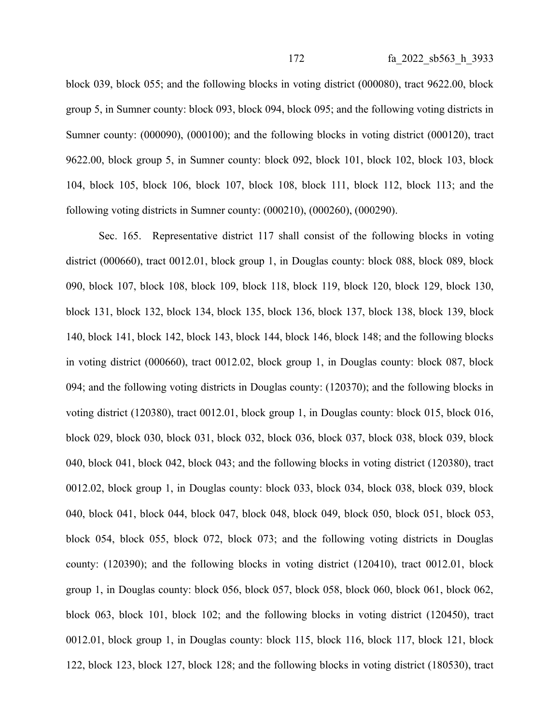block 039, block 055; and the following blocks in voting district (000080), tract 9622.00, block group 5, in Sumner county: block 093, block 094, block 095; and the following voting districts in Sumner county: (000090), (000100); and the following blocks in voting district (000120), tract 9622.00, block group 5, in Sumner county: block 092, block 101, block 102, block 103, block 104, block 105, block 106, block 107, block 108, block 111, block 112, block 113; and the following voting districts in Sumner county: (000210), (000260), (000290).

Sec. 165. Representative district 117 shall consist of the following blocks in voting district (000660), tract 0012.01, block group 1, in Douglas county: block 088, block 089, block 090, block 107, block 108, block 109, block 118, block 119, block 120, block 129, block 130, block 131, block 132, block 134, block 135, block 136, block 137, block 138, block 139, block 140, block 141, block 142, block 143, block 144, block 146, block 148; and the following blocks in voting district (000660), tract 0012.02, block group 1, in Douglas county: block 087, block 094; and the following voting districts in Douglas county: (120370); and the following blocks in voting district (120380), tract 0012.01, block group 1, in Douglas county: block 015, block 016, block 029, block 030, block 031, block 032, block 036, block 037, block 038, block 039, block 040, block 041, block 042, block 043; and the following blocks in voting district (120380), tract 0012.02, block group 1, in Douglas county: block 033, block 034, block 038, block 039, block 040, block 041, block 044, block 047, block 048, block 049, block 050, block 051, block 053, block 054, block 055, block 072, block 073; and the following voting districts in Douglas county: (120390); and the following blocks in voting district (120410), tract 0012.01, block group 1, in Douglas county: block 056, block 057, block 058, block 060, block 061, block 062, block 063, block 101, block 102; and the following blocks in voting district (120450), tract 0012.01, block group 1, in Douglas county: block 115, block 116, block 117, block 121, block 122, block 123, block 127, block 128; and the following blocks in voting district (180530), tract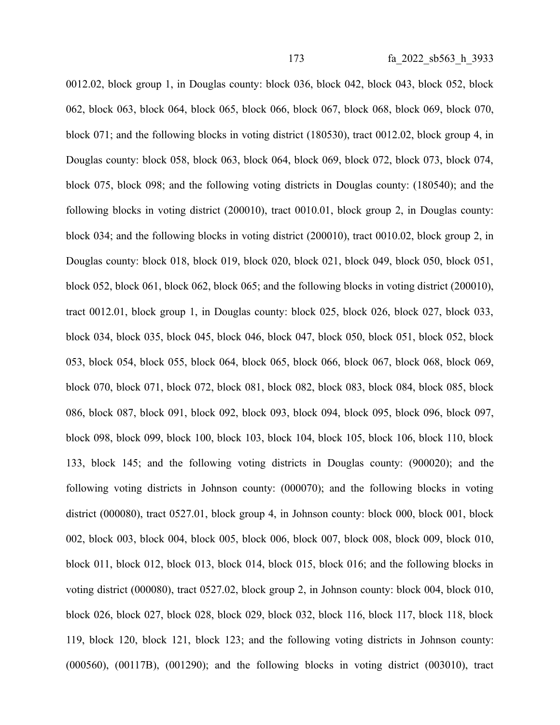0012.02, block group 1, in Douglas county: block 036, block 042, block 043, block 052, block 062, block 063, block 064, block 065, block 066, block 067, block 068, block 069, block 070, block 071; and the following blocks in voting district (180530), tract 0012.02, block group 4, in Douglas county: block 058, block 063, block 064, block 069, block 072, block 073, block 074, block 075, block 098; and the following voting districts in Douglas county: (180540); and the following blocks in voting district (200010), tract 0010.01, block group 2, in Douglas county: block 034; and the following blocks in voting district (200010), tract 0010.02, block group 2, in Douglas county: block 018, block 019, block 020, block 021, block 049, block 050, block 051, block 052, block 061, block 062, block 065; and the following blocks in voting district (200010), tract 0012.01, block group 1, in Douglas county: block 025, block 026, block 027, block 033, block 034, block 035, block 045, block 046, block 047, block 050, block 051, block 052, block 053, block 054, block 055, block 064, block 065, block 066, block 067, block 068, block 069, block 070, block 071, block 072, block 081, block 082, block 083, block 084, block 085, block 086, block 087, block 091, block 092, block 093, block 094, block 095, block 096, block 097, block 098, block 099, block 100, block 103, block 104, block 105, block 106, block 110, block 133, block 145; and the following voting districts in Douglas county: (900020); and the following voting districts in Johnson county: (000070); and the following blocks in voting district (000080), tract 0527.01, block group 4, in Johnson county: block 000, block 001, block 002, block 003, block 004, block 005, block 006, block 007, block 008, block 009, block 010, block 011, block 012, block 013, block 014, block 015, block 016; and the following blocks in voting district (000080), tract 0527.02, block group 2, in Johnson county: block 004, block 010, block 026, block 027, block 028, block 029, block 032, block 116, block 117, block 118, block 119, block 120, block 121, block 123; and the following voting districts in Johnson county: (000560), (00117B), (001290); and the following blocks in voting district (003010), tract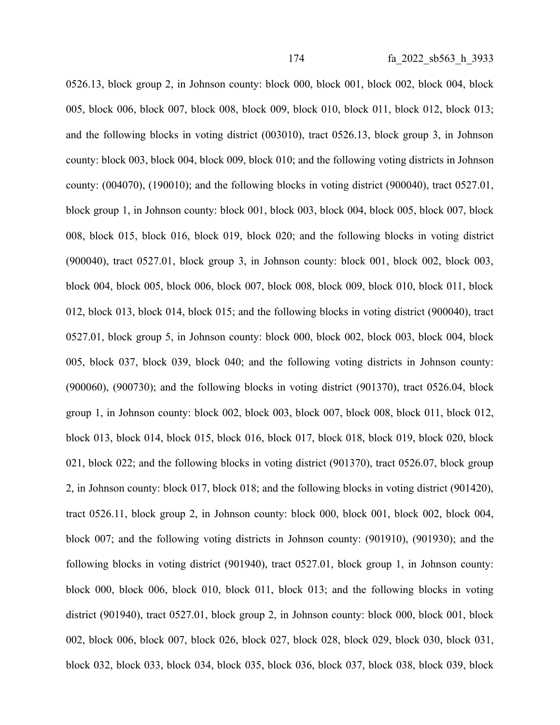0526.13, block group 2, in Johnson county: block 000, block 001, block 002, block 004, block 005, block 006, block 007, block 008, block 009, block 010, block 011, block 012, block 013; and the following blocks in voting district (003010), tract 0526.13, block group 3, in Johnson county: block 003, block 004, block 009, block 010; and the following voting districts in Johnson county:  $(004070)$ ,  $(190010)$ ; and the following blocks in voting district  $(900040)$ , tract  $0527.01$ , block group 1, in Johnson county: block 001, block 003, block 004, block 005, block 007, block 008, block 015, block 016, block 019, block 020; and the following blocks in voting district (900040), tract 0527.01, block group 3, in Johnson county: block 001, block 002, block 003, block 004, block 005, block 006, block 007, block 008, block 009, block 010, block 011, block 012, block 013, block 014, block 015; and the following blocks in voting district (900040), tract 0527.01, block group 5, in Johnson county: block 000, block 002, block 003, block 004, block 005, block 037, block 039, block 040; and the following voting districts in Johnson county: (900060), (900730); and the following blocks in voting district (901370), tract 0526.04, block group 1, in Johnson county: block 002, block 003, block 007, block 008, block 011, block 012, block 013, block 014, block 015, block 016, block 017, block 018, block 019, block 020, block 021, block 022; and the following blocks in voting district (901370), tract 0526.07, block group 2, in Johnson county: block 017, block 018; and the following blocks in voting district (901420), tract 0526.11, block group 2, in Johnson county: block 000, block 001, block 002, block 004, block 007; and the following voting districts in Johnson county: (901910), (901930); and the following blocks in voting district (901940), tract 0527.01, block group 1, in Johnson county: block 000, block 006, block 010, block 011, block 013; and the following blocks in voting district (901940), tract 0527.01, block group 2, in Johnson county: block 000, block 001, block 002, block 006, block 007, block 026, block 027, block 028, block 029, block 030, block 031, block 032, block 033, block 034, block 035, block 036, block 037, block 038, block 039, block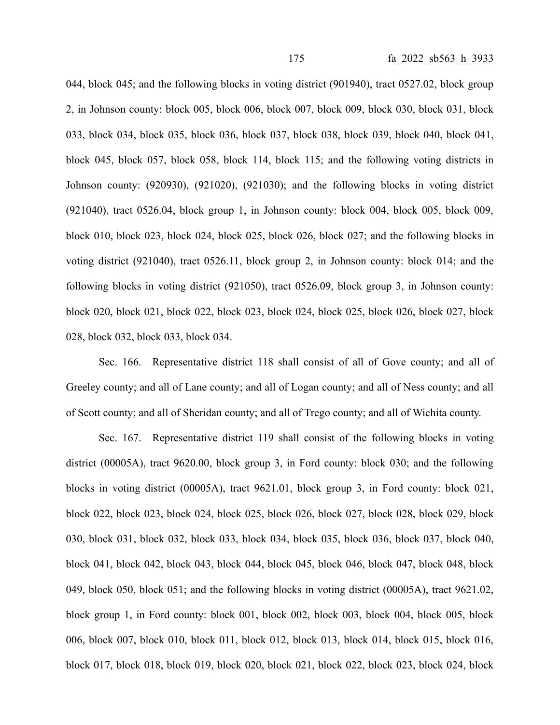044, block 045; and the following blocks in voting district (901940), tract 0527.02, block group 2, in Johnson county: block 005, block 006, block 007, block 009, block 030, block 031, block 033, block 034, block 035, block 036, block 037, block 038, block 039, block 040, block 041, block 045, block 057, block 058, block 114, block 115; and the following voting districts in Johnson county: (920930), (921020), (921030); and the following blocks in voting district (921040), tract 0526.04, block group 1, in Johnson county: block 004, block 005, block 009, block 010, block 023, block 024, block 025, block 026, block 027; and the following blocks in voting district (921040), tract 0526.11, block group 2, in Johnson county: block 014; and the following blocks in voting district (921050), tract 0526.09, block group 3, in Johnson county: block 020, block 021, block 022, block 023, block 024, block 025, block 026, block 027, block 028, block 032, block 033, block 034.

Sec. 166. Representative district 118 shall consist of all of Gove county; and all of Greeley county; and all of Lane county; and all of Logan county; and all of Ness county; and all of Scott county; and all of Sheridan county; and all of Trego county; and all of Wichita county.

Sec. 167. Representative district 119 shall consist of the following blocks in voting district (00005A), tract 9620.00, block group 3, in Ford county: block 030; and the following blocks in voting district (00005A), tract 9621.01, block group 3, in Ford county: block 021, block 022, block 023, block 024, block 025, block 026, block 027, block 028, block 029, block 030, block 031, block 032, block 033, block 034, block 035, block 036, block 037, block 040, block 041, block 042, block 043, block 044, block 045, block 046, block 047, block 048, block 049, block 050, block 051; and the following blocks in voting district (00005A), tract 9621.02, block group 1, in Ford county: block 001, block 002, block 003, block 004, block 005, block 006, block 007, block 010, block 011, block 012, block 013, block 014, block 015, block 016, block 017, block 018, block 019, block 020, block 021, block 022, block 023, block 024, block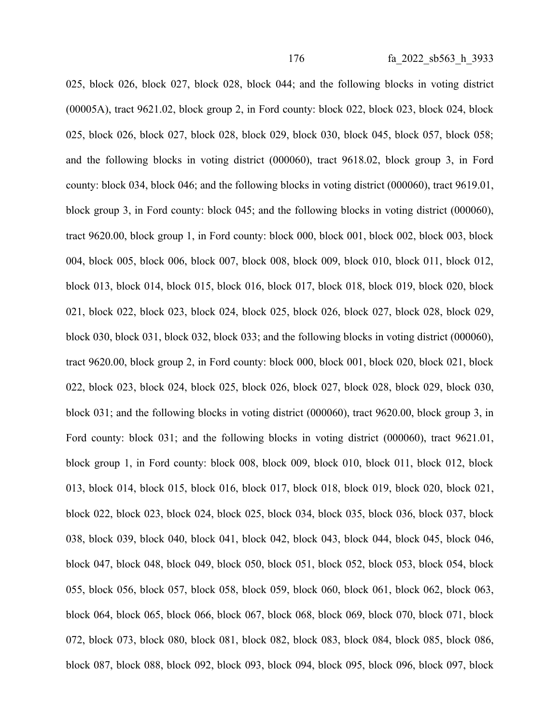025, block 026, block 027, block 028, block 044; and the following blocks in voting district (00005A), tract 9621.02, block group 2, in Ford county: block 022, block 023, block 024, block 025, block 026, block 027, block 028, block 029, block 030, block 045, block 057, block 058; and the following blocks in voting district (000060), tract 9618.02, block group 3, in Ford county: block 034, block 046; and the following blocks in voting district (000060), tract 9619.01, block group 3, in Ford county: block 045; and the following blocks in voting district (000060), tract 9620.00, block group 1, in Ford county: block 000, block 001, block 002, block 003, block 004, block 005, block 006, block 007, block 008, block 009, block 010, block 011, block 012, block 013, block 014, block 015, block 016, block 017, block 018, block 019, block 020, block 021, block 022, block 023, block 024, block 025, block 026, block 027, block 028, block 029, block 030, block 031, block 032, block 033; and the following blocks in voting district (000060), tract 9620.00, block group 2, in Ford county: block 000, block 001, block 020, block 021, block 022, block 023, block 024, block 025, block 026, block 027, block 028, block 029, block 030, block 031; and the following blocks in voting district (000060), tract 9620.00, block group 3, in Ford county: block 031; and the following blocks in voting district (000060), tract 9621.01, block group 1, in Ford county: block 008, block 009, block 010, block 011, block 012, block 013, block 014, block 015, block 016, block 017, block 018, block 019, block 020, block 021, block 022, block 023, block 024, block 025, block 034, block 035, block 036, block 037, block 038, block 039, block 040, block 041, block 042, block 043, block 044, block 045, block 046, block 047, block 048, block 049, block 050, block 051, block 052, block 053, block 054, block 055, block 056, block 057, block 058, block 059, block 060, block 061, block 062, block 063, block 064, block 065, block 066, block 067, block 068, block 069, block 070, block 071, block 072, block 073, block 080, block 081, block 082, block 083, block 084, block 085, block 086, block 087, block 088, block 092, block 093, block 094, block 095, block 096, block 097, block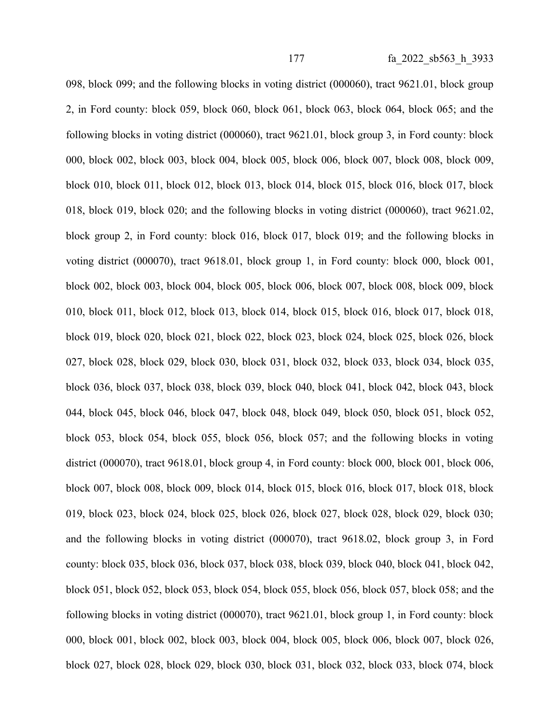098, block 099; and the following blocks in voting district (000060), tract 9621.01, block group 2, in Ford county: block 059, block 060, block 061, block 063, block 064, block 065; and the following blocks in voting district (000060), tract 9621.01, block group 3, in Ford county: block 000, block 002, block 003, block 004, block 005, block 006, block 007, block 008, block 009, block 010, block 011, block 012, block 013, block 014, block 015, block 016, block 017, block 018, block 019, block 020; and the following blocks in voting district (000060), tract 9621.02, block group 2, in Ford county: block 016, block 017, block 019; and the following blocks in voting district (000070), tract 9618.01, block group 1, in Ford county: block 000, block 001, block 002, block 003, block 004, block 005, block 006, block 007, block 008, block 009, block 010, block 011, block 012, block 013, block 014, block 015, block 016, block 017, block 018, block 019, block 020, block 021, block 022, block 023, block 024, block 025, block 026, block 027, block 028, block 029, block 030, block 031, block 032, block 033, block 034, block 035, block 036, block 037, block 038, block 039, block 040, block 041, block 042, block 043, block 044, block 045, block 046, block 047, block 048, block 049, block 050, block 051, block 052, block 053, block 054, block 055, block 056, block 057; and the following blocks in voting district (000070), tract 9618.01, block group 4, in Ford county: block 000, block 001, block 006, block 007, block 008, block 009, block 014, block 015, block 016, block 017, block 018, block 019, block 023, block 024, block 025, block 026, block 027, block 028, block 029, block 030; and the following blocks in voting district (000070), tract 9618.02, block group 3, in Ford county: block 035, block 036, block 037, block 038, block 039, block 040, block 041, block 042, block 051, block 052, block 053, block 054, block 055, block 056, block 057, block 058; and the following blocks in voting district (000070), tract 9621.01, block group 1, in Ford county: block 000, block 001, block 002, block 003, block 004, block 005, block 006, block 007, block 026, block 027, block 028, block 029, block 030, block 031, block 032, block 033, block 074, block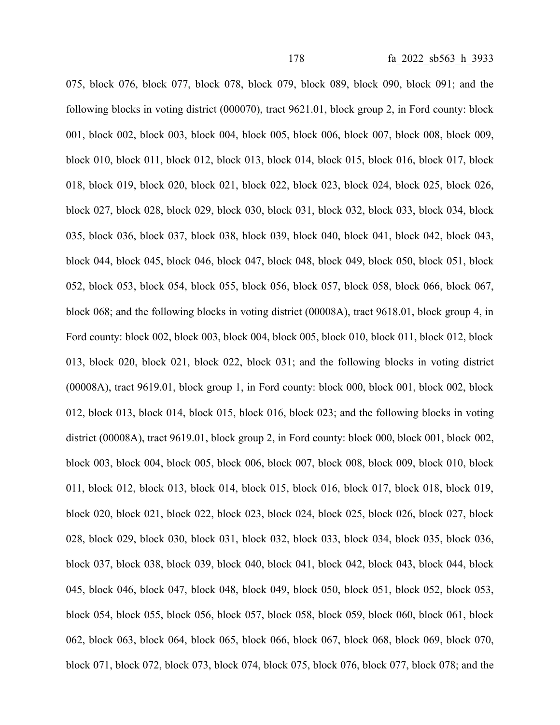075, block 076, block 077, block 078, block 079, block 089, block 090, block 091; and the following blocks in voting district (000070), tract 9621.01, block group 2, in Ford county: block 001, block 002, block 003, block 004, block 005, block 006, block 007, block 008, block 009, block 010, block 011, block 012, block 013, block 014, block 015, block 016, block 017, block 018, block 019, block 020, block 021, block 022, block 023, block 024, block 025, block 026, block 027, block 028, block 029, block 030, block 031, block 032, block 033, block 034, block 035, block 036, block 037, block 038, block 039, block 040, block 041, block 042, block 043, block 044, block 045, block 046, block 047, block 048, block 049, block 050, block 051, block 052, block 053, block 054, block 055, block 056, block 057, block 058, block 066, block 067, block 068; and the following blocks in voting district (00008A), tract 9618.01, block group 4, in Ford county: block 002, block 003, block 004, block 005, block 010, block 011, block 012, block 013, block 020, block 021, block 022, block 031; and the following blocks in voting district (00008A), tract 9619.01, block group 1, in Ford county: block 000, block 001, block 002, block 012, block 013, block 014, block 015, block 016, block 023; and the following blocks in voting district (00008A), tract 9619.01, block group 2, in Ford county: block 000, block 001, block 002, block 003, block 004, block 005, block 006, block 007, block 008, block 009, block 010, block 011, block 012, block 013, block 014, block 015, block 016, block 017, block 018, block 019, block 020, block 021, block 022, block 023, block 024, block 025, block 026, block 027, block 028, block 029, block 030, block 031, block 032, block 033, block 034, block 035, block 036, block 037, block 038, block 039, block 040, block 041, block 042, block 043, block 044, block 045, block 046, block 047, block 048, block 049, block 050, block 051, block 052, block 053, block 054, block 055, block 056, block 057, block 058, block 059, block 060, block 061, block 062, block 063, block 064, block 065, block 066, block 067, block 068, block 069, block 070, block 071, block 072, block 073, block 074, block 075, block 076, block 077, block 078; and the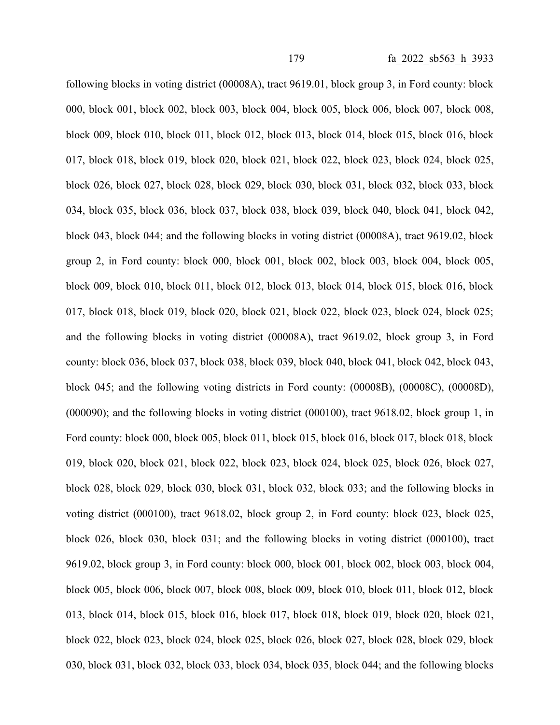following blocks in voting district (00008A), tract 9619.01, block group 3, in Ford county: block 000, block 001, block 002, block 003, block 004, block 005, block 006, block 007, block 008, block 009, block 010, block 011, block 012, block 013, block 014, block 015, block 016, block 017, block 018, block 019, block 020, block 021, block 022, block 023, block 024, block 025, block 026, block 027, block 028, block 029, block 030, block 031, block 032, block 033, block 034, block 035, block 036, block 037, block 038, block 039, block 040, block 041, block 042, block 043, block 044; and the following blocks in voting district (00008A), tract 9619.02, block group 2, in Ford county: block 000, block 001, block 002, block 003, block 004, block 005, block 009, block 010, block 011, block 012, block 013, block 014, block 015, block 016, block 017, block 018, block 019, block 020, block 021, block 022, block 023, block 024, block 025; and the following blocks in voting district (00008A), tract 9619.02, block group 3, in Ford county: block 036, block 037, block 038, block 039, block 040, block 041, block 042, block 043, block 045; and the following voting districts in Ford county: (00008B), (00008C), (00008D), (000090); and the following blocks in voting district (000100), tract 9618.02, block group 1, in Ford county: block 000, block 005, block 011, block 015, block 016, block 017, block 018, block 019, block 020, block 021, block 022, block 023, block 024, block 025, block 026, block 027, block 028, block 029, block 030, block 031, block 032, block 033; and the following blocks in voting district (000100), tract 9618.02, block group 2, in Ford county: block 023, block 025, block 026, block 030, block 031; and the following blocks in voting district (000100), tract 9619.02, block group 3, in Ford county: block 000, block 001, block 002, block 003, block 004, block 005, block 006, block 007, block 008, block 009, block 010, block 011, block 012, block 013, block 014, block 015, block 016, block 017, block 018, block 019, block 020, block 021, block 022, block 023, block 024, block 025, block 026, block 027, block 028, block 029, block 030, block 031, block 032, block 033, block 034, block 035, block 044; and the following blocks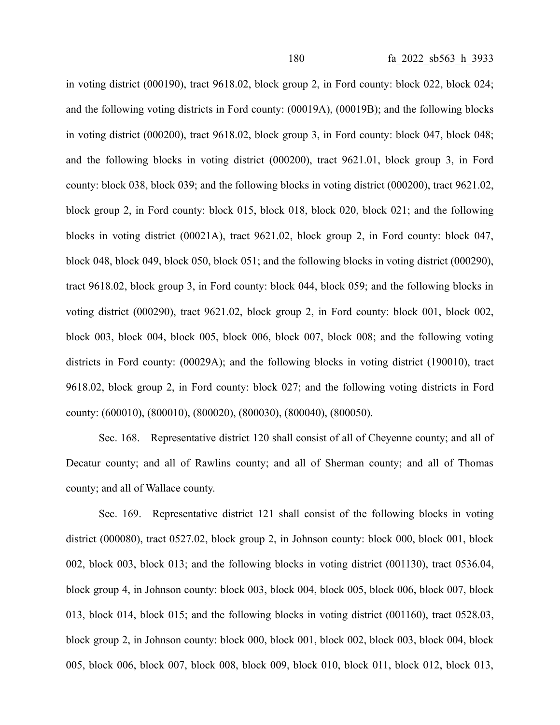in voting district (000190), tract 9618.02, block group 2, in Ford county: block 022, block 024; and the following voting districts in Ford county: (00019A), (00019B); and the following blocks in voting district (000200), tract 9618.02, block group 3, in Ford county: block 047, block 048; and the following blocks in voting district (000200), tract 9621.01, block group 3, in Ford county: block 038, block 039; and the following blocks in voting district (000200), tract 9621.02, block group 2, in Ford county: block 015, block 018, block 020, block 021; and the following blocks in voting district (00021A), tract 9621.02, block group 2, in Ford county: block 047, block 048, block 049, block 050, block 051; and the following blocks in voting district (000290), tract 9618.02, block group 3, in Ford county: block 044, block 059; and the following blocks in voting district (000290), tract 9621.02, block group 2, in Ford county: block 001, block 002, block 003, block 004, block 005, block 006, block 007, block 008; and the following voting districts in Ford county: (00029A); and the following blocks in voting district (190010), tract 9618.02, block group 2, in Ford county: block 027; and the following voting districts in Ford county: (600010), (800010), (800020), (800030), (800040), (800050).

Sec. 168. Representative district 120 shall consist of all of Cheyenne county; and all of Decatur county; and all of Rawlins county; and all of Sherman county; and all of Thomas county; and all of Wallace county.

Sec. 169. Representative district 121 shall consist of the following blocks in voting district (000080), tract 0527.02, block group 2, in Johnson county: block 000, block 001, block 002, block 003, block 013; and the following blocks in voting district (001130), tract 0536.04, block group 4, in Johnson county: block 003, block 004, block 005, block 006, block 007, block 013, block 014, block 015; and the following blocks in voting district (001160), tract 0528.03, block group 2, in Johnson county: block 000, block 001, block 002, block 003, block 004, block 005, block 006, block 007, block 008, block 009, block 010, block 011, block 012, block 013,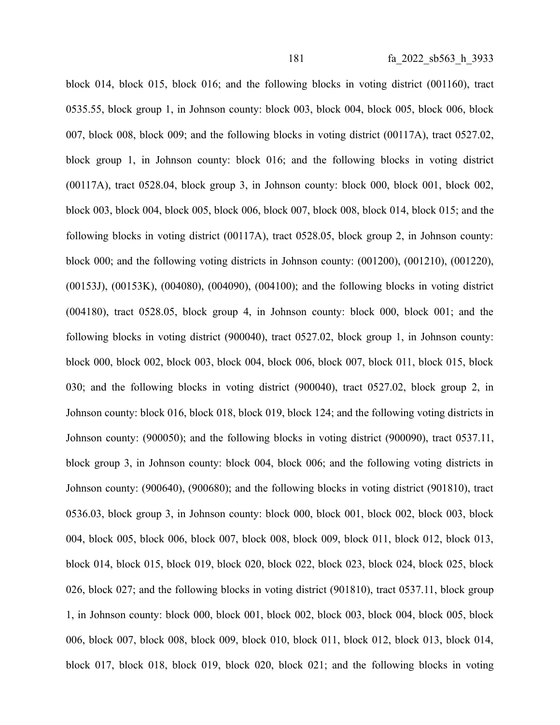block 014, block 015, block 016; and the following blocks in voting district (001160), tract 0535.55, block group 1, in Johnson county: block 003, block 004, block 005, block 006, block 007, block 008, block 009; and the following blocks in voting district (00117A), tract 0527.02, block group 1, in Johnson county: block 016; and the following blocks in voting district (00117A), tract 0528.04, block group 3, in Johnson county: block 000, block 001, block 002, block 003, block 004, block 005, block 006, block 007, block 008, block 014, block 015; and the following blocks in voting district (00117A), tract 0528.05, block group 2, in Johnson county: block 000; and the following voting districts in Johnson county: (001200), (001210), (001220), (00153J), (00153K), (004080), (004090), (004100); and the following blocks in voting district (004180), tract 0528.05, block group 4, in Johnson county: block 000, block 001; and the following blocks in voting district (900040), tract 0527.02, block group 1, in Johnson county: block 000, block 002, block 003, block 004, block 006, block 007, block 011, block 015, block 030; and the following blocks in voting district (900040), tract 0527.02, block group 2, in Johnson county: block 016, block 018, block 019, block 124; and the following voting districts in Johnson county: (900050); and the following blocks in voting district (900090), tract 0537.11, block group 3, in Johnson county: block 004, block 006; and the following voting districts in Johnson county: (900640), (900680); and the following blocks in voting district (901810), tract 0536.03, block group 3, in Johnson county: block 000, block 001, block 002, block 003, block 004, block 005, block 006, block 007, block 008, block 009, block 011, block 012, block 013, block 014, block 015, block 019, block 020, block 022, block 023, block 024, block 025, block 026, block 027; and the following blocks in voting district (901810), tract 0537.11, block group 1, in Johnson county: block 000, block 001, block 002, block 003, block 004, block 005, block 006, block 007, block 008, block 009, block 010, block 011, block 012, block 013, block 014, block 017, block 018, block 019, block 020, block 021; and the following blocks in voting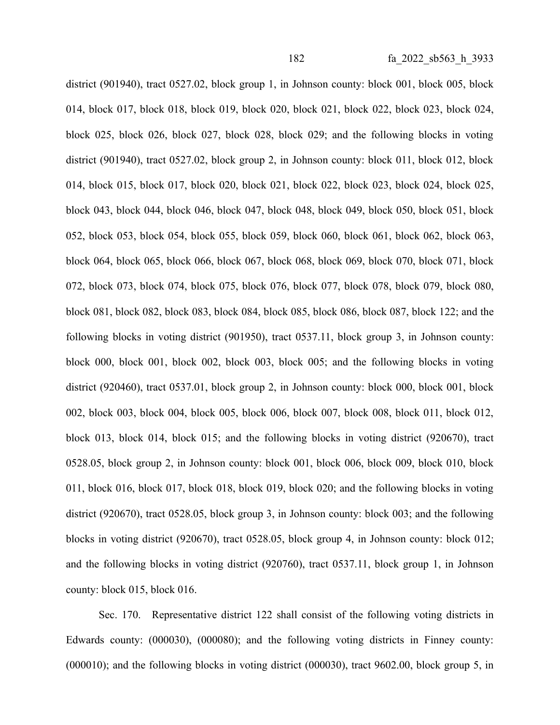district (901940), tract 0527.02, block group 1, in Johnson county: block 001, block 005, block 014, block 017, block 018, block 019, block 020, block 021, block 022, block 023, block 024, block 025, block 026, block 027, block 028, block 029; and the following blocks in voting district (901940), tract 0527.02, block group 2, in Johnson county: block 011, block 012, block 014, block 015, block 017, block 020, block 021, block 022, block 023, block 024, block 025, block 043, block 044, block 046, block 047, block 048, block 049, block 050, block 051, block 052, block 053, block 054, block 055, block 059, block 060, block 061, block 062, block 063, block 064, block 065, block 066, block 067, block 068, block 069, block 070, block 071, block 072, block 073, block 074, block 075, block 076, block 077, block 078, block 079, block 080, block 081, block 082, block 083, block 084, block 085, block 086, block 087, block 122; and the following blocks in voting district (901950), tract 0537.11, block group 3, in Johnson county: block 000, block 001, block 002, block 003, block 005; and the following blocks in voting district (920460), tract 0537.01, block group 2, in Johnson county: block 000, block 001, block 002, block 003, block 004, block 005, block 006, block 007, block 008, block 011, block 012, block 013, block 014, block 015; and the following blocks in voting district (920670), tract 0528.05, block group 2, in Johnson county: block 001, block 006, block 009, block 010, block 011, block 016, block 017, block 018, block 019, block 020; and the following blocks in voting district (920670), tract 0528.05, block group 3, in Johnson county: block 003; and the following blocks in voting district (920670), tract 0528.05, block group 4, in Johnson county: block 012; and the following blocks in voting district (920760), tract 0537.11, block group 1, in Johnson county: block 015, block 016.

Sec. 170. Representative district 122 shall consist of the following voting districts in Edwards county: (000030), (000080); and the following voting districts in Finney county: (000010); and the following blocks in voting district (000030), tract 9602.00, block group 5, in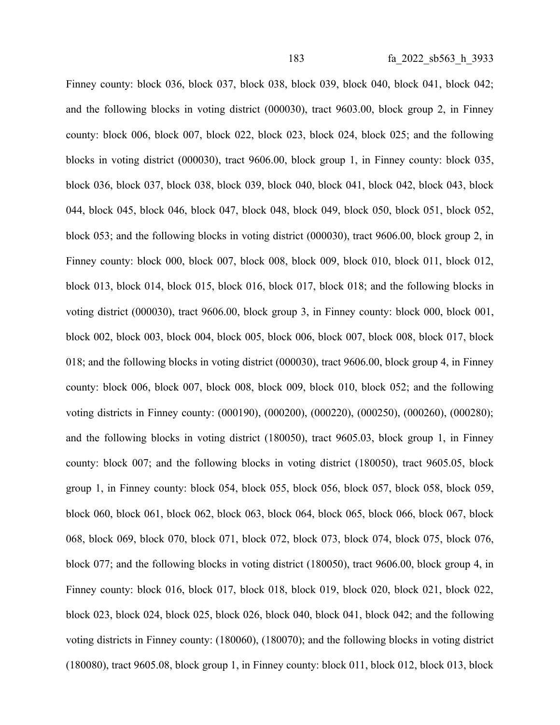Finney county: block 036, block 037, block 038, block 039, block 040, block 041, block 042; and the following blocks in voting district (000030), tract 9603.00, block group 2, in Finney county: block 006, block 007, block 022, block 023, block 024, block 025; and the following blocks in voting district (000030), tract 9606.00, block group 1, in Finney county: block 035, block 036, block 037, block 038, block 039, block 040, block 041, block 042, block 043, block 044, block 045, block 046, block 047, block 048, block 049, block 050, block 051, block 052, block 053; and the following blocks in voting district (000030), tract 9606.00, block group 2, in Finney county: block 000, block 007, block 008, block 009, block 010, block 011, block 012, block 013, block 014, block 015, block 016, block 017, block 018; and the following blocks in voting district (000030), tract 9606.00, block group 3, in Finney county: block 000, block 001, block 002, block 003, block 004, block 005, block 006, block 007, block 008, block 017, block 018; and the following blocks in voting district (000030), tract 9606.00, block group 4, in Finney county: block 006, block 007, block 008, block 009, block 010, block 052; and the following voting districts in Finney county: (000190), (000200), (000220), (000250), (000260), (000280); and the following blocks in voting district (180050), tract 9605.03, block group 1, in Finney county: block 007; and the following blocks in voting district (180050), tract 9605.05, block group 1, in Finney county: block 054, block 055, block 056, block 057, block 058, block 059, block 060, block 061, block 062, block 063, block 064, block 065, block 066, block 067, block 068, block 069, block 070, block 071, block 072, block 073, block 074, block 075, block 076, block 077; and the following blocks in voting district (180050), tract 9606.00, block group 4, in Finney county: block 016, block 017, block 018, block 019, block 020, block 021, block 022, block 023, block 024, block 025, block 026, block 040, block 041, block 042; and the following voting districts in Finney county: (180060), (180070); and the following blocks in voting district (180080), tract 9605.08, block group 1, in Finney county: block 011, block 012, block 013, block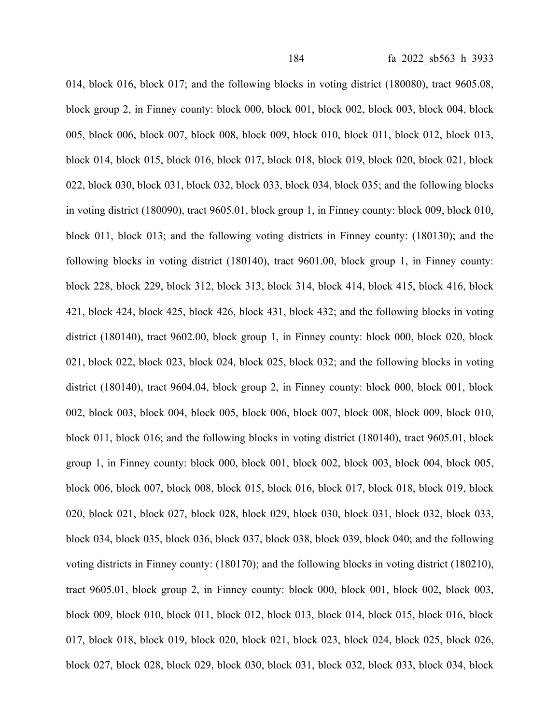014, block 016, block 017; and the following blocks in voting district (180080), tract 9605.08, block group 2, in Finney county: block 000, block 001, block 002, block 003, block 004, block 005, block 006, block 007, block 008, block 009, block 010, block 011, block 012, block 013, block 014, block 015, block 016, block 017, block 018, block 019, block 020, block 021, block 022, block 030, block 031, block 032, block 033, block 034, block 035; and the following blocks in voting district (180090), tract 9605.01, block group 1, in Finney county: block 009, block 010, block 011, block 013; and the following voting districts in Finney county: (180130); and the following blocks in voting district (180140), tract 9601.00, block group 1, in Finney county: block 228, block 229, block 312, block 313, block 314, block 414, block 415, block 416, block 421, block 424, block 425, block 426, block 431, block 432; and the following blocks in voting district (180140), tract 9602.00, block group 1, in Finney county: block 000, block 020, block 021, block 022, block 023, block 024, block 025, block 032; and the following blocks in voting district (180140), tract 9604.04, block group 2, in Finney county: block 000, block 001, block 002, block 003, block 004, block 005, block 006, block 007, block 008, block 009, block 010, block 011, block 016; and the following blocks in voting district (180140), tract 9605.01, block group 1, in Finney county: block 000, block 001, block 002, block 003, block 004, block 005, block 006, block 007, block 008, block 015, block 016, block 017, block 018, block 019, block 020, block 021, block 027, block 028, block 029, block 030, block 031, block 032, block 033, block 034, block 035, block 036, block 037, block 038, block 039, block 040; and the following voting districts in Finney county: (180170); and the following blocks in voting district (180210), tract 9605.01, block group 2, in Finney county: block 000, block 001, block 002, block 003, block 009, block 010, block 011, block 012, block 013, block 014, block 015, block 016, block 017, block 018, block 019, block 020, block 021, block 023, block 024, block 025, block 026, block 027, block 028, block 029, block 030, block 031, block 032, block 033, block 034, block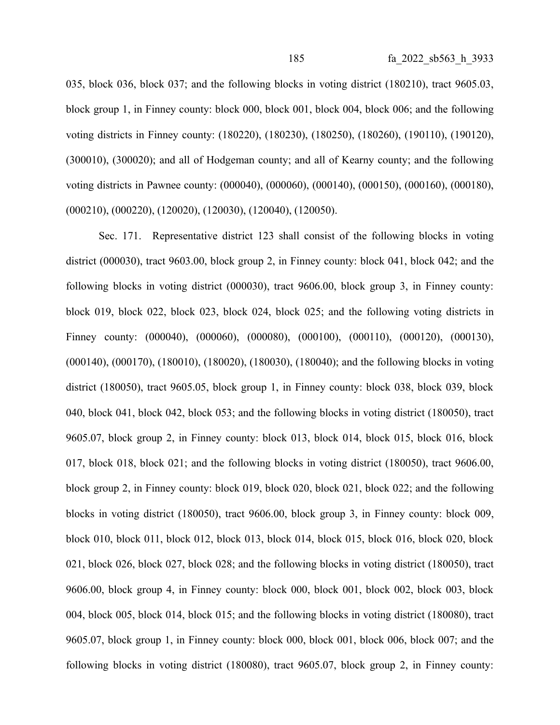035, block 036, block 037; and the following blocks in voting district (180210), tract 9605.03, block group 1, in Finney county: block 000, block 001, block 004, block 006; and the following voting districts in Finney county: (180220), (180230), (180250), (180260), (190110), (190120), (300010), (300020); and all of Hodgeman county; and all of Kearny county; and the following voting districts in Pawnee county: (000040), (000060), (000140), (000150), (000160), (000180), (000210), (000220), (120020), (120030), (120040), (120050).

Sec. 171. Representative district 123 shall consist of the following blocks in voting district (000030), tract 9603.00, block group 2, in Finney county: block 041, block 042; and the following blocks in voting district (000030), tract 9606.00, block group 3, in Finney county: block 019, block 022, block 023, block 024, block 025; and the following voting districts in Finney county: (000040), (000060), (000080), (000100), (000110), (000120), (000130), (000140), (000170), (180010), (180020), (180030), (180040); and the following blocks in voting district (180050), tract 9605.05, block group 1, in Finney county: block 038, block 039, block 040, block 041, block 042, block 053; and the following blocks in voting district (180050), tract 9605.07, block group 2, in Finney county: block 013, block 014, block 015, block 016, block 017, block 018, block 021; and the following blocks in voting district (180050), tract 9606.00, block group 2, in Finney county: block 019, block 020, block 021, block 022; and the following blocks in voting district (180050), tract 9606.00, block group 3, in Finney county: block 009, block 010, block 011, block 012, block 013, block 014, block 015, block 016, block 020, block 021, block 026, block 027, block 028; and the following blocks in voting district (180050), tract 9606.00, block group 4, in Finney county: block 000, block 001, block 002, block 003, block 004, block 005, block 014, block 015; and the following blocks in voting district (180080), tract 9605.07, block group 1, in Finney county: block 000, block 001, block 006, block 007; and the following blocks in voting district (180080), tract 9605.07, block group 2, in Finney county: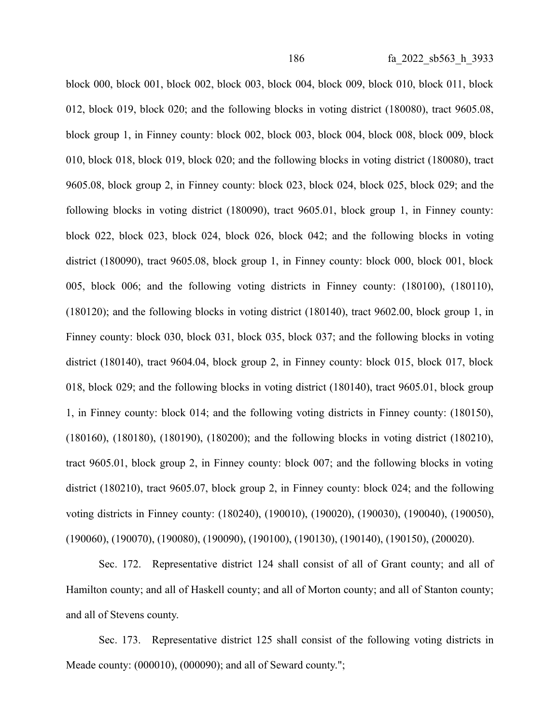block 000, block 001, block 002, block 003, block 004, block 009, block 010, block 011, block 012, block 019, block 020; and the following blocks in voting district (180080), tract 9605.08, block group 1, in Finney county: block 002, block 003, block 004, block 008, block 009, block 010, block 018, block 019, block 020; and the following blocks in voting district (180080), tract 9605.08, block group 2, in Finney county: block 023, block 024, block 025, block 029; and the following blocks in voting district (180090), tract 9605.01, block group 1, in Finney county: block 022, block 023, block 024, block 026, block 042; and the following blocks in voting district (180090), tract 9605.08, block group 1, in Finney county: block 000, block 001, block 005, block 006; and the following voting districts in Finney county: (180100), (180110), (180120); and the following blocks in voting district (180140), tract 9602.00, block group 1, in Finney county: block 030, block 031, block 035, block 037; and the following blocks in voting district (180140), tract 9604.04, block group 2, in Finney county: block 015, block 017, block 018, block 029; and the following blocks in voting district (180140), tract 9605.01, block group 1, in Finney county: block 014; and the following voting districts in Finney county: (180150), (180160), (180180), (180190), (180200); and the following blocks in voting district (180210), tract 9605.01, block group 2, in Finney county: block 007; and the following blocks in voting district (180210), tract 9605.07, block group 2, in Finney county: block 024; and the following voting districts in Finney county: (180240), (190010), (190020), (190030), (190040), (190050), (190060), (190070), (190080), (190090), (190100), (190130), (190140), (190150), (200020).

Sec. 172. Representative district 124 shall consist of all of Grant county; and all of Hamilton county; and all of Haskell county; and all of Morton county; and all of Stanton county; and all of Stevens county.

Sec. 173. Representative district 125 shall consist of the following voting districts in Meade county: (000010), (000090); and all of Seward county.";